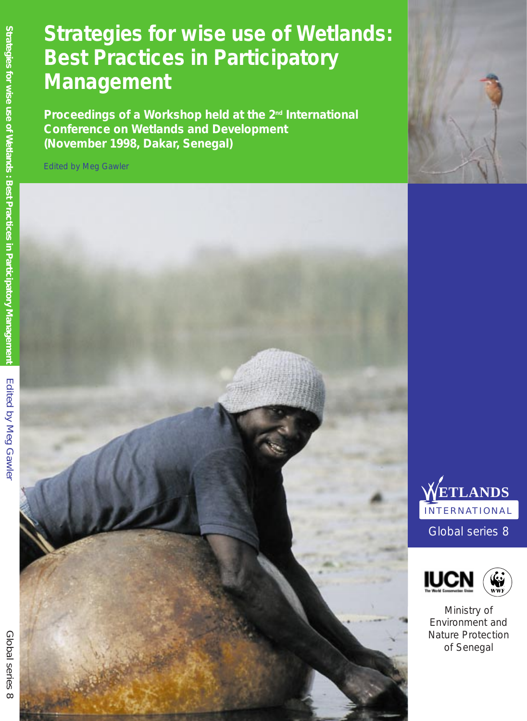# **Strategies for wise use of Wetlands: Best Practices in Participatory Management**

**Proceedings of a Workshop held at the 2nd International Conference on Wetlands and Development (November 1998, Dakar, Senegal)**

Edited by Meg Gawler



**Strategies for wise use of Wetlands : Best Practices in Participatory Management**

Edited by Meg Gawler

Strategies for wise use of Wetlands : Best Practices in Participatory Management







Ministry of Environment and Nature Protection of Senegal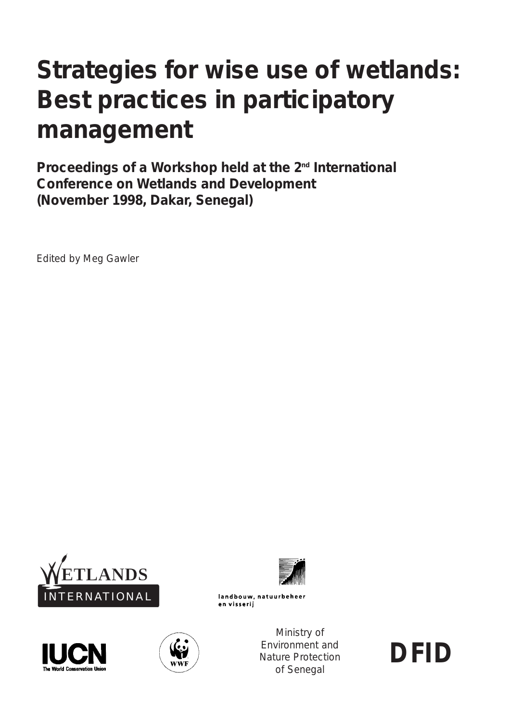# **Strategies for wise use of wetlands: Best practices in participatory management**

**Proceedings of a Workshop held at the 2nd International Conference on Wetlands and Development (November 1998, Dakar, Senegal)**

Edited by Meg Gawler







Ministry of Environment and Nature Protection of Senegal





landbouw, natuurbeheer

en visserij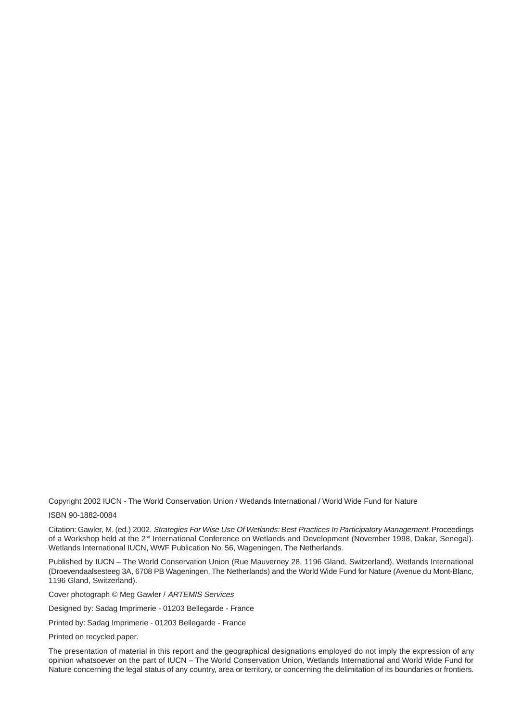Copyright 2002 IUCN - The World Conservation Union / Wetlands International / World Wide Fund for Nature

ISBN 90-1882-0084

Citation: Gawler, M. (ed.) 2002. Strategies For Wise Use Of Wetlands: Best Practices In Participatory Management. Proceedings of a Workshop held at the 2nd International Conference on Wetlands and Development (November 1998, Dakar, Senegal). Wetlands International IUCN, WWF Publication No. 56, Wageningen, The Netherlands.

Published by IUCN – The World Conservation Union (Rue Mauverney 28, 1196 Gland, Switzerland), Wetlands International (Droevendaalsesteeg 3A, 6708 PB Wageningen, The Netherlands) and the World Wide Fund for Nature (Avenue du Mont-Blanc, 1196 Gland, Switzerland).

Cover photograph © Meg Gawler / ARTEMIS Services

Designed by: Sadag Imprimerie - 01203 Bellegarde - France

Printed by: Sadag Imprimerie - 01203 Bellegarde - France

Printed on recycled paper.

The presentation of material in this report and the geographical designations employed do not imply the expression of any opinion whatsoever on the part of IUCN – The World Conservation Union, Wetlands International and World Wide Fund for Nature concerning the legal status of any country, area or territory, or concerning the delimitation of its boundaries or frontiers.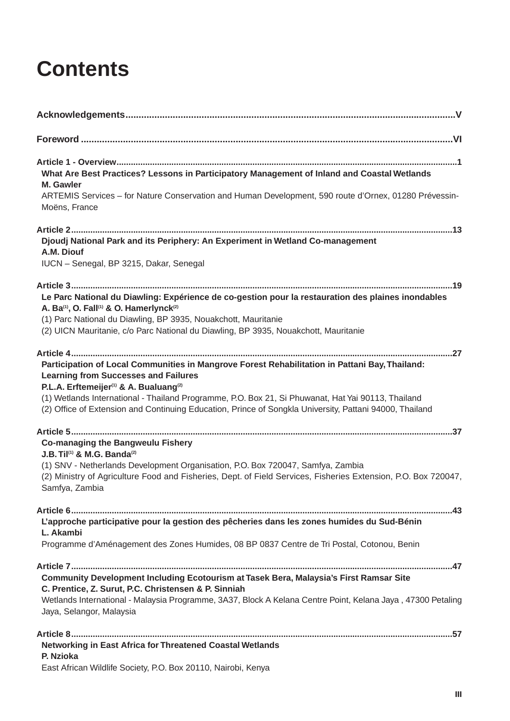# **Contents**

| What Are Best Practices? Lessons in Participatory Management of Inland and Coastal Wetlands<br><b>M.</b> Gawler                                                                                                 |
|-----------------------------------------------------------------------------------------------------------------------------------------------------------------------------------------------------------------|
| ARTEMIS Services - for Nature Conservation and Human Development, 590 route d'Ornex, 01280 Prévessin-<br>Moëns, France                                                                                          |
|                                                                                                                                                                                                                 |
| Djoudj National Park and its Periphery: An Experiment in Wetland Co-management<br>A.M. Diouf                                                                                                                    |
| IUCN - Senegal, BP 3215, Dakar, Senegal                                                                                                                                                                         |
|                                                                                                                                                                                                                 |
| Le Parc National du Diawling: Expérience de co-gestion pour la restauration des plaines inondables<br>A. Ba <sup>(1)</sup> , O. Fall <sup>(1)</sup> & O. Hamerlynck <sup>(2)</sup>                              |
| (1) Parc National du Diawling, BP 3935, Nouakchott, Mauritanie                                                                                                                                                  |
| (2) UICN Mauritanie, c/o Parc National du Diawling, BP 3935, Nouakchott, Mauritanie                                                                                                                             |
|                                                                                                                                                                                                                 |
| Participation of Local Communities in Mangrove Forest Rehabilitation in Pattani Bay, Thailand:<br><b>Learning from Successes and Failures</b><br>P.L.A. Erftemeijer <sup>(1)</sup> & A. Bualuang <sup>(2)</sup> |
| (1) Wetlands International - Thailand Programme, P.O. Box 21, Si Phuwanat, Hat Yai 90113, Thailand<br>(2) Office of Extension and Continuing Education, Prince of Songkla University, Pattani 94000, Thailand   |
|                                                                                                                                                                                                                 |
| <b>Co-managing the Bangweulu Fishery</b><br>J.B. Til(1) & M.G. Banda(2)                                                                                                                                         |
| (1) SNV - Netherlands Development Organisation, P.O. Box 720047, Samfya, Zambia                                                                                                                                 |
| (2) Ministry of Agriculture Food and Fisheries, Dept. of Field Services, Fisheries Extension, P.O. Box 720047,<br>Samfya, Zambia                                                                                |
|                                                                                                                                                                                                                 |
| L'approche participative pour la gestion des pêcheries dans les zones humides du Sud-Bénin<br>L. Akambi                                                                                                         |
| Programme d'Aménagement des Zones Humides, 08 BP 0837 Centre de Tri Postal, Cotonou, Benin                                                                                                                      |
|                                                                                                                                                                                                                 |
| Community Development Including Ecotourism at Tasek Bera, Malaysia's First Ramsar Site<br>C. Prentice, Z. Surut, P.C. Christensen & P. Sinniah                                                                  |
| Wetlands International - Malaysia Programme, 3A37, Block A Kelana Centre Point, Kelana Jaya, 47300 Petaling<br>Jaya, Selangor, Malaysia                                                                         |
|                                                                                                                                                                                                                 |
| Networking in East Africa for Threatened Coastal Wetlands<br>P. Nzioka                                                                                                                                          |
| East African Wildlife Society, P.O. Box 20110, Nairobi, Kenya                                                                                                                                                   |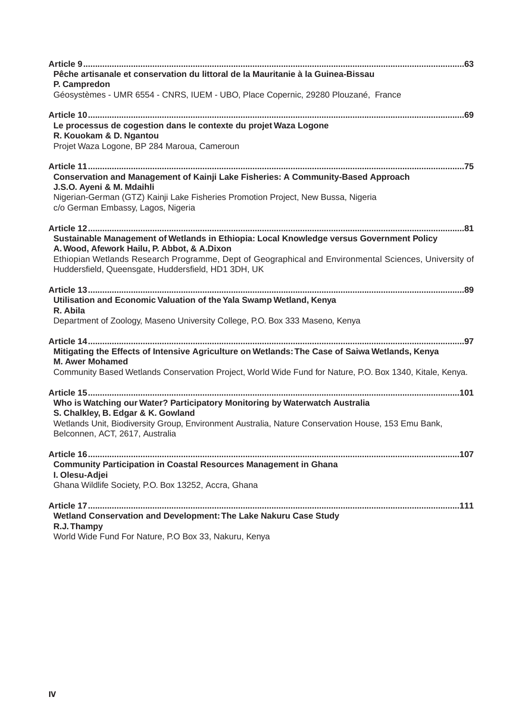| Pêche artisanale et conservation du littoral de la Mauritanie à la Guinea-Bissau<br>P. Campredon                                                             |
|--------------------------------------------------------------------------------------------------------------------------------------------------------------|
| Géosystèmes - UMR 6554 - CNRS, IUEM - UBO, Place Copernic, 29280 Plouzané, France                                                                            |
|                                                                                                                                                              |
| Le processus de cogestion dans le contexte du projet Waza Logone<br>R. Kouokam & D. Ngantou                                                                  |
| Projet Waza Logone, BP 284 Maroua, Cameroun                                                                                                                  |
|                                                                                                                                                              |
| Conservation and Management of Kainji Lake Fisheries: A Community-Based Approach<br>J.S.O. Ayeni & M. Mdaihli                                                |
| Nigerian-German (GTZ) Kainji Lake Fisheries Promotion Project, New Bussa, Nigeria<br>c/o German Embassy, Lagos, Nigeria                                      |
| Sustainable Management of Wetlands in Ethiopia: Local Knowledge versus Government Policy<br>A. Wood, Afework Hailu, P. Abbot, & A.Dixon                      |
| Ethiopian Wetlands Research Programme, Dept of Geographical and Environmental Sciences, University of<br>Huddersfield, Queensgate, Huddersfield, HD1 3DH, UK |
|                                                                                                                                                              |
| Utilisation and Economic Valuation of the Yala Swamp Wetland, Kenya<br>R. Abila                                                                              |
| Department of Zoology, Maseno University College, P.O. Box 333 Maseno, Kenya                                                                                 |
|                                                                                                                                                              |
| Mitigating the Effects of Intensive Agriculture on Wetlands: The Case of Saiwa Wetlands, Kenya<br><b>M. Awer Mohamed</b>                                     |
| Community Based Wetlands Conservation Project, World Wide Fund for Nature, P.O. Box 1340, Kitale, Kenya.                                                     |
|                                                                                                                                                              |
| Who is Watching our Water? Participatory Monitoring by Waterwatch Australia                                                                                  |
| S. Chalkley, B. Edgar & K. Gowland<br>Wetlands Unit, Biodiversity Group, Environment Australia, Nature Conservation House, 153 Emu Bank,                     |
| Belconnen, ACT, 2617, Australia                                                                                                                              |
|                                                                                                                                                              |
| <b>Community Participation in Coastal Resources Management in Ghana</b>                                                                                      |
| I. Olesu-Adjei<br>Ghana Wildlife Society, P.O. Box 13252, Accra, Ghana                                                                                       |
|                                                                                                                                                              |
| Wetland Conservation and Development: The Lake Nakuru Case Study                                                                                             |
| R.J. Thampy                                                                                                                                                  |
| World Wide Fund For Nature, P.O Box 33, Nakuru, Kenya                                                                                                        |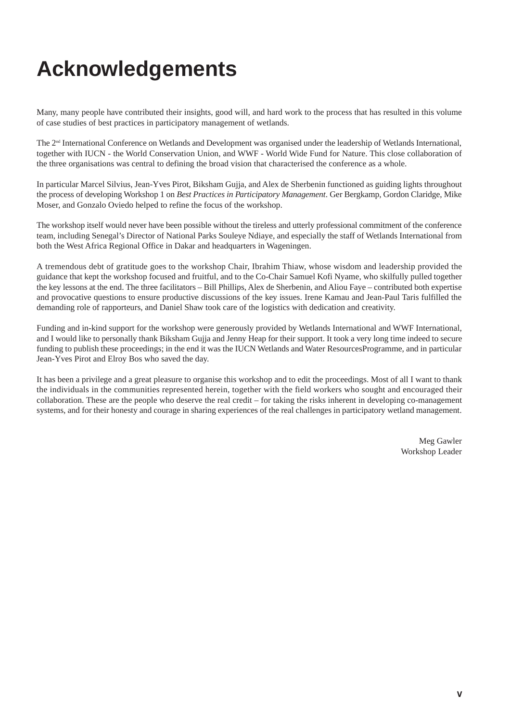# **Acknowledgements**

Many, many people have contributed their insights, good will, and hard work to the process that has resulted in this volume of case studies of best practices in participatory management of wetlands.

The 2<sup>nd</sup> International Conference on Wetlands and Development was organised under the leadership of Wetlands International, together with IUCN - the World Conservation Union, and WWF - World Wide Fund for Nature. This close collaboration of the three organisations was central to defining the broad vision that characterised the conference as a whole.

In particular Marcel Silvius, Jean-Yves Pirot, Biksham Gujja, and Alex de Sherbenin functioned as guiding lights throughout the process of developing Workshop 1 on *Best Practices in Participatory Management*. Ger Bergkamp, Gordon Claridge, Mike Moser, and Gonzalo Oviedo helped to refine the focus of the workshop.

The workshop itself would never have been possible without the tireless and utterly professional commitment of the conference team, including Senegal's Director of National Parks Souleye Ndiaye, and especially the staff of Wetlands International from both the West Africa Regional Office in Dakar and headquarters in Wageningen.

A tremendous debt of gratitude goes to the workshop Chair, Ibrahim Thiaw, whose wisdom and leadership provided the guidance that kept the workshop focused and fruitful, and to the Co-Chair Samuel Kofi Nyame, who skilfully pulled together the key lessons at the end. The three facilitators – Bill Phillips, Alex de Sherbenin, and Aliou Faye – contributed both expertise and provocative questions to ensure productive discussions of the key issues. Irene Kamau and Jean-Paul Taris fulfilled the demanding role of rapporteurs, and Daniel Shaw took care of the logistics with dedication and creativity.

Funding and in-kind support for the workshop were generously provided by Wetlands International and WWF International, and I would like to personally thank Biksham Gujja and Jenny Heap for their support. It took a very long time indeed to secure funding to publish these proceedings; in the end it was the IUCN Wetlands and Water ResourcesProgramme, and in particular Jean-Yves Pirot and Elroy Bos who saved the day.

It has been a privilege and a great pleasure to organise this workshop and to edit the proceedings. Most of all I want to thank the individuals in the communities represented herein, together with the field workers who sought and encouraged their collaboration. These are the people who deserve the real credit – for taking the risks inherent in developing co-management systems, and for their honesty and courage in sharing experiences of the real challenges in participatory wetland management.

> Meg Gawler Workshop Leader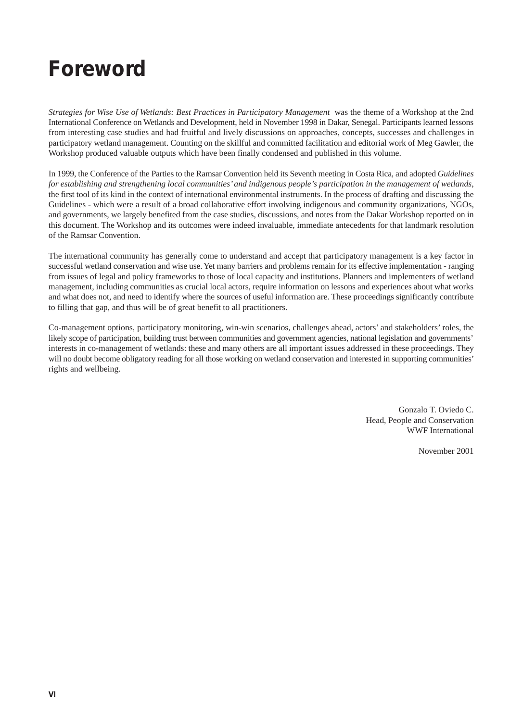## **Foreword**

*Strategies for Wise Use of Wetlands: Best Practices in Participatory Management* was the theme of a Workshop at the 2nd International Conference on Wetlands and Development, held in November 1998 in Dakar, Senegal. Participants learned lessons from interesting case studies and had fruitful and lively discussions on approaches, concepts, successes and challenges in participatory wetland management. Counting on the skillful and committed facilitation and editorial work of Meg Gawler, the Workshop produced valuable outputs which have been finally condensed and published in this volume.

In 1999, the Conference of the Parties to the Ramsar Convention held its Seventh meeting in Costa Rica, and adopted *Guidelines for establishing and strengthening local communities'and indigenous people's participation in the management of wetlands*, the first tool of its kind in the context of international environmental instruments. In the process of drafting and discussing the Guidelines - which were a result of a broad collaborative effort involving indigenous and community organizations, NGOs, and governments, we largely benefited from the case studies, discussions, and notes from the Dakar Workshop reported on in this document. The Workshop and its outcomes were indeed invaluable, immediate antecedents for that landmark resolution of the Ramsar Convention.

The international community has generally come to understand and accept that participatory management is a key factor in successful wetland conservation and wise use. Yet many barriers and problems remain for its effective implementation - ranging from issues of legal and policy frameworks to those of local capacity and institutions. Planners and implementers of wetland management, including communities as crucial local actors, require information on lessons and experiences about what works and what does not, and need to identify where the sources of useful information are. These proceedings significantly contribute to filling that gap, and thus will be of great benefit to all practitioners.

Co-management options, participatory monitoring, win-win scenarios, challenges ahead, actors' and stakeholders' roles, the likely scope of participation, building trust between communities and government agencies, national legislation and governments' interests in co-management of wetlands: these and many others are all important issues addressed in these proceedings. They will no doubt become obligatory reading for all those working on wetland conservation and interested in supporting communities' rights and wellbeing.

> Gonzalo T. Oviedo C. Head, People and Conservation WWF International

> > November 2001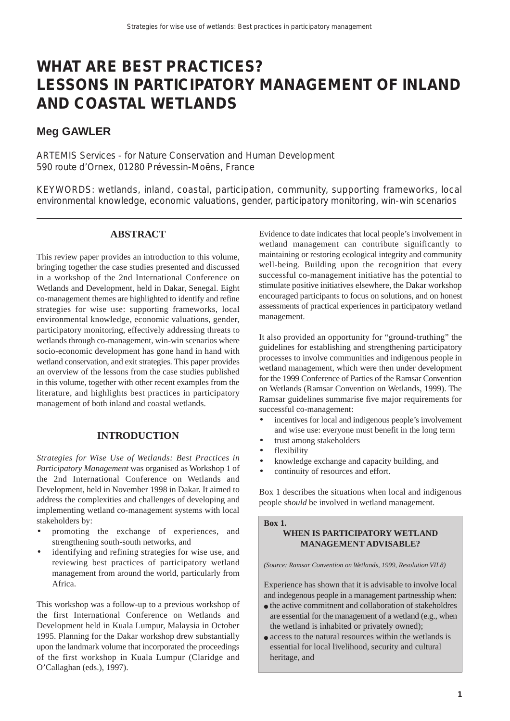## **WHAT ARE BEST PRACTICES? LESSONS IN PARTICIPATORY MANAGEMENT OF INLAND AND COASTAL WETLANDS**

## **Meg GAWLER**

*ARTEMIS Services - for Nature Conservation and Human Development* 590 route d'Ornex, 01280 Prévessin-Moëns, France

KEYWORDS: wetlands, inland, coastal, participation, community, supporting frameworks, local environmental knowledge, economic valuations, gender, participatory monitoring, win-win scenarios

## **ABSTRACT**

This review paper provides an introduction to this volume, bringing together the case studies presented and discussed in a workshop of the 2nd International Conference on Wetlands and Development, held in Dakar, Senegal. Eight co-management themes are highlighted to identify and refine strategies for wise use: supporting frameworks, local environmental knowledge, economic valuations, gender, participatory monitoring, effectively addressing threats to wetlands through co-management, win-win scenarios where socio-economic development has gone hand in hand with wetland conservation, and exit strategies. This paper provides an overview of the lessons from the case studies published in this volume, together with other recent examples from the literature, and highlights best practices in participatory management of both inland and coastal wetlands.

## **INTRODUCTION**

*Strategies for Wise Use of Wetlands: Best Practices in Participatory Management* was organised as Workshop 1 of the 2nd International Conference on Wetlands and Development, held in November 1998 in Dakar. It aimed to address the complexities and challenges of developing and implementing wetland co-management systems with local stakeholders by:

- promoting the exchange of experiences, and strengthening south-south networks, and
- identifying and refining strategies for wise use, and reviewing best practices of participatory wetland management from around the world, particularly from Africa.

This workshop was a follow-up to a previous workshop of the first International Conference on Wetlands and Development held in Kuala Lumpur, Malaysia in October 1995. Planning for the Dakar workshop drew substantially upon the landmark volume that incorporated the proceedings of the first workshop in Kuala Lumpur (Claridge and O'Callaghan (eds.), 1997).

Evidence to date indicates that local people's involvement in wetland management can contribute significantly to maintaining or restoring ecological integrity and community well-being. Building upon the recognition that every successful co-management initiative has the potential to stimulate positive initiatives elsewhere, the Dakar workshop encouraged participants to focus on solutions, and on honest assessments of practical experiences in participatory wetland management.

It also provided an opportunity for "ground-truthing" the guidelines for establishing and strengthening participatory processes to involve communities and indigenous people in wetland management, which were then under development for the 1999 Conference of Parties of the Ramsar Convention on Wetlands (Ramsar Convention on Wetlands, 1999). The Ramsar guidelines summarise five major requirements for successful co-management:

- incentives for local and indigenous people's involvement and wise use: everyone must benefit in the long term
- trust among stakeholders
- flexibility
- knowledge exchange and capacity building, and
- continuity of resources and effort.

Box 1 describes the situations when local and indigenous people *should* be involved in wetland management.

#### **Box 1.**

#### **WHEN IS PARTICIPATORY WETLAND MANAGEMENT ADVISABLE?**

*(Source: Ramsar Convention on Wetlands, 1999, Resolution VII.8)*

Experience has shown that it is advisable to involve local and indegenous people in a management partnesship when:

- the active commitment and collaboration of stakeholdres are essential for the management of a wetland (e.g., when the wetland is inhabited or privately owned);
- access to the natural resources within the wetlands is essential for local livelihood, security and cultural heritage, and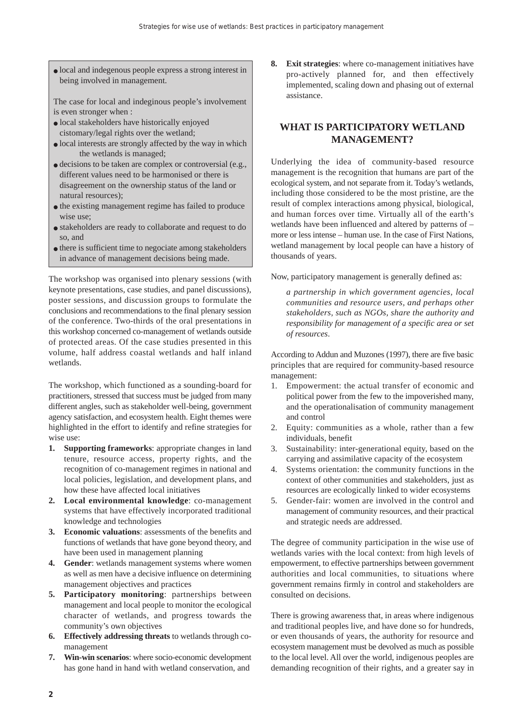● local and indegenous people express a strong interest in being involved in management.

The case for local and indeginous people's involvement is even stronger when :

- local stakeholders have historically enjoyed cistomary/legal rights over the wetland;
- local interests are strongly affected by the way in which the wetlands is managed;
- decisions to be taken are complex or controversial (e.g., different values need to be harmonised or there is disagreement on the ownership status of the land or natural resources);
- the existing management regime has failed to produce wise use;
- stakeholders are ready to collaborate and request to do so, and
- there is sufficient time to negociate among stakeholders in advance of management decisions being made.

The workshop was organised into plenary sessions (with keynote presentations, case studies, and panel discussions), poster sessions, and discussion groups to formulate the conclusions and recommendations to the final plenary session of the conference. Two-thirds of the oral presentations in this workshop concerned co-management of wetlands outside of protected areas. Of the case studies presented in this volume, half address coastal wetlands and half inland wetlands.

The workshop, which functioned as a sounding-board for practitioners, stressed that success must be judged from many different angles, such as stakeholder well-being, government agency satisfaction, and ecosystem health. Eight themes were highlighted in the effort to identify and refine strategies for wise use:

- **1. Supporting frameworks**: appropriate changes in land tenure, resource access, property rights, and the recognition of co-management regimes in national and local policies, legislation, and development plans, and how these have affected local initiatives
- **2. Local environmental knowledge**: co-management systems that have effectively incorporated traditional knowledge and technologies
- **3. Economic valuations**: assessments of the benefits and functions of wetlands that have gone beyond theory, and have been used in management planning
- **4. Gender**: wetlands management systems where women as well as men have a decisive influence on determining management objectives and practices
- **5. Participatory monitoring**: partnerships between management and local people to monitor the ecological character of wetlands, and progress towards the community's own objectives
- **6. Effectively addressing threats** to wetlands through comanagement
- **7. Win-win scenarios**: where socio-economic development has gone hand in hand with wetland conservation, and

**8. Exit strategies**: where co-management initiatives have pro-actively planned for, and then effectively implemented, scaling down and phasing out of external assistance.

## **WHAT IS PARTICIPATORY WETLAND MANAGEMENT?**

Underlying the idea of community-based resource management is the recognition that humans are part of the ecological system, and not separate from it. Today's wetlands, including those considered to be the most pristine, are the result of complex interactions among physical, biological, and human forces over time. Virtually all of the earth's wetlands have been influenced and altered by patterns of – more or less intense – human use. In the case of First Nations, wetland management by local people can have a history of thousands of years.

Now, participatory management is generally defined as:

*a partnership in which government agencies, local communities and resource users, and perhaps other stakeholders, such as NGOs, share the authority and responsibility for management of a specific area or set of resources*.

According to Addun and Muzones (1997), there are five basic principles that are required for community-based resource management:

- 1. Empowerment: the actual transfer of economic and political power from the few to the impoverished many, and the operationalisation of community management and control
- 2. Equity: communities as a whole, rather than a few individuals, benefit
- 3. Sustainability: inter-generational equity, based on the carrying and assimilative capacity of the ecosystem
- 4. Systems orientation: the community functions in the context of other communities and stakeholders, just as resources are ecologically linked to wider ecosystems
- 5. Gender-fair: women are involved in the control and management of community resources, and their practical and strategic needs are addressed.

The degree of community participation in the wise use of wetlands varies with the local context: from high levels of empowerment, to effective partnerships between government authorities and local communities, to situations where government remains firmly in control and stakeholders are consulted on decisions.

There is growing awareness that, in areas where indigenous and traditional peoples live, and have done so for hundreds, or even thousands of years, the authority for resource and ecosystem management must be devolved as much as possible to the local level. All over the world, indigenous peoples are demanding recognition of their rights, and a greater say in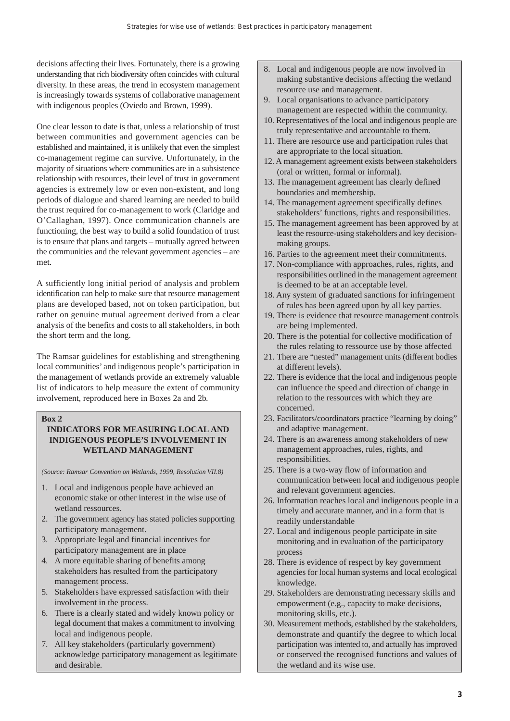decisions affecting their lives. Fortunately, there is a growing understanding that rich biodiversity often coincides with cultural diversity. In these areas, the trend in ecosystem management is increasingly towards systems of collaborative management with indigenous peoples (Oviedo and Brown, 1999).

One clear lesson to date is that, unless a relationship of trust between communities and government agencies can be established and maintained, it is unlikely that even the simplest co-management regime can survive. Unfortunately, in the majority of situations where communities are in a subsistence relationship with resources, their level of trust in government agencies is extremely low or even non-existent, and long periods of dialogue and shared learning are needed to build the trust required for co-management to work (Claridge and O'Callaghan, 1997). Once communication channels are functioning, the best way to build a solid foundation of trust is to ensure that plans and targets – mutually agreed between the communities and the relevant government agencies – are met.

A sufficiently long initial period of analysis and problem identification can help to make sure that resource management plans are developed based, not on token participation, but rather on genuine mutual agreement derived from a clear analysis of the benefits and costs to all stakeholders, in both the short term and the long.

The Ramsar guidelines for establishing and strengthening local communities' and indigenous people's participation in the management of wetlands provide an extremely valuable list of indicators to help measure the extent of community involvement, reproduced here in Boxes 2a and 2b.

#### **Box 2**

## **INDICATORS FOR MEASURING LOCAL AND INDIGENOUS PEOPLE'S INVOLVEMENT IN WETLAND MANAGEMENT**

*(Source: Ramsar Convention on Wetlands, 1999, Resolution VII.8)*

- 1. Local and indigenous people have achieved an economic stake or other interest in the wise use of wetland ressources.
- 2. The government agency has stated policies supporting participatory management.
- 3. Appropriate legal and financial incentives for participatory management are in place
- 4. A more equitable sharing of benefits among stakeholders has resulted from the participatory management process.
- 5. Stakeholders have expressed satisfaction with their involvement in the process.
- 6. There is a clearly stated and widely known policy or legal document that makes a commitment to involving local and indigenous people.
- 7. All key stakeholders (particularly government) acknowledge participatory management as legitimate and desirable.
- 8. Local and indigenous people are now involved in making substantive decisions affecting the wetland resource use and management.
- 9. Local organisations to advance participatory management are respected within the community.
- 10. Representatives of the local and indigenous people are truly representative and accountable to them.
- 11. There are resource use and participation rules that are appropriate to the local situation.
- 12. A management agreement exists between stakeholders (oral or written, formal or informal).
- 13. The management agreement has clearly defined boundaries and membership.
- 14. The management agreement specifically defines stakeholders' functions, rights and responsibilities.
- 15. The management agreement has been approved by at least the resource-using stakeholders and key decisionmaking groups.
- 16. Parties to the agreement meet their commitments.
- 17. Non-compliance with approaches, rules, rights, and responsibilities outlined in the management agreement is deemed to be at an acceptable level.
- 18. Any system of graduated sanctions for infringement of rules has been agreed upon by all key parties.
- 19. There is evidence that resource management controls are being implemented.
- 20. There is the potential for collective modification of the rules relating to ressource use by those affected
- 21. There are "nested" management units (different bodies at different levels).
- 22. There is evidence that the local and indigenous people can influence the speed and direction of change in relation to the ressources with which they are concerned.
- 23. Facilitators/coordinators practice "learning by doing" and adaptive management.
- 24. There is an awareness among stakeholders of new management approaches, rules, rights, and responsibilities.
- 25. There is a two-way flow of information and communication between local and indigenous people and relevant government agencies.
- 26. Information reaches local and indigenous people in a timely and accurate manner, and in a form that is readily understandable
- 27. Local and indigenous people participate in site monitoring and in evaluation of the participatory process
- 28. There is evidence of respect by key government agencies for local human systems and local ecological knowledge.
- 29. Stakeholders are demonstrating necessary skills and empowerment (e.g., capacity to make decisions, monitoring skills, etc.).
- 30. Measurement methods, established by the stakeholders, demonstrate and quantify the degree to which local participation was intented to, and actually has improved or conserved the recognised functions and values of the wetland and its wise use.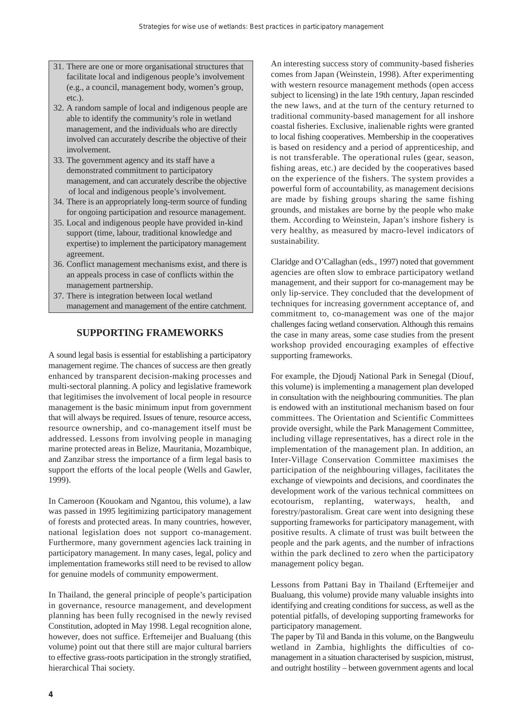- 31. There are one or more organisational structures that facilitate local and indigenous people's involvement (e.g., a council, management body, women's group, etc.).
- 32. A random sample of local and indigenous people are able to identify the community's role in wetland management, and the individuals who are directly involved can accurately describe the objective of their involvement.
- 33. The government agency and its staff have a demonstrated commitment to participatory management, and can accurately describe the objective of local and indigenous people's involvement.
- 34. There is an appropriately long-term source of funding for ongoing participation and resource management.
- 35. Local and indigenous people have provided in-kind support (time, labour, traditional knowledge and expertise) to implement the participatory management agreement.
- 36. Conflict management mechanisms exist, and there is an appeals process in case of conflicts within the management partnership.
- 37. There is integration between local wetland management and management of the entire catchment.

## **SUPPORTING FRAMEWORKS**

A sound legal basis is essential for establishing a participatory management regime. The chances of success are then greatly enhanced by transparent decision-making processes and multi-sectoral planning. A policy and legislative framework that legitimises the involvement of local people in resource management is the basic minimum input from government that will always be required. Issues of tenure, resource access, resource ownership, and co-management itself must be addressed. Lessons from involving people in managing marine protected areas in Belize, Mauritania, Mozambique, and Zanzibar stress the importance of a firm legal basis to support the efforts of the local people (Wells and Gawler, 1999).

In Cameroon (Kouokam and Ngantou, this volume), a law was passed in 1995 legitimizing participatory management of forests and protected areas. In many countries, however, national legislation does not support co-management. Furthermore, many government agencies lack training in participatory management. In many cases, legal, policy and implementation frameworks still need to be revised to allow for genuine models of community empowerment.

In Thailand, the general principle of people's participation in governance, resource management, and development planning has been fully recognised in the newly revised Constitution, adopted in May 1998. Legal recognition alone, however, does not suffice. Erftemeijer and Bualuang (this volume) point out that there still are major cultural barriers to effective grass-roots participation in the strongly stratified, hierarchical Thai society.

An interesting success story of community-based fisheries comes from Japan (Weinstein, 1998). After experimenting with western resource management methods (open access subject to licensing) in the late 19th century, Japan rescinded the new laws, and at the turn of the century returned to traditional community-based management for all inshore coastal fisheries. Exclusive, inalienable rights were granted to local fishing cooperatives. Membership in the cooperatives is based on residency and a period of apprenticeship, and is not transferable. The operational rules (gear, season, fishing areas, etc.) are decided by the cooperatives based on the experience of the fishers. The system provides a powerful form of accountability, as management decisions are made by fishing groups sharing the same fishing grounds, and mistakes are borne by the people who make them. According to Weinstein, Japan's inshore fishery is very healthy, as measured by macro-level indicators of sustainability.

Claridge and O'Callaghan (eds., 1997) noted that government agencies are often slow to embrace participatory wetland management, and their support for co-management may be only lip-service. They concluded that the development of techniques for increasing government acceptance of, and commitment to, co-management was one of the major challenges facing wetland conservation. Although this remains the case in many areas, some case studies from the present workshop provided encouraging examples of effective supporting frameworks.

For example, the Djoudj National Park in Senegal (Diouf, this volume) is implementing a management plan developed in consultation with the neighbouring communities. The plan is endowed with an institutional mechanism based on four committees. The Orientation and Scientific Committees provide oversight, while the Park Management Committee, including village representatives, has a direct role in the implementation of the management plan. In addition, an Inter-Village Conservation Committee maximises the participation of the neighbouring villages, facilitates the exchange of viewpoints and decisions, and coordinates the development work of the various technical committees on ecotourism, replanting, waterways, health, and forestry/pastoralism. Great care went into designing these supporting frameworks for participatory management, with positive results. A climate of trust was built between the people and the park agents, and the number of infractions within the park declined to zero when the participatory management policy began.

Lessons from Pattani Bay in Thailand (Erftemeijer and Bualuang, this volume) provide many valuable insights into identifying and creating conditions for success, as well as the potential pitfalls, of developing supporting frameworks for participatory management.

The paper by Til and Banda in this volume, on the Bangweulu wetland in Zambia, highlights the difficulties of comanagement in a situation characterised by suspicion, mistrust, and outright hostility – between government agents and local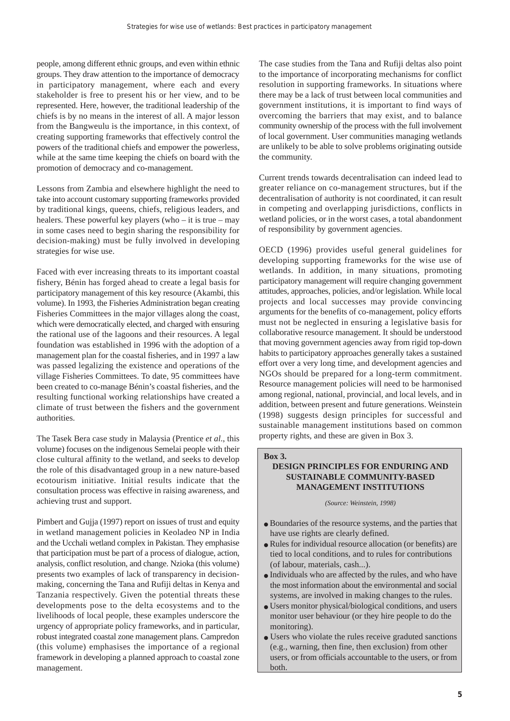people, among different ethnic groups, and even within ethnic groups. They draw attention to the importance of democracy in participatory management, where each and every stakeholder is free to present his or her view, and to be represented. Here, however, the traditional leadership of the chiefs is by no means in the interest of all. A major lesson from the Bangweulu is the importance, in this context, of creating supporting frameworks that effectively control the powers of the traditional chiefs and empower the powerless, while at the same time keeping the chiefs on board with the promotion of democracy and co-management.

Lessons from Zambia and elsewhere highlight the need to take into account customary supporting frameworks provided by traditional kings, queens, chiefs, religious leaders, and healers. These powerful key players (who – it is true – may in some cases need to begin sharing the responsibility for decision-making) must be fully involved in developing strategies for wise use.

Faced with ever increasing threats to its important coastal fishery, Bénin has forged ahead to create a legal basis for participatory management of this key resource (Akambi, this volume). In 1993, the Fisheries Administration began creating Fisheries Committees in the major villages along the coast, which were democratically elected, and charged with ensuring the rational use of the lagoons and their resources. A legal foundation was established in 1996 with the adoption of a management plan for the coastal fisheries, and in 1997 a law was passed legalizing the existence and operations of the village Fisheries Committees. To date, 95 committees have been created to co-manage Bénin's coastal fisheries, and the resulting functional working relationships have created a climate of trust between the fishers and the government authorities.

The Tasek Bera case study in Malaysia (Prentice *et al*., this volume) focuses on the indigenous Semelai people with their close cultural affinity to the wetland, and seeks to develop the role of this disadvantaged group in a new nature-based ecotourism initiative. Initial results indicate that the consultation process was effective in raising awareness, and achieving trust and support.

Pimbert and Gujja (1997) report on issues of trust and equity in wetland management policies in Keoladeo NP in India and the Ucchali wetland complex in Pakistan. They emphasise that participation must be part of a process of dialogue, action, analysis, conflict resolution, and change. Nzioka (this volume) presents two examples of lack of transparency in decisionmaking, concerning the Tana and Rufiji deltas in Kenya and Tanzania respectively. Given the potential threats these developments pose to the delta ecosystems and to the livelihoods of local people, these examples underscore the urgency of appropriate policy frameworks, and in particular, robust integrated coastal zone management plans. Campredon (this volume) emphasises the importance of a regional framework in developing a planned approach to coastal zone management.

The case studies from the Tana and Rufiji deltas also point to the importance of incorporating mechanisms for conflict resolution in supporting frameworks. In situations where there may be a lack of trust between local communities and government institutions, it is important to find ways of overcoming the barriers that may exist, and to balance community ownership of the process with the full involvement of local government. User communities managing wetlands are unlikely to be able to solve problems originating outside the community.

Current trends towards decentralisation can indeed lead to greater reliance on co-management structures, but if the decentralisation of authority is not coordinated, it can result in competing and overlapping jurisdictions, conflicts in wetland policies, or in the worst cases, a total abandonment of responsibility by government agencies.

OECD (1996) provides useful general guidelines for developing supporting frameworks for the wise use of wetlands. In addition, in many situations, promoting participatory management will require changing government attitudes, approaches, policies, and/or legislation. While local projects and local successes may provide convincing arguments for the benefits of co-management, policy efforts must not be neglected in ensuring a legislative basis for collaborative resource management. It should be understood that moving government agencies away from rigid top-down habits to participatory approaches generally takes a sustained effort over a very long time, and development agencies and NGOs should be prepared for a long-term commitment. Resource management policies will need to be harmonised among regional, national, provincial, and local levels, and in addition, between present and future generations. Weinstein (1998) suggests design principles for successful and sustainable management institutions based on common property rights, and these are given in Box 3.

#### **Box 3.**

## **DESIGN PRINCIPLES FOR ENDURING AND SUSTAINABLE COMMUNITY-BASED MANAGEMENT INSTITUTIONS**

*(Source: Weinstein, 1998)*

- Boundaries of the resource systems, and the parties that have use rights are clearly defined.
- Rules for individual resource allocation (or benefits) are tied to local conditions, and to rules for contributions (of labour, materials, cash...).
- Individuals who are affected by the rules, and who have the most information about the environmental and social systems, are involved in making changes to the rules.
- Users monitor physical/biological conditions, and users monitor user behaviour (or they hire people to do the monitoring).
- Users who violate the rules receive graduted sanctions (e.g., warning, then fine, then exclusion) from other users, or from officials accountable to the users, or from both.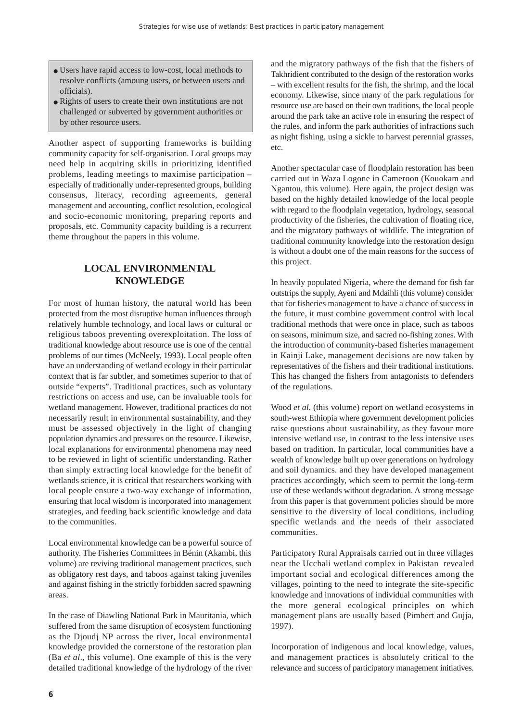- Users have rapid access to low-cost, local methods to resolve conflicts (amoung users, or between users and officials).
- Rights of users to create their own institutions are not challenged or subverted by government authorities or by other resource users.

Another aspect of supporting frameworks is building community capacity for self-organisation. Local groups may need help in acquiring skills in prioritizing identified problems, leading meetings to maximise participation – especially of traditionally under-represented groups, building consensus, literacy, recording agreements, general management and accounting, conflict resolution, ecological and socio-economic monitoring, preparing reports and proposals, etc. Community capacity building is a recurrent theme throughout the papers in this volume.

## **LOCAL ENVIRONMENTAL KNOWLEDGE**

For most of human history, the natural world has been protected from the most disruptive human influences through relatively humble technology, and local laws or cultural or religious taboos preventing overexploitation. The loss of traditional knowledge about resource use is one of the central problems of our times (McNeely, 1993). Local people often have an understanding of wetland ecology in their particular context that is far subtler, and sometimes superior to that of outside "experts". Traditional practices, such as voluntary restrictions on access and use, can be invaluable tools for wetland management. However, traditional practices do not necessarily result in environmental sustainability, and they must be assessed objectively in the light of changing population dynamics and pressures on the resource. Likewise, local explanations for environmental phenomena may need to be reviewed in light of scientific understanding. Rather than simply extracting local knowledge for the benefit of wetlands science, it is critical that researchers working with local people ensure a two-way exchange of information, ensuring that local wisdom is incorporated into management strategies, and feeding back scientific knowledge and data to the communities.

Local environmental knowledge can be a powerful source of authority. The Fisheries Committees in Bénin (Akambi, this volume) are reviving traditional management practices, such as obligatory rest days, and taboos against taking juveniles and against fishing in the strictly forbidden sacred spawning areas.

In the case of Diawling National Park in Mauritania, which suffered from the same disruption of ecosystem functioning as the Djoudj NP across the river, local environmental knowledge provided the cornerstone of the restoration plan (Ba *et al*., this volume). One example of this is the very detailed traditional knowledge of the hydrology of the river and the migratory pathways of the fish that the fishers of Takhridient contributed to the design of the restoration works – with excellent results for the fish, the shrimp, and the local economy. Likewise, since many of the park regulations for resource use are based on their own traditions, the local people around the park take an active role in ensuring the respect of the rules, and inform the park authorities of infractions such as night fishing, using a sickle to harvest perennial grasses*,* etc.

Another spectacular case of floodplain restoration has been carried out in Waza Logone in Cameroon (Kouokam and Ngantou, this volume). Here again, the project design was based on the highly detailed knowledge of the local people with regard to the floodplain vegetation, hydrology, seasonal productivity of the fisheries, the cultivation of floating rice, and the migratory pathways of wildlife. The integration of traditional community knowledge into the restoration design is without a doubt one of the main reasons for the success of this project.

In heavily populated Nigeria, where the demand for fish far outstrips the supply, Ayeni and Mdaihli (this volume) consider that for fisheries management to have a chance of success in the future, it must combine government control with local traditional methods that were once in place, such as taboos on seasons, minimum size, and sacred no-fishing zones. With the introduction of community-based fisheries management in Kainji Lake, management decisions are now taken by representatives of the fishers and their traditional institutions. This has changed the fishers from antagonists to defenders of the regulations.

Wood *et al.* (this volume) report on wetland ecosystems in south-west Ethiopia where government development policies raise questions about sustainability, as they favour more intensive wetland use, in contrast to the less intensive uses based on tradition. In particular, local communities have a wealth of knowledge built up over generations on hydrology and soil dynamics. and they have developed management practices accordingly, which seem to permit the long-term use of these wetlands without degradation. A strong message from this paper is that government policies should be more sensitive to the diversity of local conditions, including specific wetlands and the needs of their associated communities.

Participatory Rural Appraisals carried out in three villages near the Ucchali wetland complex in Pakistan revealed important social and ecological differences among the villages, pointing to the need to integrate the site-specific knowledge and innovations of individual communities with the more general ecological principles on which management plans are usually based (Pimbert and Gujja, 1997).

Incorporation of indigenous and local knowledge, values, and management practices is absolutely critical to the relevance and success of participatory management initiatives.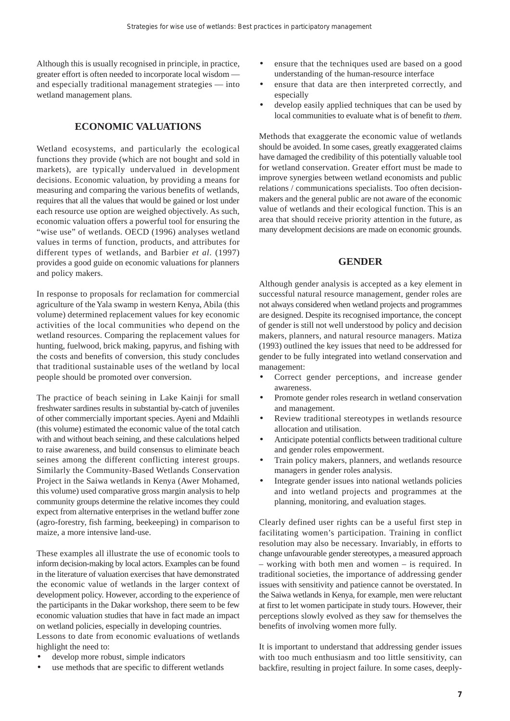Although this is usually recognised in principle, in practice, greater effort is often needed to incorporate local wisdom and especially traditional management strategies — into wetland management plans.

## **ECONOMIC VALUATIONS**

Wetland ecosystems, and particularly the ecological functions they provide (which are not bought and sold in markets), are typically undervalued in development decisions. Economic valuation, by providing a means for measuring and comparing the various benefits of wetlands, requires that all the values that would be gained or lost under each resource use option are weighed objectively. As such, economic valuation offers a powerful tool for ensuring the "wise use" of wetlands. OECD (1996) analyses wetland values in terms of function, products, and attributes for different types of wetlands, and Barbier *et al*. (1997) provides a good guide on economic valuations for planners and policy makers.

In response to proposals for reclamation for commercial agriculture of the Yala swamp in western Kenya, Abila (this volume) determined replacement values for key economic activities of the local communities who depend on the wetland resources. Comparing the replacement values for hunting, fuelwood, brick making, papyrus, and fishing with the costs and benefits of conversion, this study concludes that traditional sustainable uses of the wetland by local people should be promoted over conversion.

The practice of beach seining in Lake Kainji for small freshwater sardines results in substantial by-catch of juveniles of other commercially important species. Ayeni and Mdaihli (this volume) estimated the economic value of the total catch with and without beach seining, and these calculations helped to raise awareness, and build consensus to eliminate beach seines among the different conflicting interest groups. Similarly the Community-Based Wetlands Conservation Project in the Saiwa wetlands in Kenya (Awer Mohamed, this volume) used comparative gross margin analysis to help community groups determine the relative incomes they could expect from alternative enterprises in the wetland buffer zone (agro-forestry, fish farming, beekeeping) in comparison to maize, a more intensive land-use.

These examples all illustrate the use of economic tools to inform decision-making by local actors. Examples can be found in the literature of valuation exercises that have demonstrated the economic value of wetlands in the larger context of development policy. However, according to the experience of the participants in the Dakar workshop, there seem to be few economic valuation studies that have in fact made an impact on wetland policies, especially in developing countries. Lessons to date from economic evaluations of wetlands highlight the need to:

- develop more robust, simple indicators
- use methods that are specific to different wetlands
- ensure that the techniques used are based on a good understanding of the human-resource interface
- ensure that data are then interpreted correctly, and especially
- develop easily applied techniques that can be used by local communities to evaluate what is of benefit to *them*.

Methods that exaggerate the economic value of wetlands should be avoided. In some cases, greatly exaggerated claims have damaged the credibility of this potentially valuable tool for wetland conservation. Greater effort must be made to improve synergies between wetland economists and public relations / communications specialists. Too often decisionmakers and the general public are not aware of the economic value of wetlands and their ecological function. This is an area that should receive priority attention in the future, as many development decisions are made on economic grounds.

#### **GENDER**

Although gender analysis is accepted as a key element in successful natural resource management, gender roles are not always considered when wetland projects and programmes are designed. Despite its recognised importance, the concept of gender is still not well understood by policy and decision makers, planners, and natural resource managers. Matiza (1993) outlined the key issues that need to be addressed for gender to be fully integrated into wetland conservation and management:

- Correct gender perceptions, and increase gender awareness.
- Promote gender roles research in wetland conservation and management.
- Review traditional stereotypes in wetlands resource allocation and utilisation.
- Anticipate potential conflicts between traditional culture and gender roles empowerment.
- Train policy makers, planners, and wetlands resource managers in gender roles analysis.
- Integrate gender issues into national wetlands policies and into wetland projects and programmes at the planning, monitoring, and evaluation stages.

Clearly defined user rights can be a useful first step in facilitating women's participation. Training in conflict resolution may also be necessary. Invariably, in efforts to change unfavourable gender stereotypes, a measured approach – working with both men and women – is required. In traditional societies, the importance of addressing gender issues with sensitivity and patience cannot be overstated. In the Saiwa wetlands in Kenya, for example, men were reluctant at first to let women participate in study tours. However, their perceptions slowly evolved as they saw for themselves the benefits of involving women more fully.

It is important to understand that addressing gender issues with too much enthusiasm and too little sensitivity, can backfire, resulting in project failure. In some cases, deeply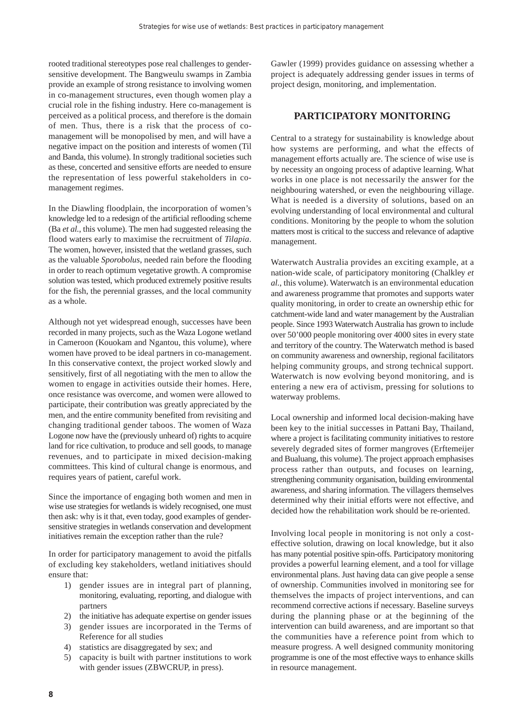rooted traditional stereotypes pose real challenges to gendersensitive development. The Bangweulu swamps in Zambia provide an example of strong resistance to involving women in co-management structures, even though women play a crucial role in the fishing industry. Here co-management is perceived as a political process, and therefore is the domain of men. Thus, there is a risk that the process of comanagement will be monopolised by men, and will have a negative impact on the position and interests of women (Til and Banda, this volume). In strongly traditional societies such as these, concerted and sensitive efforts are needed to ensure the representation of less powerful stakeholders in comanagement regimes.

In the Diawling floodplain, the incorporation of women's knowledge led to a redesign of the artificial reflooding scheme (Ba *et al.*, this volume). The men had suggested releasing the flood waters early to maximise the recruitment of *Tilapia*. The women, however, insisted that the wetland grasses, such as the valuable *Sporobolus*, needed rain before the flooding in order to reach optimum vegetative growth. A compromise solution was tested, which produced extremely positive results for the fish, the perennial grasses, and the local community as a whole.

Although not yet widespread enough, successes have been recorded in many projects, such as the Waza Logone wetland in Cameroon (Kouokam and Ngantou, this volume), where women have proved to be ideal partners in co-management. In this conservative context, the project worked slowly and sensitively, first of all negotiating with the men to allow the women to engage in activities outside their homes. Here, once resistance was overcome, and women were allowed to participate, their contribution was greatly appreciated by the men, and the entire community benefited from revisiting and changing traditional gender taboos. The women of Waza Logone now have the (previously unheard of) rights to acquire land for rice cultivation, to produce and sell goods, to manage revenues, and to participate in mixed decision-making committees. This kind of cultural change is enormous, and requires years of patient, careful work.

Since the importance of engaging both women and men in wise use strategies for wetlands is widely recognised, one must then ask: why is it that, even today, good examples of gendersensitive strategies in wetlands conservation and development initiatives remain the exception rather than the rule?

In order for participatory management to avoid the pitfalls of excluding key stakeholders, wetland initiatives should ensure that:

- 1) gender issues are in integral part of planning, monitoring, evaluating, reporting, and dialogue with partners
- 2) the initiative has adequate expertise on gender issues
- 3) gender issues are incorporated in the Terms of Reference for all studies
- 4) statistics are disaggregated by sex; and
- 5) capacity is built with partner institutions to work with gender issues (ZBWCRUP, in press).

Gawler (1999) provides guidance on assessing whether a project is adequately addressing gender issues in terms of project design, monitoring, and implementation.

#### **PARTICIPATORY MONITORING**

Central to a strategy for sustainability is knowledge about how systems are performing, and what the effects of management efforts actually are. The science of wise use is by necessity an ongoing process of adaptive learning. What works in one place is not necessarily the answer for the neighbouring watershed, or even the neighbouring village. What is needed is a diversity of solutions, based on an evolving understanding of local environmental and cultural conditions. Monitoring by the people to whom the solution matters most is critical to the success and relevance of adaptive management.

Waterwatch Australia provides an exciting example, at a nation-wide scale, of participatory monitoring (Chalkley *et al.*, this volume). Waterwatch is an environmental education and awareness programme that promotes and supports water quality monitoring, in order to create an ownership ethic for catchment-wide land and water management by the Australian people. Since 1993 Waterwatch Australia has grown to include over 50'000 people monitoring over 4000 sites in every state and territory of the country. The Waterwatch method is based on community awareness and ownership, regional facilitators helping community groups, and strong technical support. Waterwatch is now evolving beyond monitoring, and is entering a new era of activism, pressing for solutions to waterway problems.

Local ownership and informed local decision-making have been key to the initial successes in Pattani Bay, Thailand, where a project is facilitating community initiatives to restore severely degraded sites of former mangroves (Erftemeijer and Bualuang, this volume). The project approach emphasises process rather than outputs, and focuses on learning, strengthening community organisation, building environmental awareness, and sharing information. The villagers themselves determined why their initial efforts were not effective, and decided how the rehabilitation work should be re-oriented.

Involving local people in monitoring is not only a costeffective solution, drawing on local knowledge, but it also has many potential positive spin-offs. Participatory monitoring provides a powerful learning element, and a tool for village environmental plans. Just having data can give people a sense of ownership. Communities involved in monitoring see for themselves the impacts of project interventions, and can recommend corrective actions if necessary. Baseline surveys during the planning phase or at the beginning of the intervention can build awareness, and are important so that the communities have a reference point from which to measure progress. A well designed community monitoring programme is one of the most effective ways to enhance skills in resource management.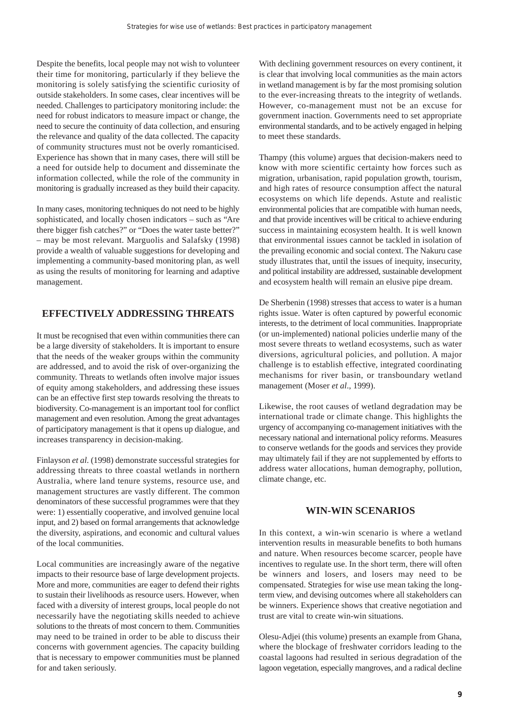Despite the benefits, local people may not wish to volunteer their time for monitoring, particularly if they believe the monitoring is solely satisfying the scientific curiosity of outside stakeholders. In some cases, clear incentives will be needed. Challenges to participatory monitoring include: the need for robust indicators to measure impact or change, the need to secure the continuity of data collection, and ensuring the relevance and quality of the data collected. The capacity of community structures must not be overly romanticised. Experience has shown that in many cases, there will still be a need for outside help to document and disseminate the information collected, while the role of the community in monitoring is gradually increased as they build their capacity.

In many cases, monitoring techniques do not need to be highly sophisticated, and locally chosen indicators – such as "Are there bigger fish catches?" or "Does the water taste better?" – may be most relevant. Marguolis and Salafsky (1998) provide a wealth of valuable suggestions for developing and implementing a community-based monitoring plan, as well as using the results of monitoring for learning and adaptive management.

## **EFFECTIVELY ADDRESSING THREATS**

It must be recognised that even within communities there can be a large diversity of stakeholders. It is important to ensure that the needs of the weaker groups within the community are addressed, and to avoid the risk of over-organizing the community. Threats to wetlands often involve major issues of equity among stakeholders, and addressing these issues can be an effective first step towards resolving the threats to biodiversity. Co-management is an important tool for conflict management and even resolution. Among the great advantages of participatory management is that it opens up dialogue, and increases transparency in decision-making.

Finlayson *et al*. (1998) demonstrate successful strategies for addressing threats to three coastal wetlands in northern Australia, where land tenure systems, resource use, and management structures are vastly different. The common denominators of these successful programmes were that they were: 1) essentially cooperative, and involved genuine local input, and 2) based on formal arrangements that acknowledge the diversity, aspirations, and economic and cultural values of the local communities.

Local communities are increasingly aware of the negative impacts to their resource base of large development projects. More and more, communities are eager to defend their rights to sustain their livelihoods as resource users. However, when faced with a diversity of interest groups, local people do not necessarily have the negotiating skills needed to achieve solutions to the threats of most concern to them. Communities may need to be trained in order to be able to discuss their concerns with government agencies. The capacity building that is necessary to empower communities must be planned for and taken seriously.

With declining government resources on every continent, it is clear that involving local communities as the main actors in wetland management is by far the most promising solution to the ever-increasing threats to the integrity of wetlands. However, co-management must not be an excuse for government inaction. Governments need to set appropriate environmental standards, and to be actively engaged in helping to meet these standards.

Thampy (this volume) argues that decision-makers need to know with more scientific certainty how forces such as migration, urbanisation, rapid population growth, tourism, and high rates of resource consumption affect the natural ecosystems on which life depends. Astute and realistic environmental policies that are compatible with human needs, and that provide incentives will be critical to achieve enduring success in maintaining ecosystem health. It is well known that environmental issues cannot be tackled in isolation of the prevailing economic and social context. The Nakuru case study illustrates that, until the issues of inequity, insecurity, and political instability are addressed, sustainable development and ecosystem health will remain an elusive pipe dream.

De Sherbenin (1998) stresses that access to water is a human rights issue. Water is often captured by powerful economic interests, to the detriment of local communities. Inappropriate (or un-implemented) national policies underlie many of the most severe threats to wetland ecosystems, such as water diversions, agricultural policies, and pollution. A major challenge is to establish effective, integrated coordinating mechanisms for river basin, or transboundary wetland management (Moser *et al*., 1999).

Likewise, the root causes of wetland degradation may be international trade or climate change. This highlights the urgency of accompanying co-management initiatives with the necessary national and international policy reforms. Measures to conserve wetlands for the goods and services they provide may ultimately fail if they are not supplemented by efforts to address water allocations, human demography, pollution, climate change, etc.

## **WIN-WIN SCENARIOS**

In this context, a win-win scenario is where a wetland intervention results in measurable benefits to both humans and nature. When resources become scarcer, people have incentives to regulate use. In the short term, there will often be winners and losers, and losers may need to be compensated. Strategies for wise use mean taking the longterm view, and devising outcomes where all stakeholders can be winners. Experience shows that creative negotiation and trust are vital to create win-win situations.

Olesu-Adjei (this volume) presents an example from Ghana, where the blockage of freshwater corridors leading to the coastal lagoons had resulted in serious degradation of the lagoon vegetation, especially mangroves, and a radical decline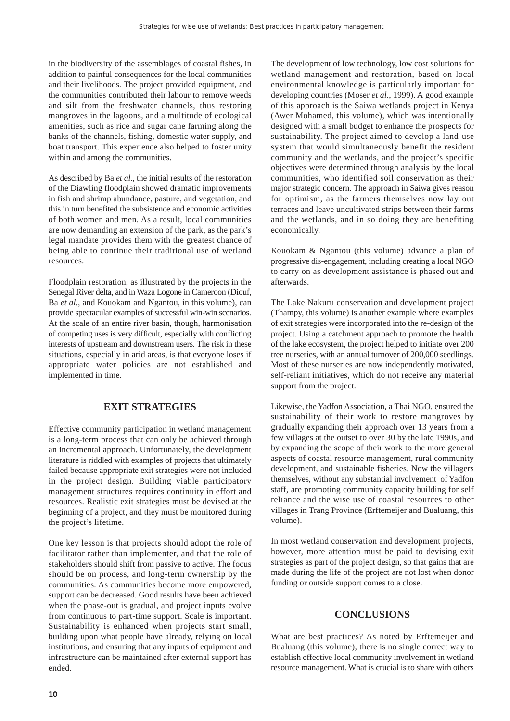in the biodiversity of the assemblages of coastal fishes, in addition to painful consequences for the local communities and their livelihoods. The project provided equipment, and the communities contributed their labour to remove weeds and silt from the freshwater channels, thus restoring mangroves in the lagoons, and a multitude of ecological amenities, such as rice and sugar cane farming along the banks of the channels, fishing, domestic water supply, and boat transport. This experience also helped to foster unity within and among the communities.

As described by Ba *et al.*, the initial results of the restoration of the Diawling floodplain showed dramatic improvements in fish and shrimp abundance, pasture, and vegetation, and this in turn benefited the subsistence and economic activities of both women and men. As a result, local communities are now demanding an extension of the park, as the park's legal mandate provides them with the greatest chance of being able to continue their traditional use of wetland resources.

Floodplain restoration, as illustrated by the projects in the Senegal River delta, and in Waza Logone in Cameroon (Diouf, Ba *et al.*, and Kouokam and Ngantou, in this volume), can provide spectacular examples of successful win-win scenarios. At the scale of an entire river basin, though, harmonisation of competing uses is very difficult, especially with conflicting interests of upstream and downstream users. The risk in these situations, especially in arid areas, is that everyone loses if appropriate water policies are not established and implemented in time.

## **EXIT STRATEGIES**

Effective community participation in wetland management is a long-term process that can only be achieved through an incremental approach. Unfortunately, the development literature is riddled with examples of projects that ultimately failed because appropriate exit strategies were not included in the project design. Building viable participatory management structures requires continuity in effort and resources. Realistic exit strategies must be devised at the beginning of a project, and they must be monitored during the project's lifetime.

One key lesson is that projects should adopt the role of facilitator rather than implementer, and that the role of stakeholders should shift from passive to active. The focus should be on process, and long-term ownership by the communities. As communities become more empowered, support can be decreased. Good results have been achieved when the phase-out is gradual, and project inputs evolve from continuous to part-time support. Scale is important. Sustainability is enhanced when projects start small, building upon what people have already, relying on local institutions, and ensuring that any inputs of equipment and infrastructure can be maintained after external support has ended.

The development of low technology, low cost solutions for wetland management and restoration, based on local environmental knowledge is particularly important for developing countries (Moser *et al.*, 1999). A good example of this approach is the Saiwa wetlands project in Kenya (Awer Mohamed, this volume), which was intentionally designed with a small budget to enhance the prospects for sustainability. The project aimed to develop a land-use system that would simultaneously benefit the resident community and the wetlands, and the project's specific objectives were determined through analysis by the local communities, who identified soil conservation as their major strategic concern. The approach in Saiwa gives reason for optimism, as the farmers themselves now lay out terraces and leave uncultivated strips between their farms and the wetlands, and in so doing they are benefiting economically.

Kouokam & Ngantou (this volume) advance a plan of progressive dis-engagement, including creating a local NGO to carry on as development assistance is phased out and afterwards.

The Lake Nakuru conservation and development project (Thampy, this volume) is another example where examples of exit strategies were incorporated into the re-design of the project. Using a catchment approach to promote the health of the lake ecosystem, the project helped to initiate over 200 tree nurseries, with an annual turnover of 200,000 seedlings. Most of these nurseries are now independently motivated, self-reliant initiatives, which do not receive any material support from the project.

Likewise, the Yadfon Association, a Thai NGO, ensured the sustainability of their work to restore mangroves by gradually expanding their approach over 13 years from a few villages at the outset to over 30 by the late 1990s, and by expanding the scope of their work to the more general aspects of coastal resource management, rural community development, and sustainable fisheries. Now the villagers themselves, without any substantial involvement of Yadfon staff, are promoting community capacity building for self reliance and the wise use of coastal resources to other villages in Trang Province (Erftemeijer and Bualuang, this volume).

In most wetland conservation and development projects, however, more attention must be paid to devising exit strategies as part of the project design, so that gains that are made during the life of the project are not lost when donor funding or outside support comes to a close.

## **CONCLUSIONS**

What are best practices? As noted by Erftemeijer and Bualuang (this volume), there is no single correct way to establish effective local community involvement in wetland resource management. What is crucial is to share with others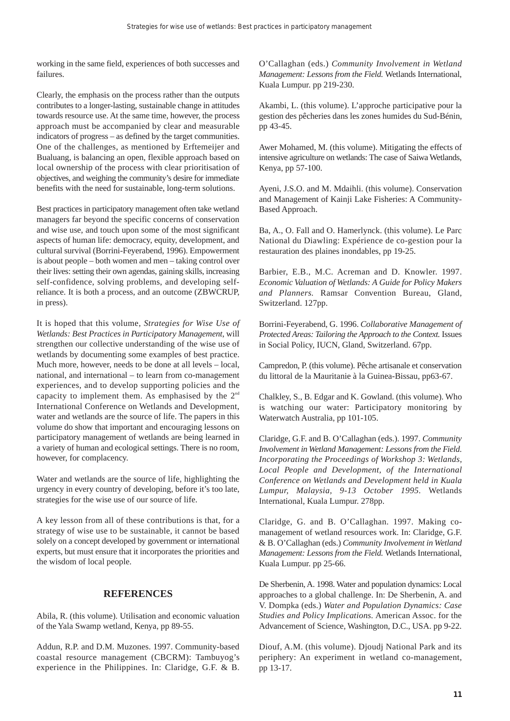working in the same field, experiences of both successes and failures.

Clearly, the emphasis on the process rather than the outputs contributes to a longer-lasting, sustainable change in attitudes towards resource use. At the same time, however, the process approach must be accompanied by clear and measurable indicators of progress – as defined by the target communities. One of the challenges, as mentioned by Erftemeijer and Bualuang, is balancing an open, flexible approach based on local ownership of the process with clear prioritisation of objectives, and weighing the community's desire for immediate benefits with the need for sustainable, long-term solutions.

Best practices in participatory management often take wetland managers far beyond the specific concerns of conservation and wise use, and touch upon some of the most significant aspects of human life: democracy, equity, development, and cultural survival (Borrini-Feyerabend, 1996). Empowerment is about people – both women and men – taking control over their lives: setting their own agendas, gaining skills, increasing self-confidence, solving problems, and developing selfreliance. It is both a process, and an outcome (ZBWCRUP, in press).

It is hoped that this volume, *Strategies for Wise Use of Wetlands: Best Practices in Participatory Management*, will strengthen our collective understanding of the wise use of wetlands by documenting some examples of best practice. Much more, however, needs to be done at all levels – local, national, and international – to learn from co-management experiences, and to develop supporting policies and the capacity to implement them. As emphasised by the  $2<sup>nd</sup>$ International Conference on Wetlands and Development, water and wetlands are the source of life. The papers in this volume do show that important and encouraging lessons on participatory management of wetlands are being learned in a variety of human and ecological settings. There is no room, however, for complacency.

Water and wetlands are the source of life, highlighting the urgency in every country of developing, before it's too late, strategies for the wise use of our source of life.

A key lesson from all of these contributions is that, for a strategy of wise use to be sustainable, it cannot be based solely on a concept developed by government or international experts, but must ensure that it incorporates the priorities and the wisdom of local people.

#### **REFERENCES**

Abila, R. (this volume). Utilisation and economic valuation of the Yala Swamp wetland, Kenya, pp 89-55.

Addun, R.P. and D.M. Muzones. 1997. Community-based coastal resource management (CBCRM): Tambuyog's experience in the Philippines. In: Claridge, G.F. & B.

O'Callaghan (eds.) *Community Involvement in Wetland Management: Lessons from the Field.* Wetlands International, Kuala Lumpur. pp 219-230.

Akambi, L. (this volume). L'approche participative pour la gestion des pêcheries dans les zones humides du Sud-Bénin, pp 43-45.

Awer Mohamed, M. (this volume). Mitigating the effects of intensive agriculture on wetlands: The case of Saiwa Wetlands, Kenya, pp 57-100.

Ayeni, J.S.O. and M. Mdaihli. (this volume). Conservation and Management of Kainji Lake Fisheries: A Community-Based Approach.

Ba, A., O. Fall and O. Hamerlynck. (this volume). Le Parc National du Diawling: Expérience de co-gestion pour la restauration des plaines inondables, pp 19-25.

Barbier, E.B., M.C. Acreman and D. Knowler. 1997. *Economic Valuation of Wetlands: A Guide for Policy Makers and Planners.* Ramsar Convention Bureau, Gland, Switzerland. 127pp.

Borrini-Feyerabend, G. 1996. *Collaborative Management of Protected Areas: Tailoring the Approach to the Context.* Issues in Social Policy, IUCN, Gland, Switzerland. 67pp.

Campredon, P. (this volume). Pêche artisanale et conservation du littoral de la Mauritanie à la Guinea-Bissau, pp63-67.

Chalkley, S., B. Edgar and K. Gowland. (this volume). Who is watching our water: Participatory monitoring by Waterwatch Australia, pp 101-105.

Claridge, G.F. and B. O'Callaghan (eds.). 1997. *Community Involvement in Wetland Management: Lessons from the Field. Incorporating the Proceedings of Workshop 3: Wetlands, Local People and Development, of the International Conference on Wetlands and Development held in Kuala Lumpur, Malaysia, 9-13 October 1995.* Wetlands International, Kuala Lumpur. 278pp.

Claridge, G. and B. O'Callaghan. 1997. Making comanagement of wetland resources work. In: Claridge, G.F. & B. O'Callaghan (eds.) *Community Involvement in Wetland Management: Lessons from the Field.* Wetlands International, Kuala Lumpur. pp 25-66.

De Sherbenin, A. 1998. Water and population dynamics: Local approaches to a global challenge. In: De Sherbenin, A. and V. Dompka (eds.) *Water and Population Dynamics: Case Studies and Policy Implications.* American Assoc. for the Advancement of Science, Washington, D.C., USA. pp 9-22.

Diouf, A.M. (this volume). Djoudj National Park and its periphery: An experiment in wetland co-management, pp 13-17.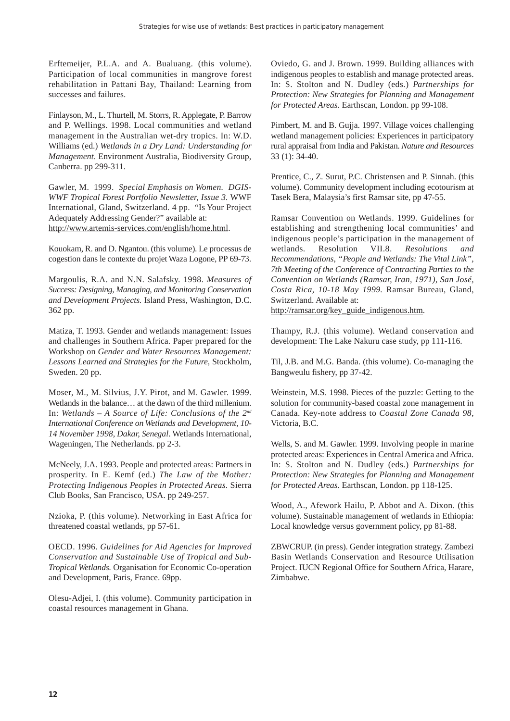Erftemeijer, P.L.A. and A. Bualuang. (this volume). Participation of local communities in mangrove forest rehabilitation in Pattani Bay, Thailand: Learning from successes and failures.

Finlayson, M., L. Thurtell, M. Storrs, R. Applegate, P. Barrow and P. Wellings. 1998. Local communities and wetland management in the Australian wet-dry tropics. In: W.D. Williams (ed.) *Wetlands in a Dry Land: Understanding for Management*. Environment Australia, Biodiversity Group, Canberra. pp 299-311.

Gawler, M. 1999. *Special Emphasis on Women. DGIS-WWF Tropical Forest Portfolio Newsletter, Issue 3.* WWF International, Gland, Switzerland. 4 pp. "Is Your Project Adequately Addressing Gender?" available at: http://www.artemis-services.com/english/home.html.

Kouokam, R. and D. Ngantou. (this volume). Le processus de cogestion dans le contexte du projet Waza Logone, PP 69-73.

Margoulis, R.A. and N.N. Salafsky. 1998. *Measures of Success: Designing, Managing, and Monitoring Conservation and Development Projects.* Island Press, Washington, D.C. 362 pp.

Matiza, T. 1993. Gender and wetlands management: Issues and challenges in Southern Africa. Paper prepared for the Workshop on *Gender and Water Resources Management: Lessons Learned and Strategies for the Future*, Stockholm, Sweden. 20 pp.

Moser, M., M. Silvius, J.Y. Pirot, and M. Gawler. 1999. Wetlands in the balance… at the dawn of the third millenium. In: *Wetlands – A Source of Life: Conclusions of the 2nd International Conference on Wetlands and Development, 10- 14 November 1998, Dakar, Senegal*. Wetlands International, Wageningen, The Netherlands. pp 2-3.

McNeely, J.A. 1993. People and protected areas: Partners in prosperity. In E. Kemf (ed.) *The Law of the Mother: Protecting Indigenous Peoples in Protected Areas.* Sierra Club Books, San Francisco, USA. pp 249-257.

Nzioka, P. (this volume). Networking in East Africa for threatened coastal wetlands, pp 57-61.

OECD. 1996. *Guidelines for Aid Agencies for Improved Conservation and Sustainable Use of Tropical and Sub-Tropical Wetlands.* Organisation for Economic Co-operation and Development, Paris, France. 69pp.

Olesu-Adjei, I. (this volume). Community participation in coastal resources management in Ghana.

Oviedo, G. and J. Brown. 1999. Building alliances with indigenous peoples to establish and manage protected areas. In: S. Stolton and N. Dudley (eds.) *Partnerships for Protection: New Strategies for Planning and Management for Protected Areas.* Earthscan, London. pp 99-108.

Pimbert, M. and B. Gujja. 1997. Village voices challenging wetland management policies: Experiences in participatory rural appraisal from India and Pakistan. *Nature and Resources* 33 (1): 34-40.

Prentice, C., Z. Surut, P.C. Christensen and P. Sinnah. (this volume). Community development including ecotourism at Tasek Bera, Malaysia's first Ramsar site, pp 47-55.

Ramsar Convention on Wetlands. 1999. Guidelines for establishing and strengthening local communities' and indigenous people's participation in the management of wetlands. Resolution VII.8. *Resolutions and Recommendations, "People and Wetlands: The Vital Link", 7th Meeting of the Conference of Contracting Parties to the Convention on Wetlands (Ramsar, Iran, 1971), San José, Costa Rica, 10-18 May 1999.* Ramsar Bureau, Gland, Switzerland. Available at:

http://ramsar.org/key\_guide\_indigenous.htm.

Thampy, R.J. (this volume). Wetland conservation and development: The Lake Nakuru case study, pp 111-116.

Til, J.B. and M.G. Banda. (this volume). Co-managing the Bangweulu fishery, pp 37-42.

Weinstein, M.S. 1998. Pieces of the puzzle: Getting to the solution for community-based coastal zone management in Canada. Key-note address to *Coastal Zone Canada 98*, Victoria, B.C.

Wells, S. and M. Gawler. 1999. Involving people in marine protected areas: Experiences in Central America and Africa. In: S. Stolton and N. Dudley (eds.) *Partnerships for Protection: New Strategies for Planning and Management for Protected Areas.* Earthscan, London. pp 118-125.

Wood, A., Afework Hailu, P. Abbot and A. Dixon. (this volume). Sustainable management of wetlands in Ethiopia: Local knowledge versus government policy, pp 81-88.

ZBWCRUP. (in press). Gender integration strategy. Zambezi Basin Wetlands Conservation and Resource Utilisation Project. IUCN Regional Office for Southern Africa, Harare, Zimbabwe.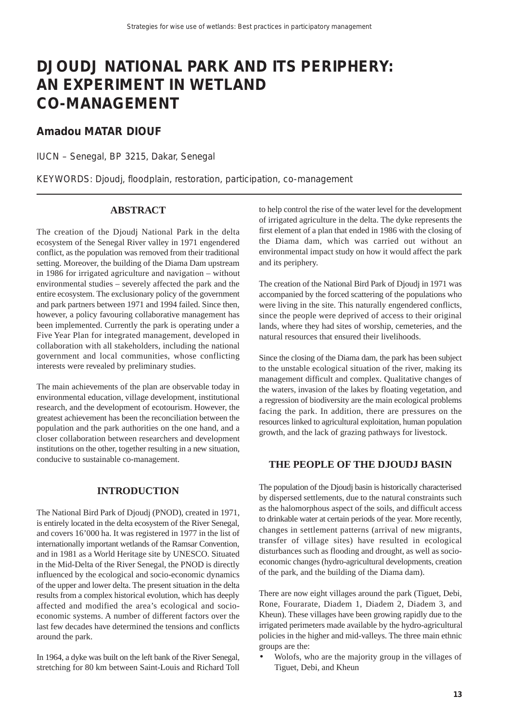## **DJOUDJ NATIONAL PARK AND ITS PERIPHERY: AN EXPERIMENT IN WETLAND CO-MANAGEMENT**

## **Amadou MATAR DIOUF**

IUCN – Senegal, BP 3215, Dakar, Senegal

KEYWORDS: Djoudj, floodplain, restoration, participation, co-management

## **ABSTRACT**

The creation of the Djoudj National Park in the delta ecosystem of the Senegal River valley in 1971 engendered conflict, as the population was removed from their traditional setting. Moreover, the building of the Diama Dam upstream in 1986 for irrigated agriculture and navigation – without environmental studies – severely affected the park and the entire ecosystem. The exclusionary policy of the government and park partners between 1971 and 1994 failed. Since then, however, a policy favouring collaborative management has been implemented. Currently the park is operating under a Five Year Plan for integrated management, developed in collaboration with all stakeholders, including the national government and local communities, whose conflicting interests were revealed by preliminary studies.

The main achievements of the plan are observable today in environmental education, village development, institutional research, and the development of ecotourism. However, the greatest achievement has been the reconciliation between the population and the park authorities on the one hand, and a closer collaboration between researchers and development institutions on the other, together resulting in a new situation, conducive to sustainable co-management.

## **INTRODUCTION**

The National Bird Park of Djoudj (PNOD), created in 1971, is entirely located in the delta ecosystem of the River Senegal, and covers 16'000 ha. It was registered in 1977 in the list of internationally important wetlands of the Ramsar Convention, and in 1981 as a World Heritage site by UNESCO. Situated in the Mid-Delta of the River Senegal, the PNOD is directly influenced by the ecological and socio-economic dynamics of the upper and lower delta. The present situation in the delta results from a complex historical evolution, which has deeply affected and modified the area's ecological and socioeconomic systems. A number of different factors over the last few decades have determined the tensions and conflicts around the park.

In 1964, a dyke was built on the left bank of the River Senegal, stretching for 80 km between Saint-Louis and Richard Toll

to help control the rise of the water level for the development of irrigated agriculture in the delta. The dyke represents the first element of a plan that ended in 1986 with the closing of the Diama dam, which was carried out without an environmental impact study on how it would affect the park and its periphery.

The creation of the National Bird Park of Djoudj in 1971 was accompanied by the forced scattering of the populations who were living in the site. This naturally engendered conflicts, since the people were deprived of access to their original lands, where they had sites of worship, cemeteries, and the natural resources that ensured their livelihoods.

Since the closing of the Diama dam, the park has been subject to the unstable ecological situation of the river, making its management difficult and complex. Qualitative changes of the waters, invasion of the lakes by floating vegetation, and a regression of biodiversity are the main ecological problems facing the park. In addition, there are pressures on the resources linked to agricultural exploitation, human population growth, and the lack of grazing pathways for livestock.

## **THE PEOPLE OF THE DJOUDJ BASIN**

The population of the Djoudj basin is historically characterised by dispersed settlements, due to the natural constraints such as the halomorphous aspect of the soils, and difficult access to drinkable water at certain periods of the year. More recently, changes in settlement patterns (arrival of new migrants, transfer of village sites) have resulted in ecological disturbances such as flooding and drought, as well as socioeconomic changes (hydro-agricultural developments, creation of the park, and the building of the Diama dam).

There are now eight villages around the park (Tiguet, Debi, Rone, Fourarate, Diadem 1, Diadem 2, Diadem 3, and Kheun). These villages have been growing rapidly due to the irrigated perimeters made available by the hydro-agricultural policies in the higher and mid-valleys. The three main ethnic groups are the:

• Wolofs, who are the majority group in the villages of Tiguet, Debi, and Kheun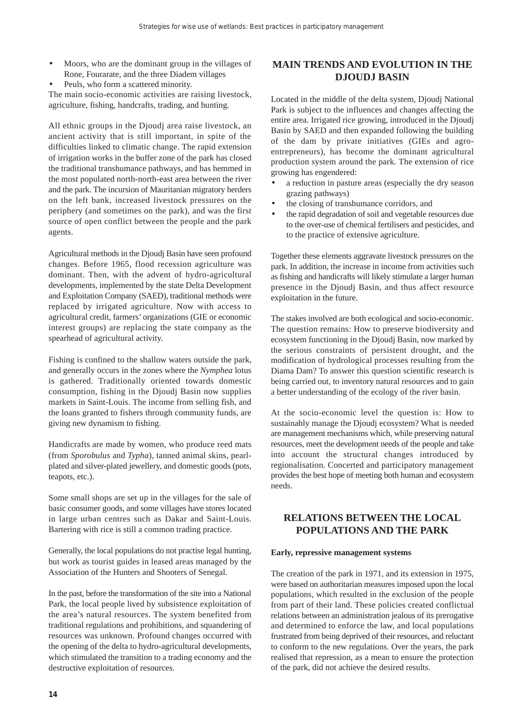- Moors, who are the dominant group in the villages of Rone, Fourarate, and the three Diadem villages
- Peuls, who form a scattered minority.

The main socio-economic activities are raising livestock, agriculture, fishing, handcrafts, trading, and hunting.

All ethnic groups in the Djoudj area raise livestock, an ancient activity that is still important, in spite of the difficulties linked to climatic change. The rapid extension of irrigation works in the buffer zone of the park has closed the traditional transhumance pathways, and has hemmed in the most populated north-north-east area between the river and the park. The incursion of Mauritanian migratory herders on the left bank, increased livestock pressures on the periphery (and sometimes on the park), and was the first source of open conflict between the people and the park agents.

Agricultural methods in the Djoudj Basin have seen profound changes. Before 1965, flood recession agriculture was dominant. Then, with the advent of hydro-agricultural developments, implemented by the state Delta Development and Exploitation Company (SAED), traditional methods were replaced by irrigated agriculture. Now with access to agricultural credit, farmers' organizations (GIE or economic interest groups) are replacing the state company as the spearhead of agricultural activity.

Fishing is confined to the shallow waters outside the park, and generally occurs in the zones where the *Nymphea* lotus is gathered. Traditionally oriented towards domestic consumption, fishing in the Djoudj Basin now supplies markets in Saint-Louis. The income from selling fish, and the loans granted to fishers through community funds, are giving new dynamism to fishing.

Handicrafts are made by women, who produce reed mats (from *Sporobulus* and *Typha*), tanned animal skins, pearlplated and silver-plated jewellery, and domestic goods (pots, teapots, etc.).

Some small shops are set up in the villages for the sale of basic consumer goods, and some villages have stores located in large urban centres such as Dakar and Saint-Louis. Bartering with rice is still a common trading practice.

Generally, the local populations do not practise legal hunting, but work as tourist guides in leased areas managed by the Association of the Hunters and Shooters of Senegal.

In the past, before the transformation of the site into a National Park, the local people lived by subsistence exploitation of the area's natural resources. The system benefited from traditional regulations and prohibitions, and squandering of resources was unknown. Profound changes occurred with the opening of the delta to hydro-agricultural developments, which stimulated the transition to a trading economy and the destructive exploitation of resources.

## **MAIN TRENDS AND EVOLUTION IN THE DJOUDJ BASIN**

Located in the middle of the delta system, Djoudj National Park is subject to the influences and changes affecting the entire area. Irrigated rice growing, introduced in the Djoudj Basin by SAED and then expanded following the building of the dam by private initiatives (GIEs and agroentrepreneurs), has become the dominant agricultural production system around the park. The extension of rice growing has engendered:

- a reduction in pasture areas (especially the dry season grazing pathways)
- the closing of transhumance corridors, and
- the rapid degradation of soil and vegetable resources due to the over-use of chemical fertilisers and pesticides, and to the practice of extensive agriculture.

Together these elements aggravate livestock pressures on the park. In addition, the increase in income from activities such as fishing and handicrafts will likely stimulate a larger human presence in the Djoudj Basin, and thus affect resource exploitation in the future.

The stakes involved are both ecological and socio-economic. The question remains: How to preserve biodiversity and ecosystem functioning in the Djoudj Basin, now marked by the serious constraints of persistent drought, and the modification of hydrological processes resulting from the Diama Dam? To answer this question scientific research is being carried out, to inventory natural resources and to gain a better understanding of the ecology of the river basin.

At the socio-economic level the question is: How to sustainably manage the Djoudj ecosystem? What is needed are management mechanisms which, while preserving natural resources, meet the development needs of the people and take into account the structural changes introduced by regionalisation. Concerted and participatory management provides the best hope of meeting both human and ecosystem needs.

## **RELATIONS BETWEEN THE LOCAL POPULATIONS AND THE PARK**

#### **Early, repressive management systems**

The creation of the park in 1971, and its extension in 1975, were based on authoritarian measures imposed upon the local populations, which resulted in the exclusion of the people from part of their land. These policies created conflictual relations between an administration jealous of its prerogative and determined to enforce the law, and local populations frustrated from being deprived of their resources, and reluctant to conform to the new regulations. Over the years, the park realised that repression, as a mean to ensure the protection of the park, did not achieve the desired results.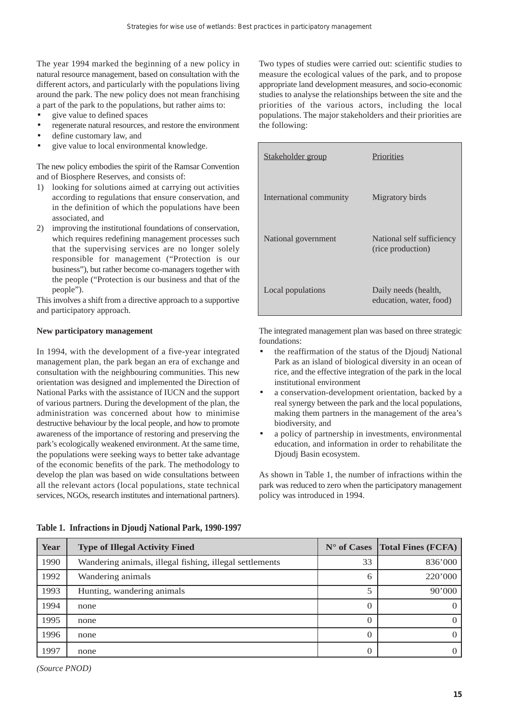The year 1994 marked the beginning of a new policy in natural resource management, based on consultation with the different actors, and particularly with the populations living around the park. The new policy does not mean franchising a part of the park to the populations, but rather aims to:

- give value to defined spaces
- regenerate natural resources, and restore the environment
- define customary law, and
- give value to local environmental knowledge.

The new policy embodies the spirit of the Ramsar Convention and of Biosphere Reserves, and consists of:

- 1) looking for solutions aimed at carrying out activities according to regulations that ensure conservation, and in the definition of which the populations have been associated, and
- 2) improving the institutional foundations of conservation, which requires redefining management processes such that the supervising services are no longer solely responsible for management ("Protection is our business"), but rather become co-managers together with the people ("Protection is our business and that of the people").

This involves a shift from a directive approach to a supportive and participatory approach.

#### **New participatory management**

In 1994, with the development of a five-year integrated management plan, the park began an era of exchange and consultation with the neighbouring communities. This new orientation was designed and implemented the Direction of National Parks with the assistance of IUCN and the support of various partners. During the development of the plan, the administration was concerned about how to minimise destructive behaviour by the local people, and how to promote awareness of the importance of restoring and preserving the park's ecologically weakened environment. At the same time, the populations were seeking ways to better take advantage of the economic benefits of the park. The methodology to develop the plan was based on wide consultations between all the relevant actors (local populations, state technical services, NGOs, research institutes and international partners).

Two types of studies were carried out: scientific studies to measure the ecological values of the park, and to propose appropriate land development measures, and socio-economic studies to analyse the relationships between the site and the priorities of the various actors, including the local populations. The major stakeholders and their priorities are the following:

| <u>Stakeholder group</u> | Priorities                                      |  |
|--------------------------|-------------------------------------------------|--|
| International community  | Migratory birds                                 |  |
| National government      | National self sufficiency<br>(rice production)  |  |
| Local populations        | Daily needs (health,<br>education, water, food) |  |

The integrated management plan was based on three strategic foundations:

- the reaffirmation of the status of the Djoudj National Park as an island of biological diversity in an ocean of rice, and the effective integration of the park in the local institutional environment
- a conservation-development orientation, backed by a real synergy between the park and the local populations, making them partners in the management of the area's biodiversity, and
- a policy of partnership in investments, environmental education, and information in order to rehabilitate the Djoudj Basin ecosystem.

As shown in Table 1, the number of infractions within the park was reduced to zero when the participatory management policy was introduced in 1994.

| Year | <b>Type of Illegal Activity Fined</b>                   | $N^{\circ}$ of Cases | <b>Total Fines (FCFA)</b> |
|------|---------------------------------------------------------|----------------------|---------------------------|
| 1990 | Wandering animals, illegal fishing, illegal settlements | 33                   | 836'000                   |
| 1992 | Wandering animals                                       | 6                    | 220'000                   |
| 1993 | Hunting, wandering animals                              | 5                    | 90'000                    |
| 1994 | none                                                    | 0                    |                           |
| 1995 | none                                                    | 0                    |                           |
| 1996 | none                                                    | 0                    |                           |
| 1997 | none                                                    | $\theta$             |                           |

**Table 1. Infractions in Djoudj National Park, 1990-1997**

*(Source PNOD)*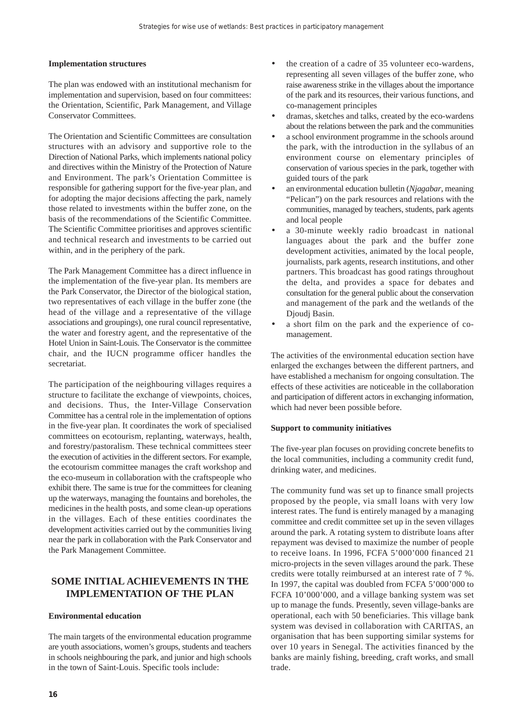#### **Implementation structures**

The plan was endowed with an institutional mechanism for implementation and supervision, based on four committees: the Orientation, Scientific, Park Management, and Village Conservator Committees.

The Orientation and Scientific Committees are consultation structures with an advisory and supportive role to the Direction of National Parks, which implements national policy and directives within the Ministry of the Protection of Nature and Environment. The park's Orientation Committee is responsible for gathering support for the five-year plan, and for adopting the major decisions affecting the park, namely those related to investments within the buffer zone, on the basis of the recommendations of the Scientific Committee. The Scientific Committee prioritises and approves scientific and technical research and investments to be carried out within, and in the periphery of the park.

The Park Management Committee has a direct influence in the implementation of the five-year plan. Its members are the Park Conservator, the Director of the biological station, two representatives of each village in the buffer zone (the head of the village and a representative of the village associations and groupings), one rural council representative, the water and forestry agent, and the representative of the Hotel Union in Saint-Louis. The Conservator is the committee chair, and the IUCN programme officer handles the secretariat.

The participation of the neighbouring villages requires a structure to facilitate the exchange of viewpoints, choices, and decisions. Thus, the Inter-Village Conservation Committee has a central role in the implementation of options in the five-year plan. It coordinates the work of specialised committees on ecotourism, replanting, waterways, health, and forestry/pastoralism. These technical committees steer the execution of activities in the different sectors. For example, the ecotourism committee manages the craft workshop and the eco-museum in collaboration with the craftspeople who exhibit there. The same is true for the committees for cleaning up the waterways, managing the fountains and boreholes, the medicines in the health posts, and some clean-up operations in the villages. Each of these entities coordinates the development activities carried out by the communities living near the park in collaboration with the Park Conservator and the Park Management Committee.

## **SOME INITIAL ACHIEVEMENTS IN THE IMPLEMENTATION OF THE PLAN**

#### **Environmental education**

The main targets of the environmental education programme are youth associations, women's groups, students and teachers in schools neighbouring the park, and junior and high schools in the town of Saint-Louis. Specific tools include:

- the creation of a cadre of 35 volunteer eco-wardens, representing all seven villages of the buffer zone, who raise awareness strike in the villages about the importance of the park and its resources, their various functions, and co-management principles
- dramas, sketches and talks, created by the eco-wardens about the relations between the park and the communities
- a school environment programme in the schools around the park, with the introduction in the syllabus of an environment course on elementary principles of conservation of various species in the park, together with guided tours of the park
- an environmental education bulletin (*Njagabar*, meaning "Pelican") on the park resources and relations with the communities, managed by teachers, students, park agents and local people
- a 30-minute weekly radio broadcast in national languages about the park and the buffer zone development activities, animated by the local people, journalists, park agents, research institutions, and other partners. This broadcast has good ratings throughout the delta, and provides a space for debates and consultation for the general public about the conservation and management of the park and the wetlands of the Djoudj Basin.
- a short film on the park and the experience of comanagement.

The activities of the environmental education section have enlarged the exchanges between the different partners, and have established a mechanism for ongoing consultation. The effects of these activities are noticeable in the collaboration and participation of different actors in exchanging information, which had never been possible before.

#### **Support to community initiatives**

The five-year plan focuses on providing concrete benefits to the local communities, including a community credit fund, drinking water, and medicines.

The community fund was set up to finance small projects proposed by the people, via small loans with very low interest rates. The fund is entirely managed by a managing committee and credit committee set up in the seven villages around the park. A rotating system to distribute loans after repayment was devised to maximize the number of people to receive loans. In 1996, FCFA 5'000'000 financed 21 micro-projects in the seven villages around the park. These credits were totally reimbursed at an interest rate of 7 %. In 1997, the capital was doubled from FCFA 5'000'000 to FCFA 10'000'000, and a village banking system was set up to manage the funds. Presently, seven village-banks are operational, each with 50 beneficiaries. This village bank system was devised in collaboration with CARITAS, an organisation that has been supporting similar systems for over 10 years in Senegal. The activities financed by the banks are mainly fishing, breeding, craft works, and small trade.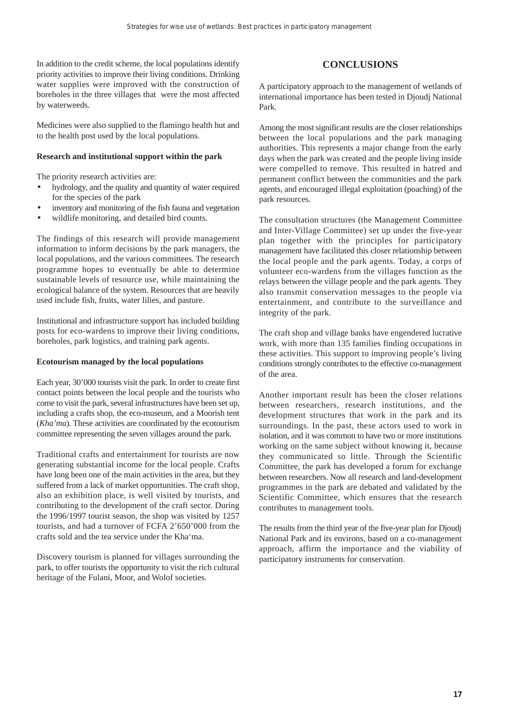In addition to the credit scheme, the local populations identify priority activities to improve their living conditions. Drinking water supplies were improved with the construction of boreholes in the three villages that were the most affected by waterweeds.

Medicines were also supplied to the flamingo health hut and to the health post used by the local populations.

#### **Research and institutional support within the park**

The priority research activities are:

- hydrology, and the quality and quantity of water required for the species of the park
- inventory and monitoring of the fish fauna and vegetation
- wildlife monitoring, and detailed bird counts.

The findings of this research will provide management information to inform decisions by the park managers, the local populations, and the various committees. The research programme hopes to eventually be able to determine sustainable levels of resource use, while maintaining the ecological balance of the system. Resources that are heavily used include fish, fruits, water lilies, and pasture.

Institutional and infrastructure support has included building posts for eco-wardens to improve their living conditions, boreholes, park logistics, and training park agents.

#### **Ecotourism managed by the local populations**

Each year, 30'000 tourists visit the park. In order to create first contact points between the local people and the tourists who come to visit the park, several infrastructures have been set up, including a crafts shop, the eco-museum, and a Moorish tent (*Kha'ma*). These activities are coordinated by the ecotourism committee representing the seven villages around the park.

Traditional crafts and entertainment for tourists are now generating substantial income for the local people. Crafts have long been one of the main activities in the area, but they suffered from a lack of market opportunities. The craft shop, also an exhibition place, is well visited by tourists, and contributing to the development of the craft sector. During the 1996/1997 tourist season, the shop was visited by 1257 tourists, and had a turnover of FCFA 2'650'000 from the crafts sold and the tea service under the Kha'ma.

Discovery tourism is planned for villages surrounding the park, to offer tourists the opportunity to visit the rich cultural heritage of the Fulani, Moor, and Wolof societies.

## **CONCLUSIONS**

A participatory approach to the management of wetlands of international importance has been tested in Djoudj National Park.

Among the most significant results are the closer relationships between the local populations and the park managing authorities. This represents a major change from the early days when the park was created and the people living inside were compelled to remove. This resulted in hatred and permanent conflict between the communities and the park agents, and encouraged illegal exploitation (poaching) of the park resources.

The consultation structures (the Management Committee and Inter-Village Committee) set up under the five-year plan together with the principles for participatory management have facilitated this closer relationship between the local people and the park agents. Today, a corps of volunteer eco-wardens from the villages function as the relays between the village people and the park agents. They also transmit conservation messages to the people via entertainment, and contribute to the surveillance and integrity of the park.

The craft shop and village banks have engendered lucrative work, with more than 135 families finding occupations in these activities. This support to improving people's living conditions strongly contributes to the effective co-management of the area.

Another important result has been the closer relations between researchers, research institutions, and the development structures that work in the park and its surroundings. In the past, these actors used to work in isolation, and it was common to have two or more institutions working on the same subject without knowing it, because they communicated so little. Through the Scientific Committee, the park has developed a forum for exchange between researchers. Now all research and land-development programmes in the park are debated and validated by the Scientific Committee, which ensures that the research contributes to management tools.

The results from the third year of the five-year plan for Djoudj National Park and its environs, based on a co-management approach, affirm the importance and the viability of participatory instruments for conservation.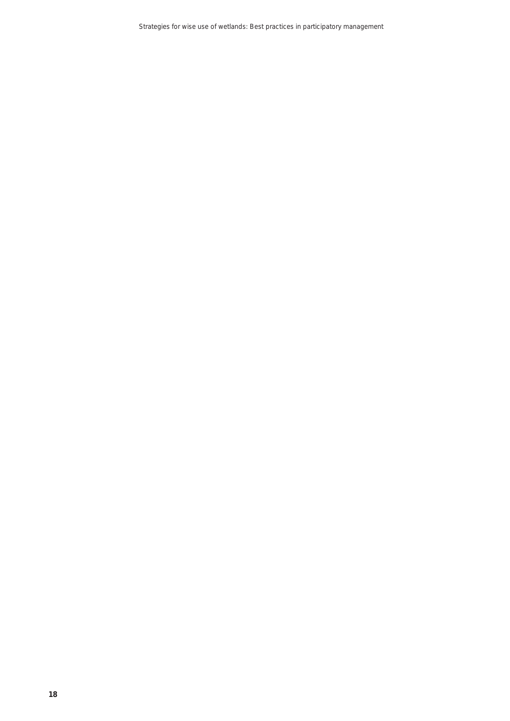Strategies for wise use of wetlands: Best practices in participatory management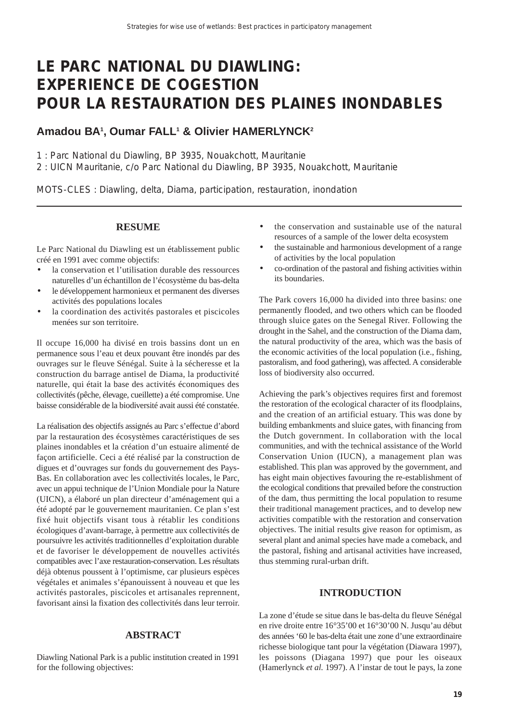## **LE PARC NATIONAL DU DIAWLING: EXPERIENCE DE COGESTION POUR LA RESTAURATION DES PLAINES INONDABLES**

## **Amadou BA1 , Oumar FALL1 & Olivier HAMERLYNCK2**

1 : Parc National du Diawling, BP 3935, Nouakchott, Mauritanie

2 : UICN Mauritanie, c/o Parc National du Diawling, BP 3935, Nouakchott, Mauritanie

MOTS-CLES : Diawling, delta, Diama, participation, restauration, inondation

## **RESUME**

Le Parc National du Diawling est un établissement public créé en 1991 avec comme objectifs:

- la conservation et l'utilisation durable des ressources naturelles d'un échantillon de l'écosystème du bas-delta
- le développement harmonieux et permanent des diverses activités des populations locales
- la coordination des activités pastorales et piscicoles menées sur son territoire.

Il occupe 16,000 ha divisé en trois bassins dont un en permanence sous l'eau et deux pouvant être inondés par des ouvrages sur le fleuve Sénégal. Suite à la sécheresse et la construction du barrage antisel de Diama, la productivité naturelle, qui était la base des activités économiques des collectivités (pêche, élevage, cueillette) a été compromise. Une baisse considérable de la biodiversité avait aussi été constatée.

La réalisation des objectifs assignés au Parc s'effectue d'abord par la restauration des écosystèmes caractéristiques de ses plaines inondables et la création d'un estuaire alimenté de façon artificielle. Ceci a été réalisé par la construction de digues et d'ouvrages sur fonds du gouvernement des Pays-Bas. En collaboration avec les collectivités locales, le Parc, avec un appui technique de l'Union Mondiale pour la Nature (UICN), a élaboré un plan directeur d'aménagement qui a été adopté par le gouvernement mauritanien. Ce plan s'est fixé huit objectifs visant tous à rétablir les conditions écologiques d'avant-barrage, à permettre aux collectivités de poursuivre les activités traditionnelles d'exploitation durable et de favoriser le développement de nouvelles activités compatibles avec l'axe restauration-conservation. Les résultats déjà obtenus poussent à l'optimisme, car plusieurs espèces végétales et animales s'épanouissent à nouveau et que les activités pastorales, piscicoles et artisanales reprennent, favorisant ainsi la fixation des collectivités dans leur terroir.

## **ABSTRACT**

Diawling National Park is a public institution created in 1991 for the following objectives:

- the conservation and sustainable use of the natural resources of a sample of the lower delta ecosystem
- the sustainable and harmonious development of a range of activities by the local population
- co-ordination of the pastoral and fishing activities within its boundaries.

The Park covers 16,000 ha divided into three basins: one permanently flooded, and two others which can be flooded through sluice gates on the Senegal River. Following the drought in the Sahel, and the construction of the Diama dam, the natural productivity of the area, which was the basis of the economic activities of the local population (i.e., fishing, pastoralism, and food gathering), was affected. A considerable loss of biodiversity also occurred.

Achieving the park's objectives requires first and foremost the restoration of the ecological character of its floodplains, and the creation of an artificial estuary. This was done by building embankments and sluice gates, with financing from the Dutch government. In collaboration with the local communities, and with the technical assistance of the World Conservation Union (IUCN), a management plan was established. This plan was approved by the government, and has eight main objectives favouring the re-establishment of the ecological conditions that prevailed before the construction of the dam, thus permitting the local population to resume their traditional management practices, and to develop new activities compatible with the restoration and conservation objectives. The initial results give reason for optimism, as several plant and animal species have made a comeback, and the pastoral, fishing and artisanal activities have increased, thus stemming rural-urban drift.

#### **INTRODUCTION**

La zone d'étude se situe dans le bas-delta du fleuve Sénégal en rive droite entre 16°35'00 et 16°30'00 N. Jusqu'au début des années '60 le bas-delta était une zone d'une extraordinaire richesse biologique tant pour la végétation (Diawara 1997), les poissons (Diagana 1997) que pour les oiseaux (Hamerlynck *et al.* 1997). A l'instar de tout le pays, la zone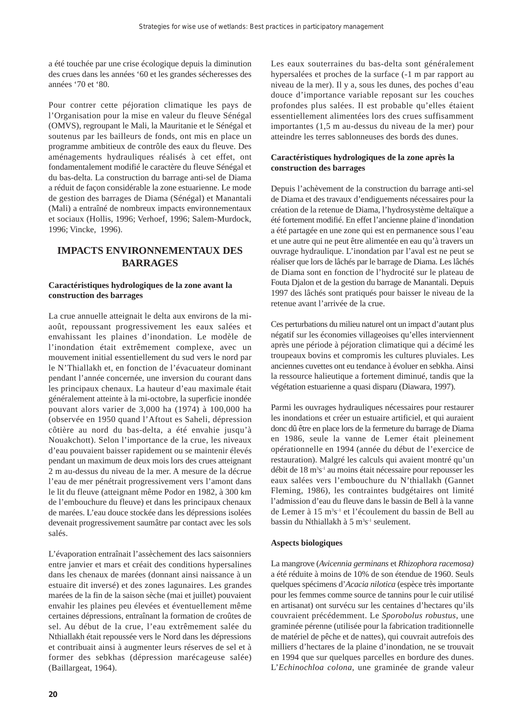a été touchée par une crise écologique depuis la diminution des crues dans les années '60 et les grandes sécheresses des années '70 et '80.

Pour contrer cette péjoration climatique les pays de l'Organisation pour la mise en valeur du fleuve Sénégal (OMVS), regroupant le Mali, la Mauritanie et le Sénégal et soutenus par les bailleurs de fonds, ont mis en place un programme ambitieux de contrôle des eaux du fleuve. Des aménagements hydrauliques réalisés à cet effet, ont fondamentalement modifié le caractère du fleuve Sénégal et du bas-delta. La construction du barrage anti-sel de Diama a réduit de façon considérable la zone estuarienne. Le mode de gestion des barrages de Diama (Sénégal) et Manantali (Mali) a entraîné de nombreux impacts environnementaux et sociaux (Hollis, 1996; Verhoef, 1996; Salem-Murdock, 1996; Vincke, 1996).

## **IMPACTS ENVIRONNEMENTAUX DES BARRAGES**

#### **Caractéristiques hydrologiques de la zone avant la construction des barrages**

La crue annuelle atteignait le delta aux environs de la miaoût, repoussant progressivement les eaux salées et envahissant les plaines d'inondation. Le modèle de l'inondation était extrêmement complexe, avec un mouvement initial essentiellement du sud vers le nord par le N'Thiallakh et, en fonction de l'évacuateur dominant pendant l'année concernée, une inversion du courant dans les principaux chenaux. La hauteur d'eau maximale était généralement atteinte à la mi-octobre, la superficie inondée pouvant alors varier de 3,000 ha (1974) à 100,000 ha (observée en 1950 quand l'Aftout es Saheli, dépression côtière au nord du bas-delta, a été envahie jusqu'à Nouakchott). Selon l'importance de la crue, les niveaux d'eau pouvaient baisser rapidement ou se maintenir élevés pendant un maximum de deux mois lors des crues atteignant 2 m au-dessus du niveau de la mer. A mesure de la décrue l'eau de mer pénétrait progressivement vers l'amont dans le lit du fleuve (atteignant même Podor en 1982, à 300 km de l'embouchure du fleuve) et dans les principaux chenaux de marées. L'eau douce stockée dans les dépressions isolées devenait progressivement saumâtre par contact avec les sols salés.

L'évaporation entraînait l'assèchement des lacs saisonniers entre janvier et mars et créait des conditions hypersalines dans les chenaux de marées (donnant ainsi naissance à un estuaire dit inversé) et des zones lagunaires. Les grandes marées de la fin de la saison sèche (mai et juillet) pouvaient envahir les plaines peu élevées et éventuellement même certaines dépressions, entraînant la formation de croûtes de sel. Au début de la crue, l'eau extrêmement salée du Nthiallakh était repoussée vers le Nord dans les dépressions et contribuait ainsi à augmenter leurs réserves de sel et à former des sebkhas (dépression marécageuse salée) (Baillargeat, 1964).

Les eaux souterraines du bas-delta sont généralement hypersalées et proches de la surface (-1 m par rapport au niveau de la mer). Il y a, sous les dunes, des poches d'eau douce d'importance variable reposant sur les couches profondes plus salées. Il est probable qu'elles étaient essentiellement alimentées lors des crues suffisamment importantes (1,5 m au-dessus du niveau de la mer) pour atteindre les terres sablonneuses des bords des dunes.

#### **Caractéristiques hydrologiques de la zone après la construction des barrages**

Depuis l'achèvement de la construction du barrage anti-sel de Diama et des travaux d'endiguements nécessaires pour la création de la retenue de Diama, l'hydrosystème deltaïque a été fortement modifié. En effet l'ancienne plaine d'inondation a été partagée en une zone qui est en permanence sous l'eau et une autre qui ne peut être alimentée en eau qu'à travers un ouvrage hydraulique. L'inondation par l'aval est ne peut se réaliser que lors de lâchés par le barrage de Diama. Les lâchés de Diama sont en fonction de l'hydrocité sur le plateau de Fouta Djalon et de la gestion du barrage de Manantali. Depuis 1997 des lâchés sont pratiqués pour baisser le niveau de la retenue avant l'arrivée de la crue.

Ces perturbations du milieu naturel ont un impact d'autant plus négatif sur les économies villageoises qu'elles interviennent après une période à péjoration climatique qui a décimé les troupeaux bovins et compromis les cultures pluviales. Les anciennes cuvettes ont eu tendance à évoluer en sebkha. Ainsi la ressource halieutique a fortement diminué, tandis que la végétation estuarienne a quasi disparu (Diawara, 1997).

Parmi les ouvrages hydrauliques nécessaires pour restaurer les inondations et créer un estuaire artificiel, et qui auraient donc dû être en place lors de la fermeture du barrage de Diama en 1986, seule la vanne de Lemer était pleinement opérationnelle en 1994 (année du début de l'exercice de restauration). Malgré les calculs qui avaient montré qu'un débit de 18 m3 s-1 au moins était nécessaire pour repousser les eaux salées vers l'embouchure du N'thiallakh (Gannet Fleming, 1986), les contraintes budgétaires ont limité l'admission d'eau du fleuve dans le bassin de Bell à la vanne de Lemer à 15 m<sup>3</sup>s<sup>-1</sup> et l'écoulement du bassin de Bell au bassin du Nthiallakh à 5 m<sup>3</sup>s<sup>-1</sup> seulement.

#### **Aspects biologiques**

La mangrove (*Avicennia germinans* et *Rhizophora racemosa)* a été réduite à moins de 10% de son étendue de 1960. Seuls quelques spécimens d'*Acacia nilotica* (espèce très importante pour les femmes comme source de tannins pour le cuir utilisé en artisanat) ont survécu sur les centaines d'hectares qu'ils couvraient précédemment. Le *Sporobolus robustus*, une graminée pérenne (utilisée pour la fabrication traditionnelle de matériel de pêche et de nattes), qui couvrait autrefois des milliers d'hectares de la plaine d'inondation, ne se trouvait en 1994 que sur quelques parcelles en bordure des dunes. L'*Echinochloa colona*, une graminée de grande valeur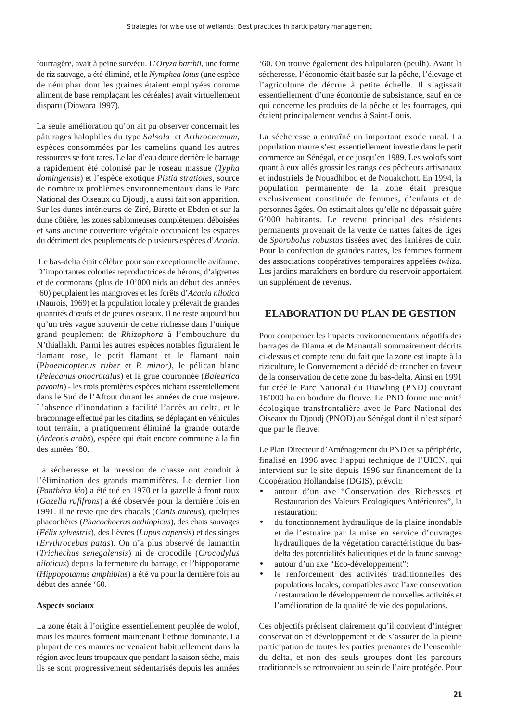fourragère, avait à peine survécu. L'*Oryza barthii,* une forme de riz sauvage, a été éliminé, et le *Nymphea lotus* (une espèce de nénuphar dont les graines étaient employées comme aliment de base remplaçant les céréales) avait virtuellement disparu (Diawara 1997).

La seule amélioration qu'on ait pu observer concernait les pâturages halophiles du type *Salsola* et *Arthrocnemum,* espèces consommées par les camelins quand les autres ressources se font rares. Le lac d'eau douce derrière le barrage a rapidement été colonisé par le roseau massue (*Typha domingensis*) et l'espèce exotique *Pistia stratiotes*, source de nombreux problèmes environnementaux dans le Parc National des Oiseaux du Djoudj, a aussi fait son apparition. Sur les dunes intérieures de Ziré, Birette et Ebden et sur la dune côtière, les zones sablonneuses complètement déboisées et sans aucune couverture végétale occupaient les espaces du détriment des peuplements de plusieurs espèces d'*Acacia.*

Le bas-delta était célèbre pour son exceptionnelle avifaune. D'importantes colonies reproductrices de hérons, d'aigrettes et de cormorans (plus de 10'000 nids au début des années '60) peuplaient les mangroves et les forêts d'*Acacia nilotica* (Naurois, 1969) et la population locale y prélevait de grandes quantités d'œufs et de jeunes oiseaux. Il ne reste aujourd'hui qu'un très vague souvenir de cette richesse dans l'unique grand peuplement de *Rhizophora* à l'embouchure du N'thiallakh. Parmi les autres espèces notables figuraient le flamant rose, le petit flamant et le flamant nain (P*hoenicopterus ruber* et *P. minor),* le pélican blanc (*Pelecanus onocrotalus*) et la grue couronnée (*Balearica pavonin*) - les trois premières espèces nichant essentiellement dans le Sud de l'Aftout durant les années de crue majeure. L'absence d'inondation a facilité l'accès au delta, et le braconnage effectué par les citadins, se déplaçant en véhicules tout terrain, a pratiquement éliminé la grande outarde (*Ardeotis arabs*), espèce qui était encore commune à la fin des années '80.

La sécheresse et la pression de chasse ont conduit à l'élimination des grands mammifères. Le dernier lion (*Panthèra léo*) a été tué en 1970 et la gazelle à front roux (*Gazella rufifrons*) a été observée pour la dernière fois en 1991. Il ne reste que des chacals (*Canis aureus*), quelques phacochères (*Phacochoerus aethiopicus*), des chats sauvages (*Félix sylvestris*)*,* des lièvres (*Lupus capensis*) et des singes (*Erythrocebus patas*)*.* On n'a plus observé de lamantin (*Trichechus senegalensis*) ni de crocodile (*Crocodylus niloticus*) depuis la fermeture du barrage, et l'hippopotame (*Hippopotamus amphibius*) a été vu pour la dernière fois au début des année '60.

#### **Aspects sociaux**

La zone était à l'origine essentiellement peuplée de wolof, mais les maures forment maintenant l'ethnie dominante. La plupart de ces maures ne venaient habituellement dans la région avec leurs troupeaux que pendant la saison sèche, mais ils se sont progressivement sédentarisés depuis les années

'60. On trouve également des halpularen (peulh). Avant la sécheresse, l'économie était basée sur la pêche, l'élevage et l'agriculture de décrue à petite échelle. Il s'agissait essentiellement d'une économie de subsistance, sauf en ce qui concerne les produits de la pêche et les fourrages, qui étaient principalement vendus à Saint-Louis.

La sécheresse a entraîné un important exode rural. La population maure s'est essentiellement investie dans le petit commerce au Sénégal, et ce jusqu'en 1989. Les wolofs sont quant à eux allés grossir les rangs des pêcheurs artisanaux et industriels de Nouadhibou et de Nouakchott. En 1994, la population permanente de la zone était presque exclusivement constituée de femmes, d'enfants et de personnes âgées. On estimait alors qu'elle ne dépassait guère 6'000 habitants. Le revenu principal des résidents permanents provenait de la vente de nattes faites de tiges de *Sporobolus robustus* tissées avec des lanières de cuir. Pour la confection de grandes nattes, les femmes forment des associations coopératives temporaires appelées *twiiza*. Les jardins maraîchers en bordure du réservoir apportaient un supplément de revenus.

## **ELABORATION DU PLAN DE GESTION**

Pour compenser les impacts environnementaux négatifs des barrages de Diama et de Manantali sommairement décrits ci-dessus et compte tenu du fait que la zone est inapte à la riziculture, le Gouvernement a décidé de trancher en faveur de la conservation de cette zone du bas-delta. Ainsi en 1991 fut créé le Parc National du Diawling (PND) couvrant 16'000 ha en bordure du fleuve. Le PND forme une unité écologique transfrontalière avec le Parc National des Oiseaux du Djoudj (PNOD) au Sénégal dont il n'est séparé que par le fleuve.

Le Plan Directeur d'Aménagement du PND et sa périphérie, finalisé en 1996 avec l'appui technique de l'UICN, qui intervient sur le site depuis 1996 sur financement de la Coopération Hollandaise (DGIS), prévoit:

- autour d'un axe "Conservation des Richesses et Restauration des Valeurs Ecologiques Antérieures", la restauration:
- du fonctionnement hydraulique de la plaine inondable et de l'estuaire par la mise en service d'ouvrages hydrauliques de la végétation caractéristique du basdelta des potentialités halieutiques et de la faune sauvage
- autour d'un axe "Eco-développement":
- le renforcement des activités traditionnelles des populations locales, compatibles avec l'axe conservation / restauration le développement de nouvelles activités et l'amélioration de la qualité de vie des populations.

Ces objectifs précisent clairement qu'il convient d'intégrer conservation et développement et de s'assurer de la pleine participation de toutes les parties prenantes de l'ensemble du delta, et non des seuls groupes dont les parcours traditionnels se retrouvaient au sein de l'aire protégée. Pour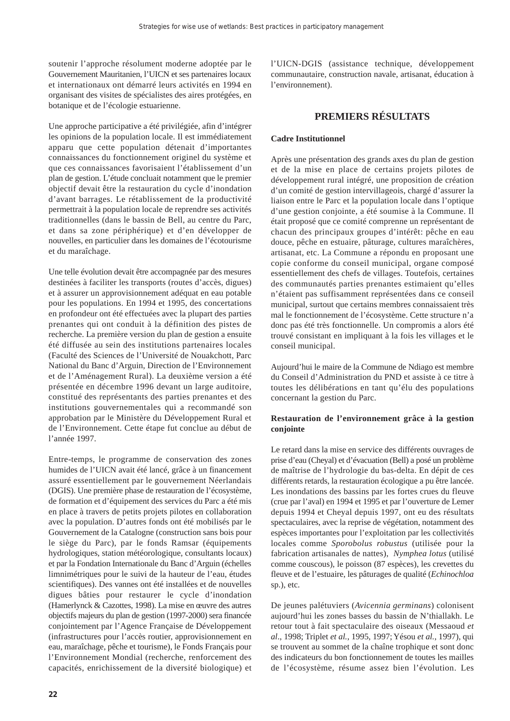soutenir l'approche résolument moderne adoptée par le Gouvernement Mauritanien, l'UICN et ses partenaires locaux et internationaux ont démarré leurs activités en 1994 en organisant des visites de spécialistes des aires protégées, en botanique et de l'écologie estuarienne.

Une approche participative a été privilégiée, afin d'intégrer les opinions de la population locale. Il est immédiatement apparu que cette population détenait d'importantes connaissances du fonctionnement originel du système et que ces connaissances favorisaient l'établissement d'un plan de gestion. L'étude concluait notamment que le premier objectif devait être la restauration du cycle d'inondation d'avant barrages. Le rétablissement de la productivité permettrait à la population locale de reprendre ses activités traditionnelles (dans le bassin de Bell, au centre du Parc, et dans sa zone périphérique) et d'en développer de nouvelles, en particulier dans les domaines de l'écotourisme et du maraîchage.

Une telle évolution devait être accompagnée par des mesures destinées à faciliter les transports (routes d'accès, digues) et à assurer un approvisionnement adéquat en eau potable pour les populations. En 1994 et 1995, des concertations en profondeur ont été effectuées avec la plupart des parties prenantes qui ont conduit à la définition des pistes de recherche. La première version du plan de gestion a ensuite été diffusée au sein des institutions partenaires locales (Faculté des Sciences de l'Université de Nouakchott, Parc National du Banc d'Arguin, Direction de l'Environnement et de l'Aménagement Rural). La deuxième version a été présentée en décembre 1996 devant un large auditoire, constitué des représentants des parties prenantes et des institutions gouvernementales qui a recommandé son approbation par le Ministère du Développement Rural et de l'Environnement. Cette étape fut conclue au début de l'année 1997.

Entre-temps, le programme de conservation des zones humides de l'UICN avait été lancé, grâce à un financement assuré essentiellement par le gouvernement Néerlandais (DGIS). Une première phase de restauration de l'écosystème, de formation et d'équipement des services du Parc a été mis en place à travers de petits projets pilotes en collaboration avec la population. D'autres fonds ont été mobilisés par le Gouvernement de la Catalogne (construction sans bois pour le siège du Parc), par le fonds Ramsar (équipements hydrologiques, station météorologique, consultants locaux) et par la Fondation Internationale du Banc d'Arguin (échelles limnimétriques pour le suivi de la hauteur de l'eau, études scientifiques). Des vannes ont été installées et de nouvelles digues bâties pour restaurer le cycle d'inondation (Hamerlynck & Cazottes, 1998). La mise en œuvre des autres objectifs majeurs du plan de gestion (1997-2000) sera financée conjointement par l'Agence Française de Développement (infrastructures pour l'accès routier, approvisionnement en eau, maraîchage, pêche et tourisme), le Fonds Français pour l'Environnement Mondial (recherche, renforcement des capacités, enrichissement de la diversité biologique) et

l'UICN-DGIS (assistance technique, développement communautaire, construction navale, artisanat, éducation à l'environnement).

## **PREMIERS RÉSULTATS**

#### **Cadre Institutionnel**

Après une présentation des grands axes du plan de gestion et de la mise en place de certains projets pilotes de développement rural intégré, une proposition de création d'un comité de gestion intervillageois, chargé d'assurer la liaison entre le Parc et la population locale dans l'optique d'une gestion conjointe, a été soumise à la Commune. Il était proposé que ce comité comprenne un représentant de chacun des principaux groupes d'intérêt: pêche en eau douce, pêche en estuaire, pâturage, cultures maraîchères, artisanat, etc. La Commune a répondu en proposant une copie conforme du conseil municipal, organe composé essentiellement des chefs de villages. Toutefois, certaines des communautés parties prenantes estimaient qu'elles n'étaient pas suffisamment représentées dans ce conseil municipal, surtout que certains membres connaissaient très mal le fonctionnement de l'écosystème. Cette structure n'a donc pas été très fonctionnelle. Un compromis a alors été trouvé consistant en impliquant à la fois les villages et le conseil municipal.

Aujourd'hui le maire de la Commune de Ndiago est membre du Conseil d'Administration du PND et assiste à ce titre à toutes les délibérations en tant qu'élu des populations concernant la gestion du Parc.

#### **Restauration de l'environnement grâce à la gestion conjointe**

Le retard dans la mise en service des différents ouvrages de prise d'eau (Cheyal) et d'évacuation (Bell) a posé un problème de maîtrise de l'hydrologie du bas-delta. En dépit de ces différents retards, la restauration écologique a pu être lancée. Les inondations des bassins par les fortes crues du fleuve (crue par l'aval) en 1994 et 1995 et par l'ouverture de Lemer depuis 1994 et Cheyal depuis 1997, ont eu des résultats spectaculaires, avec la reprise de végétation, notamment des espèces importantes pour l'exploitation par les collectivités locales comme *Sporobolus robustus* (utilisée pour la fabrication artisanales de nattes), *Nymphea lotus* (utilisé comme couscous), le poisson (87 espèces), les crevettes du fleuve et de l'estuaire, les pâturages de qualité (*Echinochloa* sp.), etc.

De jeunes palétuviers (*Avicennia germinans*) colonisent aujourd'hui les zones basses du bassin de N'thiallakh. Le retour tout à fait spectaculaire des oiseaux (Messaoud *et al*., 1998; Triplet *et al.*, 1995, 1997; Yésou *et al.*, 1997), qui se trouvent au sommet de la chaîne trophique et sont donc des indicateurs du bon fonctionnement de toutes les mailles de l'écosystème, résume assez bien l'évolution. Les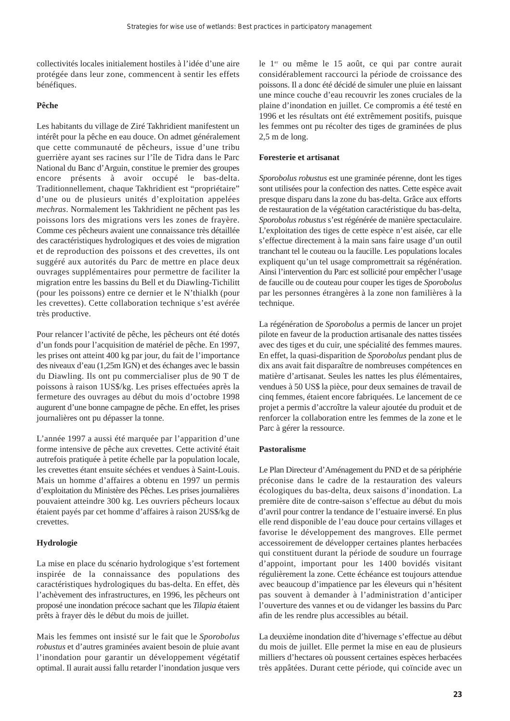collectivités locales initialement hostiles à l'idée d'une aire protégée dans leur zone, commencent à sentir les effets bénéfiques.

#### **Pêche**

Les habitants du village de Ziré Takhridient manifestent un intérêt pour la pêche en eau douce. On admet généralement que cette communauté de pêcheurs, issue d'une tribu guerrière ayant ses racines sur l'île de Tidra dans le Parc National du Banc d'Arguin, constitue le premier des groupes encore présents à avoir occupé le bas-delta. Traditionnellement, chaque Takhridient est "propriétaire" d'une ou de plusieurs unités d'exploitation appelées *mechras*. Normalement les Takhridient ne pêchent pas les poissons lors des migrations vers les zones de frayère. Comme ces pêcheurs avaient une connaissance très détaillée des caractéristiques hydrologiques et des voies de migration et de reproduction des poissons et des crevettes, ils ont suggéré aux autorités du Parc de mettre en place deux ouvrages supplémentaires pour permettre de faciliter la migration entre les bassins du Bell et du Diawling-Tichilitt (pour les poissons) entre ce dernier et le N'thialkh (pour les crevettes). Cette collaboration technique s'est avérée très productive.

Pour relancer l'activité de pêche, les pêcheurs ont été dotés d'un fonds pour l'acquisition de matériel de pêche. En 1997, les prises ont atteint 400 kg par jour, du fait de l'importance des niveaux d'eau (1,25m IGN) et des échanges avec le bassin du Diawling. Ils ont pu commercialiser plus de 90 T de poissons à raison 1US\$/kg. Les prises effectuées après la fermeture des ouvrages au début du mois d'octobre 1998 augurent d'une bonne campagne de pêche. En effet, les prises journalières ont pu dépasser la tonne.

L'année 1997 a aussi été marquée par l'apparition d'une forme intensive de pêche aux crevettes. Cette activité était autrefois pratiquée à petite échelle par la population locale, les crevettes étant ensuite séchées et vendues à Saint-Louis. Mais un homme d'affaires a obtenu en 1997 un permis d'exploitation du Ministère des Pêches. Les prises journalières pouvaient atteindre 300 kg. Les ouvriers pêcheurs locaux étaient payés par cet homme d'affaires à raison 2US\$/kg de crevettes.

#### **Hydrologie**

La mise en place du scénario hydrologique s'est fortement inspirée de la connaissance des populations des caractéristiques hydrologiques du bas-delta. En effet, dès l'achèvement des infrastructures, en 1996, les pêcheurs ont proposé une inondation précoce sachant que les *Tilapia* étaient prêts à frayer dès le début du mois de juillet.

Mais les femmes ont insisté sur le fait que le *Sporobolus robustus* et d'autres graminées avaient besoin de pluie avant l'inondation pour garantir un développement végétatif optimal. Il aurait aussi fallu retarder l'inondation jusque vers le 1er ou même le 15 août, ce qui par contre aurait considérablement raccourci la période de croissance des poissons. Il a donc été décidé de simuler une pluie en laissant une mince couche d'eau recouvrir les zones cruciales de la plaine d'inondation en juillet. Ce compromis a été testé en 1996 et les résultats ont été extrêmement positifs, puisque les femmes ont pu récolter des tiges de graminées de plus 2,5 m de long.

#### **Foresterie et artisanat**

*Sporobolus robustus* est une graminée pérenne, dont les tiges sont utilisées pour la confection des nattes. Cette espèce avait presque disparu dans la zone du bas-delta. Grâce aux efforts de restauration de la végétation caractéristique du bas-delta, *Sporobolus robustus* s'est régénérée de manière spectaculaire. L'exploitation des tiges de cette espèce n'est aisée, car elle s'effectue directement à la main sans faire usage d'un outil tranchant tel le couteau ou la faucille. Les populations locales expliquent qu'un tel usage compromettrait sa régénération. Ainsi l'intervention du Parc est sollicité pour empêcher l'usage de faucille ou de couteau pour couper les tiges de *Sporobolus* par les personnes étrangères à la zone non familières à la technique.

La régénération de *Sporobolus* a permis de lancer un projet pilote en faveur de la production artisanale des nattes tissées avec des tiges et du cuir, une spécialité des femmes maures. En effet, la quasi-disparition de *Sporobolus* pendant plus de dix ans avait fait disparaître de nombreuses compétences en matière d'artisanat. Seules les nattes les plus élémentaires, vendues à 50 US\$ la pièce, pour deux semaines de travail de cinq femmes, étaient encore fabriquées. Le lancement de ce projet a permis d'accroître la valeur ajoutée du produit et de renforcer la collaboration entre les femmes de la zone et le Parc à gérer la ressource.

#### **Pastoralisme**

Le Plan Directeur d'Aménagement du PND et de sa périphérie préconise dans le cadre de la restauration des valeurs écologiques du bas-delta, deux saisons d'inondation. La première dite de contre-saison s'effectue au début du mois d'avril pour contrer la tendance de l'estuaire inversé. En plus elle rend disponible de l'eau douce pour certains villages et favorise le développement des mangroves. Elle permet accessoirement de développer certaines plantes herbacées qui constituent durant la période de soudure un fourrage d'appoint, important pour les 1400 bovidés visitant régulièrement la zone. Cette échéance est toujours attendue avec beaucoup d'impatience par les éleveurs qui n'hésitent pas souvent à demander à l'administration d'anticiper l'ouverture des vannes et ou de vidanger les bassins du Parc afin de les rendre plus accessibles au bétail.

La deuxième inondation dite d'hivernage s'effectue au début du mois de juillet. Elle permet la mise en eau de plusieurs milliers d'hectares où poussent certaines espèces herbacées très appâtées. Durant cette période, qui coïncide avec un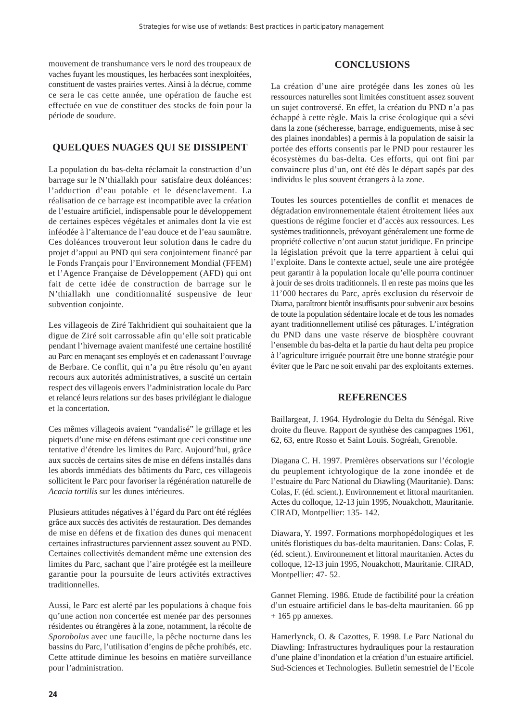mouvement de transhumance vers le nord des troupeaux de vaches fuyant les moustiques, les herbacées sont inexploitées, constituent de vastes prairies vertes. Ainsi à la décrue, comme ce sera le cas cette année, une opération de fauche est effectuée en vue de constituer des stocks de foin pour la période de soudure.

## **QUELQUES NUAGES QUI SE DISSIPENT**

La population du bas-delta réclamait la construction d'un barrage sur le N'thiallakh pour satisfaire deux doléances: l'adduction d'eau potable et le désenclavement. La réalisation de ce barrage est incompatible avec la création de l'estuaire artificiel, indispensable pour le développement de certaines espèces végétales et animales dont la vie est inféodée à l'alternance de l'eau douce et de l'eau saumâtre. Ces doléances trouveront leur solution dans le cadre du projet d'appui au PND qui sera conjointement financé par le Fonds Français pour l'Environnement Mondial (FFEM) et l'Agence Française de Développement (AFD) qui ont fait de cette idée de construction de barrage sur le N'thiallakh une conditionnalité suspensive de leur subvention conjointe.

Les villageois de Ziré Takhridient qui souhaitaient que la digue de Ziré soit carrossable afin qu'elle soit praticable pendant l'hivernage avaient manifesté une certaine hostilité au Parc en menaçant ses employés et en cadenassant l'ouvrage de Berbare. Ce conflit, qui n'a pu être résolu qu'en ayant recours aux autorités administratives, a suscité un certain respect des villageois envers l'administration locale du Parc et relancé leurs relations sur des bases privilégiant le dialogue et la concertation.

Ces mêmes villageois avaient "vandalisé" le grillage et les piquets d'une mise en défens estimant que ceci constitue une tentative d'étendre les limites du Parc. Aujourd'hui, grâce aux succès de certains sites de mise en défens installés dans les abords immédiats des bâtiments du Parc, ces villageois sollicitent le Parc pour favoriser la régénération naturelle de *Acacia tortilis* sur les dunes intérieures.

Plusieurs attitudes négatives à l'égard du Parc ont été réglées grâce aux succès des activités de restauration. Des demandes de mise en défens et de fixation des dunes qui menacent certaines infrastructures parviennent assez souvent au PND. Certaines collectivités demandent même une extension des limites du Parc, sachant que l'aire protégée est la meilleure garantie pour la poursuite de leurs activités extractives traditionnelles.

Aussi, le Parc est alerté par les populations à chaque fois qu'une action non concertée est menée par des personnes résidentes ou étrangères à la zone, notamment, la récolte de *Sporobolus* avec une faucille, la pêche nocturne dans les bassins du Parc, l'utilisation d'engins de pêche prohibés, etc. Cette attitude diminue les besoins en matière surveillance pour l'administration.

## **CONCLUSIONS**

La création d'une aire protégée dans les zones où les ressources naturelles sont limitées constituent assez souvent un sujet controversé. En effet, la création du PND n'a pas échappé à cette règle. Mais la crise écologique qui a sévi dans la zone (sécheresse, barrage, endiguements, mise à sec des plaines inondables) a permis à la population de saisir la portée des efforts consentis par le PND pour restaurer les écosystèmes du bas-delta. Ces efforts, qui ont fini par convaincre plus d'un, ont été dès le départ sapés par des individus le plus souvent étrangers à la zone.

Toutes les sources potentielles de conflit et menaces de dégradation environnementale étaient étroitement liées aux questions de régime foncier et d'accès aux ressources. Les systèmes traditionnels, prévoyant généralement une forme de propriété collective n'ont aucun statut juridique. En principe la législation prévoit que la terre appartient à celui qui l'exploite. Dans le contexte actuel, seule une aire protégée peut garantir à la population locale qu'elle pourra continuer à jouir de ses droits traditionnels. Il en reste pas moins que les 11'000 hectares du Parc, après exclusion du réservoir de Diama, paraîtront bientôt insuffisants pour subvenir aux besoins de toute la population sédentaire locale et de tous les nomades ayant traditionnellement utilisé ces pâturages. L'intégration du PND dans une vaste réserve de biosphère couvrant l'ensemble du bas-delta et la partie du haut delta peu propice à l'agriculture irriguée pourrait être une bonne stratégie pour éviter que le Parc ne soit envahi par des exploitants externes.

## **REFERENCES**

Baillargeat, J. 1964. Hydrologie du Delta du Sénégal. Rive droite du fleuve. Rapport de synthèse des campagnes 1961, 62, 63, entre Rosso et Saint Louis. Sogréah, Grenoble.

Diagana C. H. 1997. Premières observations sur l'écologie du peuplement ichtyologique de la zone inondée et de l'estuaire du Parc National du Diawling (Mauritanie). Dans: Colas, F. (éd. scient.). Environnement et littoral mauritanien. Actes du colloque, 12-13 juin 1995, Nouakchott, Mauritanie. CIRAD, Montpellier: 135- 142.

Diawara, Y. 1997. Formations morphopédologiques et les unités floristiques du bas-delta mauritanien. Dans: Colas, F. (éd. scient.). Environnement et littoral mauritanien. Actes du colloque, 12-13 juin 1995, Nouakchott, Mauritanie. CIRAD, Montpellier: 47- 52.

Gannet Fleming. 1986. Etude de factibilité pour la création d'un estuaire artificiel dans le bas-delta mauritanien. 66 pp  $+ 165$  pp annexes.

Hamerlynck, O. & Cazottes, F. 1998. Le Parc National du Diawling: Infrastructures hydrauliques pour la restauration d'une plaine d'inondation et la création d'un estuaire artificiel. Sud-Sciences et Technologies. Bulletin semestriel de l'Ecole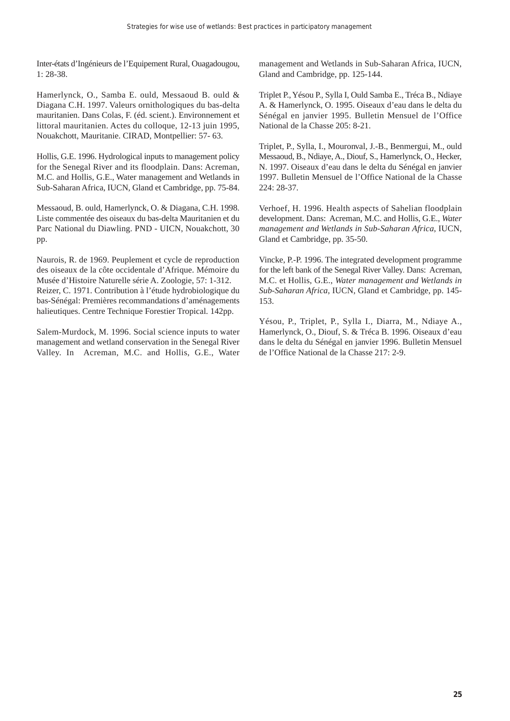Inter-états d'Ingénieurs de l'Equipement Rural, Ouagadougou, 1: 28-38.

Hamerlynck, O., Samba E. ould, Messaoud B. ould & Diagana C.H. 1997. Valeurs ornithologiques du bas-delta mauritanien. Dans Colas, F. (éd. scient.). Environnement et littoral mauritanien. Actes du colloque, 12-13 juin 1995, Nouakchott, Mauritanie. CIRAD, Montpellier: 57- 63.

Hollis, G.E. 1996. Hydrological inputs to management policy for the Senegal River and its floodplain. Dans: Acreman, M.C. and Hollis, G.E., Water management and Wetlands in Sub-Saharan Africa, IUCN, Gland et Cambridge, pp. 75-84.

Messaoud, B. ould, Hamerlynck, O. & Diagana, C.H. 1998. Liste commentée des oiseaux du bas-delta Mauritanien et du Parc National du Diawling. PND - UICN, Nouakchott, 30 pp.

Naurois, R. de 1969. Peuplement et cycle de reproduction des oiseaux de la côte occidentale d'Afrique. Mémoire du Musée d'Histoire Naturelle série A. Zoologie, 57: 1-312. Reizer, C. 1971. Contribution à l'étude hydrobiologique du bas-Sénégal: Premières recommandations d'aménagements halieutiques. Centre Technique Forestier Tropical. 142pp.

Salem-Murdock, M. 1996. Social science inputs to water management and wetland conservation in the Senegal River Valley. In Acreman, M.C. and Hollis, G.E., Water management and Wetlands in Sub-Saharan Africa, IUCN, Gland and Cambridge, pp. 125-144.

Triplet P.,Yésou P., Sylla I, Ould Samba E., Tréca B., Ndiaye A. & Hamerlynck, O. 1995. Oiseaux d'eau dans le delta du Sénégal en janvier 1995. Bulletin Mensuel de l'Office National de la Chasse 205: 8-21.

Triplet, P., Sylla, I., Mouronval, J.-B., Benmergui, M., ould Messaoud, B., Ndiaye, A., Diouf, S., Hamerlynck, O., Hecker, N. 1997. Oiseaux d'eau dans le delta du Sénégal en janvier 1997. Bulletin Mensuel de l'Office National de la Chasse 224: 28-37.

Verhoef, H. 1996. Health aspects of Sahelian floodplain development. Dans: Acreman, M.C. and Hollis, G.E., *Water management and Wetlands in Sub-Saharan Africa*, IUCN, Gland et Cambridge, pp. 35-50.

Vincke, P.-P. 1996. The integrated development programme for the left bank of the Senegal River Valley. Dans: Acreman, M.C. et Hollis, G.E., *Water management and Wetlands in Sub-Saharan Africa*, IUCN, Gland et Cambridge, pp. 145- 153.

Yésou, P., Triplet, P., Sylla I., Diarra, M., Ndiaye A., Hamerlynck, O., Diouf, S. & Tréca B. 1996. Oiseaux d'eau dans le delta du Sénégal en janvier 1996. Bulletin Mensuel de l'Office National de la Chasse 217: 2-9.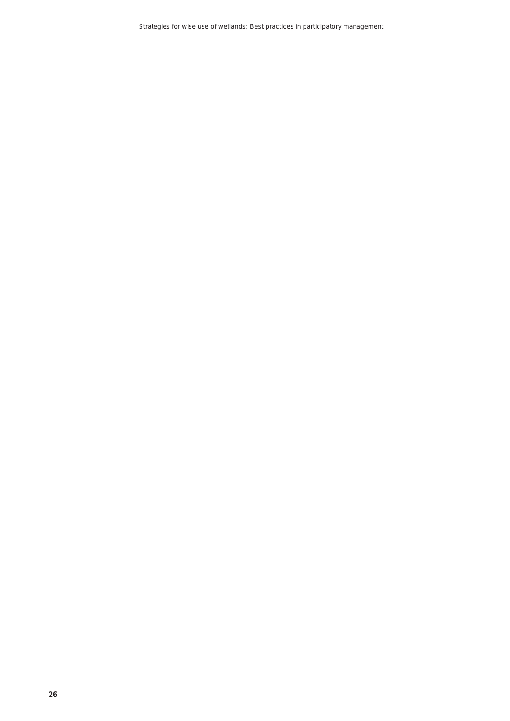Strategies for wise use of wetlands: Best practices in participatory management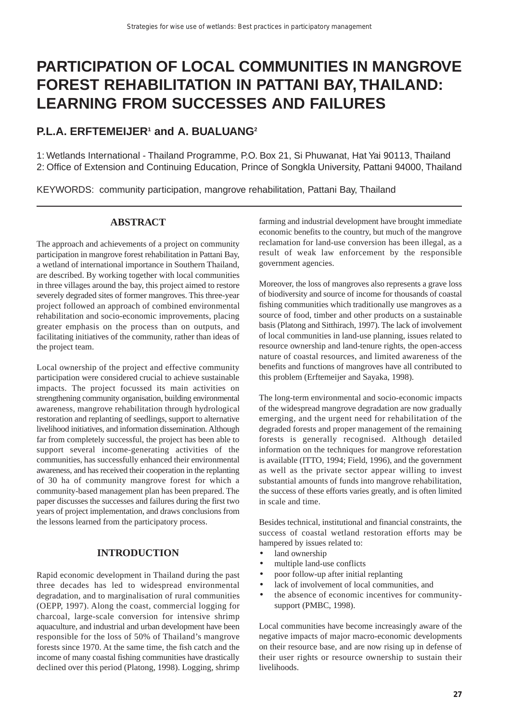## **PARTICIPATION OF LOCAL COMMUNITIES IN MANGROVE FOREST REHABILITATION IN PATTANI BAY, THAILAND: LEARNING FROM SUCCESSES AND FAILURES**

## **P.L.A. ERFTEMEIJER1 and A. BUALUANG2**

1: Wetlands International - Thailand Programme, P.O. Box 21, Si Phuwanat, Hat Yai 90113, Thailand 2: Office of Extension and Continuing Education, Prince of Songkla University, Pattani 94000, Thailand

KEYWORDS: community participation, mangrove rehabilitation, Pattani Bay, Thailand

## **ABSTRACT**

The approach and achievements of a project on community participation in mangrove forest rehabilitation in Pattani Bay, a wetland of international importance in Southern Thailand, are described. By working together with local communities in three villages around the bay, this project aimed to restore severely degraded sites of former mangroves. This three-year project followed an approach of combined environmental rehabilitation and socio-economic improvements, placing greater emphasis on the process than on outputs, and facilitating initiatives of the community, rather than ideas of the project team.

Local ownership of the project and effective community participation were considered crucial to achieve sustainable impacts. The project focussed its main activities on strengthening community organisation, building environmental awareness, mangrove rehabilitation through hydrological restoration and replanting of seedlings, support to alternative livelihood initiatives, and information dissemination. Although far from completely successful, the project has been able to support several income-generating activities of the communities, has successfully enhanced their environmental awareness, and has received their cooperation in the replanting of 30 ha of community mangrove forest for which a community-based management plan has been prepared. The paper discusses the successes and failures during the first two years of project implementation, and draws conclusions from the lessons learned from the participatory process.

## **INTRODUCTION**

Rapid economic development in Thailand during the past three decades has led to widespread environmental degradation, and to marginalisation of rural communities (OEPP, 1997). Along the coast, commercial logging for charcoal, large-scale conversion for intensive shrimp aquaculture, and industrial and urban development have been responsible for the loss of 50% of Thailand's mangrove forests since 1970. At the same time, the fish catch and the income of many coastal fishing communities have drastically declined over this period (Platong, 1998). Logging, shrimp farming and industrial development have brought immediate economic benefits to the country, but much of the mangrove reclamation for land-use conversion has been illegal, as a result of weak law enforcement by the responsible government agencies.

Moreover, the loss of mangroves also represents a grave loss of biodiversity and source of income for thousands of coastal fishing communities which traditionally use mangroves as a source of food, timber and other products on a sustainable basis (Platong and Sitthirach, 1997). The lack of involvement of local communities in land-use planning, issues related to resource ownership and land-tenure rights, the open-access nature of coastal resources, and limited awareness of the benefits and functions of mangroves have all contributed to this problem (Erftemeijer and Sayaka, 1998).

The long-term environmental and socio-economic impacts of the widespread mangrove degradation are now gradually emerging, and the urgent need for rehabilitation of the degraded forests and proper management of the remaining forests is generally recognised. Although detailed information on the techniques for mangrove reforestation is available (ITTO, 1994; Field, 1996), and the government as well as the private sector appear willing to invest substantial amounts of funds into mangrove rehabilitation, the success of these efforts varies greatly, and is often limited in scale and time.

Besides technical, institutional and financial constraints, the success of coastal wetland restoration efforts may be hampered by issues related to:

- land ownership
- multiple land-use conflicts
- poor follow-up after initial replanting
- lack of involvement of local communities, and
- the absence of economic incentives for communitysupport (PMBC, 1998).

Local communities have become increasingly aware of the negative impacts of major macro-economic developments on their resource base, and are now rising up in defense of their user rights or resource ownership to sustain their livelihoods.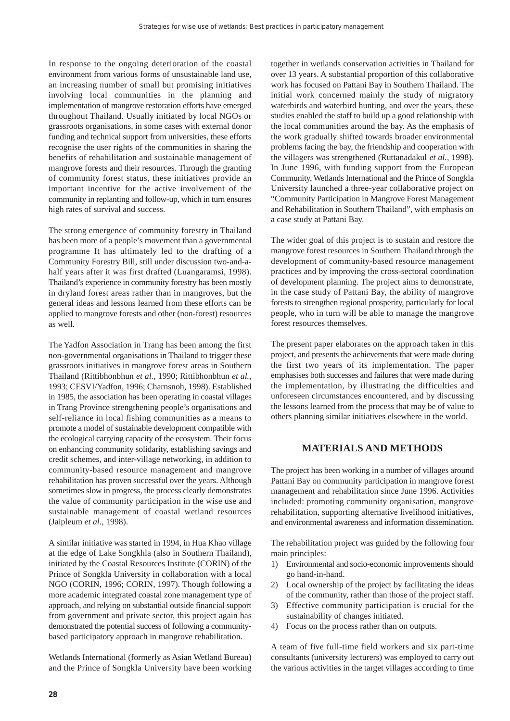In response to the ongoing deterioration of the coastal environment from various forms of unsustainable land use, an increasing number of small but promising initiatives involving local communities in the planning and implementation of mangrove restoration efforts have emerged throughout Thailand. Usually initiated by local NGOs or grassroots organisations, in some cases with external donor funding and technical support from universities, these efforts recognise the user rights of the communities in sharing the benefits of rehabilitation and sustainable management of mangrove forests and their resources. Through the granting of community forest status, these initiatives provide an important incentive for the active involvement of the community in replanting and follow-up, which in turn ensures high rates of survival and success.

The strong emergence of community forestry in Thailand has been more of a people's movement than a governmental programme It has ultimately led to the drafting of a Community Forestry Bill, still under discussion two-and-ahalf years after it was first drafted (Luangaramsi, 1998). Thailand's experience in community forestry has been mostly in dryland forest areas rather than in mangroves, but the general ideas and lessons learned from these efforts can be applied to mangrove forests and other (non-forest) resources as well.

The Yadfon Association in Trang has been among the first non-governmental organisations in Thailand to trigger these grassroots initiatives in mangrove forest areas in Southern Thailand (Rittibhonbhun *et al.*, 1990; Rittibhonbhun *et al.*, 1993; CESVI/Yadfon, 1996; Charnsnoh, 1998). Established in 1985, the association has been operating in coastal villages in Trang Province strengthening people's organisations and self-reliance in local fishing communities as a means to promote a model of sustainable development compatible with the ecological carrying capacity of the ecosystem. Their focus on enhancing community solidarity, establishing savings and credit schemes, and inter-village networking, in addition to community-based resource management and mangrove rehabilitation has proven successful over the years. Although sometimes slow in progress, the process clearly demonstrates the value of community participation in the wise use and sustainable management of coastal wetland resources (Jaipleum *et al.*, 1998).

A similar initiative was started in 1994, in Hua Khao village at the edge of Lake Songkhla (also in Southern Thailand), initiated by the Coastal Resources Institute (CORIN) of the Prince of Songkla University in collaboration with a local NGO (CORIN, 1996; CORIN, 1997). Though following a more academic integrated coastal zone management type of approach, and relying on substantial outside financial support from government and private sector, this project again has demonstrated the potential success of following a communitybased participatory approach in mangrove rehabilitation.

Wetlands International (formerly as Asian Wetland Bureau) and the Prince of Songkla University have been working

together in wetlands conservation activities in Thailand for over 13 years. A substantial proportion of this collaborative work has focused on Pattani Bay in Southern Thailand. The initial work concerned mainly the study of migratory waterbirds and waterbird hunting, and over the years, these studies enabled the staff to build up a good relationship with the local communities around the bay. As the emphasis of the work gradually shifted towards broader environmental problems facing the bay, the friendship and cooperation with the villagers was strengthened (Ruttanadakul *et al.*, 1998). In June 1996, with funding support from the European Community, Wetlands International and the Prince of Songkla University launched a three-year collaborative project on "Community Participation in Mangrove Forest Management and Rehabilitation in Southern Thailand", with emphasis on a case study at Pattani Bay.

The wider goal of this project is to sustain and restore the mangrove forest resources in Southern Thailand through the development of community-based resource management practices and by improving the cross-sectoral coordination of development planning. The project aims to demonstrate, in the case study of Pattani Bay, the ability of mangrove forests to strengthen regional prosperity, particularly for local people, who in turn will be able to manage the mangrove forest resources themselves.

The present paper elaborates on the approach taken in this project, and presents the achievements that were made during the first two years of its implementation. The paper emphasises both successes and failures that were made during the implementation, by illustrating the difficulties and unforeseen circumstances encountered, and by discussing the lessons learned from the process that may be of value to others planning similar initiatives elsewhere in the world.

## **MATERIALS AND METHODS**

The project has been working in a number of villages around Pattani Bay on community participation in mangrove forest management and rehabilitation since June 1996. Activities included: promoting community organisation, mangrove rehabilitation, supporting alternative livelihood initiatives, and environmental awareness and information dissemination.

The rehabilitation project was guided by the following four main principles:

- 1) Environmental and socio-economic improvements should go hand-in-hand.
- 2) Local ownership of the project by facilitating the ideas of the community, rather than those of the project staff.
- 3) Effective community participation is crucial for the sustainability of changes initiated.
- 4) Focus on the process rather than on outputs.

A team of five full-time field workers and six part-time consultants (university lecturers) was employed to carry out the various activities in the target villages according to time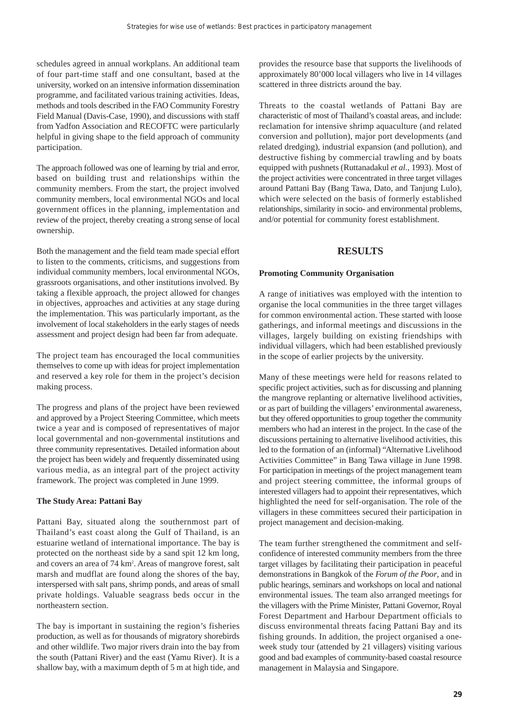schedules agreed in annual workplans. An additional team of four part-time staff and one consultant, based at the university, worked on an intensive information dissemination programme, and facilitated various training activities. Ideas, methods and tools described in the FAO Community Forestry Field Manual (Davis-Case, 1990), and discussions with staff from Yadfon Association and RECOFTC were particularly helpful in giving shape to the field approach of community participation.

The approach followed was one of learning by trial and error, based on building trust and relationships within the community members. From the start, the project involved community members, local environmental NGOs and local government offices in the planning, implementation and review of the project, thereby creating a strong sense of local ownership.

Both the management and the field team made special effort to listen to the comments, criticisms, and suggestions from individual community members, local environmental NGOs, grassroots organisations, and other institutions involved. By taking a flexible approach, the project allowed for changes in objectives, approaches and activities at any stage during the implementation. This was particularly important, as the involvement of local stakeholders in the early stages of needs assessment and project design had been far from adequate.

The project team has encouraged the local communities themselves to come up with ideas for project implementation and reserved a key role for them in the project's decision making process.

The progress and plans of the project have been reviewed and approved by a Project Steering Committee, which meets twice a year and is composed of representatives of major local governmental and non-governmental institutions and three community representatives. Detailed information about the project has been widely and frequently disseminated using various media, as an integral part of the project activity framework. The project was completed in June 1999.

#### **The Study Area: Pattani Bay**

Pattani Bay, situated along the southernmost part of Thailand's east coast along the Gulf of Thailand, is an estuarine wetland of international importance. The bay is protected on the northeast side by a sand spit 12 km long, and covers an area of 74 km<sup>2</sup>. Areas of mangrove forest, salt marsh and mudflat are found along the shores of the bay, interspersed with salt pans, shrimp ponds, and areas of small private holdings. Valuable seagrass beds occur in the northeastern section.

The bay is important in sustaining the region's fisheries production, as well as for thousands of migratory shorebirds and other wildlife. Two major rivers drain into the bay from the south (Pattani River) and the east (Yamu River). It is a shallow bay, with a maximum depth of 5 m at high tide, and

provides the resource base that supports the livelihoods of approximately 80'000 local villagers who live in 14 villages scattered in three districts around the bay.

Threats to the coastal wetlands of Pattani Bay are characteristic of most of Thailand's coastal areas, and include: reclamation for intensive shrimp aquaculture (and related conversion and pollution), major port developments (and related dredging), industrial expansion (and pollution), and destructive fishing by commercial trawling and by boats equipped with pushnets (Ruttanadakul *et al.*, 1993). Most of the project activities were concentrated in three target villages around Pattani Bay (Bang Tawa, Dato, and Tanjung Lulo), which were selected on the basis of formerly established relationships, similarity in socio- and environmental problems, and/or potential for community forest establishment.

### **RESULTS**

#### **Promoting Community Organisation**

A range of initiatives was employed with the intention to organise the local communities in the three target villages for common environmental action. These started with loose gatherings, and informal meetings and discussions in the villages, largely building on existing friendships with individual villagers, which had been established previously in the scope of earlier projects by the university.

Many of these meetings were held for reasons related to specific project activities, such as for discussing and planning the mangrove replanting or alternative livelihood activities, or as part of building the villagers' environmental awareness, but they offered opportunities to group together the community members who had an interest in the project. In the case of the discussions pertaining to alternative livelihood activities, this led to the formation of an (informal) "Alternative Livelihood Activities Committee" in Bang Tawa village in June 1998. For participation in meetings of the project management team and project steering committee, the informal groups of interested villagers had to appoint their representatives, which highlighted the need for self-organisation. The role of the villagers in these committees secured their participation in project management and decision-making.

The team further strengthened the commitment and selfconfidence of interested community members from the three target villages by facilitating their participation in peaceful demonstrations in Bangkok of the *Forum of the Poor*, and in public hearings, seminars and workshops on local and national environmental issues. The team also arranged meetings for the villagers with the Prime Minister, Pattani Governor, Royal Forest Department and Harbour Department officials to discuss environmental threats facing Pattani Bay and its fishing grounds. In addition, the project organised a oneweek study tour (attended by 21 villagers) visiting various good and bad examples of community-based coastal resource management in Malaysia and Singapore.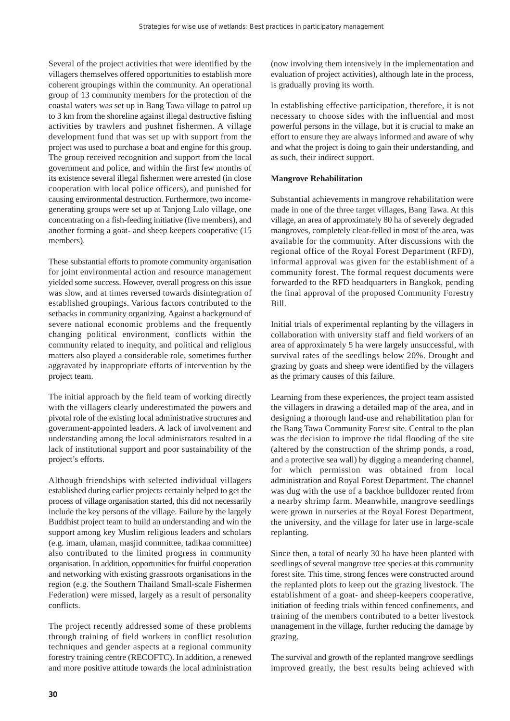Several of the project activities that were identified by the villagers themselves offered opportunities to establish more coherent groupings within the community. An operational group of 13 community members for the protection of the coastal waters was set up in Bang Tawa village to patrol up to 3 km from the shoreline against illegal destructive fishing activities by trawlers and pushnet fishermen. A village development fund that was set up with support from the project was used to purchase a boat and engine for this group. The group received recognition and support from the local government and police, and within the first few months of its existence several illegal fishermen were arrested (in close cooperation with local police officers), and punished for causing environmental destruction. Furthermore, two incomegenerating groups were set up at Tanjong Lulo village, one concentrating on a fish-feeding initiative (five members), and another forming a goat- and sheep keepers cooperative (15 members).

These substantial efforts to promote community organisation for joint environmental action and resource management yielded some success. However, overall progress on this issue was slow, and at times reversed towards disintegration of established groupings. Various factors contributed to the setbacks in community organizing. Against a background of severe national economic problems and the frequently changing political environment, conflicts within the community related to inequity, and political and religious matters also played a considerable role, sometimes further aggravated by inappropriate efforts of intervention by the project team.

The initial approach by the field team of working directly with the villagers clearly underestimated the powers and pivotal role of the existing local administrative structures and government-appointed leaders. A lack of involvement and understanding among the local administrators resulted in a lack of institutional support and poor sustainability of the project's efforts.

Although friendships with selected individual villagers established during earlier projects certainly helped to get the process of village organisation started, this did not necessarily include the key persons of the village. Failure by the largely Buddhist project team to build an understanding and win the support among key Muslim religious leaders and scholars (e.g. imam, ulaman, masjid committee, tadikaa committee) also contributed to the limited progress in community organisation. In addition, opportunities for fruitful cooperation and networking with existing grassroots organisations in the region (e.g. the Southern Thailand Small-scale Fishermen Federation) were missed, largely as a result of personality conflicts.

The project recently addressed some of these problems through training of field workers in conflict resolution techniques and gender aspects at a regional community forestry training centre (RECOFTC). In addition, a renewed and more positive attitude towards the local administration

(now involving them intensively in the implementation and evaluation of project activities), although late in the process, is gradually proving its worth.

In establishing effective participation, therefore, it is not necessary to choose sides with the influential and most powerful persons in the village, but it is crucial to make an effort to ensure they are always informed and aware of why and what the project is doing to gain their understanding, and as such, their indirect support.

### **Mangrove Rehabilitation**

Substantial achievements in mangrove rehabilitation were made in one of the three target villages, Bang Tawa. At this village, an area of approximately 80 ha of severely degraded mangroves, completely clear-felled in most of the area, was available for the community. After discussions with the regional office of the Royal Forest Department (RFD), informal approval was given for the establishment of a community forest. The formal request documents were forwarded to the RFD headquarters in Bangkok, pending the final approval of the proposed Community Forestry Bill.

Initial trials of experimental replanting by the villagers in collaboration with university staff and field workers of an area of approximately 5 ha were largely unsuccessful, with survival rates of the seedlings below 20%. Drought and grazing by goats and sheep were identified by the villagers as the primary causes of this failure.

Learning from these experiences, the project team assisted the villagers in drawing a detailed map of the area, and in designing a thorough land-use and rehabilitation plan for the Bang Tawa Community Forest site. Central to the plan was the decision to improve the tidal flooding of the site (altered by the construction of the shrimp ponds, a road, and a protective sea wall) by digging a meandering channel, for which permission was obtained from local administration and Royal Forest Department. The channel was dug with the use of a backhoe bulldozer rented from a nearby shrimp farm. Meanwhile, mangrove seedlings were grown in nurseries at the Royal Forest Department, the university, and the village for later use in large-scale replanting.

Since then, a total of nearly 30 ha have been planted with seedlings of several mangrove tree species at this community forest site. This time, strong fences were constructed around the replanted plots to keep out the grazing livestock. The establishment of a goat- and sheep-keepers cooperative, initiation of feeding trials within fenced confinements, and training of the members contributed to a better livestock management in the village, further reducing the damage by grazing.

The survival and growth of the replanted mangrove seedlings improved greatly, the best results being achieved with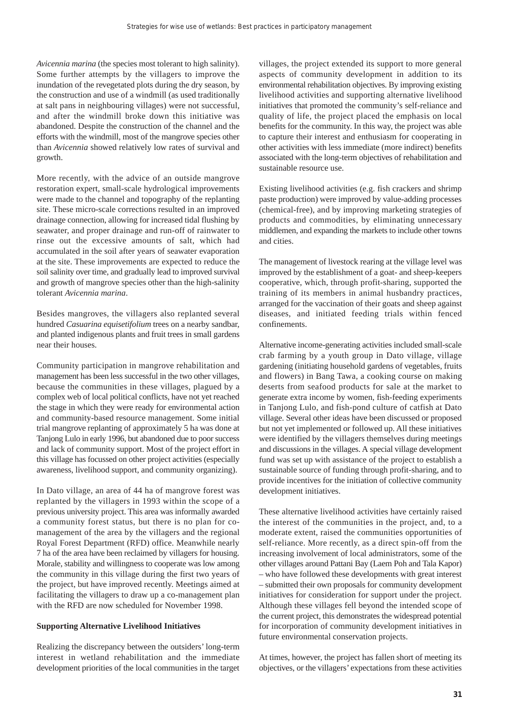*Avicennia marina* (the species most tolerant to high salinity). Some further attempts by the villagers to improve the inundation of the revegetated plots during the dry season, by the construction and use of a windmill (as used traditionally at salt pans in neighbouring villages) were not successful, and after the windmill broke down this initiative was abandoned. Despite the construction of the channel and the efforts with the windmill, most of the mangrove species other than *Avicennia* showed relatively low rates of survival and growth.

More recently, with the advice of an outside mangrove restoration expert, small-scale hydrological improvements were made to the channel and topography of the replanting site. These micro-scale corrections resulted in an improved drainage connection, allowing for increased tidal flushing by seawater, and proper drainage and run-off of rainwater to rinse out the excessive amounts of salt, which had accumulated in the soil after years of seawater evaporation at the site. These improvements are expected to reduce the soil salinity over time, and gradually lead to improved survival and growth of mangrove species other than the high-salinity tolerant *Avicennia marina*.

Besides mangroves, the villagers also replanted several hundred *Casuarina equisetifolium* trees on a nearby sandbar, and planted indigenous plants and fruit trees in small gardens near their houses.

Community participation in mangrove rehabilitation and management has been less successful in the two other villages, because the communities in these villages, plagued by a complex web of local political conflicts, have not yet reached the stage in which they were ready for environmental action and community-based resource management. Some initial trial mangrove replanting of approximately 5 ha was done at Tanjong Lulo in early 1996, but abandoned due to poor success and lack of community support. Most of the project effort in this village has focussed on other project activities (especially awareness, livelihood support, and community organizing).

In Dato village, an area of 44 ha of mangrove forest was replanted by the villagers in 1993 within the scope of a previous university project. This area was informally awarded a community forest status, but there is no plan for comanagement of the area by the villagers and the regional Royal Forest Department (RFD) office. Meanwhile nearly 7 ha of the area have been reclaimed by villagers for housing. Morale, stability and willingness to cooperate was low among the community in this village during the first two years of the project, but have improved recently. Meetings aimed at facilitating the villagers to draw up a co-management plan with the RFD are now scheduled for November 1998.

#### **Supporting Alternative Livelihood Initiatives**

Realizing the discrepancy between the outsiders' long-term interest in wetland rehabilitation and the immediate development priorities of the local communities in the target villages, the project extended its support to more general aspects of community development in addition to its environmental rehabilitation objectives. By improving existing livelihood activities and supporting alternative livelihood initiatives that promoted the community's self-reliance and quality of life, the project placed the emphasis on local benefits for the community. In this way, the project was able to capture their interest and enthusiasm for cooperating in other activities with less immediate (more indirect) benefits associated with the long-term objectives of rehabilitation and sustainable resource use.

Existing livelihood activities (e.g. fish crackers and shrimp paste production) were improved by value-adding processes (chemical-free), and by improving marketing strategies of products and commodities, by eliminating unnecessary middlemen, and expanding the markets to include other towns and cities.

The management of livestock rearing at the village level was improved by the establishment of a goat- and sheep-keepers cooperative, which, through profit-sharing, supported the training of its members in animal husbandry practices, arranged for the vaccination of their goats and sheep against diseases, and initiated feeding trials within fenced confinements.

Alternative income-generating activities included small-scale crab farming by a youth group in Dato village, village gardening (initiating household gardens of vegetables, fruits and flowers) in Bang Tawa, a cooking course on making deserts from seafood products for sale at the market to generate extra income by women, fish-feeding experiments in Tanjong Lulo, and fish-pond culture of catfish at Dato village. Several other ideas have been discussed or proposed but not yet implemented or followed up. All these initiatives were identified by the villagers themselves during meetings and discussions in the villages. A special village development fund was set up with assistance of the project to establish a sustainable source of funding through profit-sharing, and to provide incentives for the initiation of collective community development initiatives.

These alternative livelihood activities have certainly raised the interest of the communities in the project, and, to a moderate extent, raised the communities opportunities of self-reliance. More recently, as a direct spin-off from the increasing involvement of local administrators, some of the other villages around Pattani Bay (Laem Poh and Tala Kapor) – who have followed these developments with great interest – submitted their own proposals for community development initiatives for consideration for support under the project. Although these villages fell beyond the intended scope of the current project, this demonstrates the widespread potential for incorporation of community development initiatives in future environmental conservation projects.

At times, however, the project has fallen short of meeting its objectives, or the villagers' expectations from these activities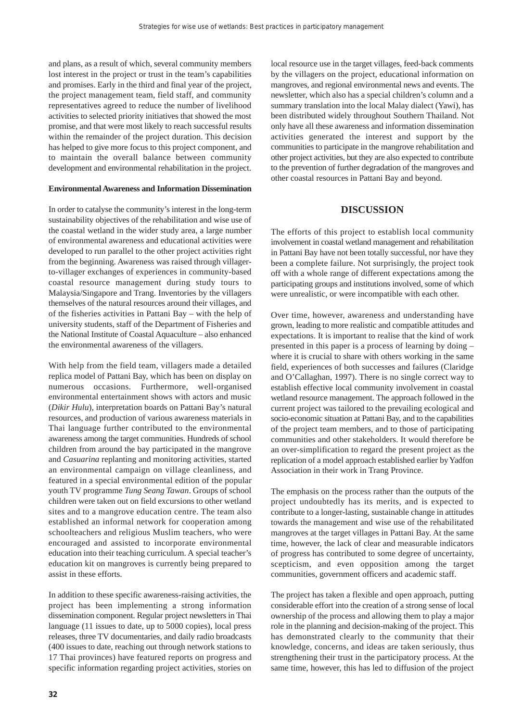and plans, as a result of which, several community members lost interest in the project or trust in the team's capabilities and promises. Early in the third and final year of the project, the project management team, field staff, and community representatives agreed to reduce the number of livelihood activities to selected priority initiatives that showed the most promise, and that were most likely to reach successful results within the remainder of the project duration. This decision has helped to give more focus to this project component, and to maintain the overall balance between community development and environmental rehabilitation in the project.

#### **Environmental Awareness and Information Dissemination**

In order to catalyse the community's interest in the long-term sustainability objectives of the rehabilitation and wise use of the coastal wetland in the wider study area, a large number of environmental awareness and educational activities were developed to run parallel to the other project activities right from the beginning. Awareness was raised through villagerto-villager exchanges of experiences in community-based coastal resource management during study tours to Malaysia/Singapore and Trang. Inventories by the villagers themselves of the natural resources around their villages, and of the fisheries activities in Pattani Bay – with the help of university students, staff of the Department of Fisheries and the National Institute of Coastal Aquaculture – also enhanced the environmental awareness of the villagers.

With help from the field team, villagers made a detailed replica model of Pattani Bay, which has been on display on numerous occasions. Furthermore, well-organised environmental entertainment shows with actors and music (*Dikir Hulu*), interpretation boards on Pattani Bay's natural resources, and production of various awareness materials in Thai language further contributed to the environmental awareness among the target communities. Hundreds of school children from around the bay participated in the mangrove and *Casuarina* replanting and monitoring activities, started an environmental campaign on village cleanliness, and featured in a special environmental edition of the popular youth TV programme *Tung Seang Tawan*. Groups of school children were taken out on field excursions to other wetland sites and to a mangrove education centre. The team also established an informal network for cooperation among schoolteachers and religious Muslim teachers, who were encouraged and assisted to incorporate environmental education into their teaching curriculum. A special teacher's education kit on mangroves is currently being prepared to assist in these efforts.

In addition to these specific awareness-raising activities, the project has been implementing a strong information dissemination component. Regular project newsletters in Thai language (11 issues to date, up to 5000 copies), local press releases, three TV documentaries, and daily radio broadcasts (400 issues to date, reaching out through network stations to 17 Thai provinces) have featured reports on progress and specific information regarding project activities, stories on

local resource use in the target villages, feed-back comments by the villagers on the project, educational information on mangroves, and regional environmental news and events. The newsletter, which also has a special children's column and a summary translation into the local Malay dialect (Yawi), has been distributed widely throughout Southern Thailand. Not only have all these awareness and information dissemination activities generated the interest and support by the communities to participate in the mangrove rehabilitation and other project activities, but they are also expected to contribute to the prevention of further degradation of the mangroves and other coastal resources in Pattani Bay and beyond.

### **DISCUSSION**

The efforts of this project to establish local community involvement in coastal wetland management and rehabilitation in Pattani Bay have not been totally successful, nor have they been a complete failure. Not surprisingly, the project took off with a whole range of different expectations among the participating groups and institutions involved, some of which were unrealistic, or were incompatible with each other.

Over time, however, awareness and understanding have grown, leading to more realistic and compatible attitudes and expectations. It is important to realise that the kind of work presented in this paper is a process of learning by doing – where it is crucial to share with others working in the same field, experiences of both successes and failures (Claridge and O'Callaghan, 1997). There is no single correct way to establish effective local community involvement in coastal wetland resource management. The approach followed in the current project was tailored to the prevailing ecological and socio-economic situation at Pattani Bay, and to the capabilities of the project team members, and to those of participating communities and other stakeholders. It would therefore be an over-simplification to regard the present project as the replication of a model approach established earlier by Yadfon Association in their work in Trang Province.

The emphasis on the process rather than the outputs of the project undoubtedly has its merits, and is expected to contribute to a longer-lasting, sustainable change in attitudes towards the management and wise use of the rehabilitated mangroves at the target villages in Pattani Bay. At the same time, however, the lack of clear and measurable indicators of progress has contributed to some degree of uncertainty, scepticism, and even opposition among the target communities, government officers and academic staff.

The project has taken a flexible and open approach, putting considerable effort into the creation of a strong sense of local ownership of the process and allowing them to play a major role in the planning and decision-making of the project. This has demonstrated clearly to the community that their knowledge, concerns, and ideas are taken seriously, thus strengthening their trust in the participatory process. At the same time, however, this has led to diffusion of the project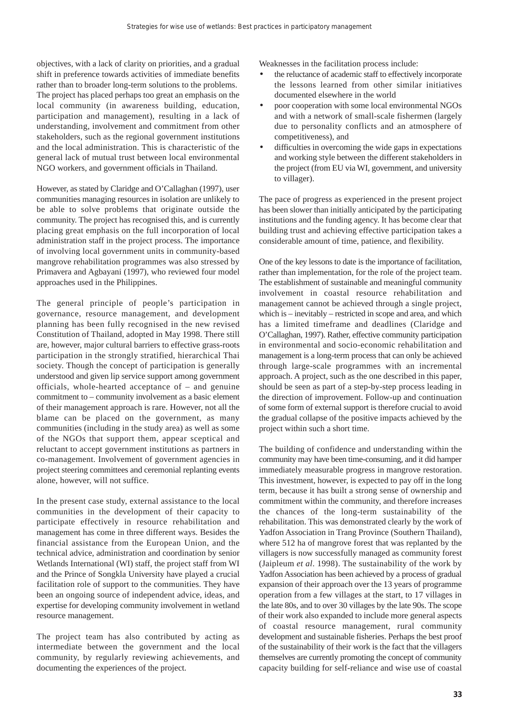objectives, with a lack of clarity on priorities, and a gradual shift in preference towards activities of immediate benefits rather than to broader long-term solutions to the problems. The project has placed perhaps too great an emphasis on the local community (in awareness building, education, participation and management), resulting in a lack of understanding, involvement and commitment from other stakeholders, such as the regional government institutions and the local administration. This is characteristic of the general lack of mutual trust between local environmental NGO workers, and government officials in Thailand.

However, as stated by Claridge and O'Callaghan (1997), user communities managing resources in isolation are unlikely to be able to solve problems that originate outside the community. The project has recognised this, and is currently placing great emphasis on the full incorporation of local administration staff in the project process. The importance of involving local government units in community-based mangrove rehabilitation programmes was also stressed by Primavera and Agbayani (1997), who reviewed four model approaches used in the Philippines.

The general principle of people's participation in governance, resource management, and development planning has been fully recognised in the new revised Constitution of Thailand, adopted in May 1998. There still are, however, major cultural barriers to effective grass-roots participation in the strongly stratified, hierarchical Thai society. Though the concept of participation is generally understood and given lip service support among government officials, whole-hearted acceptance of – and genuine commitment to – community involvement as a basic element of their management approach is rare. However, not all the blame can be placed on the government, as many communities (including in the study area) as well as some of the NGOs that support them, appear sceptical and reluctant to accept government institutions as partners in co-management. Involvement of government agencies in project steering committees and ceremonial replanting events alone, however, will not suffice.

In the present case study, external assistance to the local communities in the development of their capacity to participate effectively in resource rehabilitation and management has come in three different ways. Besides the financial assistance from the European Union, and the technical advice, administration and coordination by senior Wetlands International (WI) staff, the project staff from WI and the Prince of Songkla University have played a crucial facilitation role of support to the communities. They have been an ongoing source of independent advice, ideas, and expertise for developing community involvement in wetland resource management.

The project team has also contributed by acting as intermediate between the government and the local community, by regularly reviewing achievements, and documenting the experiences of the project.

Weaknesses in the facilitation process include:

- the reluctance of academic staff to effectively incorporate the lessons learned from other similar initiatives documented elsewhere in the world
- poor cooperation with some local environmental NGOs and with a network of small-scale fishermen (largely due to personality conflicts and an atmosphere of competitiveness), and
- difficulties in overcoming the wide gaps in expectations and working style between the different stakeholders in the project (from EU via WI, government, and university to villager).

The pace of progress as experienced in the present project has been slower than initially anticipated by the participating institutions and the funding agency. It has become clear that building trust and achieving effective participation takes a considerable amount of time, patience, and flexibility.

One of the key lessons to date is the importance of facilitation, rather than implementation, for the role of the project team. The establishment of sustainable and meaningful community involvement in coastal resource rehabilitation and management cannot be achieved through a single project, which is – inevitably – restricted in scope and area, and which has a limited timeframe and deadlines (Claridge and O'Callaghan, 1997). Rather, effective community participation in environmental and socio-economic rehabilitation and management is a long-term process that can only be achieved through large-scale programmes with an incremental approach. A project, such as the one described in this paper, should be seen as part of a step-by-step process leading in the direction of improvement. Follow-up and continuation of some form of external support is therefore crucial to avoid the gradual collapse of the positive impacts achieved by the project within such a short time.

The building of confidence and understanding within the community may have been time-consuming, and it did hamper immediately measurable progress in mangrove restoration. This investment, however, is expected to pay off in the long term, because it has built a strong sense of ownership and commitment within the community, and therefore increases the chances of the long-term sustainability of the rehabilitation. This was demonstrated clearly by the work of Yadfon Association in Trang Province (Southern Thailand), where 512 ha of mangrove forest that was replanted by the villagers is now successfully managed as community forest (Jaipleum *et al*. 1998). The sustainability of the work by Yadfon Association has been achieved by a process of gradual expansion of their approach over the 13 years of programme operation from a few villages at the start, to 17 villages in the late 80s, and to over 30 villages by the late 90s. The scope of their work also expanded to include more general aspects of coastal resource management, rural community development and sustainable fisheries. Perhaps the best proof of the sustainability of their work is the fact that the villagers themselves are currently promoting the concept of community capacity building for self-reliance and wise use of coastal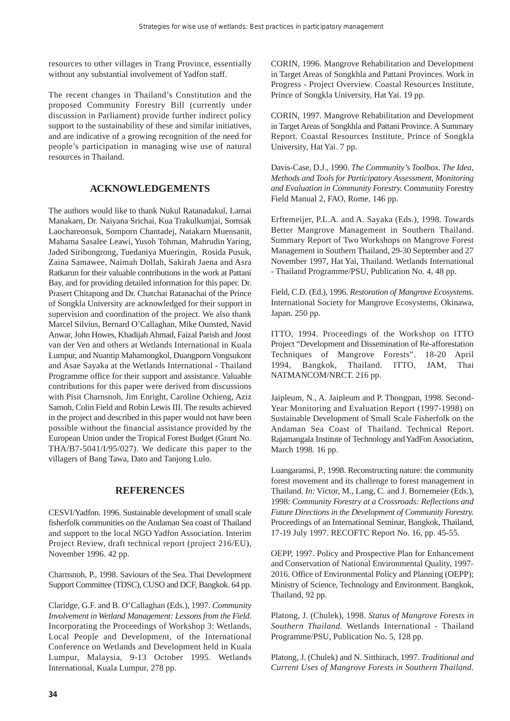resources to other villages in Trang Province, essentially without any substantial involvement of Yadfon staff.

The recent changes in Thailand's Constitution and the proposed Community Forestry Bill (currently under discussion in Parliament) provide further indirect policy support to the sustainability of these and similar initiatives, and are indicative of a growing recognition of the need for people's participation in managing wise use of natural resources in Thailand.

## **ACKNOWLEDGEMENTS**

The authors would like to thank Nukul Ratanadakul, Lamai Manakarn, Dr. Naiyana Srichai, Kua Trakulkumjai, Somsak Laochareonsuk, Somporn Chantadej, Natakarn Muensanit, Mahama Sasalee Leawi, Yusoh Tohman, Mahrudin Yaring, Jaded Siribongrong, Tuedaniya Mueringin, Rosida Pusuk, Zaina Samawee, Naimah Dollah, Sakirah Jaena and Asra Ratkarun for their valuable contributions in the work at Pattani Bay, and for providing detailed information for this paper. Dr. Prasert Chitapong and Dr. Chatchai Ratanachai of the Prince of Songkla University are acknowledged for their support in supervision and coordination of the project. We also thank Marcel Silvius, Bernard O'Callaghan, Mike Ounsted, Navid Anwar, John Howes, Khadijah Ahmad, Faizal Parish and Joost van der Ven and others at Wetlands International in Kuala Lumpur, and Nuantip Mahamongkol, Duangporn Vongsukont and Asae Sayaka at the Wetlands International - Thailand Programme office for their support and assistance. Valuable contributions for this paper were derived from discussions with Pisit Charnsnoh, Jim Enright, Caroline Ochieng, Aziz Samoh, Colin Field and Robin Lewis III. The results achieved in the project and described in this paper would not have been possible without the financial assistance provided by the European Union under the Tropical Forest Budget (Grant No. THA/B7-5041/I/95/027). We dedicate this paper to the villagers of Bang Tawa, Dato and Tanjong Lulo.

### **REFERENCES**

CESVI/Yadfon. 1996. Sustainable development of small scale fisherfolk communities on the Andaman Sea coast of Thailand and support to the local NGO Yadfon Association. Interim Project Review, draft technical report (project 216/EU), November 1996. 42 pp.

Charnsnoh, P., 1998. Saviours of the Sea. Thai Development Support Committee (TDSC), CUSO and DCF, Bangkok. 64 pp.

Claridge, G.F. and B. O'Callaghan (Eds.), 1997. *Community Involvement in Wetland Management: Lessons from the Field.* Incorporating the Proceedings of Workshop 3: Wetlands, Local People and Development, of the International Conference on Wetlands and Development held in Kuala Lumpur, Malaysia, 9-13 October 1995. Wetlands International, Kuala Lumpur, 278 pp.

CORIN, 1996. Mangrove Rehabilitation and Development in Target Areas of Songkhla and Pattani Provinces. Work in Progress - Project Overview. Coastal Resources Institute, Prince of Songkla University, Hat Yai. 19 pp.

CORIN, 1997. Mangrove Rehabilitation and Development in Target Areas of Songkhla and Pattani Province. A Summary Report. Coastal Resources Institute, Prince of Songkla University, Hat Yai. 7 pp.

Davis-Case, D.J., 1990. *The Community's Toolbox. The Idea, Methods and Tools for Participatory Assessment, Monitoring and Evaluation in Community Forestry.* Community Forestry Field Manual 2, FAO, Rome, 146 pp.

Erftemeijer, P.L.A. and A. Sayaka (Eds.), 1998. Towards Better Mangrove Management in Southern Thailand. Summary Report of Two Workshops on Mangrove Forest Management in Southern Thailand, 29-30 September and 27 November 1997, Hat Yai, Thailand. Wetlands International - Thailand Programme/PSU, Publication No. 4, 48 pp.

Field, C.D. (Ed.), 1996. *Restoration of Mangrove Ecosystems.* International Society for Mangrove Ecosystems, Okinawa, Japan. 250 pp.

ITTO, 1994. Proceedings of the Workshop on ITTO Project "Development and Dissemination of Re-afforestation Techniques of Mangrove Forests". 18-20 April 1994, Bangkok, Thailand. ITTO, JAM, Thai NATMANCOM/NRCT. 216 pp.

Jaipleum, N., A. Jaipleum and P. Thongpan, 1998. Second-Year Monitoring and Evaluation Report (1997-1998) on Sustainable Development of Small Scale Fisherfolk on the Andaman Sea Coast of Thailand. Technical Report. Rajamangala Institute of Technology and YadFon Association, March 1998. 16 pp.

Luangaramsi, P., 1998. Reconstructing nature: the community forest movement and its challenge to forest management in Thailand. *In:* Victor, M., Lang, C. and J. Bornemeier (Eds.), 1998: *Community Forestry at a Crossroads: Reflections and Future Directions in the Development of Community Forestry.* Proceedings of an International Seminar, Bangkok, Thailand, 17-19 July 1997. RECOFTC Report No. 16, pp. 45-55.

OEPP, 1997. Policy and Prospective Plan for Enhancement and Conservation of National Environmental Quality, 1997- 2016. Office of Environmental Policy and Planning (OEPP); Ministry of Science, Technology and Environment. Bangkok, Thailand, 92 pp.

Platong, J. (Chulek), 1998. *Status of Mangrove Forests in Southern Thailand.* Wetlands International - Thailand Programme/PSU, Publication No. 5, 128 pp.

Platong, J. (Chulek) and N. Sitthirach, 1997. *Traditional and Current Uses of Mangrove Forests in Southern Thailand.*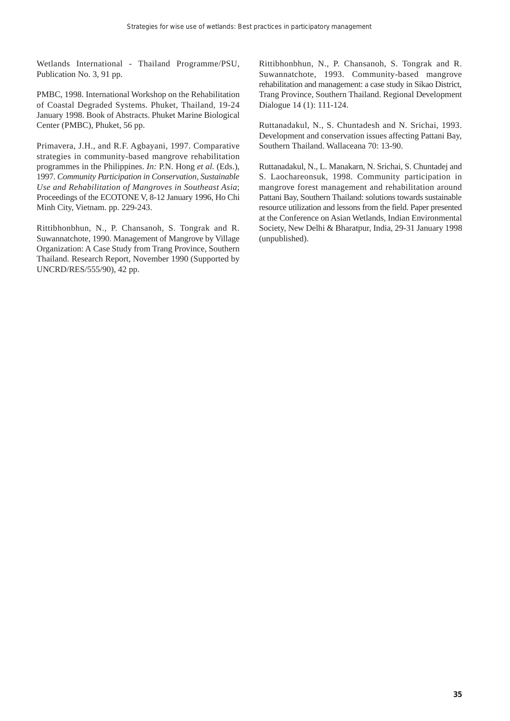Wetlands International - Thailand Programme/PSU, Publication No. 3, 91 pp.

PMBC, 1998. International Workshop on the Rehabilitation of Coastal Degraded Systems. Phuket, Thailand, 19-24 January 1998. Book of Abstracts. Phuket Marine Biological Center (PMBC), Phuket, 56 pp.

Primavera, J.H., and R.F. Agbayani, 1997. Comparative strategies in community-based mangrove rehabilitation programmes in the Philippines. *In:* P.N. Hong *et al.* (Eds.), 1997. *Community Participation in Conservation, Sustainable Use and Rehabilitation of Mangroves in Southeast Asia*; Proceedings of the ECOTONE V, 8-12 January 1996, Ho Chi Minh City, Vietnam. pp. 229-243.

Rittibhonbhun, N., P. Chansanoh, S. Tongrak and R. Suwannatchote, 1990. Management of Mangrove by Village Organization: A Case Study from Trang Province, Southern Thailand. Research Report, November 1990 (Supported by UNCRD/RES/555/90), 42 pp.

Rittibhonbhun, N., P. Chansanoh, S. Tongrak and R. Suwannatchote, 1993. Community-based mangrove rehabilitation and management: a case study in Sikao District, Trang Province, Southern Thailand. Regional Development Dialogue 14 (1): 111-124.

Ruttanadakul, N., S. Chuntadesh and N. Srichai, 1993. Development and conservation issues affecting Pattani Bay, Southern Thailand. Wallaceana 70: 13-90.

Ruttanadakul, N., L. Manakarn, N. Srichai, S. Chuntadej and S. Laochareonsuk, 1998. Community participation in mangrove forest management and rehabilitation around Pattani Bay, Southern Thailand: solutions towards sustainable resource utilization and lessons from the field. Paper presented at the Conference on Asian Wetlands, Indian Environmental Society, New Delhi & Bharatpur, India, 29-31 January 1998 (unpublished).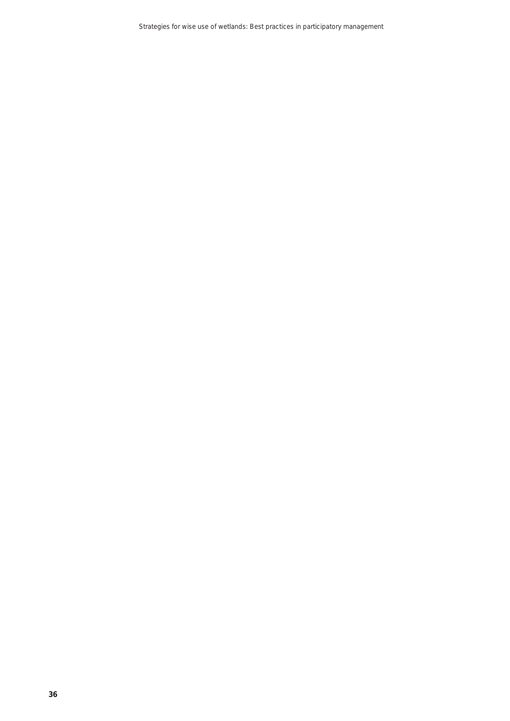Strategies for wise use of wetlands: Best practices in participatory management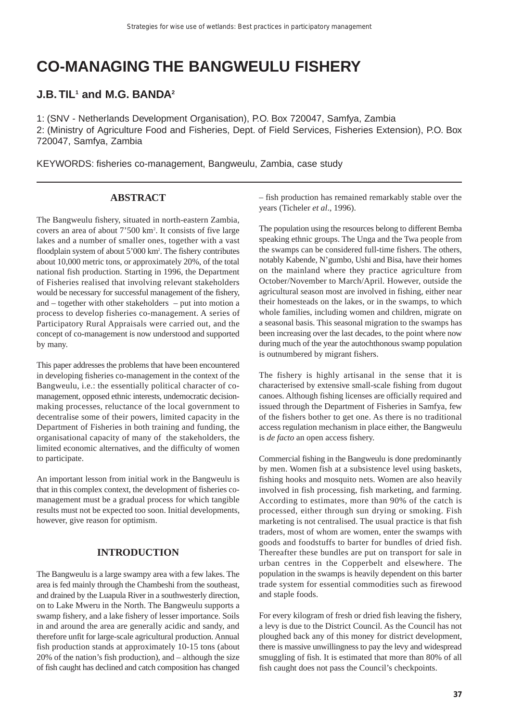# **CO-MANAGING THE BANGWEULU FISHERY**

## **J.B. TIL1 and M.G. BANDA2**

1: (SNV - Netherlands Development Organisation), P.O. Box 720047, Samfya, Zambia 2: (Ministry of Agriculture Food and Fisheries, Dept. of Field Services, Fisheries Extension), P.O. Box 720047, Samfya, Zambia

KEYWORDS: fisheries co-management, Bangweulu, Zambia, case study

### **ABSTRACT**

The Bangweulu fishery, situated in north-eastern Zambia, covers an area of about 7'500 km2 . It consists of five large lakes and a number of smaller ones, together with a vast floodplain system of about 5'000 km2 . The fishery contributes about 10,000 metric tons, or approximately 20%, of the total national fish production. Starting in 1996, the Department of Fisheries realised that involving relevant stakeholders would be necessary for successful management of the fishery, and – together with other stakeholders – put into motion a process to develop fisheries co-management. A series of Participatory Rural Appraisals were carried out, and the concept of co-management is now understood and supported by many.

This paper addresses the problems that have been encountered in developing fisheries co-management in the context of the Bangweulu, i.e.: the essentially political character of comanagement, opposed ethnic interests, undemocratic decisionmaking processes, reluctance of the local government to decentralise some of their powers, limited capacity in the Department of Fisheries in both training and funding, the organisational capacity of many of the stakeholders, the limited economic alternatives, and the difficulty of women to participate.

An important lesson from initial work in the Bangweulu is that in this complex context, the development of fisheries comanagement must be a gradual process for which tangible results must not be expected too soon. Initial developments, however, give reason for optimism.

### **INTRODUCTION**

The Bangweulu is a large swampy area with a few lakes. The area is fed mainly through the Chambeshi from the southeast, and drained by the Luapula River in a southwesterly direction, on to Lake Mweru in the North. The Bangweulu supports a swamp fishery, and a lake fishery of lesser importance. Soils in and around the area are generally acidic and sandy, and therefore unfit for large-scale agricultural production. Annual fish production stands at approximately 10-15 tons (about 20% of the nation's fish production), and – although the size of fish caught has declined and catch composition has changed

– fish production has remained remarkably stable over the years (Ticheler *et al*., 1996).

The population using the resources belong to different Bemba speaking ethnic groups. The Unga and the Twa people from the swamps can be considered full-time fishers. The others, notably Kabende, N'gumbo, Ushi and Bisa, have their homes on the mainland where they practice agriculture from October/November to March/April. However, outside the agricultural season most are involved in fishing, either near their homesteads on the lakes, or in the swamps, to which whole families, including women and children, migrate on a seasonal basis. This seasonal migration to the swamps has been increasing over the last decades, to the point where now during much of the year the autochthonous swamp population is outnumbered by migrant fishers.

The fishery is highly artisanal in the sense that it is characterised by extensive small-scale fishing from dugout canoes. Although fishing licenses are officially required and issued through the Department of Fisheries in Samfya, few of the fishers bother to get one. As there is no traditional access regulation mechanism in place either, the Bangweulu is *de facto* an open access fishery.

Commercial fishing in the Bangweulu is done predominantly by men. Women fish at a subsistence level using baskets, fishing hooks and mosquito nets. Women are also heavily involved in fish processing, fish marketing, and farming. According to estimates, more than 90% of the catch is processed, either through sun drying or smoking. Fish marketing is not centralised. The usual practice is that fish traders, most of whom are women, enter the swamps with goods and foodstuffs to barter for bundles of dried fish. Thereafter these bundles are put on transport for sale in urban centres in the Copperbelt and elsewhere. The population in the swamps is heavily dependent on this barter trade system for essential commodities such as firewood and staple foods.

For every kilogram of fresh or dried fish leaving the fishery, a levy is due to the District Council. As the Council has not ploughed back any of this money for district development, there is massive unwillingness to pay the levy and widespread smuggling of fish. It is estimated that more than 80% of all fish caught does not pass the Council's checkpoints.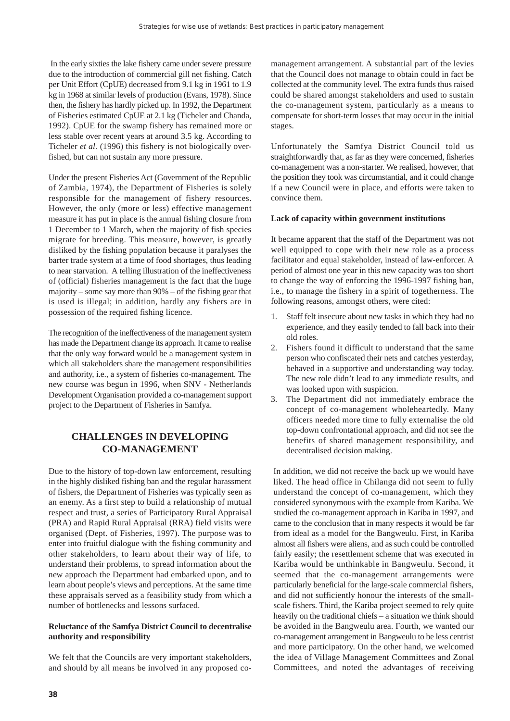In the early sixties the lake fishery came under severe pressure due to the introduction of commercial gill net fishing. Catch per Unit Effort (CpUE) decreased from 9.1 kg in 1961 to 1.9 kg in 1968 at similar levels of production (Evans, 1978). Since then, the fishery has hardly picked up. In 1992, the Department of Fisheries estimated CpUE at 2.1 kg (Ticheler and Chanda, 1992). CpUE for the swamp fishery has remained more or less stable over recent years at around 3.5 kg. According to Ticheler *et al.* (1996) this fishery is not biologically overfished, but can not sustain any more pressure.

Under the present Fisheries Act (Government of the Republic of Zambia, 1974), the Department of Fisheries is solely responsible for the management of fishery resources. However, the only (more or less) effective management measure it has put in place is the annual fishing closure from 1 December to 1 March, when the majority of fish species migrate for breeding. This measure, however, is greatly disliked by the fishing population because it paralyses the barter trade system at a time of food shortages, thus leading to near starvation. A telling illustration of the ineffectiveness of (official) fisheries management is the fact that the huge majority – some say more than 90% – of the fishing gear that is used is illegal; in addition, hardly any fishers are in possession of the required fishing licence.

The recognition of the ineffectiveness of the management system has made the Department change its approach. It came to realise that the only way forward would be a management system in which all stakeholders share the management responsibilities and authority, i.e., a system of fisheries co-management. The new course was begun in 1996, when SNV - Netherlands Development Organisation provided a co-management support project to the Department of Fisheries in Samfya.

## **CHALLENGES IN DEVELOPING CO-MANAGEMENT**

Due to the history of top-down law enforcement, resulting in the highly disliked fishing ban and the regular harassment of fishers, the Department of Fisheries was typically seen as an enemy. As a first step to build a relationship of mutual respect and trust, a series of Participatory Rural Appraisal (PRA) and Rapid Rural Appraisal (RRA) field visits were organised (Dept. of Fisheries, 1997). The purpose was to enter into fruitful dialogue with the fishing community and other stakeholders, to learn about their way of life, to understand their problems, to spread information about the new approach the Department had embarked upon, and to learn about people's views and perceptions. At the same time these appraisals served as a feasibility study from which a number of bottlenecks and lessons surfaced.

#### **Reluctance of the Samfya District Council to decentralise authority and responsibility**

We felt that the Councils are very important stakeholders, and should by all means be involved in any proposed comanagement arrangement. A substantial part of the levies that the Council does not manage to obtain could in fact be collected at the community level. The extra funds thus raised could be shared amongst stakeholders and used to sustain the co-management system, particularly as a means to compensate for short-term losses that may occur in the initial stages.

Unfortunately the Samfya District Council told us straightforwardly that, as far as they were concerned, fisheries co-management was a non-starter. We realised, however, that the position they took was circumstantial, and it could change if a new Council were in place, and efforts were taken to convince them.

#### **Lack of capacity within government institutions**

It became apparent that the staff of the Department was not well equipped to cope with their new role as a process facilitator and equal stakeholder, instead of law-enforcer. A period of almost one year in this new capacity was too short to change the way of enforcing the 1996-1997 fishing ban, i.e., to manage the fishery in a spirit of togetherness. The following reasons, amongst others, were cited:

- Staff felt insecure about new tasks in which they had no experience, and they easily tended to fall back into their old roles.
- 2. Fishers found it difficult to understand that the same person who confiscated their nets and catches yesterday, behaved in a supportive and understanding way today. The new role didn't lead to any immediate results, and was looked upon with suspicion.
- 3. The Department did not immediately embrace the concept of co-management wholeheartedly. Many officers needed more time to fully externalise the old top-down confrontational approach, and did not see the benefits of shared management responsibility, and decentralised decision making.

In addition, we did not receive the back up we would have liked. The head office in Chilanga did not seem to fully understand the concept of co-management, which they considered synonymous with the example from Kariba. We studied the co-management approach in Kariba in 1997, and came to the conclusion that in many respects it would be far from ideal as a model for the Bangweulu. First, in Kariba almost all fishers were aliens, and as such could be controlled fairly easily; the resettlement scheme that was executed in Kariba would be unthinkable in Bangweulu. Second, it seemed that the co-management arrangements were particularly beneficial for the large-scale commercial fishers, and did not sufficiently honour the interests of the smallscale fishers. Third, the Kariba project seemed to rely quite heavily on the traditional chiefs – a situation we think should be avoided in the Bangweulu area. Fourth, we wanted our co-management arrangement in Bangweulu to be less centrist and more participatory. On the other hand, we welcomed the idea of Village Management Committees and Zonal Committees, and noted the advantages of receiving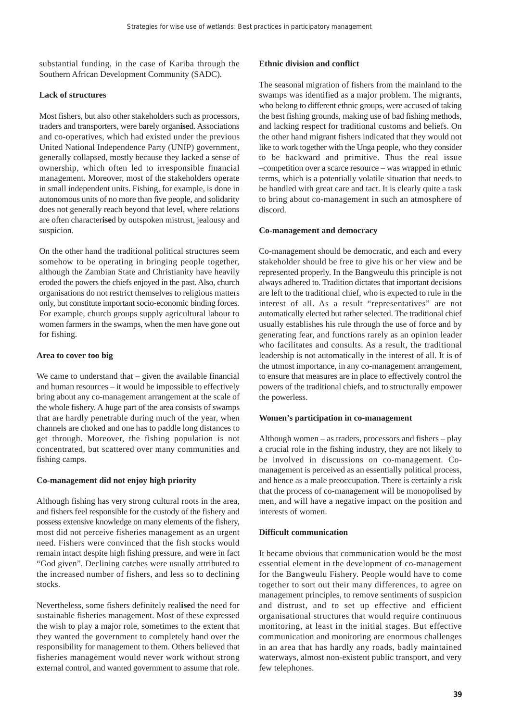substantial funding, in the case of Kariba through the Southern African Development Community (SADC).

#### **Lack of structures**

Most fishers, but also other stakeholders such as processors, traders and transporters, were barely organ**ise**d. Associations and co-operatives, which had existed under the previous United National Independence Party (UNIP) government, generally collapsed, mostly because they lacked a sense of ownership, which often led to irresponsible financial management. Moreover, most of the stakeholders operate in small independent units. Fishing, for example, is done in autonomous units of no more than five people, and solidarity does not generally reach beyond that level, where relations are often character**ise**d by outspoken mistrust, jealousy and suspicion.

On the other hand the traditional political structures seem somehow to be operating in bringing people together, although the Zambian State and Christianity have heavily eroded the powers the chiefs enjoyed in the past. Also, church organisations do not restrict themselves to religious matters only, but constitute important socio-economic binding forces. For example, church groups supply agricultural labour to women farmers in the swamps, when the men have gone out for fishing.

#### **Area to cover too big**

We came to understand that – given the available financial and human resources – it would be impossible to effectively bring about any co-management arrangement at the scale of the whole fishery. A huge part of the area consists of swamps that are hardly penetrable during much of the year, when channels are choked and one has to paddle long distances to get through. Moreover, the fishing population is not concentrated, but scattered over many communities and fishing camps.

#### **Co-management did not enjoy high priority**

Although fishing has very strong cultural roots in the area, and fishers feel responsible for the custody of the fishery and possess extensive knowledge on many elements of the fishery, most did not perceive fisheries management as an urgent need. Fishers were convinced that the fish stocks would remain intact despite high fishing pressure, and were in fact "God given". Declining catches were usually attributed to the increased number of fishers, and less so to declining stocks.

Nevertheless, some fishers definitely real**ise**d the need for sustainable fisheries management. Most of these expressed the wish to play a major role, sometimes to the extent that they wanted the government to completely hand over the responsibility for management to them. Others believed that fisheries management would never work without strong external control, and wanted government to assume that role.

#### **Ethnic division and conflict**

The seasonal migration of fishers from the mainland to the swamps was identified as a major problem. The migrants, who belong to different ethnic groups, were accused of taking the best fishing grounds, making use of bad fishing methods, and lacking respect for traditional customs and beliefs. On the other hand migrant fishers indicated that they would not like to work together with the Unga people, who they consider to be backward and primitive. Thus the real issue –competition over a scarce resource – was wrapped in ethnic terms, which is a potentially volatile situation that needs to be handled with great care and tact. It is clearly quite a task to bring about co-management in such an atmosphere of discord.

#### **Co-management and democracy**

Co-management should be democratic, and each and every stakeholder should be free to give his or her view and be represented properly. In the Bangweulu this principle is not always adhered to. Tradition dictates that important decisions are left to the traditional chief, who is expected to rule in the interest of all. As a result "representatives" are not automatically elected but rather selected. The traditional chief usually establishes his rule through the use of force and by generating fear, and functions rarely as an opinion leader who facilitates and consults. As a result, the traditional leadership is not automatically in the interest of all. It is of the utmost importance, in any co-management arrangement, to ensure that measures are in place to effectively control the powers of the traditional chiefs, and to structurally empower the powerless.

#### **Women's participation in co-management**

Although women – as traders, processors and fishers – play a crucial role in the fishing industry, they are not likely to be involved in discussions on co-management. Comanagement is perceived as an essentially political process, and hence as a male preoccupation. There is certainly a risk that the process of co-management will be monopolised by men, and will have a negative impact on the position and interests of women.

#### **Difficult communication**

It became obvious that communication would be the most essential element in the development of co-management for the Bangweulu Fishery. People would have to come together to sort out their many differences, to agree on management principles, to remove sentiments of suspicion and distrust, and to set up effective and efficient organisational structures that would require continuous monitoring, at least in the initial stages. But effective communication and monitoring are enormous challenges in an area that has hardly any roads, badly maintained waterways, almost non-existent public transport, and very few telephones.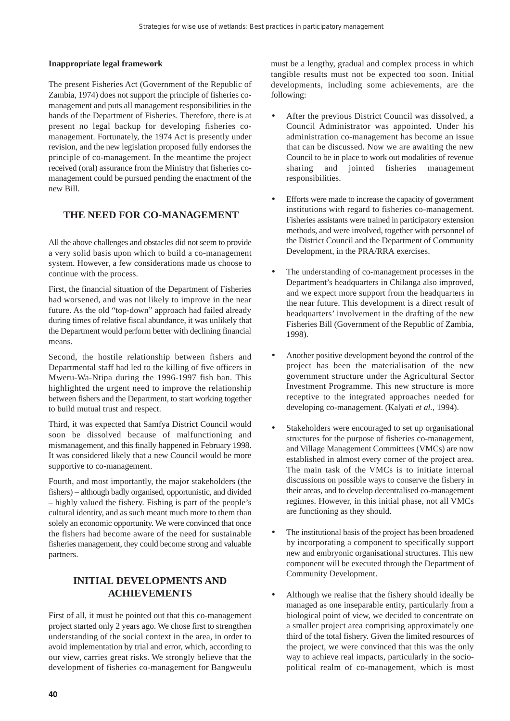#### **Inappropriate legal framework**

The present Fisheries Act (Government of the Republic of Zambia, 1974) does not support the principle of fisheries comanagement and puts all management responsibilities in the hands of the Department of Fisheries. Therefore, there is at present no legal backup for developing fisheries comanagement. Fortunately, the 1974 Act is presently under revision, and the new legislation proposed fully endorses the principle of co-management. In the meantime the project received (oral) assurance from the Ministry that fisheries comanagement could be pursued pending the enactment of the new Bill.

## **THE NEED FOR CO-MANAGEMENT**

All the above challenges and obstacles did not seem to provide a very solid basis upon which to build a co-management system. However, a few considerations made us choose to continue with the process.

First, the financial situation of the Department of Fisheries had worsened, and was not likely to improve in the near future. As the old "top-down" approach had failed already during times of relative fiscal abundance, it was unlikely that the Department would perform better with declining financial means.

Second, the hostile relationship between fishers and Departmental staff had led to the killing of five officers in Mweru-Wa-Ntipa during the 1996-1997 fish ban. This highlighted the urgent need to improve the relationship between fishers and the Department, to start working together to build mutual trust and respect.

Third, it was expected that Samfya District Council would soon be dissolved because of malfunctioning and mismanagement, and this finally happened in February 1998. It was considered likely that a new Council would be more supportive to co-management.

Fourth, and most importantly, the major stakeholders (the fishers) – although badly organised, opportunistic, and divided – highly valued the fishery. Fishing is part of the people's cultural identity, and as such meant much more to them than solely an economic opportunity. We were convinced that once the fishers had become aware of the need for sustainable fisheries management, they could become strong and valuable partners.

## **INITIAL DEVELOPMENTS AND ACHIEVEMENTS**

First of all, it must be pointed out that this co-management project started only 2 years ago. We chose first to strengthen understanding of the social context in the area, in order to avoid implementation by trial and error, which, according to our view, carries great risks. We strongly believe that the development of fisheries co-management for Bangweulu

must be a lengthy, gradual and complex process in which tangible results must not be expected too soon. Initial developments, including some achievements, are the following:

- After the previous District Council was dissolved, a Council Administrator was appointed. Under his administration co-management has become an issue that can be discussed. Now we are awaiting the new Council to be in place to work out modalities of revenue sharing and jointed fisheries management responsibilities.
- Efforts were made to increase the capacity of government institutions with regard to fisheries co-management. Fisheries assistants were trained in participatory extension methods, and were involved, together with personnel of the District Council and the Department of Community Development, in the PRA/RRA exercises.
- The understanding of co-management processes in the Department's headquarters in Chilanga also improved, and we expect more support from the headquarters in the near future. This development is a direct result of headquarters' involvement in the drafting of the new Fisheries Bill (Government of the Republic of Zambia, 1998).
- Another positive development beyond the control of the project has been the materialisation of the new government structure under the Agricultural Sector Investment Programme. This new structure is more receptive to the integrated approaches needed for developing co-management. (Kalyati *et al.*, 1994).
- Stakeholders were encouraged to set up organisational structures for the purpose of fisheries co-management, and Village Management Committees (VMCs) are now established in almost every corner of the project area. The main task of the VMCs is to initiate internal discussions on possible ways to conserve the fishery in their areas, and to develop decentralised co-management regimes. However, in this initial phase, not all VMCs are functioning as they should.
- The institutional basis of the project has been broadened by incorporating a component to specifically support new and embryonic organisational structures. This new component will be executed through the Department of Community Development.
- Although we realise that the fishery should ideally be managed as one inseparable entity, particularly from a biological point of view, we decided to concentrate on a smaller project area comprising approximately one third of the total fishery. Given the limited resources of the project, we were convinced that this was the only way to achieve real impacts, particularly in the sociopolitical realm of co-management, which is most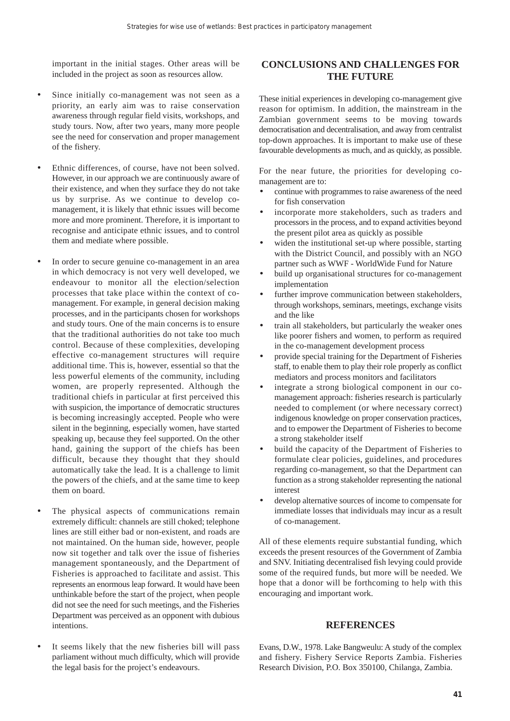important in the initial stages. Other areas will be included in the project as soon as resources allow.

- Since initially co-management was not seen as a priority, an early aim was to raise conservation awareness through regular field visits, workshops, and study tours. Now, after two years, many more people see the need for conservation and proper management of the fishery.
- Ethnic differences, of course, have not been solved. However, in our approach we are continuously aware of their existence, and when they surface they do not take us by surprise. As we continue to develop comanagement, it is likely that ethnic issues will become more and more prominent. Therefore, it is important to recognise and anticipate ethnic issues, and to control them and mediate where possible.
- In order to secure genuine co-management in an area in which democracy is not very well developed, we endeavour to monitor all the election/selection processes that take place within the context of comanagement. For example, in general decision making processes, and in the participants chosen for workshops and study tours. One of the main concerns is to ensure that the traditional authorities do not take too much control. Because of these complexities, developing effective co-management structures will require additional time. This is, however, essential so that the less powerful elements of the community, including women, are properly represented. Although the traditional chiefs in particular at first perceived this with suspicion, the importance of democratic structures is becoming increasingly accepted. People who were silent in the beginning, especially women, have started speaking up, because they feel supported. On the other hand, gaining the support of the chiefs has been difficult, because they thought that they should automatically take the lead. It is a challenge to limit the powers of the chiefs, and at the same time to keep them on board.
- The physical aspects of communications remain extremely difficult: channels are still choked; telephone lines are still either bad or non-existent, and roads are not maintained. On the human side, however, people now sit together and talk over the issue of fisheries management spontaneously, and the Department of Fisheries is approached to facilitate and assist. This represents an enormous leap forward. It would have been unthinkable before the start of the project, when people did not see the need for such meetings, and the Fisheries Department was perceived as an opponent with dubious intentions.
- It seems likely that the new fisheries bill will pass parliament without much difficulty, which will provide the legal basis for the project's endeavours.

## **CONCLUSIONS AND CHALLENGES FOR THE FUTURE**

These initial experiences in developing co-management give reason for optimism. In addition, the mainstream in the Zambian government seems to be moving towards democratisation and decentralisation, and away from centralist top-down approaches. It is important to make use of these favourable developments as much, and as quickly, as possible.

For the near future, the priorities for developing comanagement are to:

- continue with programmes to raise awareness of the need for fish conservation
- incorporate more stakeholders, such as traders and processors in the process, and to expand activities beyond the present pilot area as quickly as possible
- widen the institutional set-up where possible, starting with the District Council, and possibly with an NGO partner such as WWF - WorldWide Fund for Nature
- build up organisational structures for co-management implementation
- further improve communication between stakeholders, through workshops, seminars, meetings, exchange visits and the like
- train all stakeholders, but particularly the weaker ones like poorer fishers and women, to perform as required in the co-management development process
- provide special training for the Department of Fisheries staff, to enable them to play their role properly as conflict mediators and process monitors and facilitators
- integrate a strong biological component in our comanagement approach: fisheries research is particularly needed to complement (or where necessary correct) indigenous knowledge on proper conservation practices, and to empower the Department of Fisheries to become a strong stakeholder itself
- build the capacity of the Department of Fisheries to formulate clear policies, guidelines, and procedures regarding co-management, so that the Department can function as a strong stakeholder representing the national interest
- develop alternative sources of income to compensate for immediate losses that individuals may incur as a result of co-management.

All of these elements require substantial funding, which exceeds the present resources of the Government of Zambia and SNV. Initiating decentralised fish levying could provide some of the required funds, but more will be needed. We hope that a donor will be forthcoming to help with this encouraging and important work.

## **REFERENCES**

Evans, D.W., 1978. Lake Bangweulu: A study of the complex and fishery. Fishery Service Reports Zambia. Fisheries Research Division, P.O. Box 350100, Chilanga, Zambia.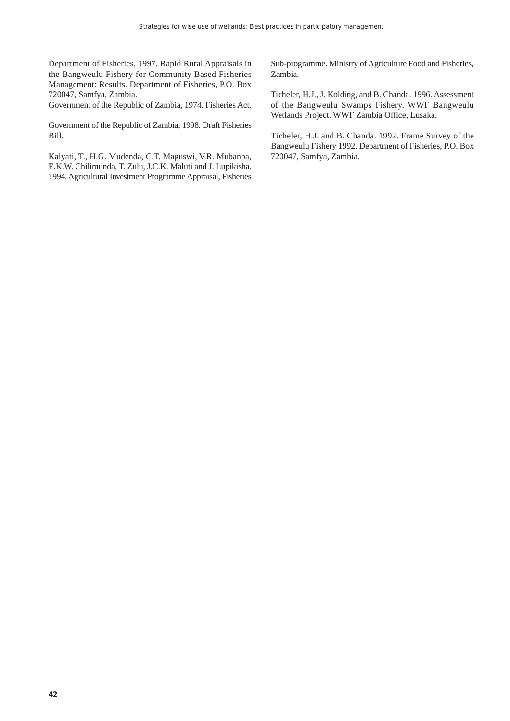Department of Fisheries, 1997. Rapid Rural Appraisals in the Bangweulu Fishery for Community Based Fisheries Management: Results. Department of Fisheries, P.O. Box 720047, Samfya, Zambia.

Government of the Republic of Zambia, 1974. Fisheries Act.

Government of the Republic of Zambia, 1998. Draft Fisheries Bill.

Kalyati, T., H.G. Mudenda, C.T. Maguswi, V.R. Mubanba, E.K.W. Chilimunda, T. Zulu, J.C.K. Maluti and J. Lupikisha. 1994. Agricultural Investment Programme Appraisal, Fisheries Sub-programme. Ministry of Agriculture Food and Fisheries, Zambia.

Ticheler, H.J., J. Kolding, and B. Chanda. 1996. Assessment of the Bangweulu Swamps Fishery. WWF Bangweulu Wetlands Project. WWF Zambia Office, Lusaka.

Ticheler, H.J. and B. Chanda. 1992. Frame Survey of the Bangweulu Fishery 1992. Department of Fisheries, P.O. Box 720047, Samfya, Zambia.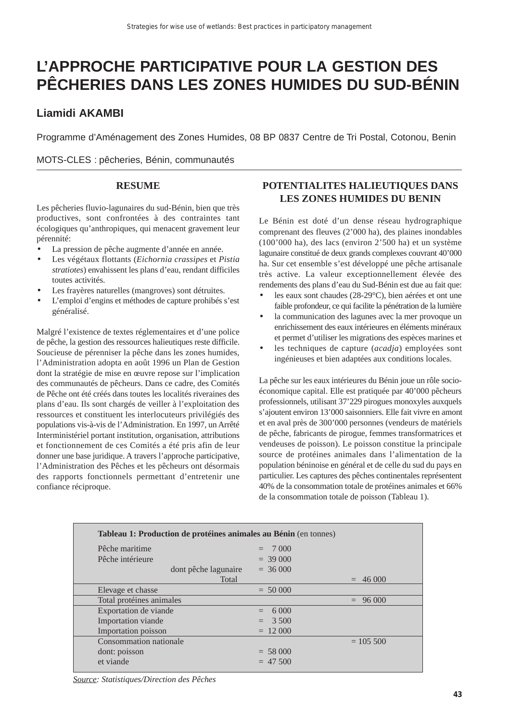# **L'APPROCHE PARTICIPATIVE POUR LA GESTION DES PÊCHERIES DANS LES ZONES HUMIDES DU SUD-BÉNIN**

## **Liamidi AKAMBI**

Programme d'Aménagement des Zones Humides, 08 BP 0837 Centre de Tri Postal, Cotonou, Benin

MOTS-CLES : pêcheries, Bénin, communautés

## **RESUME**

Les pêcheries fluvio-lagunaires du sud-Bénin, bien que très productives, sont confrontées à des contraintes tant écologiques qu'anthropiques, qui menacent gravement leur pérennité:

- La pression de pêche augmente d'année en année.
- Les végétaux flottants (*Eichornia crassipes* et *Pistia stratiotes*) envahissent les plans d'eau, rendant difficiles toutes activités.
- Les frayères naturelles (mangroves) sont détruites.
- L'emploi d'engins et méthodes de capture prohibés s'est généralisé.

Malgré l'existence de textes réglementaires et d'une police de pêche, la gestion des ressources halieutiques reste difficile. Soucieuse de pérenniser la pêche dans les zones humides, l'Administration adopta en août 1996 un Plan de Gestion dont la stratégie de mise en œuvre repose sur l'implication des communautés de pêcheurs. Dans ce cadre, des Comités de Pêche ont été créés dans toutes les localités riveraines des plans d'eau. Ils sont chargés de veiller à l'exploitation des ressources et constituent les interlocuteurs privilégiés des populations vis-à-vis de l'Administration. En 1997, un Arrêté Interministériel portant institution, organisation, attributions et fonctionnement de ces Comités a été pris afin de leur donner une base juridique. A travers l'approche participative, l'Administration des Pêches et les pêcheurs ont désormais des rapports fonctionnels permettant d'entretenir une confiance réciproque.

## **POTENTIALITES HALIEUTIQUES DANS LES ZONES HUMIDES DU BENIN**

Le Bénin est doté d'un dense réseau hydrographique comprenant des fleuves (2'000 ha), des plaines inondables (100'000 ha), des lacs (environ 2'500 ha) et un système lagunaire constitué de deux grands complexes couvrant 40'000 ha. Sur cet ensemble s'est développé une pêche artisanale très active. La valeur exceptionnellement élevée des rendements des plans d'eau du Sud-Bénin est due au fait que:

- les eaux sont chaudes (28-29°C), bien aérées et ont une faible profondeur, ce qui facilite la pénétration de la lumière
- la communication des lagunes avec la mer provoque un enrichissement des eaux intérieures en éléments minéraux et permet d'utiliser les migrations des espèces marines et
- les techniques de capture (*acadja*) employées sont ingénieuses et bien adaptées aux conditions locales.

La pêche sur les eaux intérieures du Bénin joue un rôle socioéconomique capital. Elle est pratiquée par 40'000 pêcheurs professionnels, utilisant 37'229 pirogues monoxyles auxquels s'ajoutent environ 13'000 saisonniers. Elle fait vivre en amont et en aval près de 300'000 personnes (vendeurs de matériels de pêche, fabricants de pirogue, femmes transformatrices et vendeuses de poisson). Le poisson constitue la principale source de protéines animales dans l'alimentation de la population béninoise en général et de celle du sud du pays en particulier. Les captures des pêches continentales représentent 40% de la consommation totale de protéines animales et 66% de la consommation totale de poisson (Tableau 1).

| Tableau 1: Production de protéines animales au Bénin (en tonnes) |            |             |  |  |
|------------------------------------------------------------------|------------|-------------|--|--|
| Pêche maritime                                                   | $= 7000$   |             |  |  |
| Pêche intérieure                                                 | $=$ 39 000 |             |  |  |
| dont pêche lagunaire                                             | $=$ 36 000 |             |  |  |
| Total                                                            |            | 46 000      |  |  |
| Elevage et chasse                                                | $= 50000$  |             |  |  |
| Total protéines animales                                         |            | $= 96000$   |  |  |
| Exportation de viande                                            | 6 0 0 0    |             |  |  |
| Importation viande                                               | $= 3500$   |             |  |  |
| Importation poisson                                              | $= 12000$  |             |  |  |
| Consommation nationale                                           |            | $= 105,500$ |  |  |
| dont: poisson                                                    | $= 58000$  |             |  |  |
| et viande                                                        | $= 47,500$ |             |  |  |
|                                                                  |            |             |  |  |

*Source: Statistiques/Direction des Pêches*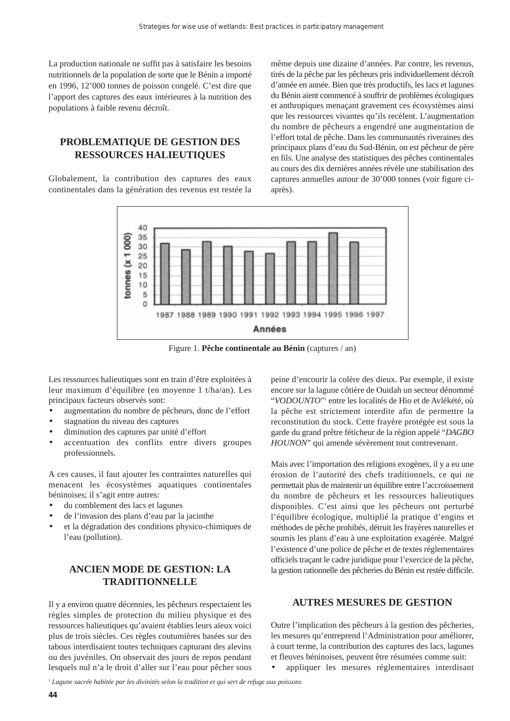La production nationale ne suffit pas à satisfaire les besoins nutritionnels de la population de sorte que le Bénin a importé en 1996, 12'000 tonnes de poisson congelé. C'est dire que l'apport des captures des eaux intérieures à la nutrition des populations à faible revenu décroît.

## **PROBLEMATIQUE DE GESTION DES RESSOURCES HALIEUTIQUES**

Globalement, la contribution des captures des eaux continentales dans la génération des revenus est restée la

même depuis une dizaine d'années. Par contre, les revenus, tirés de la pêche par les pêcheurs pris individuellement décroît d'année en année. Bien que très productifs, les lacs et lagunes du Bénin aient commencé à souffrir de problèmes écologiques et anthropiques menaçant gravement ces écosystèmes ainsi que les ressources vivantes qu'ils recèlent. L'augmentation du nombre de pêcheurs a engendré une augmentation de l'effort total de pêche. Dans les communautés riveraines des principaux plans d'eau du Sud-Bénin, on est pêcheur de père en fils. Une analyse des statistiques des pêches continentales au cours des dix dernières années révèle une stabilisation des captures annuelles autour de 30'000 tonnes (voir figure ciaprès).



Figure 1. **Pêche continentale au Bénin** (captures / an)

Les ressources halieutiques sont en train d'être exploitées à leur maximum d'équilibre (en moyenne 1 t/ha/an). Les principaux facteurs observés sont:

- augmentation du nombre de pêcheurs, donc de l'effort
- stagnation du niveau des captures
- diminution des captures par unité d'effort
- accentuation des conflits entre divers groupes professionnels.

A ces causes, il faut ajouter les contraintes naturelles qui menacent les écosystèmes aquatiques continentales béninoises; il s'agit entre autres:

- du comblement des lacs et lagunes
- de l'invasion des plans d'eau par la jacinthe
- et la dégradation des conditions physico-chimiques de l'eau (pollution).

## **ANCIEN MODE DE GESTION: LA TRADITIONNELLE**

Il y a environ quatre décennies, les pêcheurs respectaient les règles simples de protection du milieu physique et des ressources halieutiques qu'avaient établies leurs aïeux voici plus de trois siècles. Ces règles coutumières basées sur des tabous interdisaient toutes techniques capturant des alevins ou des juvéniles. On observait des jours de repos pendant lesquels nul n'a le droit d'aller sur l'eau pour pêcher sous

peine d'encourir la colère des dieux. Par exemple, il existe encore sur la lagune côtière de Ouidah un secteur dénommé "*VODOUNTO*"1 entre les localités de Hio et de Avlékété, où la pêche est strictement interdite afin de permettre la reconstitution du stock. Cette frayère protégée est sous la garde du grand prêtre féticheur de la région appelé "*DAGBO HOUNON*" qui amende sévèrement tout contrevenant.

Mais avec l'importation des religions exogènes, il y a eu une érosion de l'autorité des chefs traditionnels, ce qui ne permettait plus de maintenir un équilibre entre l'accroissement du nombre de pêcheurs et les ressources halieutiques disponibles. C'est ainsi que les pêcheurs ont perturbé l'équilibre écologique, multiplié la pratique d'engins et méthodes de pêche prohibés, détruit les frayères naturelles et soumis les plans d'eau à une exploitation exagérée. Malgré l'existence d'une police de pêche et de textes réglementaires officiels traçant le cadre juridique pour l'exercice de la pêche, la gestion rationnelle des pêcheries du Bénin est restée difficile.

#### **AUTRES MESURES DE GESTION**

Outre l'implication des pêcheurs à la gestion des pêcheries, les mesures qu'entreprend l'Administration pour améliorer, à court terme, la contribution des captures des lacs, lagunes et fleuves béninoises, peuvent être résumées comme suit:

• appliquer les mesures réglementaires interdisant

*<sup>1</sup> Lagune sacrée habitée par les divinités selon la tradition et qui sert de refuge aux poissons*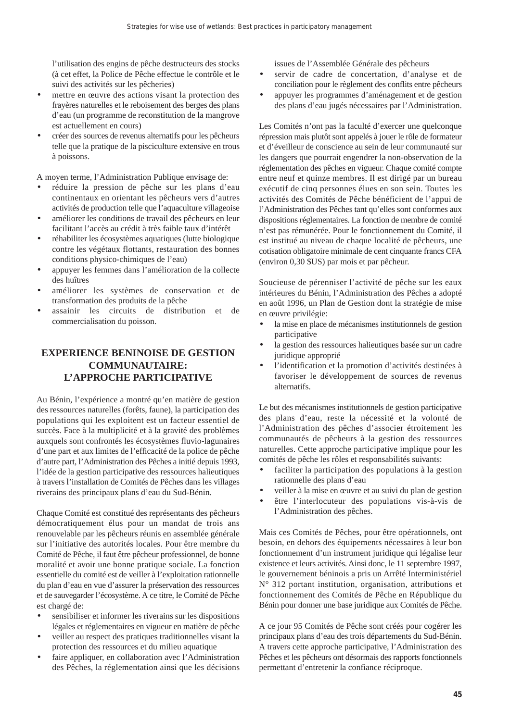l'utilisation des engins de pêche destructeurs des stocks (à cet effet, la Police de Pêche effectue le contrôle et le suivi des activités sur les pêcheries)

- mettre en œuvre des actions visant la protection des frayères naturelles et le reboisement des berges des plans d'eau (un programme de reconstitution de la mangrove est actuellement en cours)
- créer des sources de revenus alternatifs pour les pêcheurs telle que la pratique de la pisciculture extensive en trous à poissons.

A moyen terme, l'Administration Publique envisage de:

- réduire la pression de pêche sur les plans d'eau continentaux en orientant les pêcheurs vers d'autres activités de production telle que l'aquaculture villageoise
- améliorer les conditions de travail des pêcheurs en leur facilitant l'accès au crédit à très faible taux d'intérêt
- réhabiliter les écosystèmes aquatiques (lutte biologique contre les végétaux flottants, restauration des bonnes conditions physico-chimiques de l'eau)
- appuyer les femmes dans l'amélioration de la collecte des huîtres
- améliorer les systèmes de conservation et de transformation des produits de la pêche
- assainir les circuits de distribution et de commercialisation du poisson.

## **EXPERIENCE BENINOISE DE GESTION COMMUNAUTAIRE: L'APPROCHE PARTICIPATIVE**

Au Bénin, l'expérience a montré qu'en matière de gestion des ressources naturelles (forêts, faune), la participation des populations qui les exploitent est un facteur essentiel de succès. Face à la multiplicité et à la gravité des problèmes auxquels sont confrontés les écosystèmes fluvio-lagunaires d'une part et aux limites de l'efficacité de la police de pêche d'autre part, l'Administration des Pêches a initié depuis 1993, l'idée de la gestion participative des ressources halieutiques à travers l'installation de Comités de Pêches dans les villages riverains des principaux plans d'eau du Sud-Bénin.

Chaque Comité est constitué des représentants des pêcheurs démocratiquement élus pour un mandat de trois ans renouvelable par les pêcheurs réunis en assemblée générale sur l'initiative des autorités locales. Pour être membre du Comité de Pêche, il faut être pêcheur professionnel, de bonne moralité et avoir une bonne pratique sociale. La fonction essentielle du comité est de veiller à l'exploitation rationnelle du plan d'eau en vue d'assurer la préservation des ressources et de sauvegarder l'écosystème. A ce titre, le Comité de Pêche est chargé de:

- sensibiliser et informer les riverains sur les dispositions légales et réglementaires en vigueur en matière de pêche
- veiller au respect des pratiques traditionnelles visant la protection des ressources et du milieu aquatique
- faire appliquer, en collaboration avec l'Administration des Pêches, la réglementation ainsi que les décisions

issues de l'Assemblée Générale des pêcheurs

- servir de cadre de concertation, d'analyse et de conciliation pour le règlement des conflits entre pêcheurs
- appuyer les programmes d'aménagement et de gestion des plans d'eau jugés nécessaires par l'Administration.

Les Comités n'ont pas la faculté d'exercer une quelconque répression mais plutôt sont appelés à jouer le rôle de formateur et d'éveilleur de conscience au sein de leur communauté sur les dangers que pourrait engendrer la non-observation de la réglementation des pêches en vigueur. Chaque comité compte entre neuf et quinze membres. Il est dirigé par un bureau exécutif de cinq personnes élues en son sein. Toutes les activités des Comités de Pêche bénéficient de l'appui de l'Administration des Pêches tant qu'elles sont conformes aux dispositions réglementaires. La fonction de membre de comité n'est pas rémunérée. Pour le fonctionnement du Comité, il est institué au niveau de chaque localité de pêcheurs, une cotisation obligatoire minimale de cent cinquante francs CFA (environ 0,30 \$US) par mois et par pêcheur.

Soucieuse de pérenniser l'activité de pêche sur les eaux intérieures du Bénin, l'Administration des Pêches a adopté en août 1996, un Plan de Gestion dont la stratégie de mise en œuvre privilégie:

- la mise en place de mécanismes institutionnels de gestion participative
- la gestion des ressources halieutiques basée sur un cadre juridique approprié
- l'identification et la promotion d'activités destinées à favoriser le développement de sources de revenus alternatifs.

Le but des mécanismes institutionnels de gestion participative des plans d'eau, reste la nécessité et la volonté de l'Administration des pêches d'associer étroitement les communautés de pêcheurs à la gestion des ressources naturelles. Cette approche participative implique pour les comités de pêche les rôles et responsabilités suivants:

- faciliter la participation des populations à la gestion rationnelle des plans d'eau
- veiller à la mise en œuvre et au suivi du plan de gestion
- être l'interlocuteur des populations vis-à-vis de l'Administration des pêches.

Mais ces Comités de Pêches, pour être opérationnels, ont besoin, en dehors des équipements nécessaires à leur bon fonctionnement d'un instrument juridique qui légalise leur existence et leurs activités. Ainsi donc, le 11 septembre 1997, le gouvernement béninois a pris un Arrêté Interministériel N° 312 portant institution, organisation, attributions et fonctionnement des Comités de Pêche en République du Bénin pour donner une base juridique aux Comités de Pêche.

A ce jour 95 Comités de Pêche sont créés pour cogérer les principaux plans d'eau des trois départements du Sud-Bénin. A travers cette approche participative, l'Administration des Pêches et les pêcheurs ont désormais des rapports fonctionnels permettant d'entretenir la confiance réciproque.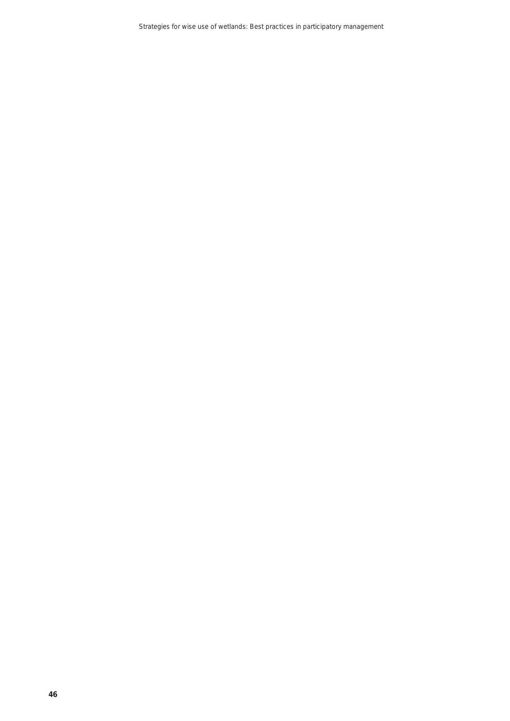Strategies for wise use of wetlands: Best practices in participatory management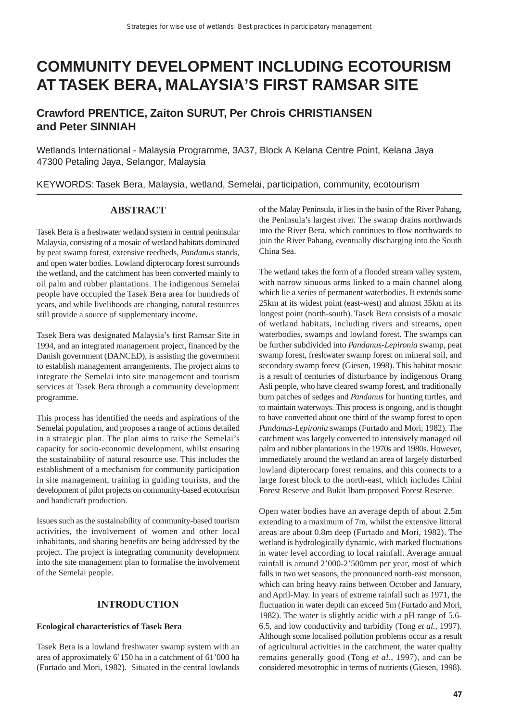# **COMMUNITY DEVELOPMENT INCLUDING ECOTOURISM AT TASEK BERA, MALAYSIA'S FIRST RAMSAR SITE**

## **Crawford PRENTICE, Zaiton SURUT, Per Chrois CHRISTIANSEN and Peter SINNIAH**

Wetlands International - Malaysia Programme, 3A37, Block A Kelana Centre Point, Kelana Jaya 47300 Petaling Jaya, Selangor, Malaysia

KEYWORDS: Tasek Bera, Malaysia, wetland, Semelai, participation, community, ecotourism

## **ABSTRACT**

Tasek Bera is a freshwater wetland system in central peninsular Malaysia, consisting of a mosaic of wetland habitats dominated by peat swamp forest, extensive reedbeds, *Pandanus* stands, and open water bodies. Lowland dipterocarp forest surrounds the wetland, and the catchment has been converted mainly to oil palm and rubber plantations. The indigenous Semelai people have occupied the Tasek Bera area for hundreds of years, and while livelihoods are changing, natural resources still provide a source of supplementary income.

Tasek Bera was designated Malaysia's first Ramsar Site in 1994, and an integrated management project, financed by the Danish government (DANCED), is assisting the government to establish management arrangements. The project aims to integrate the Semelai into site management and tourism services at Tasek Bera through a community development programme.

This process has identified the needs and aspirations of the Semelai population, and proposes a range of actions detailed in a strategic plan. The plan aims to raise the Semelai's capacity for socio-economic development, whilst ensuring the sustainability of natural resource use. This includes the establishment of a mechanism for community participation in site management, training in guiding tourists, and the development of pilot projects on community-based ecotourism and handicraft production.

Issues such as the sustainability of community-based tourism activities, the involvement of women and other local inhabitants, and sharing benefits are being addressed by the project. The project is integrating community development into the site management plan to formalise the involvement of the Semelai people.

## **INTRODUCTION**

#### **Ecological characteristics of Tasek Bera**

Tasek Bera is a lowland freshwater swamp system with an area of approximately 6'150 ha in a catchment of 61'000 ha (Furtado and Mori, 1982). Situated in the central lowlands of the Malay Peninsula, it lies in the basin of the River Pahang, the Peninsula's largest river. The swamp drains northwards into the River Bera, which continues to flow northwards to join the River Pahang, eventually discharging into the South China Sea.

The wetland takes the form of a flooded stream valley system, with narrow sinuous arms linked to a main channel along which lie a series of permanent waterbodies. It extends some 25km at its widest point (east-west) and almost 35km at its longest point (north-south). Tasek Bera consists of a mosaic of wetland habitats, including rivers and streams, open waterbodies, swamps and lowland forest. The swamps can be further subdivided into *Pandanus-Lepironia* swamp, peat swamp forest, freshwater swamp forest on mineral soil, and secondary swamp forest (Giesen, 1998). This habitat mosaic is a result of centuries of disturbance by indigenous Orang Asli people, who have cleared swamp forest, and traditionally burn patches of sedges and *Pandanus* for hunting turtles, and to maintain waterways. This process is ongoing, and is thought to have converted about one third of the swamp forest to open *Pandanus-Lepironia* swamps (Furtado and Mori, 1982). The catchment was largely converted to intensively managed oil palm and rubber plantations in the 1970s and 1980s. However, immediately around the wetland an area of largely disturbed lowland dipterocarp forest remains, and this connects to a large forest block to the north-east, which includes Chini Forest Reserve and Bukit Ibam proposed Forest Reserve.

Open water bodies have an average depth of about 2.5m extending to a maximum of 7m, whilst the extensive littoral areas are about 0.8m deep (Furtado and Mori, 1982). The wetland is hydrologically dynamic, with marked fluctuations in water level according to local rainfall. Average annual rainfall is around 2'000-2'500mm per year, most of which falls in two wet seasons, the pronounced north-east monsoon, which can bring heavy rains between October and January, and April-May. In years of extreme rainfall such as 1971, the fluctuation in water depth can exceed 5m (Furtado and Mori, 1982). The water is slightly acidic with a pH range of 5.6- 6.5, and low conductivity and turbidity (Tong *et al.*, 1997). Although some localised pollution problems occur as a result of agricultural activities in the catchment, the water quality remains generally good (Tong *et al*., 1997), and can be considered mesotrophic in terms of nutrients (Giesen, 1998).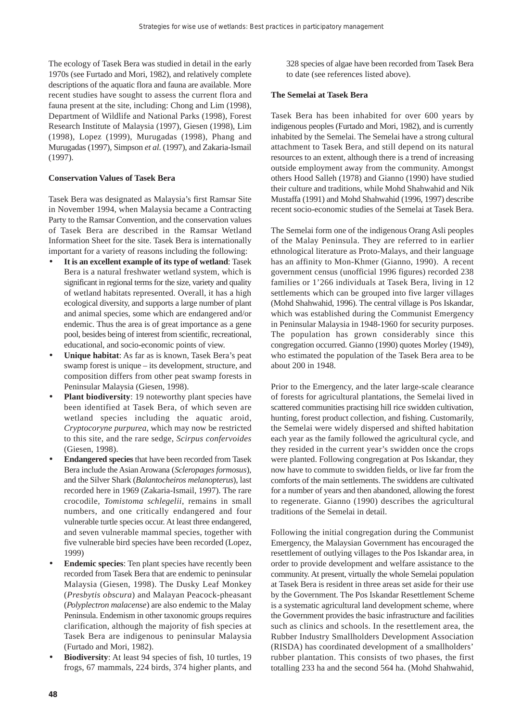The ecology of Tasek Bera was studied in detail in the early 1970s (see Furtado and Mori, 1982), and relatively complete descriptions of the aquatic flora and fauna are available. More recent studies have sought to assess the current flora and fauna present at the site, including: Chong and Lim (1998), Department of Wildlife and National Parks (1998), Forest Research Institute of Malaysia (1997), Giesen (1998), Lim (1998), Lopez (1999), Murugadas (1998), Phang and Murugadas (1997), Simpson *et al*. (1997), and Zakaria-Ismail (1997).

#### **Conservation Values of Tasek Bera**

Tasek Bera was designated as Malaysia's first Ramsar Site in November 1994, when Malaysia became a Contracting Party to the Ramsar Convention, and the conservation values of Tasek Bera are described in the Ramsar Wetland Information Sheet for the site. Tasek Bera is internationally important for a variety of reasons including the following:

- **It is an excellent example of its type of wetland**: Tasek Bera is a natural freshwater wetland system, which is significant in regional terms for the size, variety and quality of wetland habitats represented. Overall, it has a high ecological diversity, and supports a large number of plant and animal species, some which are endangered and/or endemic. Thus the area is of great importance as a gene pool, besides being of interest from scientific, recreational, educational, and socio-economic points of view.
- **Unique habitat**: As far as is known, Tasek Bera's peat swamp forest is unique – its development, structure, and composition differs from other peat swamp forests in Peninsular Malaysia (Giesen, 1998).
- Plant biodiversity: 19 noteworthy plant species have been identified at Tasek Bera, of which seven are wetland species including the aquatic aroid, *Cryptocoryne purpurea*, which may now be restricted to this site, and the rare sedge, *Scirpus confervoides* (Giesen, 1998).
- **Endangered species** that have been recorded from Tasek Bera include the Asian Arowana (*Scleropages formosus*), and the Silver Shark (*Balantocheiros melanopterus*), last recorded here in 1969 (Zakaria-Ismail, 1997). The rare crocodile, *Tomistoma schlegelii*, remains in small numbers, and one critically endangered and four vulnerable turtle species occur. At least three endangered, and seven vulnerable mammal species, together with five vulnerable bird species have been recorded (Lopez, 1999)
- **Endemic species**: Ten plant species have recently been recorded from Tasek Bera that are endemic to peninsular Malaysia (Giesen, 1998). The Dusky Leaf Monkey (*Presbytis obscura*) and Malayan Peacock-pheasant (*Polyplectron malacense*) are also endemic to the Malay Peninsula. Endemism in other taxonomic groups requires clarification, although the majority of fish species at Tasek Bera are indigenous to peninsular Malaysia (Furtado and Mori, 1982).
- **Biodiversity**: At least 94 species of fish, 10 turtles, 19 frogs, 67 mammals, 224 birds, 374 higher plants, and

328 species of algae have been recorded from Tasek Bera to date (see references listed above).

#### **The Semelai at Tasek Bera**

Tasek Bera has been inhabited for over 600 years by indigenous peoples (Furtado and Mori, 1982), and is currently inhabited by the Semelai. The Semelai have a strong cultural attachment to Tasek Bera, and still depend on its natural resources to an extent, although there is a trend of increasing outside employment away from the community. Amongst others Hood Salleh (1978) and Gianno (1990) have studied their culture and traditions, while Mohd Shahwahid and Nik Mustaffa (1991) and Mohd Shahwahid (1996, 1997) describe recent socio-economic studies of the Semelai at Tasek Bera.

The Semelai form one of the indigenous Orang Asli peoples of the Malay Peninsula. They are referred to in earlier ethnological literature as Proto-Malays, and their language has an affinity to Mon-Khmer (Gianno, 1990). A recent government census (unofficial 1996 figures) recorded 238 families or 1'266 individuals at Tasek Bera, living in 12 settlements which can be grouped into five larger villages (Mohd Shahwahid, 1996). The central village is Pos Iskandar, which was established during the Communist Emergency in Peninsular Malaysia in 1948-1960 for security purposes. The population has grown considerably since this congregation occurred. Gianno (1990) quotes Morley (1949), who estimated the population of the Tasek Bera area to be about 200 in 1948.

Prior to the Emergency, and the later large-scale clearance of forests for agricultural plantations, the Semelai lived in scattered communities practising hill rice swidden cultivation, hunting, forest product collection, and fishing. Customarily, the Semelai were widely dispersed and shifted habitation each year as the family followed the agricultural cycle, and they resided in the current year's swidden once the crops were planted. Following congregation at Pos Iskandar, they now have to commute to swidden fields, or live far from the comforts of the main settlements. The swiddens are cultivated for a number of years and then abandoned, allowing the forest to regenerate. Gianno (1990) describes the agricultural traditions of the Semelai in detail.

Following the initial congregation during the Communist Emergency, the Malaysian Government has encouraged the resettlement of outlying villages to the Pos Iskandar area, in order to provide development and welfare assistance to the community. At present, virtually the whole Semelai population at Tasek Bera is resident in three areas set aside for their use by the Government. The Pos Iskandar Resettlement Scheme is a systematic agricultural land development scheme, where the Government provides the basic infrastructure and facilities such as clinics and schools. In the resettlement area, the Rubber Industry Smallholders Development Association (RISDA) has coordinated development of a smallholders' rubber plantation. This consists of two phases, the first totalling 233 ha and the second 564 ha. (Mohd Shahwahid,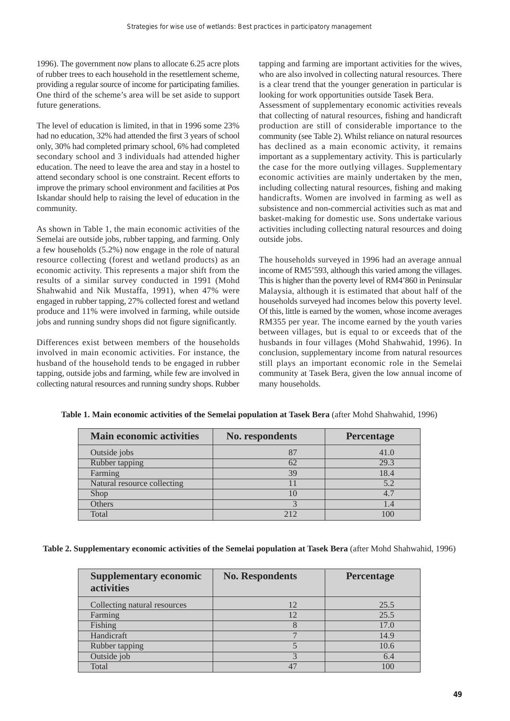1996). The government now plans to allocate 6.25 acre plots of rubber trees to each household in the resettlement scheme, providing a regular source of income for participating families. One third of the scheme's area will be set aside to support future generations.

The level of education is limited, in that in 1996 some 23% had no education, 32% had attended the first 3 years of school only, 30% had completed primary school, 6% had completed secondary school and 3 individuals had attended higher education. The need to leave the area and stay in a hostel to attend secondary school is one constraint. Recent efforts to improve the primary school environment and facilities at Pos Iskandar should help to raising the level of education in the community.

As shown in Table 1, the main economic activities of the Semelai are outside jobs, rubber tapping, and farming. Only a few households (5.2%) now engage in the role of natural resource collecting (forest and wetland products) as an economic activity. This represents a major shift from the results of a similar survey conducted in 1991 (Mohd Shahwahid and Nik Mustaffa, 1991), when 47% were engaged in rubber tapping, 27% collected forest and wetland produce and 11% were involved in farming, while outside jobs and running sundry shops did not figure significantly.

Differences exist between members of the households involved in main economic activities. For instance, the husband of the household tends to be engaged in rubber tapping, outside jobs and farming, while few are involved in collecting natural resources and running sundry shops. Rubber

tapping and farming are important activities for the wives, who are also involved in collecting natural resources. There is a clear trend that the younger generation in particular is looking for work opportunities outside Tasek Bera.

Assessment of supplementary economic activities reveals that collecting of natural resources, fishing and handicraft production are still of considerable importance to the community (see Table 2). Whilst reliance on natural resources has declined as a main economic activity, it remains important as a supplementary activity. This is particularly the case for the more outlying villages. Supplementary economic activities are mainly undertaken by the men, including collecting natural resources, fishing and making handicrafts. Women are involved in farming as well as subsistence and non-commercial activities such as mat and basket-making for domestic use. Sons undertake various activities including collecting natural resources and doing outside jobs.

The households surveyed in 1996 had an average annual income of RM5'593, although this varied among the villages. This is higher than the poverty level of RM4'860 in Peninsular Malaysia, although it is estimated that about half of the households surveyed had incomes below this poverty level. Of this, little is earned by the women, whose income averages RM355 per year. The income earned by the youth varies between villages, but is equal to or exceeds that of the husbands in four villages (Mohd Shahwahid, 1996). In conclusion, supplementary income from natural resources still plays an important economic role in the Semelai community at Tasek Bera, given the low annual income of many households.

| <b>Main economic activities</b> | No. respondents | <b>Percentage</b> |
|---------------------------------|-----------------|-------------------|
| Outside jobs                    | 87              | 41.0              |
| Rubber tapping                  | -62             | 29.3              |
| Farming                         | 39              | 18.4              |
| Natural resource collecting     |                 | 5.2               |
| Shop                            |                 | 4.7               |
| Others                          |                 | 1.4               |
| Total                           | 212             | 100               |

**Table 1. Main economic activities of the Semelai population at Tasek Bera** (after Mohd Shahwahid, 1996)

**Table 2. Supplementary economic activities of the Semelai population at Tasek Bera** (after Mohd Shahwahid, 1996)

| <b>Supplementary economic</b><br><b>activities</b> | <b>No. Respondents</b> | Percentage |
|----------------------------------------------------|------------------------|------------|
| Collecting natural resources                       | 12                     | 25.5       |
| Farming                                            | 12                     | 25.5       |
| Fishing                                            |                        | 17.0       |
| Handicraft                                         |                        | 14.9       |
| Rubber tapping                                     |                        | 10.6       |
| Outside job                                        |                        | 6.4        |
| Total                                              | 4 <sup>7</sup>         | 100        |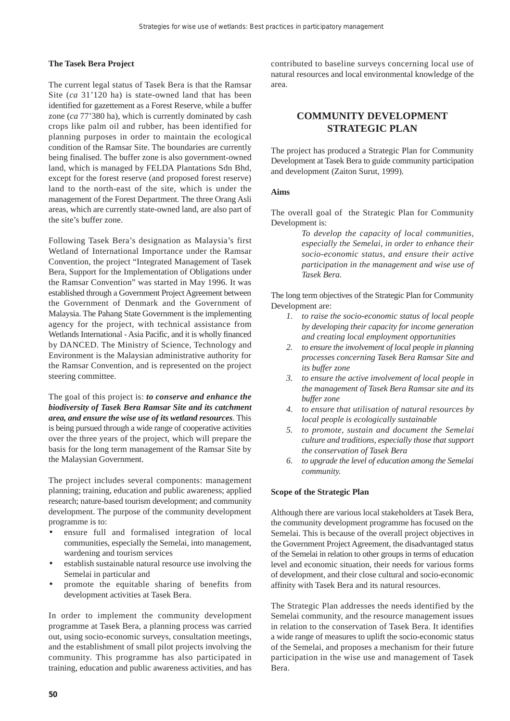#### **The Tasek Bera Project**

The current legal status of Tasek Bera is that the Ramsar Site (*ca* 31'120 ha) is state-owned land that has been identified for gazettement as a Forest Reserve, while a buffer zone (*ca* 77'380 ha), which is currently dominated by cash crops like palm oil and rubber, has been identified for planning purposes in order to maintain the ecological condition of the Ramsar Site. The boundaries are currently being finalised. The buffer zone is also government-owned land, which is managed by FELDA Plantations Sdn Bhd, except for the forest reserve (and proposed forest reserve) land to the north-east of the site, which is under the management of the Forest Department. The three Orang Asli areas, which are currently state-owned land, are also part of the site's buffer zone.

Following Tasek Bera's designation as Malaysia's first Wetland of International Importance under the Ramsar Convention, the project "Integrated Management of Tasek Bera, Support for the Implementation of Obligations under the Ramsar Convention" was started in May 1996. It was established through a Government Project Agreement between the Government of Denmark and the Government of Malaysia. The Pahang State Government is the implementing agency for the project, with technical assistance from Wetlands International - Asia Pacific, and it is wholly financed by DANCED. The Ministry of Science, Technology and Environment is the Malaysian administrative authority for the Ramsar Convention, and is represented on the project steering committee.

The goal of this project is: *to conserve and enhance the biodiversity of Tasek Bera Ramsar Site and its catchment area, and ensure the wise use of its wetland resources*. This is being pursued through a wide range of cooperative activities over the three years of the project, which will prepare the basis for the long term management of the Ramsar Site by the Malaysian Government.

The project includes several components: management planning; training, education and public awareness; applied research; nature-based tourism development; and community development. The purpose of the community development programme is to:

- ensure full and formalised integration of local communities, especially the Semelai, into management, wardening and tourism services
- establish sustainable natural resource use involving the Semelai in particular and
- promote the equitable sharing of benefits from development activities at Tasek Bera.

In order to implement the community development programme at Tasek Bera, a planning process was carried out, using socio-economic surveys, consultation meetings, and the establishment of small pilot projects involving the community. This programme has also participated in training, education and public awareness activities, and has

contributed to baseline surveys concerning local use of natural resources and local environmental knowledge of the area.

## **COMMUNITY DEVELOPMENT STRATEGIC PLAN**

The project has produced a Strategic Plan for Community Development at Tasek Bera to guide community participation and development (Zaiton Surut, 1999).

#### **Aims**

The overall goal of the Strategic Plan for Community Development is:

> *To develop the capacity of local communities, especially the Semelai, in order to enhance their socio-economic status, and ensure their active participation in the management and wise use of Tasek Bera.*

The long term objectives of the Strategic Plan for Community Development are:

- *1. to raise the socio-economic status of local people by developing their capacity for income generation and creating local employment opportunities*
- *2. to ensure the involvement of local people in planning processes concerning Tasek Bera Ramsar Site and its buffer zone*
- *3. to ensure the active involvement of local people in the management of Tasek Bera Ramsar site and its buffer zone*
- *4. to ensure that utilisation of natural resources by local people is ecologically sustainable*
- *5. to promote, sustain and document the Semelai culture and traditions, especially those that support the conservation of Tasek Bera*
- *6. to upgrade the level of education among the Semelai community.*

#### **Scope of the Strategic Plan**

Although there are various local stakeholders at Tasek Bera, the community development programme has focused on the Semelai. This is because of the overall project objectives in the Government Project Agreement, the disadvantaged status of the Semelai in relation to other groups in terms of education level and economic situation, their needs for various forms of development, and their close cultural and socio-economic affinity with Tasek Bera and its natural resources.

The Strategic Plan addresses the needs identified by the Semelai community, and the resource management issues in relation to the conservation of Tasek Bera. It identifies a wide range of measures to uplift the socio-economic status of the Semelai, and proposes a mechanism for their future participation in the wise use and management of Tasek Bera.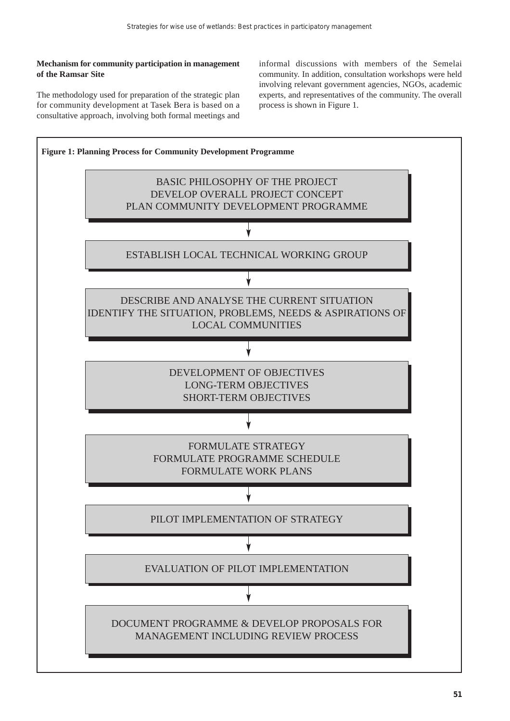#### **Mechanism for community participation in management of the Ramsar Site**

The methodology used for preparation of the strategic plan for community development at Tasek Bera is based on a consultative approach, involving both formal meetings and informal discussions with members of the Semelai community. In addition, consultation workshops were held involving relevant government agencies, NGOs, academic experts, and representatives of the community. The overall process is shown in Figure 1.

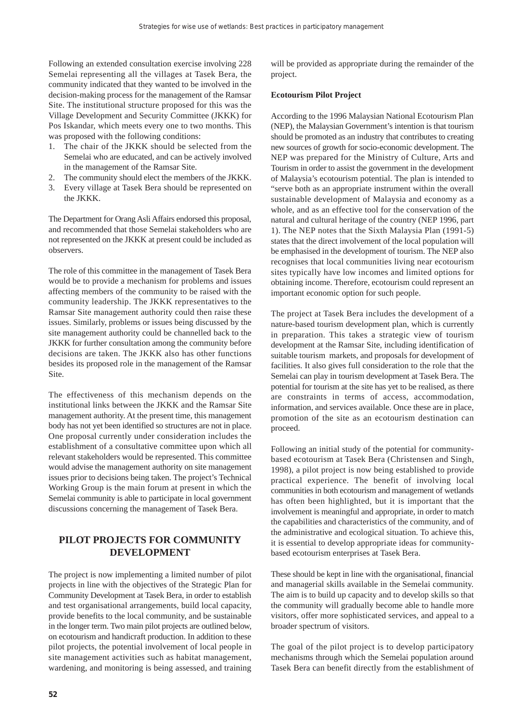Following an extended consultation exercise involving 228 Semelai representing all the villages at Tasek Bera, the community indicated that they wanted to be involved in the decision-making process for the management of the Ramsar Site. The institutional structure proposed for this was the Village Development and Security Committee (JKKK) for Pos Iskandar, which meets every one to two months. This was proposed with the following conditions:

- 1. The chair of the JKKK should be selected from the Semelai who are educated, and can be actively involved in the management of the Ramsar Site.
- 2. The community should elect the members of the JKKK.
- 3. Every village at Tasek Bera should be represented on the JKKK.

The Department for Orang Asli Affairs endorsed this proposal, and recommended that those Semelai stakeholders who are not represented on the JKKK at present could be included as observers.

The role of this committee in the management of Tasek Bera would be to provide a mechanism for problems and issues affecting members of the community to be raised with the community leadership. The JKKK representatives to the Ramsar Site management authority could then raise these issues. Similarly, problems or issues being discussed by the site management authority could be channelled back to the JKKK for further consultation among the community before decisions are taken. The JKKK also has other functions besides its proposed role in the management of the Ramsar Site.

The effectiveness of this mechanism depends on the institutional links between the JKKK and the Ramsar Site management authority. At the present time, this management body has not yet been identified so structures are not in place. One proposal currently under consideration includes the establishment of a consultative committee upon which all relevant stakeholders would be represented. This committee would advise the management authority on site management issues prior to decisions being taken. The project's Technical Working Group is the main forum at present in which the Semelai community is able to participate in local government discussions concerning the management of Tasek Bera.

### **PILOT PROJECTS FOR COMMUNITY DEVELOPMENT**

The project is now implementing a limited number of pilot projects in line with the objectives of the Strategic Plan for Community Development at Tasek Bera, in order to establish and test organisational arrangements, build local capacity, provide benefits to the local community, and be sustainable in the longer term. Two main pilot projects are outlined below, on ecotourism and handicraft production. In addition to these pilot projects, the potential involvement of local people in site management activities such as habitat management, wardening, and monitoring is being assessed, and training

will be provided as appropriate during the remainder of the project.

#### **Ecotourism Pilot Project**

According to the 1996 Malaysian National Ecotourism Plan (NEP), the Malaysian Government's intention is that tourism should be promoted as an industry that contributes to creating new sources of growth for socio-economic development. The NEP was prepared for the Ministry of Culture, Arts and Tourism in order to assist the government in the development of Malaysia's ecotourism potential. The plan is intended to "serve both as an appropriate instrument within the overall sustainable development of Malaysia and economy as a whole, and as an effective tool for the conservation of the natural and cultural heritage of the country (NEP 1996, part 1). The NEP notes that the Sixth Malaysia Plan (1991-5) states that the direct involvement of the local population will be emphasised in the development of tourism. The NEP also recognises that local communities living near ecotourism sites typically have low incomes and limited options for obtaining income. Therefore, ecotourism could represent an important economic option for such people.

The project at Tasek Bera includes the development of a nature-based tourism development plan, which is currently in preparation. This takes a strategic view of tourism development at the Ramsar Site, including identification of suitable tourism markets, and proposals for development of facilities. It also gives full consideration to the role that the Semelai can play in tourism development at Tasek Bera. The potential for tourism at the site has yet to be realised, as there are constraints in terms of access, accommodation, information, and services available. Once these are in place, promotion of the site as an ecotourism destination can proceed.

Following an initial study of the potential for communitybased ecotourism at Tasek Bera (Christensen and Singh, 1998), a pilot project is now being established to provide practical experience. The benefit of involving local communities in both ecotourism and management of wetlands has often been highlighted, but it is important that the involvement is meaningful and appropriate, in order to match the capabilities and characteristics of the community, and of the administrative and ecological situation. To achieve this, it is essential to develop appropriate ideas for communitybased ecotourism enterprises at Tasek Bera.

These should be kept in line with the organisational, financial and managerial skills available in the Semelai community. The aim is to build up capacity and to develop skills so that the community will gradually become able to handle more visitors, offer more sophisticated services, and appeal to a broader spectrum of visitors.

The goal of the pilot project is to develop participatory mechanisms through which the Semelai population around Tasek Bera can benefit directly from the establishment of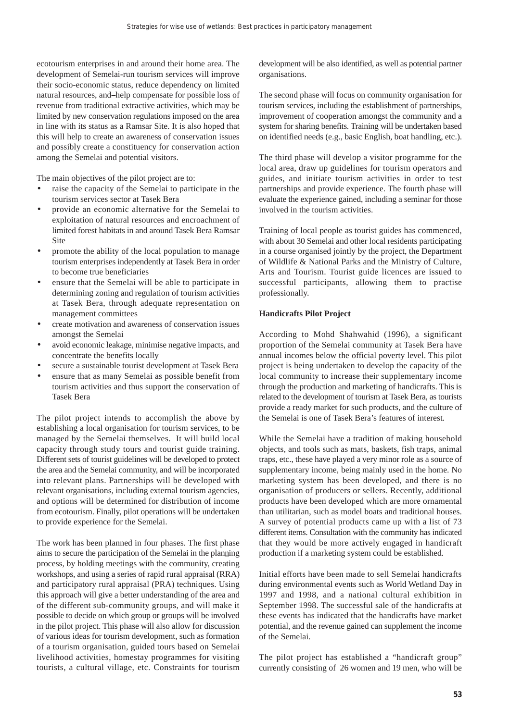ecotourism enterprises in and around their home area. The development of Semelai-run tourism services will improve their socio-economic status, reduce dependency on limited natural resources, and–help compensate for possible loss of revenue from traditional extractive activities, which may be limited by new conservation regulations imposed on the area in line with its status as a Ramsar Site. It is also hoped that this will help to create an awareness of conservation issues and possibly create a constituency for conservation action among the Semelai and potential visitors.

The main objectives of the pilot project are to:

- raise the capacity of the Semelai to participate in the tourism services sector at Tasek Bera
- provide an economic alternative for the Semelai to exploitation of natural resources and encroachment of limited forest habitats in and around Tasek Bera Ramsar Site
- promote the ability of the local population to manage tourism enterprises independently at Tasek Bera in order to become true beneficiaries
- ensure that the Semelai will be able to participate in determining zoning and regulation of tourism activities at Tasek Bera, through adequate representation on management committees
- create motivation and awareness of conservation issues amongst the Semelai
- avoid economic leakage, minimise negative impacts, and concentrate the benefits locally
- secure a sustainable tourist development at Tasek Bera
- ensure that as many Semelai as possible benefit from tourism activities and thus support the conservation of Tasek Bera

The pilot project intends to accomplish the above by establishing a local organisation for tourism services, to be managed by the Semelai themselves. It will build local capacity through study tours and tourist guide training. Different sets of tourist guidelines will be developed to protect the area and the Semelai community, and will be incorporated into relevant plans. Partnerships will be developed with relevant organisations, including external tourism agencies, and options will be determined for distribution of income from ecotourism. Finally, pilot operations will be undertaken to provide experience for the Semelai.

The work has been planned in four phases. The first phase aims to secure the participation of the Semelai in the planning process, by holding meetings with the community, creating workshops, and using a series of rapid rural appraisal (RRA) and participatory rural appraisal (PRA) techniques. Using this approach will give a better understanding of the area and of the different sub-community groups, and will make it possible to decide on which group or groups will be involved in the pilot project. This phase will also allow for discussion of various ideas for tourism development, such as formation of a tourism organisation, guided tours based on Semelai livelihood activities, homestay programmes for visiting tourists, a cultural village, etc. Constraints for tourism

development will be also identified, as well as potential partner organisations.

The second phase will focus on community organisation for tourism services, including the establishment of partnerships, improvement of cooperation amongst the community and a system for sharing benefits. Training will be undertaken based on identified needs (e.g., basic English, boat handling, etc.).

The third phase will develop a visitor programme for the local area, draw up guidelines for tourism operators and guides, and initiate tourism activities in order to test partnerships and provide experience. The fourth phase will evaluate the experience gained, including a seminar for those involved in the tourism activities.

Training of local people as tourist guides has commenced, with about 30 Semelai and other local residents participating in a course organised jointly by the project, the Department of Wildlife & National Parks and the Ministry of Culture, Arts and Tourism. Tourist guide licences are issued to successful participants, allowing them to practise professionally.

#### **Handicrafts Pilot Project**

According to Mohd Shahwahid (1996), a significant proportion of the Semelai community at Tasek Bera have annual incomes below the official poverty level. This pilot project is being undertaken to develop the capacity of the local community to increase their supplementary income through the production and marketing of handicrafts. This is related to the development of tourism at Tasek Bera, as tourists provide a ready market for such products, and the culture of the Semelai is one of Tasek Bera's features of interest.

While the Semelai have a tradition of making household objects, and tools such as mats, baskets, fish traps, animal traps, etc., these have played a very minor role as a source of supplementary income, being mainly used in the home. No marketing system has been developed, and there is no organisation of producers or sellers. Recently, additional products have been developed which are more ornamental than utilitarian, such as model boats and traditional houses. A survey of potential products came up with a list of 73 different items. Consultation with the community has indicated that they would be more actively engaged in handicraft production if a marketing system could be established.

Initial efforts have been made to sell Semelai handicrafts during environmental events such as World Wetland Day in 1997 and 1998, and a national cultural exhibition in September 1998. The successful sale of the handicrafts at these events has indicated that the handicrafts have market potential, and the revenue gained can supplement the income of the Semelai.

The pilot project has established a "handicraft group" currently consisting of 26 women and 19 men, who will be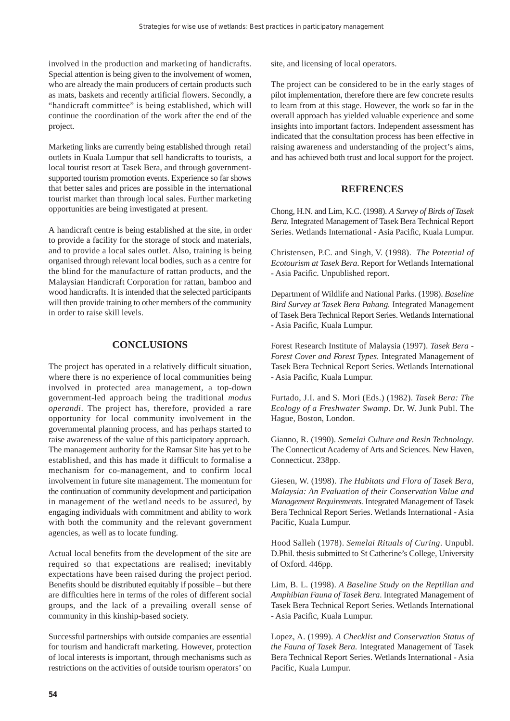involved in the production and marketing of handicrafts. Special attention is being given to the involvement of women, who are already the main producers of certain products such as mats, baskets and recently artificial flowers. Secondly, a "handicraft committee" is being established, which will continue the coordination of the work after the end of the project.

Marketing links are currently being established through retail outlets in Kuala Lumpur that sell handicrafts to tourists, a local tourist resort at Tasek Bera, and through governmentsupported tourism promotion events. Experience so far shows that better sales and prices are possible in the international tourist market than through local sales. Further marketing opportunities are being investigated at present.

A handicraft centre is being established at the site, in order to provide a facility for the storage of stock and materials, and to provide a local sales outlet. Also, training is being organised through relevant local bodies, such as a centre for the blind for the manufacture of rattan products, and the Malaysian Handicraft Corporation for rattan, bamboo and wood handicrafts. It is intended that the selected participants will then provide training to other members of the community in order to raise skill levels.

### **CONCLUSIONS**

The project has operated in a relatively difficult situation, where there is no experience of local communities being involved in protected area management, a top-down government-led approach being the traditional *modus operandi*. The project has, therefore, provided a rare opportunity for local community involvement in the governmental planning process, and has perhaps started to raise awareness of the value of this participatory approach. The management authority for the Ramsar Site has yet to be established, and this has made it difficult to formalise a mechanism for co-management, and to confirm local involvement in future site management. The momentum for the continuation of community development and participation in management of the wetland needs to be assured, by engaging individuals with commitment and ability to work with both the community and the relevant government agencies, as well as to locate funding.

Actual local benefits from the development of the site are required so that expectations are realised; inevitably expectations have been raised during the project period. Benefits should be distributed equitably if possible – but there are difficulties here in terms of the roles of different social groups, and the lack of a prevailing overall sense of community in this kinship-based society.

Successful partnerships with outside companies are essential for tourism and handicraft marketing. However, protection of local interests is important, through mechanisms such as restrictions on the activities of outside tourism operators' on

site, and licensing of local operators.

The project can be considered to be in the early stages of pilot implementation, therefore there are few concrete results to learn from at this stage. However, the work so far in the overall approach has yielded valuable experience and some insights into important factors. Independent assessment has indicated that the consultation process has been effective in raising awareness and understanding of the project's aims, and has achieved both trust and local support for the project.

#### **REFRENCES**

Chong, H.N. and Lim, K.C. (1998). *A Survey of Birds of Tasek Bera.* Integrated Management of Tasek Bera Technical Report Series. Wetlands International - Asia Pacific, Kuala Lumpur.

Christensen, P.C. and Singh, V. (1998). *The Potential of Ecotourism at Tasek Bera*. Report for Wetlands International - Asia Pacific. Unpublished report.

Department of Wildlife and National Parks. (1998). *Baseline Bird Survey at Tasek Bera Pahang.* Integrated Management of Tasek Bera Technical Report Series. Wetlands International - Asia Pacific, Kuala Lumpur.

Forest Research Institute of Malaysia (1997). *Tasek Bera - Forest Cover and Forest Types.* Integrated Management of Tasek Bera Technical Report Series. Wetlands International - Asia Pacific, Kuala Lumpur.

Furtado, J.I. and S. Mori (Eds.) (1982). *Tasek Bera: The Ecology of a Freshwater Swamp.* Dr. W. Junk Publ. The Hague, Boston, London.

Gianno, R. (1990). *Semelai Culture and Resin Technology*. The Connecticut Academy of Arts and Sciences. New Haven, Connecticut. 238pp.

Giesen, W. (1998). *The Habitats and Flora of Tasek Bera, Malaysia: An Evaluation of their Conservation Value and Management Requirements.* Integrated Management of Tasek Bera Technical Report Series. Wetlands International - Asia Pacific, Kuala Lumpur.

Hood Salleh (1978). *Semelai Rituals of Curing*. Unpubl. D.Phil. thesis submitted to St Catherine's College, University of Oxford. 446pp.

Lim, B. L. (1998). *A Baseline Study on the Reptilian and Amphibian Fauna of Tasek Bera*. Integrated Management of Tasek Bera Technical Report Series. Wetlands International - Asia Pacific, Kuala Lumpur.

Lopez, A. (1999). *A Checklist and Conservation Status of the Fauna of Tasek Bera.* Integrated Management of Tasek Bera Technical Report Series. Wetlands International - Asia Pacific, Kuala Lumpur.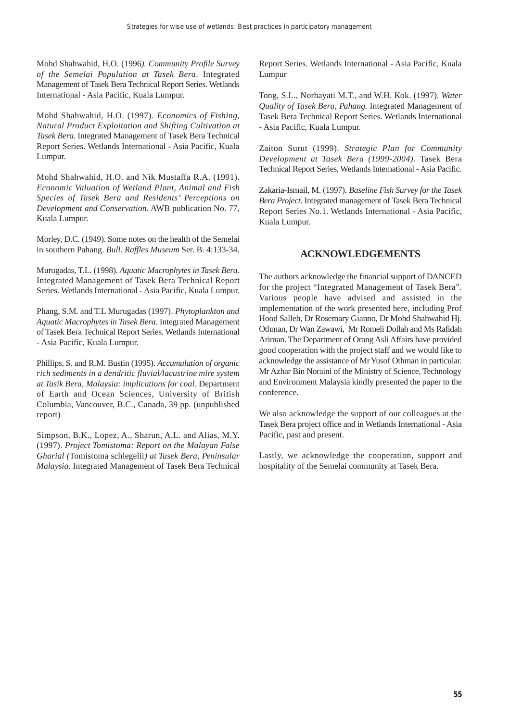Mohd Shahwahid, H.O. (1996*). Community Profile Survey of the Semelai Population at Tasek Bera*. Integrated Management of Tasek Bera Technical Report Series. Wetlands International - Asia Pacific, Kuala Lumpur.

Mohd Shahwahid, H.O. (1997). *Economics of Fishing, Natural Product Exploitation and Shifting Cultivation at Tasek Bera.* Integrated Management of Tasek Bera Technical Report Series. Wetlands International - Asia Pacific, Kuala Lumpur.

Mohd Shahwahid, H.O. and Nik Mustaffa R.A. (1991). *Economic Valuation of Wetland Plant, Animal and Fish Species of Tasek Bera and Residents' Perceptions on Development and Conservation*. AWB publication No. 77, Kuala Lumpur.

Morley, D.C. (1949). Some notes on the health of the Semelai in southern Pahang. *Bull. Raffles Museum* Ser. B. 4:133-34.

Murugadas, T.L. (1998). *Aquatic Macrophytes in Tasek Bera.* Integrated Management of Tasek Bera Technical Report Series. Wetlands International - Asia Pacific, Kuala Lumpur.

Phang, S.M. and T.L Murugadas (1997)*. Phytoplankton and Aquatic Macrophytes in Tasek Bera*. Integrated Management of Tasek Bera Technical Report Series. Wetlands International - Asia Pacific, Kuala Lumpur.

Phillips, S. and R.M. Bustin (1995)*. Accumulation of organic rich sediments in a dendritic fluvial/lacustrine mire system at Tasik Bera, Malaysia: implications for coal*. Department of Earth and Ocean Sciences, University of British Columbia, Vancouver, B.C., Canada, 39 pp. (unpublished report)

Simpson, B.K., Lopez, A., Sharun, A.L. and Alias, M.Y. (1997). *Project Tomistoma: Report on the Malayan False Gharial (*Tomistoma schlegelii*) at Tasek Bera, Peninsular Malaysia.* Integrated Management of Tasek Bera Technical Report Series. Wetlands International - Asia Pacific, Kuala Lumpur

Tong, S.L., Norhayati M.T., and W.H. Kok. (1997). *Water Quality of Tasek Bera, Pahang.* Integrated Management of Tasek Bera Technical Report Series. Wetlands International - Asia Pacific, Kuala Lumpur.

Zaiton Surut (1999). *Strategic Plan for Community Development at Tasek Bera (1999-2004).* Tasek Bera Technical Report Series, Wetlands International - Asia Pacific.

Zakaria-Ismail, M. (1997). *Baseline Fish Survey for the Tasek Bera Project*. Integrated management of Tasek Bera Technical Report Series No.1. Wetlands International - Asia Pacific, Kuala Lumpur.

## **ACKNOWLEDGEMENTS**

The authors acknowledge the financial support of DANCED for the project "Integrated Management of Tasek Bera". Various people have advised and assisted in the implementation of the work presented here, including Prof Hood Salleh, Dr Rosemary Gianno, Dr Mohd Shahwahid Hj. Othman, Dr Wan Zawawi, Mr Romeli Dollah and Ms Rafidah Ariman. The Department of Orang Asli Affairs have provided good cooperation with the project staff and we would like to acknowledge the assistance of Mr Yusof Othman in particular. Mr Azhar Bin Noraini of the Ministry of Science, Technology and Environment Malaysia kindly presented the paper to the conference.

We also acknowledge the support of our colleagues at the Tasek Bera project office and in Wetlands International - Asia Pacific, past and present.

Lastly, we acknowledge the cooperation, support and hospitality of the Semelai community at Tasek Bera.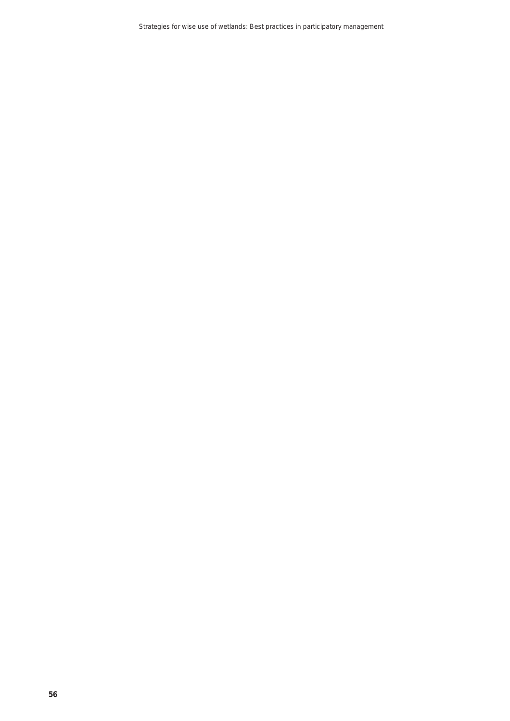Strategies for wise use of wetlands: Best practices in participatory management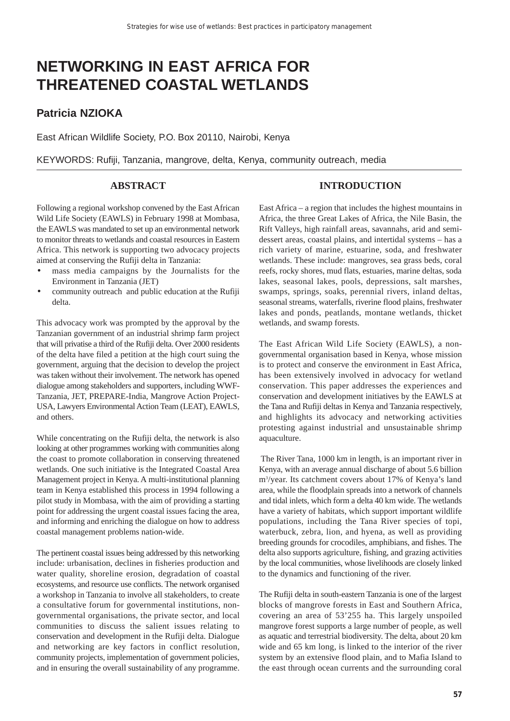# **NETWORKING IN EAST AFRICA FOR THREATENED COASTAL WETLANDS**

## **Patricia NZIOKA**

East African Wildlife Society, P.O. Box 20110, Nairobi, Kenya

KEYWORDS: Rufiji, Tanzania, mangrove, delta, Kenya, community outreach, media

### **ABSTRACT**

#### **INTRODUCTION**

Following a regional workshop convened by the East African Wild Life Society (EAWLS) in February 1998 at Mombasa, the EAWLS was mandated to set up an environmental network to monitor threats to wetlands and coastal resources in Eastern Africa. This network is supporting two advocacy projects aimed at conserving the Rufiji delta in Tanzania:

- mass media campaigns by the Journalists for the Environment in Tanzania (JET)
- community outreach and public education at the Rufiji delta.

This advocacy work was prompted by the approval by the Tanzanian government of an industrial shrimp farm project that will privatise a third of the Rufiji delta. Over 2000 residents of the delta have filed a petition at the high court suing the government, arguing that the decision to develop the project was taken without their involvement. The network has opened dialogue among stakeholders and supporters, including WWF-Tanzania, JET, PREPARE-India, Mangrove Action Project-USA, Lawyers Environmental Action Team (LEAT), EAWLS, and others.

While concentrating on the Rufiji delta, the network is also looking at other programmes working with communities along the coast to promote collaboration in conserving threatened wetlands. One such initiative is the Integrated Coastal Area Management project in Kenya. A multi-institutional planning team in Kenya established this process in 1994 following a pilot study in Mombasa, with the aim of providing a starting point for addressing the urgent coastal issues facing the area, and informing and enriching the dialogue on how to address coastal management problems nation-wide.

The pertinent coastal issues being addressed by this networking include: urbanisation, declines in fisheries production and water quality, shoreline erosion, degradation of coastal ecosystems, and resource use conflicts. The network organised a workshop in Tanzania to involve all stakeholders, to create a consultative forum for governmental institutions, nongovernmental organisations, the private sector, and local communities to discuss the salient issues relating to conservation and development in the Rufiji delta. Dialogue and networking are key factors in conflict resolution, community projects, implementation of government policies, and in ensuring the overall sustainability of any programme.

East Africa – a region that includes the highest mountains in Africa, the three Great Lakes of Africa, the Nile Basin, the Rift Valleys, high rainfall areas, savannahs, arid and semidessert areas, coastal plains, and intertidal systems – has a rich variety of marine, estuarine, soda, and freshwater wetlands. These include: mangroves, sea grass beds, coral reefs, rocky shores, mud flats, estuaries, marine deltas, soda lakes, seasonal lakes, pools, depressions, salt marshes, swamps, springs, soaks, perennial rivers, inland deltas, seasonal streams, waterfalls, riverine flood plains, freshwater lakes and ponds, peatlands, montane wetlands, thicket wetlands, and swamp forests.

The East African Wild Life Society (EAWLS), a nongovernmental organisation based in Kenya, whose mission is to protect and conserve the environment in East Africa, has been extensively involved in advocacy for wetland conservation. This paper addresses the experiences and conservation and development initiatives by the EAWLS at the Tana and Rufiji deltas in Kenya and Tanzania respectively, and highlights its advocacy and networking activities protesting against industrial and unsustainable shrimp aquaculture.

The River Tana, 1000 km in length, is an important river in Kenya, with an average annual discharge of about 5.6 billion m3 /year. Its catchment covers about 17% of Kenya's land area, while the floodplain spreads into a network of channels and tidal inlets, which form a delta 40 km wide. The wetlands have a variety of habitats, which support important wildlife populations, including the Tana River species of topi, waterbuck, zebra, lion, and hyena, as well as providing breeding grounds for crocodiles, amphibians, and fishes. The delta also supports agriculture, fishing, and grazing activities by the local communities, whose livelihoods are closely linked to the dynamics and functioning of the river.

The Rufiji delta in south-eastern Tanzania is one of the largest blocks of mangrove forests in East and Southern Africa, covering an area of 53'255 ha. This largely unspoiled mangrove forest supports a large number of people, as well as aquatic and terrestrial biodiversity. The delta, about 20 km wide and 65 km long, is linked to the interior of the river system by an extensive flood plain, and to Mafia Island to the east through ocean currents and the surrounding coral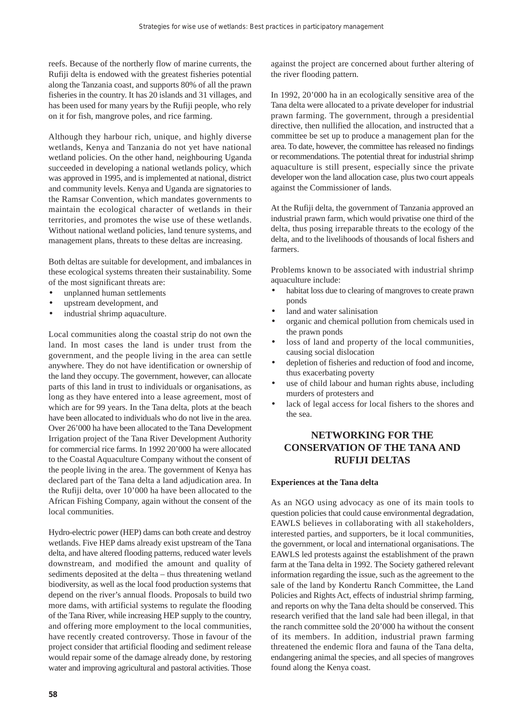reefs. Because of the northerly flow of marine currents, the Rufiji delta is endowed with the greatest fisheries potential along the Tanzania coast, and supports 80% of all the prawn fisheries in the country. It has 20 islands and 31 villages, and has been used for many years by the Rufiji people, who rely on it for fish, mangrove poles, and rice farming.

Although they harbour rich, unique, and highly diverse wetlands, Kenya and Tanzania do not yet have national wetland policies. On the other hand, neighbouring Uganda succeeded in developing a national wetlands policy, which was approved in 1995, and is implemented at national, district and community levels. Kenya and Uganda are signatories to the Ramsar Convention, which mandates governments to maintain the ecological character of wetlands in their territories, and promotes the wise use of these wetlands. Without national wetland policies, land tenure systems, and management plans, threats to these deltas are increasing.

Both deltas are suitable for development, and imbalances in these ecological systems threaten their sustainability. Some of the most significant threats are:

- unplanned human settlements
- upstream development, and
- industrial shrimp aquaculture.

Local communities along the coastal strip do not own the land. In most cases the land is under trust from the government, and the people living in the area can settle anywhere. They do not have identification or ownership of the land they occupy. The government, however, can allocate parts of this land in trust to individuals or organisations, as long as they have entered into a lease agreement, most of which are for 99 years. In the Tana delta, plots at the beach have been allocated to individuals who do not live in the area. Over 26'000 ha have been allocated to the Tana Development Irrigation project of the Tana River Development Authority for commercial rice farms. In 1992 20'000 ha were allocated to the Coastal Aquaculture Company without the consent of the people living in the area. The government of Kenya has declared part of the Tana delta a land adjudication area. In the Rufiji delta, over 10'000 ha have been allocated to the African Fishing Company, again without the consent of the local communities.

Hydro-electric power (HEP) dams can both create and destroy wetlands. Five HEP dams already exist upstream of the Tana delta, and have altered flooding patterns, reduced water levels downstream, and modified the amount and quality of sediments deposited at the delta – thus threatening wetland biodiversity, as well as the local food production systems that depend on the river's annual floods. Proposals to build two more dams, with artificial systems to regulate the flooding of the Tana River, while increasing HEP supply to the country, and offering more employment to the local communities, have recently created controversy. Those in favour of the project consider that artificial flooding and sediment release would repair some of the damage already done, by restoring water and improving agricultural and pastoral activities. Those

against the project are concerned about further altering of the river flooding pattern.

In 1992, 20'000 ha in an ecologically sensitive area of the Tana delta were allocated to a private developer for industrial prawn farming. The government, through a presidential directive, then nullified the allocation, and instructed that a committee be set up to produce a management plan for the area. To date, however, the committee has released no findings or recommendations. The potential threat for industrial shrimp aquaculture is still present, especially since the private developer won the land allocation case, plus two court appeals against the Commissioner of lands.

At the Rufiji delta, the government of Tanzania approved an industrial prawn farm, which would privatise one third of the delta, thus posing irreparable threats to the ecology of the delta, and to the livelihoods of thousands of local fishers and farmers.

Problems known to be associated with industrial shrimp aquaculture include:

- habitat loss due to clearing of mangroves to create prawn ponds
- land and water salinisation
- organic and chemical pollution from chemicals used in the prawn ponds
- loss of land and property of the local communities, causing social dislocation
- depletion of fisheries and reduction of food and income, thus exacerbating poverty
- use of child labour and human rights abuse, including murders of protesters and
- lack of legal access for local fishers to the shores and the sea.

## **NETWORKING FOR THE CONSERVATION OF THE TANA AND RUFIJI DELTAS**

#### **Experiences at the Tana delta**

As an NGO using advocacy as one of its main tools to question policies that could cause environmental degradation, EAWLS believes in collaborating with all stakeholders, interested parties, and supporters, be it local communities, the government, or local and international organisations. The EAWLS led protests against the establishment of the prawn farm at the Tana delta in 1992. The Society gathered relevant information regarding the issue, such as the agreement to the sale of the land by Kondertu Ranch Committee, the Land Policies and Rights Act, effects of industrial shrimp farming, and reports on why the Tana delta should be conserved. This research verified that the land sale had been illegal, in that the ranch committee sold the 20'000 ha without the consent of its members. In addition, industrial prawn farming threatened the endemic flora and fauna of the Tana delta, endangering animal the species, and all species of mangroves found along the Kenya coast.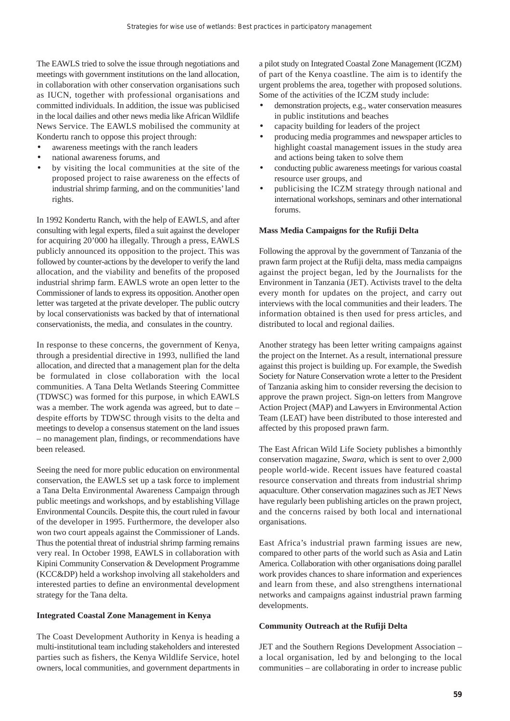The EAWLS tried to solve the issue through negotiations and meetings with government institutions on the land allocation, in collaboration with other conservation organisations such as IUCN, together with professional organisations and committed individuals. In addition, the issue was publicised in the local dailies and other news media like African Wildlife News Service. The EAWLS mobilised the community at Kondertu ranch to oppose this project through:

- awareness meetings with the ranch leaders
- national awareness forums, and
- by visiting the local communities at the site of the proposed project to raise awareness on the effects of industrial shrimp farming, and on the communities' land rights.

In 1992 Kondertu Ranch, with the help of EAWLS, and after consulting with legal experts, filed a suit against the developer for acquiring 20'000 ha illegally. Through a press, EAWLS publicly announced its opposition to the project. This was followed by counter-actions by the developer to verify the land allocation, and the viability and benefits of the proposed industrial shrimp farm. EAWLS wrote an open letter to the Commissioner of lands to express its opposition. Another open letter was targeted at the private developer. The public outcry by local conservationists was backed by that of international conservationists, the media, and consulates in the country.

In response to these concerns, the government of Kenya, through a presidential directive in 1993, nullified the land allocation, and directed that a management plan for the delta be formulated in close collaboration with the local communities. A Tana Delta Wetlands Steering Committee (TDWSC) was formed for this purpose, in which EAWLS was a member. The work agenda was agreed, but to date – despite efforts by TDWSC through visits to the delta and meetings to develop a consensus statement on the land issues – no management plan, findings, or recommendations have been released.

Seeing the need for more public education on environmental conservation, the EAWLS set up a task force to implement a Tana Delta Environmental Awareness Campaign through public meetings and workshops, and by establishing Village Environmental Councils. Despite this, the court ruled in favour of the developer in 1995. Furthermore, the developer also won two court appeals against the Commissioner of Lands. Thus the potential threat of industrial shrimp farming remains very real. In October 1998, EAWLS in collaboration with Kipini Community Conservation & Development Programme (KCC&DP) held a workshop involving all stakeholders and interested parties to define an environmental development strategy for the Tana delta.

#### **Integrated Coastal Zone Management in Kenya**

The Coast Development Authority in Kenya is heading a multi-institutional team including stakeholders and interested parties such as fishers, the Kenya Wildlife Service, hotel owners, local communities, and government departments in

a pilot study on Integrated Coastal Zone Management (ICZM) of part of the Kenya coastline. The aim is to identify the urgent problems the area, together with proposed solutions. Some of the activities of the ICZM study include:

- demonstration projects, e.g., water conservation measures in public institutions and beaches
- capacity building for leaders of the project
- producing media programmes and newspaper articles to highlight coastal management issues in the study area and actions being taken to solve them
- conducting public awareness meetings for various coastal resource user groups, and
- publicising the ICZM strategy through national and international workshops, seminars and other international forums.

#### **Mass Media Campaigns for the Rufiji Delta**

Following the approval by the government of Tanzania of the prawn farm project at the Rufiji delta, mass media campaigns against the project began, led by the Journalists for the Environment in Tanzania (JET). Activists travel to the delta every month for updates on the project, and carry out interviews with the local communities and their leaders. The information obtained is then used for press articles, and distributed to local and regional dailies.

Another strategy has been letter writing campaigns against the project on the Internet. As a result, international pressure against this project is building up. For example, the Swedish Society for Nature Conservation wrote a letter to the President of Tanzania asking him to consider reversing the decision to approve the prawn project. Sign-on letters from Mangrove Action Project (MAP) and Lawyers in Environmental Action Team (LEAT) have been distributed to those interested and affected by this proposed prawn farm.

The East African Wild Life Society publishes a bimonthly conservation magazine, *Swara*, which is sent to over 2,000 people world-wide. Recent issues have featured coastal resource conservation and threats from industrial shrimp aquaculture. Other conservation magazines such as JET News have regularly been publishing articles on the prawn project, and the concerns raised by both local and international organisations.

East Africa's industrial prawn farming issues are new, compared to other parts of the world such as Asia and Latin America. Collaboration with other organisations doing parallel work provides chances to share information and experiences and learn from these, and also strengthens international networks and campaigns against industrial prawn farming developments.

#### **Community Outreach at the Rufiji Delta**

JET and the Southern Regions Development Association – a local organisation, led by and belonging to the local communities – are collaborating in order to increase public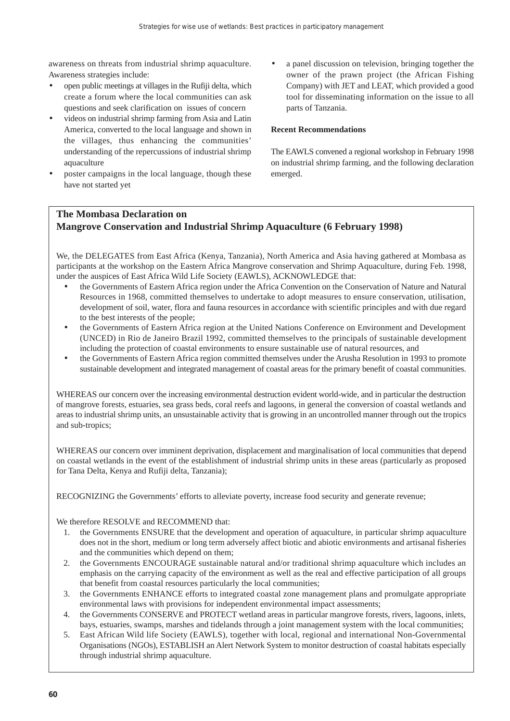awareness on threats from industrial shrimp aquaculture. Awareness strategies include:

- open public meetings at villages in the Rufiji delta, which create a forum where the local communities can ask questions and seek clarification on issues of concern
- videos on industrial shrimp farming from Asia and Latin America, converted to the local language and shown in the villages, thus enhancing the communities' understanding of the repercussions of industrial shrimp aquaculture
- poster campaigns in the local language, though these have not started yet
- a panel discussion on television, bringing together the owner of the prawn project (the African Fishing Company) with JET and LEAT, which provided a good tool for disseminating information on the issue to all parts of Tanzania.

#### **Recent Recommendations**

The EAWLS convened a regional workshop in February 1998 on industrial shrimp farming, and the following declaration emerged.

## **The Mombasa Declaration on Mangrove Conservation and Industrial Shrimp Aquaculture (6 February 1998)**

We, the DELEGATES from East Africa (Kenya, Tanzania), North America and Asia having gathered at Mombasa as participants at the workshop on the Eastern Africa Mangrove conservation and Shrimp Aquaculture, during Feb. 1998, under the auspices of East Africa Wild Life Society (EAWLS), ACKNOWLEDGE that:

- the Governments of Eastern Africa region under the Africa Convention on the Conservation of Nature and Natural Resources in 1968, committed themselves to undertake to adopt measures to ensure conservation, utilisation, development of soil, water, flora and fauna resources in accordance with scientific principles and with due regard to the best interests of the people;
- the Governments of Eastern Africa region at the United Nations Conference on Environment and Development (UNCED) in Rio de Janeiro Brazil 1992, committed themselves to the principals of sustainable development including the protection of coastal environments to ensure sustainable use of natural resources, and
- the Governments of Eastern Africa region committed themselves under the Arusha Resolution in 1993 to promote sustainable development and integrated management of coastal areas for the primary benefit of coastal communities.

WHEREAS our concern over the increasing environmental destruction evident world-wide, and in particular the destruction of mangrove forests, estuaries, sea grass beds, coral reefs and lagoons, in general the conversion of coastal wetlands and areas to industrial shrimp units, an unsustainable activity that is growing in an uncontrolled manner through out the tropics and sub-tropics;

WHEREAS our concern over imminent deprivation, displacement and marginalisation of local communities that depend on coastal wetlands in the event of the establishment of industrial shrimp units in these areas (particularly as proposed for Tana Delta, Kenya and Rufiji delta, Tanzania);

RECOGNIZING the Governments' efforts to alleviate poverty, increase food security and generate revenue;

We therefore RESOLVE and RECOMMEND that:

- 1. the Governments ENSURE that the development and operation of aquaculture, in particular shrimp aquaculture does not in the short, medium or long term adversely affect biotic and abiotic environments and artisanal fisheries and the communities which depend on them;
- 2. the Governments ENCOURAGE sustainable natural and/or traditional shrimp aquaculture which includes an emphasis on the carrying capacity of the environment as well as the real and effective participation of all groups that benefit from coastal resources particularly the local communities;
- 3. the Governments ENHANCE efforts to integrated coastal zone management plans and promulgate appropriate environmental laws with provisions for independent environmental impact assessments;
- 4. the Governments CONSERVE and PROTECT wetland areas in particular mangrove forests, rivers, lagoons, inlets, bays, estuaries, swamps, marshes and tidelands through a joint management system with the local communities;
- 5. East African Wild life Society (EAWLS), together with local, regional and international Non-Governmental Organisations (NGOs), ESTABLISH an Alert Network System to monitor destruction of coastal habitats especially through industrial shrimp aquaculture.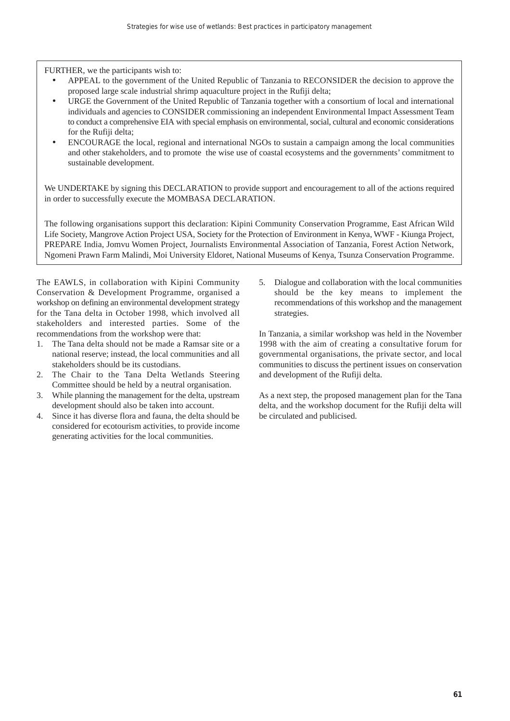FURTHER, we the participants wish to:

- APPEAL to the government of the United Republic of Tanzania to RECONSIDER the decision to approve the proposed large scale industrial shrimp aquaculture project in the Rufiji delta;
- URGE the Government of the United Republic of Tanzania together with a consortium of local and international individuals and agencies to CONSIDER commissioning an independent Environmental Impact Assessment Team to conduct a comprehensive EIA with special emphasis on environmental, social, cultural and economic considerations for the Rufiji delta;
- ENCOURAGE the local, regional and international NGOs to sustain a campaign among the local communities and other stakeholders, and to promote the wise use of coastal ecosystems and the governments' commitment to sustainable development.

We UNDERTAKE by signing this DECLARATION to provide support and encouragement to all of the actions required in order to successfully execute the MOMBASA DECLARATION.

The following organisations support this declaration: Kipini Community Conservation Programme, East African Wild Life Society, Mangrove Action Project USA, Society for the Protection of Environment in Kenya, WWF - Kiunga Project, PREPARE India, Jomvu Women Project, Journalists Environmental Association of Tanzania, Forest Action Network, Ngomeni Prawn Farm Malindi, Moi University Eldoret, National Museums of Kenya, Tsunza Conservation Programme.

The EAWLS, in collaboration with Kipini Community Conservation & Development Programme, organised a workshop on defining an environmental development strategy for the Tana delta in October 1998, which involved all stakeholders and interested parties. Some of the recommendations from the workshop were that:

- 1. The Tana delta should not be made a Ramsar site or a national reserve; instead, the local communities and all stakeholders should be its custodians.
- 2. The Chair to the Tana Delta Wetlands Steering Committee should be held by a neutral organisation.
- 3. While planning the management for the delta, upstream development should also be taken into account.
- 4. Since it has diverse flora and fauna, the delta should be considered for ecotourism activities, to provide income generating activities for the local communities.

5. Dialogue and collaboration with the local communities should be the key means to implement the recommendations of this workshop and the management strategies.

In Tanzania, a similar workshop was held in the November 1998 with the aim of creating a consultative forum for governmental organisations, the private sector, and local communities to discuss the pertinent issues on conservation and development of the Rufiji delta.

As a next step, the proposed management plan for the Tana delta, and the workshop document for the Rufiji delta will be circulated and publicised.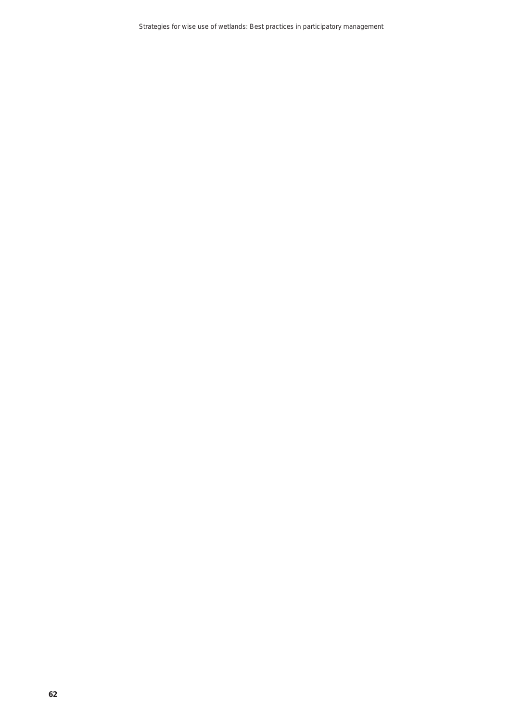Strategies for wise use of wetlands: Best practices in participatory management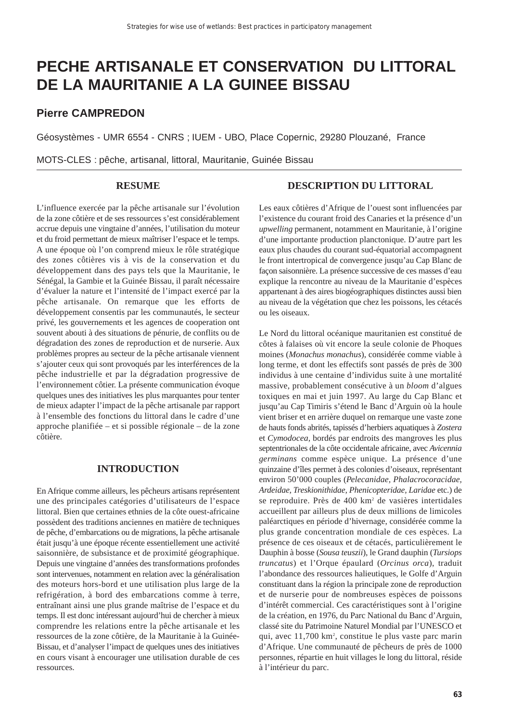# **PECHE ARTISANALE ET CONSERVATION DU LITTORAL DE LA MAURITANIE A LA GUINEE BISSAU**

## **Pierre CAMPREDON**

Géosystèmes - UMR 6554 - CNRS ; IUEM - UBO, Place Copernic, 29280 Plouzané, France

MOTS-CLES : pêche, artisanal, littoral, Mauritanie, Guinée Bissau

### **RESUME**

L'influence exercée par la pêche artisanale sur l'évolution de la zone côtière et de ses ressources s'est considérablement accrue depuis une vingtaine d'années, l'utilisation du moteur et du froid permettant de mieux maîtriser l'espace et le temps. A une époque où l'on comprend mieux le rôle stratégique des zones côtières vis à vis de la conservation et du développement dans des pays tels que la Mauritanie, le Sénégal, la Gambie et la Guinée Bissau, il paraît nécessaire d'évaluer la nature et l'intensité de l'impact exercé par la pêche artisanale. On remarque que les efforts de développement consentis par les communautés, le secteur privé, les gouvernements et les agences de cooperation ont souvent abouti à des situations de pénurie, de conflits ou de dégradation des zones de reproduction et de nurserie. Aux problèmes propres au secteur de la pêche artisanale viennent s'ajouter ceux qui sont provoqués par les interférences de la pêche industrielle et par la dégradation progressive de l'environnement côtier. La présente communication évoque quelques unes des initiatives les plus marquantes pour tenter de mieux adapter l'impact de la pêche artisanale par rapport à l'ensemble des fonctions du littoral dans le cadre d'une approche planifiée – et si possible régionale – de la zone côtière.

### **INTRODUCTION**

En Afrique comme ailleurs, les pêcheurs artisans représentent une des principales catégories d'utilisateurs de l'espace littoral. Bien que certaines ethnies de la côte ouest-africaine possèdent des traditions anciennes en matière de techniques de pêche, d'embarcations ou de migrations, la pêche artisanale était jusqu'à une époque récente essentiellement une activité saisonnière, de subsistance et de proximité géographique. Depuis une vingtaine d'années des transformations profondes sont intervenues, notamment en relation avec la généralisation des moteurs hors-bord et une utilisation plus large de la refrigération, à bord des embarcations comme à terre, entraînant ainsi une plus grande maîtrise de l'espace et du temps. Il est donc intéressant aujourd'hui de chercher à mieux comprendre les relations entre la pêche artisanale et les ressources de la zone côtière, de la Mauritanie à la Guinée-Bissau, et d'analyser l'impact de quelques unes des initiatives en cours visant à encourager une utilisation durable de ces ressources.

### **DESCRIPTION DU LITTORAL**

Les eaux côtières d'Afrique de l'ouest sont influencées par l'existence du courant froid des Canaries et la présence d'un *upwelling* permanent, notamment en Mauritanie, à l'origine d'une importante production planctonique. D'autre part les eaux plus chaudes du courant sud-équatorial accompagnent le front intertropical de convergence jusqu'au Cap Blanc de façon saisonnière. La présence successive de ces masses d'eau explique la rencontre au niveau de la Mauritanie d'espèces appartenant à des aires biogéographiques distinctes aussi bien au niveau de la végétation que chez les poissons, les cétacés ou les oiseaux.

Le Nord du littoral océanique mauritanien est constitué de côtes à falaises où vit encore la seule colonie de Phoques moines (*Monachus monachus*), considérée comme viable à long terme, et dont les effectifs sont passés de près de 300 individus à une centaine d'individus suite à une mortalité massive, probablement consécutive à un *bloom* d'algues toxiques en mai et juin 1997. Au large du Cap Blanc et jusqu'au Cap Timiris s'étend le Banc d'Arguin où la houle vient briser et en arrière duquel on remarque une vaste zone de hauts fonds abrités, tapissés d'herbiers aquatiques à *Zostera* et *Cymodocea,* bordés par endroits des mangroves les plus septentrionales de la côte occidentale africaine, avec *Avicennia germinans* comme espèce unique. La présence d'une quinzaine d'îles permet à des colonies d'oiseaux, représentant environ 50'000 couples (*Pelecanidae, Phalacrocoracidae, Ardeidae, Treskionithidae, Phenicopteridae, Laridae* etc.) de se reproduire. Près de 400 km2 de vasières intertidales accueillent par ailleurs plus de deux millions de limicoles paléarctiques en période d'hivernage, considérée comme la plus grande concentration mondiale de ces espèces. La présence de ces oiseaux et de cétacés, particulièrement le Dauphin à bosse (*Sousa teuszii*), le Grand dauphin (*Tursiops truncatus*) et l'Orque épaulard (*Orcinus orca*), traduit l'abondance des ressources halieutiques, le Golfe d'Arguin constituant dans la région la principale zone de reproduction et de nurserie pour de nombreuses espèces de poissons d'intérêt commercial. Ces caractéristiques sont à l'origine de la création, en 1976, du Parc National du Banc d'Arguin, classé site du Patrimoine Naturel Mondial par l'UNESCO et qui, avec 11,700 km<sup>2</sup>, constitue le plus vaste parc marin d'Afrique. Une communauté de pêcheurs de près de 1000 personnes, répartie en huit villages le long du littoral, réside à l'intérieur du parc.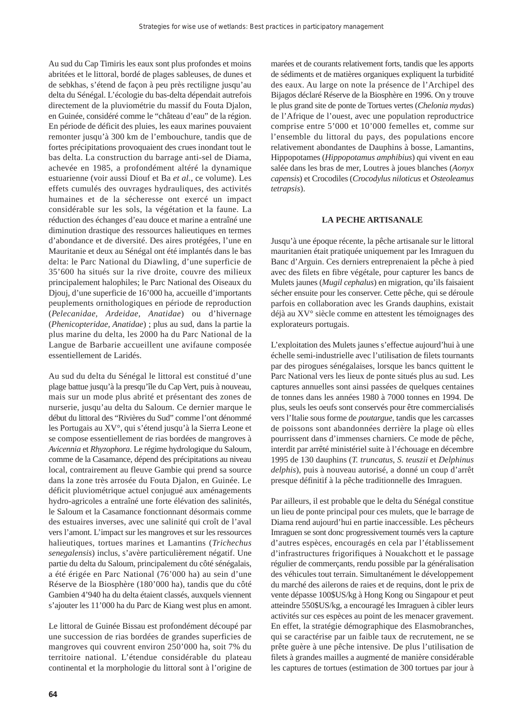Au sud du Cap Timiris les eaux sont plus profondes et moins abritées et le littoral, bordé de plages sableuses, de dunes et de sebkhas, s'étend de façon à peu près rectiligne jusqu'au delta du Sénégal. L'écologie du bas-delta dépendait autrefois directement de la pluviométrie du massif du Fouta Djalon, en Guinée, considéré comme le "château d'eau" de la région. En période de déficit des pluies, les eaux marines pouvaient remonter jusqu'à 300 km de l'embouchure, tandis que de fortes précipitations provoquaient des crues inondant tout le bas delta. La construction du barrage anti-sel de Diama, achevée en 1985, a profondément altéré la dynamique estuarienne (voir aussi Diouf et Ba *et al.*, ce volume). Les effets cumulés des ouvrages hydrauliques, des activités humaines et de la sécheresse ont exercé un impact considérable sur les sols, la végétation et la faune. La réduction des échanges d'eau douce et marine a entraîné une diminution drastique des ressources halieutiques en termes d'abondance et de diversité. Des aires protégées, l'une en Mauritanie et deux au Sénégal ont été implantés dans le bas delta: le Parc National du Diawling, d'une superficie de 35'600 ha situés sur la rive droite, couvre des milieux principalement halophiles; le Parc National des Oiseaux du Djouj, d'une superficie de 16'000 ha, accueille d'importants peuplements ornithologiques en période de reproduction (*Pelecanidae, Ardeidae, Anatidae*) ou d'hivernage (*Phenicopteridae, Anatidae*) ; plus au sud, dans la partie la plus marine du delta, les 2000 ha du Parc National de la Langue de Barbarie accueillent une avifaune composée essentiellement de Laridés.

Au sud du delta du Sénégal le littoral est constitué d'une plage battue jusqu'à la presqu'île du Cap Vert, puis à nouveau, mais sur un mode plus abrité et présentant des zones de nurserie, jusqu'au delta du Saloum. Ce dernier marque le début du littoral des "Rivières du Sud" comme l'ont dénommé les Portugais au XV°, qui s'étend jusqu'à la Sierra Leone et se compose essentiellement de rias bordées de mangroves à *Avicennia* et *Rhyzophora*. Le régime hydrologique du Saloum, comme de la Casamance, dépend des précipitations au niveau local, contrairement au fleuve Gambie qui prend sa source dans la zone très arrosée du Fouta Djalon, en Guinée. Le déficit pluviométrique actuel conjugué aux aménagements hydro-agricoles a entraîné une forte élévation des salinités, le Saloum et la Casamance fonctionnant désormais comme des estuaires inverses, avec une salinité qui croît de l'aval vers l'amont. L'impact sur les mangroves et sur les ressources halieutiques, tortues marines et Lamantins (*Trichechus senegalensis*) inclus, s'avère particulièrement négatif. Une partie du delta du Saloum, principalement du côté sénégalais, a été érigée en Parc National (76'000 ha) au sein d'une Réserve de la Biosphère (180'000 ha), tandis que du côté Gambien 4'940 ha du delta étaient classés, auxquels viennent s'ajouter les 11'000 ha du Parc de Kiang west plus en amont.

Le littoral de Guinée Bissau est profondément découpé par une succession de rias bordées de grandes superficies de mangroves qui couvrent environ 250'000 ha, soit 7% du territoire national. L'étendue considérable du plateau continental et la morphologie du littoral sont à l'origine de marées et de courants relativement forts, tandis que les apports de sédiments et de matières organiques expliquent la turbidité des eaux. Au large on note la présence de l'Archipel des Bijagos déclaré Réserve de la Biosphère en 1996. On y trouve le plus grand site de ponte de Tortues vertes (*Chelonia mydas*) de l'Afrique de l'ouest, avec une population reproductrice comprise entre 5'000 et 10'000 femelles et, comme sur l'ensemble du littoral du pays, des populations encore relativement abondantes de Dauphins à bosse*,* Lamantins, Hippopotames (*Hippopotamus amphibius*) qui vivent en eau salée dans les bras de mer, Loutres à joues blanches (*Aonyx capensis*) et Crocodiles (*Crocodylus niloticus* et *Osteoleamus tetrapsis*).

#### **LA PECHE ARTISANALE**

Jusqu'à une époque récente, la pêche artisanale sur le littoral mauritanien était pratiquée uniquement par les Imraguen du Banc d'Arguin. Ces derniers entreprenaient la pêche à pied avec des filets en fibre végétale, pour capturer les bancs de Mulets jaunes (*Mugil cephalus*) en migration, qu'ils faisaient sécher ensuite pour les conserver. Cette pêche, qui se déroule parfois en collaboration avec les Grands dauphins, existait déjà au XV° siècle comme en attestent les témoignages des explorateurs portugais.

L'exploitation des Mulets jaunes s'effectue aujourd'hui à une échelle semi-industrielle avec l'utilisation de filets tournants par des pirogues sénégalaises, lorsque les bancs quittent le Parc National vers les lieux de ponte situés plus au sud. Les captures annuelles sont ainsi passées de quelques centaines de tonnes dans les années 1980 à 7000 tonnes en 1994. De plus, seuls les oeufs sont conservés pour être commercialisés vers l'Italie sous forme de *poutargue*, tandis que les carcasses de poissons sont abandonnées derrière la plage où elles pourrissent dans d'immenses charniers. Ce mode de pêche, interdit par arrêté ministériel suite à l'échouage en décembre 1995 de 130 dauphins (*T. truncatus*, *S. teuszii* et *Delphinus delphis*), puis à nouveau autorisé, a donné un coup d'arrêt presque définitif à la pêche traditionnelle des Imraguen.

Par ailleurs, il est probable que le delta du Sénégal constitue un lieu de ponte principal pour ces mulets, que le barrage de Diama rend aujourd'hui en partie inaccessible. Les pêcheurs Imraguen se sont donc progressivement tournés vers la capture d'autres espèces, encouragés en cela par l'établissement d'infrastructures frigorifiques à Nouakchott et le passage régulier de commerçants, rendu possible par la généralisation des véhicules tout terrain. Simultanément le développement du marché des ailerons de raies et de requins, dont le prix de vente dépasse 100\$US/kg à Hong Kong ou Singapour et peut atteindre 550\$US/kg, a encouragé les Imraguen à cibler leurs activités sur ces espèces au point de les menacer gravement. En effet, la stratégie démographique des Elasmobranches, qui se caractérise par un faible taux de recrutement, ne se prête guère à une pêche intensive. De plus l'utilisation de filets à grandes mailles a augmenté de manière considérable les captures de tortues (estimation de 300 tortues par jour à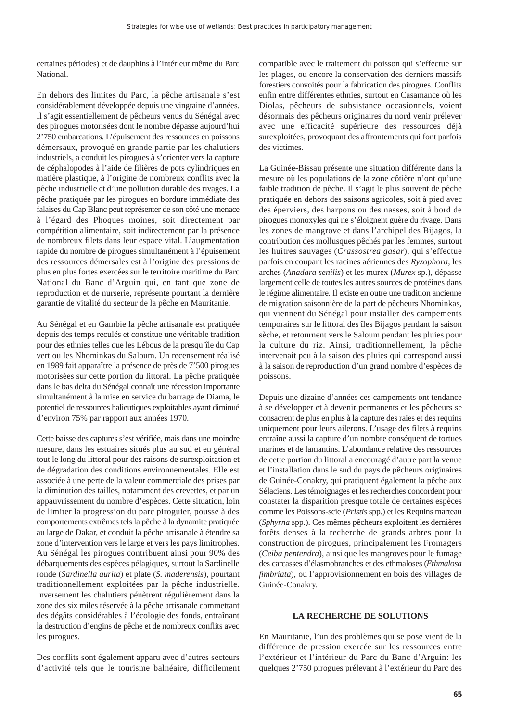certaines périodes) et de dauphins à l'intérieur même du Parc National.

En dehors des limites du Parc, la pêche artisanale s'est considérablement développée depuis une vingtaine d'années. Il s'agit essentiellement de pêcheurs venus du Sénégal avec des pirogues motorisées dont le nombre dépasse aujourd'hui 2'750 embarcations. L'épuisement des ressources en poissons démersaux, provoqué en grande partie par les chalutiers industriels, a conduit les pirogues à s'orienter vers la capture de céphalopodes à l'aide de filières de pots cylindriques en matière plastique, à l'origine de nombreux conflits avec la pêche industrielle et d'une pollution durable des rivages. La pêche pratiquée par les pirogues en bordure immédiate des falaises du Cap Blanc peut représenter de son côté une menace à l'égard des Phoques moines, soit directement par compétition alimentaire, soit indirectement par la présence de nombreux filets dans leur espace vital. L'augmentation rapide du nombre de pirogues simultanément à l'épuisement des ressources démersales est à l'origine des pressions de plus en plus fortes exercées sur le territoire maritime du Parc National du Banc d'Arguin qui, en tant que zone de reproduction et de nurserie, représente pourtant la dernière garantie de vitalité du secteur de la pêche en Mauritanie.

Au Sénégal et en Gambie la pêche artisanale est pratiquée depuis des temps reculés et constitue une véritable tradition pour des ethnies telles que les Lébous de la presqu'île du Cap vert ou les Nhominkas du Saloum. Un recensement réalisé en 1989 fait apparaître la présence de près de 7'500 pirogues motorisées sur cette portion du littoral. La pêche pratiquée dans le bas delta du Sénégal connaît une récession importante simultanément à la mise en service du barrage de Diama, le potentiel de ressources halieutiques exploitables ayant diminué d'environ 75% par rapport aux années 1970.

Cette baisse des captures s'est vérifiée, mais dans une moindre mesure, dans les estuaires situés plus au sud et en général tout le long du littoral pour des raisons de surexploitation et de dégradation des conditions environnementales. Elle est associée à une perte de la valeur commerciale des prises par la diminution des tailles, notamment des crevettes, et par un appauvrissement du nombre d'espèces. Cette situation, loin de limiter la progression du parc piroguier, pousse à des comportements extrêmes tels la pêche à la dynamite pratiquée au large de Dakar, et conduit la pêche artisanale à étendre sa zone d'intervention vers le large et vers les pays limitrophes. Au Sénégal les pirogues contribuent ainsi pour 90% des débarquements des espèces pélagiques, surtout la Sardinelle ronde (*Sardinella aurita*) et plate (*S. maderensis*), pourtant traditionnellement exploitées par la pêche industrielle. Inversement les chalutiers pénètrent régulièrement dans la zone des six miles réservée à la pêche artisanale commettant des dégâts considérables à l'écologie des fonds, entraînant la destruction d'engins de pêche et de nombreux conflits avec les pirogues.

Des conflits sont également apparu avec d'autres secteurs d'activité tels que le tourisme balnéaire, difficilement compatible avec le traitement du poisson qui s'effectue sur les plages, ou encore la conservation des derniers massifs forestiers convoités pour la fabrication des pirogues. Conflits enfin entre différentes ethnies, surtout en Casamance où les Diolas, pêcheurs de subsistance occasionnels, voient désormais des pêcheurs originaires du nord venir prélever avec une efficacité supérieure des ressources déjà surexploitées, provoquant des affrontements qui font parfois des victimes.

La Guinée-Bissau présente une situation différente dans la mesure où les populations de la zone côtière n'ont qu'une faible tradition de pêche. Il s'agit le plus souvent de pêche pratiquée en dehors des saisons agricoles, soit à pied avec des éperviers, des harpons ou des nasses, soit à bord de pirogues monoxyles qui ne s'éloignent guère du rivage. Dans les zones de mangrove et dans l'archipel des Bijagos, la contribution des mollusques pêchés par les femmes, surtout les huitres sauvages (*Crassostrea gasar*), qui s'effectue parfois en coupant les racines aériennes des *Ryzophora*, les arches (*Anadara senilis*) et les murex (*Murex* sp.), dépasse largement celle de toutes les autres sources de protéines dans le régime alimentaire. Il existe en outre une tradition ancienne de migration saisonnière de la part de pêcheurs Nhominkas, qui viennent du Sénégal pour installer des campements temporaires sur le littoral des îles Bijagos pendant la saison sèche, et retournent vers le Saloum pendant les pluies pour la culture du riz. Ainsi, traditionnellement, la pêche intervenait peu à la saison des pluies qui correspond aussi à la saison de reproduction d'un grand nombre d'espèces de poissons.

Depuis une dizaine d'années ces campements ont tendance à se développer et à devenir permanents et les pêcheurs se consacrent de plus en plus à la capture des raies et des requins uniquement pour leurs ailerons. L'usage des filets à requins entraîne aussi la capture d'un nombre conséquent de tortues marines et de lamantins. L'abondance relative des ressources de cette portion du littoral a encouragé d'autre part la venue et l'installation dans le sud du pays de pêcheurs originaires de Guinée-Conakry, qui pratiquent également la pêche aux Sélaciens. Les témoignages et les recherches concordent pour constater la disparition presque totale de certaines espèces comme les Poissons-scie (*Pristis* spp.) et les Requins marteau (*Sphyrna* spp.). Ces mêmes pêcheurs exploitent les dernières forêts denses à la recherche de grands arbres pour la construction de pirogues, principalement les Fromagers (*Ceiba pentendra*), ainsi que les mangroves pour le fumage des carcasses d'élasmobranches et des ethmaloses (*Ethmalosa fimbriata*), ou l'approvisionnement en bois des villages de Guinée-Conakry.

#### **LA RECHERCHE DE SOLUTIONS**

En Mauritanie, l'un des problèmes qui se pose vient de la différence de pression exercée sur les ressources entre l'extérieur et l'intérieur du Parc du Banc d'Arguin: les quelques 2'750 pirogues prélevant à l'extérieur du Parc des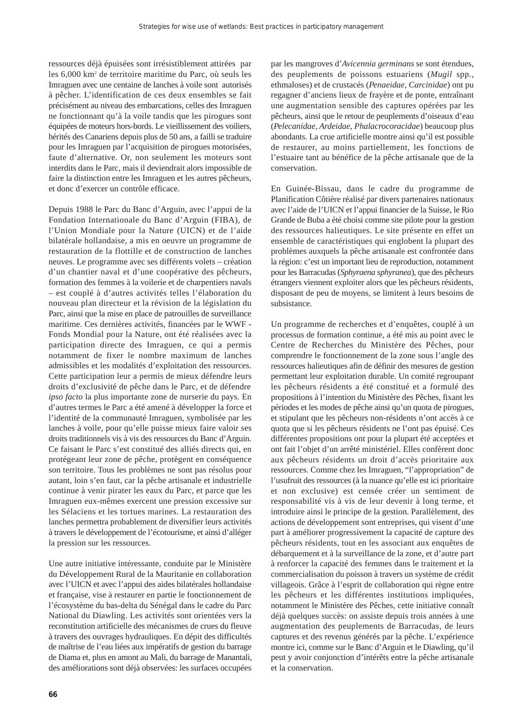ressources déjà épuisées sont irrésistiblement attirées par les 6,000 km2 de territoire maritime du Parc, où seuls les Imraguen avec une centaine de lanches à voile sont autorisés à pêcher. L'identification de ces deux ensembles se fait précisément au niveau des embarcations, celles des Imraguen ne fonctionnant qu'à la voile tandis que les pirogues sont équipées de moteurs hors-bords. Le vieillissement des voiliers, hérités des Canariens depuis plus de 50 ans, a failli se traduire pour les Imraguen par l'acquisition de pirogues motorisées, faute d'alternative. Or, non seulement les moteurs sont interdits dans le Parc, mais il deviendrait alors impossible de faire la distinction entre les Imraguen et les autres pêcheurs, et donc d'exercer un contrôle efficace.

Depuis 1988 le Parc du Banc d'Arguin, avec l'appui de la Fondation Internationale du Banc d'Arguin (FIBA), de l'Union Mondiale pour la Nature (UICN) et de l'aide bilatérale hollandaise, a mis en oeuvre un programme de restauration de la flottille et de construction de lanches neuves. Le programme avec ses différents volets – création d'un chantier naval et d'une coopérative des pêcheurs, formation des femmes à la voilerie et de charpentiers navals – est couplé à d'autres activités telles l'élaboration du nouveau plan directeur et la révision de la législation du Parc, ainsi que la mise en place de patrouilles de surveillance maritime. Ces dernières activités, financées par le WWF - Fonds Mondial pour la Nature, ont été réalisées avec la participation directe des Imraguen, ce qui a permis notamment de fixer le nombre maximum de lanches admissibles et les modalités d'exploitation des ressources. Cette participation leur a permis de mieux défendre leurs droits d'exclusivité de pêche dans le Parc, et de défendre *ipso facto* la plus importante zone de nurserie du pays. En d'autres termes le Parc a été amené à développer la force et l'identité de la communauté Imraguen, symbolisée par les lanches à voile, pour qu'elle puisse mieux faire valoir ses droits traditionnels vis à vis des ressources du Banc d'Arguin. Ce faisant le Parc s'est constitué des alliés directs qui, en protégeant leur zone de pêche, protègent en conséquence son territoire. Tous les problèmes ne sont pas résolus pour autant, loin s'en faut, car la pêche artisanale et industrielle continue à venir pirater les eaux du Parc, et parce que les Imraguen eux-mêmes exercent une pression excessive sur les Sélaciens et les tortues marines. La restauration des lanches permettra probablement de diversifier leurs activités à travers le développement de l'écotourisme, et ainsi d'alléger la pression sur les ressources.

Une autre initiative intéressante, conduite par le Ministère du Développement Rural de la Mauritanie en collaboration avec l'UICN et avec l'appui des aides bilatérales hollandaise et française, vise à restaurer en partie le fonctionnement de l'écosystème du bas-delta du Sénégal dans le cadre du Parc National du Diawling. Les activités sont orientées vers la reconstitution artificielle des mécanismes de crues du fleuve à travers des ouvrages hydrauliques. En dépit des difficultés de maîtrise de l'eau liées aux impératifs de gestion du barrage de Diama et, plus en amont au Mali, du barrage de Manantali, des améliorations sont déjà observées: les surfaces occupées

par les mangroves d'*Avicennia germinans* se sont étendues, des peuplements de poissons estuariens (*Mugil* spp*.*, ethmaloses) et de crustacés (*Penaeidae, Carcinidae*) ont pu regagner d'anciens lieux de frayère et de ponte, entraînant une augmentation sensible des captures opérées par les pêcheurs, ainsi que le retour de peuplements d'oiseaux d'eau (*Pelecanidae, Ardeidae, Phalacrocoracidae*) beaucoup plus abondants. La crue artificielle montre ainsi qu'il est possible de restaurer, au moins partiellement, les fonctions de l'estuaire tant au bénéfice de la pêche artisanale que de la conservation.

En Guinée-Bissau, dans le cadre du programme de Planification Côtière réalisé par divers partenaires nationaux avec l'aide de l'UICN et l'appui financier de la Suisse, le Rio Grande de Buba a été choisi comme site pilote pour la gestion des ressources halieutiques. Le site présente en effet un ensemble de caractéristiques qui englobent la plupart des problèmes auxquels la pêche artisanale est confrontée dans la région: c'est un important lieu de reproduction, notamment pour les Barracudas (*Sphyraena sphyranea*), que des pêcheurs étrangers viennent exploiter alors que les pêcheurs résidents, disposant de peu de moyens, se limitent à leurs besoins de subsistance.

Un programme de recherches et d'enquêtes, couplé à un processus de formation continue, a été mis au point avec le Centre de Recherches du Ministère des Pêches, pour comprendre le fonctionnement de la zone sous l'angle des ressources halieutiques afin de définir des mesures de gestion permettant leur exploitation durable. Un comité regroupant les pêcheurs résidents a été constitué et a formulé des propositions à l'intention du Ministère des Pêches, fixant les périodes et les modes de pêche ainsi qu'un quota de pirogues, et stipulant que les pêcheurs non-résidents n'ont accès à ce quota que si les pêcheurs résidents ne l'ont pas épuisé. Ces différentes propositions ont pour la plupart été acceptées et ont fait l'objet d'un arrêté ministériel. Elles confèrent donc aux pêcheurs résidents un droit d'accès prioritaire aux ressources. Comme chez les Imraguen, "l'appropriation" de l'usufruit des ressources (à la nuance qu'elle est ici prioritaire et non exclusive) est censée créer un sentiment de responsabilité vis à vis de leur devenir à long terme, et introduire ainsi le principe de la gestion. Parallèlement, des actions de développement sont entreprises, qui visent d'une part à améliorer progressivement la capacité de capture des pêcheurs résidents, tout en les associant aux enquêtes de débarquement et à la surveillance de la zone, et d'autre part à renforcer la capacité des femmes dans le traitement et la commercialisation du poisson à travers un système de crédit villageois. Grâce à l'esprit de collaboration qui règne entre les pêcheurs et les différentes institutions impliquées, notamment le Ministère des Pêches, cette initiative connaît déjà quelques succès: on assiste depuis trois années à une augmentation des peuplements de Barracudas, de leurs captures et des revenus générés par la pêche. L'expérience montre ici, comme sur le Banc d'Arguin et le Diawling, qu'il peut y avoir conjonction d'intérêts entre la pêche artisanale et la conservation.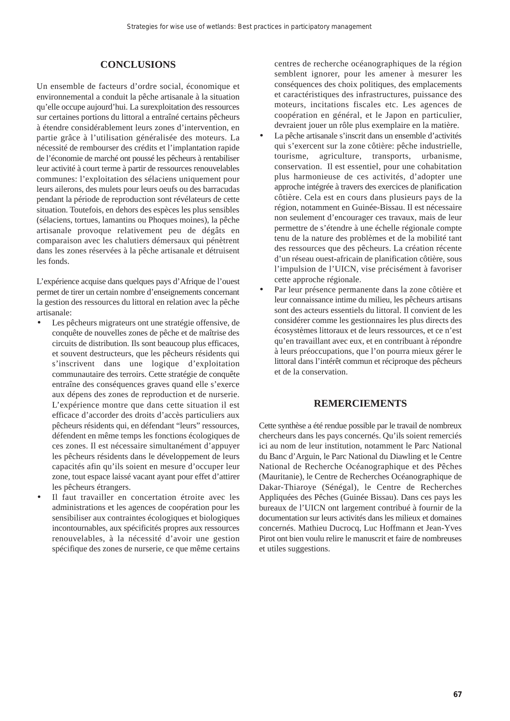### **CONCLUSIONS**

Un ensemble de facteurs d'ordre social, économique et environnemental a conduit la pêche artisanale à la situation qu'elle occupe aujourd'hui. La surexploitation des ressources sur certaines portions du littoral a entraîné certains pêcheurs à étendre considérablement leurs zones d'intervention, en partie grâce à l'utilisation généralisée des moteurs. La nécessité de rembourser des crédits et l'implantation rapide de l'économie de marché ont poussé les pêcheurs à rentabiliser leur activité à court terme à partir de ressources renouvelables communes: l'exploitation des sélaciens uniquement pour leurs ailerons, des mulets pour leurs oeufs ou des barracudas pendant la période de reproduction sont révélateurs de cette situation. Toutefois, en dehors des espèces les plus sensibles (sélaciens, tortues, lamantins ou Phoques moines), la pêche artisanale provoque relativement peu de dégâts en comparaison avec les chalutiers démersaux qui pénètrent dans les zones réservées à la pêche artisanale et détruisent les fonds.

L'expérience acquise dans quelques pays d'Afrique de l'ouest permet de tirer un certain nombre d'enseignements concernant la gestion des ressources du littoral en relation avec la pêche artisanale:

- Les pêcheurs migrateurs ont une stratégie offensive, de conquête de nouvelles zones de pêche et de maîtrise des circuits de distribution. Ils sont beaucoup plus efficaces, et souvent destructeurs, que les pêcheurs résidents qui s'inscrivent dans une logique d'exploitation communautaire des terroirs. Cette stratégie de conquête entraîne des conséquences graves quand elle s'exerce aux dépens des zones de reproduction et de nurserie. L'expérience montre que dans cette situation il est efficace d'accorder des droits d'accès particuliers aux pêcheurs résidents qui, en défendant "leurs" ressources, défendent en même temps les fonctions écologiques de ces zones. Il est nécessaire simultanément d'appuyer les pêcheurs résidents dans le développement de leurs capacités afin qu'ils soient en mesure d'occuper leur zone, tout espace laissé vacant ayant pour effet d'attirer les pêcheurs étrangers.
- Il faut travailler en concertation étroite avec les administrations et les agences de coopération pour les sensibiliser aux contraintes écologiques et biologiques incontournables, aux spécificités propres aux ressources renouvelables, à la nécessité d'avoir une gestion spécifique des zones de nurserie, ce que même certains

centres de recherche océanographiques de la région semblent ignorer, pour les amener à mesurer les conséquences des choix politiques, des emplacements et caractéristiques des infrastructures, puissance des moteurs, incitations fiscales etc. Les agences de coopération en général, et le Japon en particulier, devraient jouer un rôle plus exemplaire en la matière.

- La pêche artisanale s'inscrit dans un ensemble d'activités qui s'exercent sur la zone côtière: pêche industrielle, tourisme, agriculture, transports, urbanisme, conservation. Il est essentiel, pour une cohabitation plus harmonieuse de ces activités, d'adopter une approche intégrée à travers des exercices de planification côtière. Cela est en cours dans plusieurs pays de la région, notamment en Guinée-Bissau. Il est nécessaire non seulement d'encourager ces travaux, mais de leur permettre de s'étendre à une échelle régionale compte tenu de la nature des problèmes et de la mobilité tant des ressources que des pêcheurs. La création récente d'un réseau ouest-africain de planification côtière, sous l'impulsion de l'UICN, vise précisément à favoriser cette approche régionale.
- Par leur présence permanente dans la zone côtière et leur connaissance intime du milieu, les pêcheurs artisans sont des acteurs essentiels du littoral. Il convient de les considérer comme les gestionnaires les plus directs des écosystèmes littoraux et de leurs ressources, et ce n'est qu'en travaillant avec eux, et en contribuant à répondre à leurs préoccupations, que l'on pourra mieux gérer le littoral dans l'intérêt commun et réciproque des pêcheurs et de la conservation.

#### **REMERCIEMENTS**

Cette synthèse a été rendue possible par le travail de nombreux chercheurs dans les pays concernés. Qu'ils soient remerciés ici au nom de leur institution, notamment le Parc National du Banc d'Arguin, le Parc National du Diawling et le Centre National de Recherche Océanographique et des Pêches (Mauritanie), le Centre de Recherches Océanographique de Dakar-Thiaroye (Sénégal), le Centre de Recherches Appliquées des Pêches (Guinée Bissau). Dans ces pays les bureaux de l'UICN ont largement contribué à fournir de la documentation sur leurs activités dans les milieux et domaines concernés. Mathieu Ducrocq, Luc Hoffmann et Jean-Yves Pirot ont bien voulu relire le manuscrit et faire de nombreuses et utiles suggestions.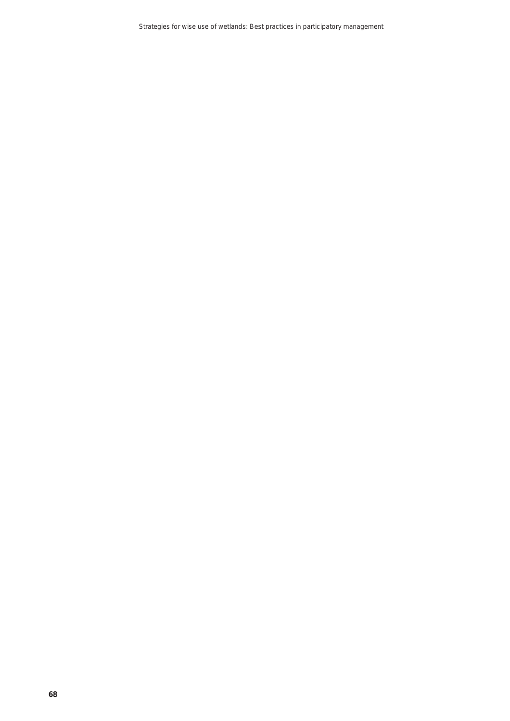Strategies for wise use of wetlands: Best practices in participatory management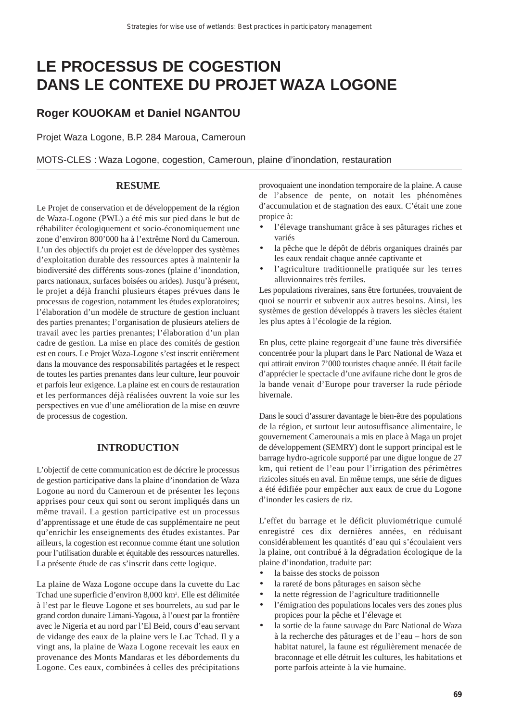# **LE PROCESSUS DE COGESTION DANS LE CONTEXE DU PROJET WAZA LOGONE**

## **Roger KOUOKAM et Daniel NGANTOU**

Projet Waza Logone, B.P. 284 Maroua, Cameroun

MOTS-CLES : Waza Logone, cogestion, Cameroun, plaine d'inondation, restauration

### **RESUME**

Le Projet de conservation et de développement de la région de Waza-Logone (PWL) a été mis sur pied dans le but de réhabiliter écologiquement et socio-économiquement une zone d'environ 800'000 ha à l'extrême Nord du Cameroun. L'un des objectifs du projet est de développer des systèmes d'exploitation durable des ressources aptes à maintenir la biodiversité des différents sous-zones (plaine d'inondation, parcs nationaux, surfaces boisées ou arides). Jusqu'à présent, le projet a déjà franchi plusieurs étapes prévues dans le processus de cogestion, notamment les études exploratoires; l'élaboration d'un modèle de structure de gestion incluant des parties prenantes; l'organisation de plusieurs ateliers de travail avec les parties prenantes; l'élaboration d'un plan cadre de gestion. La mise en place des comités de gestion est en cours. Le Projet Waza-Logone s'est inscrit entièrement dans la mouvance des responsabilités partagées et le respect de toutes les parties prenantes dans leur culture, leur pouvoir et parfois leur exigence. La plaine est en cours de restauration et les performances déjà réalisées ouvrent la voie sur les perspectives en vue d'une amélioration de la mise en œuvre de processus de cogestion.

# **INTRODUCTION**

L'objectif de cette communication est de décrire le processus de gestion participative dans la plaine d'inondation de Waza Logone au nord du Cameroun et de présenter les leçons apprises pour ceux qui sont ou seront impliqués dans un même travail. La gestion participative est un processus d'apprentissage et une étude de cas supplémentaire ne peut qu'enrichir les enseignements des études existantes. Par ailleurs, la cogestion est reconnue comme étant une solution pour l'utilisation durable et équitable des ressources naturelles. La présente étude de cas s'inscrit dans cette logique.

La plaine de Waza Logone occupe dans la cuvette du Lac Tchad une superficie d'environ 8,000 km2 . Elle est délimitée à l'est par le fleuve Logone et ses bourrelets, au sud par le grand cordon dunaire Limani-Yagoua, à l'ouest par la frontière avec le Nigeria et au nord par l'El Beid, cours d'eau servant de vidange des eaux de la plaine vers le Lac Tchad. Il y a vingt ans, la plaine de Waza Logone recevait les eaux en provenance des Monts Mandaras et les débordements du Logone. Ces eaux, combinées à celles des précipitations provoquaient une inondation temporaire de la plaine. A cause de l'absence de pente, on notait les phénomènes d'accumulation et de stagnation des eaux. C'était une zone propice à:

- l'élevage transhumant grâce à ses pâturages riches et variés
- la pêche que le dépôt de débris organiques drainés par les eaux rendait chaque année captivante et
- l'agriculture traditionnelle pratiquée sur les terres alluvionnaires très fertiles.

Les populations riveraines, sans être fortunées, trouvaient de quoi se nourrir et subvenir aux autres besoins. Ainsi, les systèmes de gestion développés à travers les siècles étaient les plus aptes à l'écologie de la région.

En plus, cette plaine regorgeait d'une faune très diversifiée concentrée pour la plupart dans le Parc National de Waza et qui attirait environ 7'000 touristes chaque année. Il était facile d'apprécier le spectacle d'une avifaune riche dont le gros de la bande venait d'Europe pour traverser la rude période hivernale.

Dans le souci d'assurer davantage le bien-être des populations de la région, et surtout leur autosuffisance alimentaire, le gouvernement Camerounais a mis en place à Maga un projet de développement (SEMRY) dont le support principal est le barrage hydro-agricole supporté par une digue longue de 27 km, qui retient de l'eau pour l'irrigation des périmètres rizicoles situés en aval. En même temps, une série de digues a été édifiée pour empêcher aux eaux de crue du Logone d'inonder les casiers de riz.

L'effet du barrage et le déficit pluviométrique cumulé enregistré ces dix dernières années, en réduisant considérablement les quantités d'eau qui s'écoulaient vers la plaine, ont contribué à la dégradation écologique de la plaine d'inondation, traduite par:

- la baisse des stocks de poisson
- la rareté de bons pâturages en saison sèche
- la nette régression de l'agriculture traditionnelle
- l'émigration des populations locales vers des zones plus propices pour la pêche et l'élevage et
- la sortie de la faune sauvage du Parc National de Waza à la recherche des pâturages et de l'eau – hors de son habitat naturel, la faune est régulièrement menacée de braconnage et elle détruit les cultures, les habitations et porte parfois atteinte à la vie humaine.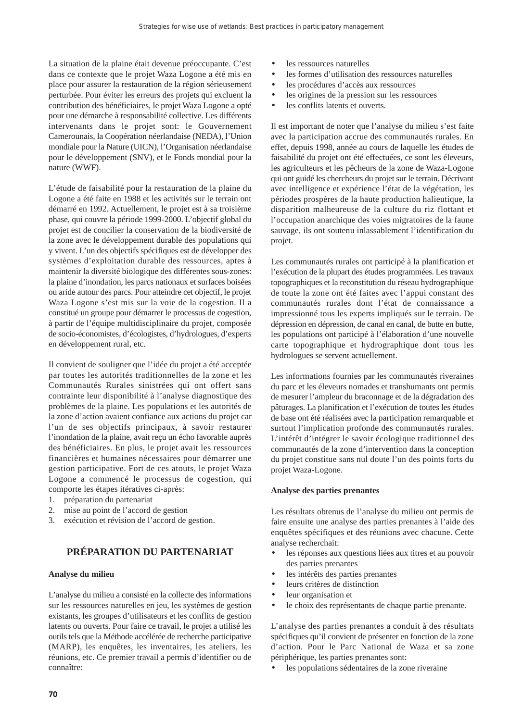La situation de la plaine était devenue préoccupante. C'est dans ce contexte que le projet Waza Logone a été mis en place pour assurer la restauration de la région sérieusement perturbée. Pour éviter les erreurs des projets qui excluent la contribution des bénéficiaires, le projet Waza Logone a opté pour une démarche à responsabilité collective. Les différents intervenants dans le projet sont: le Gouvernement Camerounais, la Coopération néerlandaise (NEDA), l'Union mondiale pour la Nature (UICN), l'Organisation néerlandaise pour le développement (SNV), et le Fonds mondial pour la nature (WWF).

L'étude de faisabilité pour la restauration de la plaine du Logone a été faite en 1988 et les activités sur le terrain ont démarré en 1992. Actuellement, le projet est à sa troisième phase, qui couvre la période 1999-2000. L'objectif global du projet est de concilier la conservation de la biodiversité de la zone avec le développement durable des populations qui y vivent. L'un des objectifs spécifiques est de développer des systèmes d'exploitation durable des ressources, aptes à maintenir la diversité biologique des différentes sous-zones: la plaine d'inondation, les parcs nationaux et surfaces boisées ou aride autour des parcs. Pour atteindre cet objectif, le projet Waza Logone s'est mis sur la voie de la cogestion. Il a constitué un groupe pour démarrer le processus de cogestion, à partir de l'équipe multidisciplinaire du projet, composée de socio-économistes, d'écologistes, d'hydrologues, d'experts en développement rural, etc.

Il convient de souligner que l'idée du projet a été acceptée par toutes les autorités traditionnelles de la zone et les Communautés Rurales sinistrées qui ont offert sans contrainte leur disponibilité à l'analyse diagnostique des problèmes de la plaine. Les populations et les autorités de la zone d'action avaient confiance aux actions du projet car l'un de ses objectifs principaux, à savoir restaurer l'inondation de la plaine, avait reçu un écho favorable auprès des bénéficiaires. En plus, le projet avait les ressources financières et humaines nécessaires pour démarrer une gestion participative. Fort de ces atouts, le projet Waza Logone a commencé le processus de cogestion, qui comporte les étapes itératives ci-après:

- 1. préparation du partenariat
- 2. mise au point de l'accord de gestion
- 3. exécution et révision de l'accord de gestion.

## **PRÉPARATION DU PARTENARIAT**

#### **Analyse du milieu**

L'analyse du milieu a consisté en la collecte des informations sur les ressources naturelles en jeu, les systèmes de gestion existants, les groupes d'utilisateurs et les conflits de gestion latents ou ouverts. Pour faire ce travail, le projet a utilisé les outils tels que la Méthode accélérée de recherche participative (MARP), les enquêtes, les inventaires, les ateliers, les réunions, etc. Ce premier travail a permis d'identifier ou de connaître:

- les ressources naturelles
- les formes d'utilisation des ressources naturelles
- les procédures d'accès aux ressources
- les origines de la pression sur les ressources
- les conflits latents et ouverts.

Il est important de noter que l'analyse du milieu s'est faite avec la participation accrue des communautés rurales. En effet, depuis 1998, année au cours de laquelle les études de faisabilité du projet ont été effectuées, ce sont les éleveurs, les agriculteurs et les pêcheurs de la zone de Waza-Logone qui ont guidé les chercheurs du projet sur le terrain. Décrivant avec intelligence et expérience l'état de la végétation, les périodes prospères de la haute production halieutique, la disparition malheureuse de la culture du riz flottant et l'occupation anarchique des voies migratoires de la faune sauvage, ils ont soutenu inlassablement l'identification du projet.

Les communautés rurales ont participé à la planification et l'exécution de la plupart des études programmées. Les travaux topographiques et la reconstitution du réseau hydrographique de toute la zone ont été faites avec l'appui constant des communautés rurales dont l'état de connaissance a impressionné tous les experts impliqués sur le terrain. De dépression en dépression, de canal en canal, de butte en butte, les populations ont participé à l'élaboration d'une nouvelle carte topographique et hydrographique dont tous les hydrologues se servent actuellement.

Les informations fournies par les communautés riveraines du parc et les éleveurs nomades et transhumants ont permis de mesurer l'ampleur du braconnage et de la dégradation des pâturages. La planification et l'exécution de toutes les études de base ont été réalisées avec la participation remarquable et surtout l'implication profonde des communautés rurales. L'intérêt d'intégrer le savoir écologique traditionnel des communautés de la zone d'intervention dans la conception du projet constitue sans nul doute l'un des points forts du projet Waza-Logone.

#### **Analyse des parties prenantes**

Les résultats obtenus de l'analyse du milieu ont permis de faire ensuite une analyse des parties prenantes à l'aide des enquêtes spécifiques et des réunions avec chacune. Cette analyse recherchait:

- les réponses aux questions liées aux titres et au pouvoir des parties prenantes
- les intérêts des parties prenantes
- leurs critères de distinction
- leur organisation et
- le choix des représentants de chaque partie prenante.

L'analyse des parties prenantes a conduit à des résultats spécifiques qu'il convient de présenter en fonction de la zone d'action. Pour le Parc National de Waza et sa zone périphérique, les parties prenantes sont:

les populations sédentaires de la zone riveraine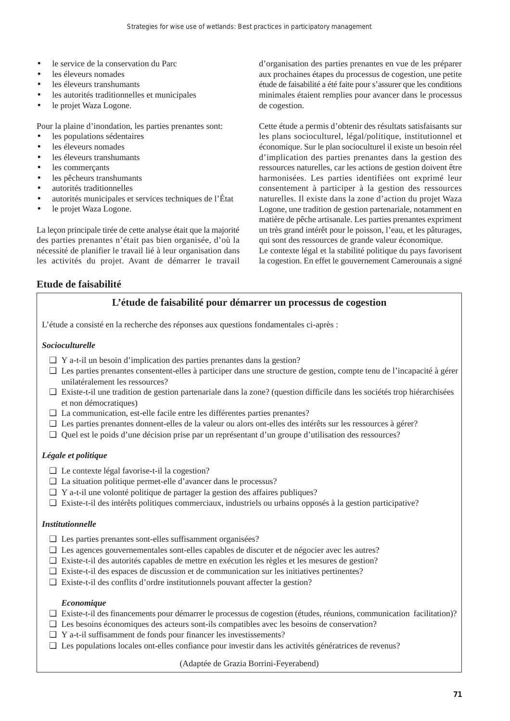- le service de la conservation du Parc
- les éleveurs nomades
- les éleveurs transhumants
- les autorités traditionnelles et municipales
- le projet Waza Logone.

Pour la plaine d'inondation, les parties prenantes sont:

- les populations sédentaires
- les éleveurs nomades
- les éleveurs transhumants
- les commerçants
- les pêcheurs transhumants
- autorités traditionnelles
- autorités municipales et services techniques de l'État
- le projet Waza Logone.

La leçon principale tirée de cette analyse était que la majorité des parties prenantes n'était pas bien organisée, d'où la nécessité de planifier le travail lié à leur organisation dans les activités du projet. Avant de démarrer le travail d'organisation des parties prenantes en vue de les préparer aux prochaines étapes du processus de cogestion, une petite étude de faisabilité a été faite pour s'assurer que les conditions minimales étaient remplies pour avancer dans le processus de cogestion.

Cette étude a permis d'obtenir des résultats satisfaisants sur les plans socioculturel, légal/politique, institutionnel et économique. Sur le plan socioculturel il existe un besoin réel d'implication des parties prenantes dans la gestion des ressources naturelles, car les actions de gestion doivent être harmonisées. Les parties identifiées ont exprimé leur consentement à participer à la gestion des ressources naturelles. Il existe dans la zone d'action du projet Waza Logone, une tradition de gestion partenariale, notamment en matière de pêche artisanale. Les parties prenantes expriment un très grand intérêt pour le poisson, l'eau, et les pâturages, qui sont des ressources de grande valeur économique.

Le contexte légal et la stabilité politique du pays favorisent la cogestion. En effet le gouvernement Camerounais a signé

#### **Etude de faisabilité**

#### **L'étude de faisabilité pour démarrer un processus de cogestion**

L'étude a consisté en la recherche des réponses aux questions fondamentales ci-après :

#### *Socioculturelle*

- ❑ Y a-t-il un besoin d'implication des parties prenantes dans la gestion?
- ❑ Les parties prenantes consentent-elles à participer dans une structure de gestion, compte tenu de l'incapacité à gérer unilatéralement les ressources?
- ❑ Existe-t-il une tradition de gestion partenariale dans la zone? (question difficile dans les sociétés trop hiérarchisées et non démocratiques)
- ❑ La communication, est-elle facile entre les différentes parties prenantes?
- ❑ Les parties prenantes donnent-elles de la valeur ou alors ont-elles des intérêts sur les ressources à gérer?
- ❑ Quel est le poids d'une décision prise par un représentant d'un groupe d'utilisation des ressources?

#### *Légale et politique*

- ❑ Le contexte légal favorise-t-il la cogestion?
- ❑ La situation politique permet-elle d'avancer dans le processus?
- ❑ Y a-t-il une volonté politique de partager la gestion des affaires publiques?
- ❑ Existe-t-il des intérêts politiques commerciaux, industriels ou urbains opposés à la gestion participative?

#### *Institutionnelle*

- ❑ Les parties prenantes sont-elles suffisamment organisées?
- ❑ Les agences gouvernementales sont-elles capables de discuter et de négocier avec les autres?
- ❑ Existe-t-il des autorités capables de mettre en exécution les règles et les mesures de gestion?
- ❑ Existe-t-il des espaces de discussion et de communication sur les initiatives pertinentes?
- ❑ Existe-t-il des conflits d'ordre institutionnels pouvant affecter la gestion?

#### *Economique*

- ❑ Existe-t-il des financements pour démarrer le processus de cogestion (études, réunions, communication facilitation)?
- ❑ Les besoins économiques des acteurs sont-ils compatibles avec les besoins de conservation?
- ❑ Y a-t-il suffisamment de fonds pour financer les investissements?
- ❑ Les populations locales ont-elles confiance pour investir dans les activités génératrices de revenus?

(Adaptée de Grazia Borrini-Feyerabend)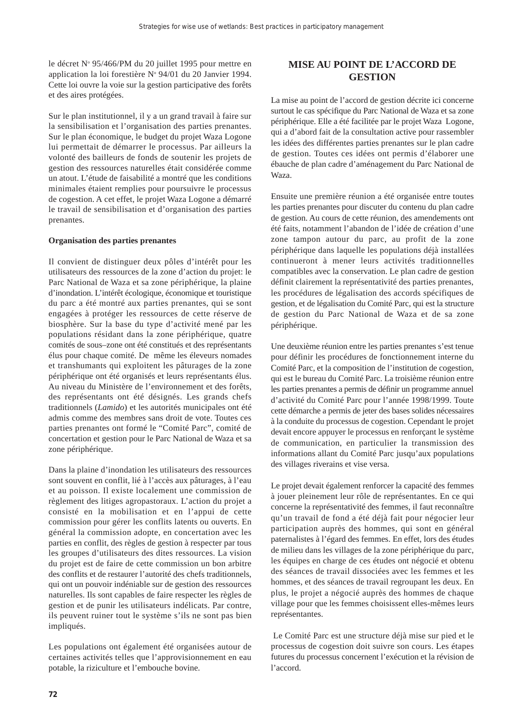le décret N° 95/466/PM du 20 juillet 1995 pour mettre en application la loi forestière  $N^{\circ}$  94/01 du 20 Janvier 1994. Cette loi ouvre la voie sur la gestion participative des forêts et des aires protégées.

Sur le plan institutionnel, il y a un grand travail à faire sur la sensibilisation et l'organisation des parties prenantes. Sur le plan économique, le budget du projet Waza Logone lui permettait de démarrer le processus. Par ailleurs la volonté des bailleurs de fonds de soutenir les projets de gestion des ressources naturelles était considérée comme un atout. L'étude de faisabilité a montré que les conditions minimales étaient remplies pour poursuivre le processus de cogestion. A cet effet, le projet Waza Logone a démarré le travail de sensibilisation et d'organisation des parties prenantes.

#### **Organisation des parties prenantes**

Il convient de distinguer deux pôles d'intérêt pour les utilisateurs des ressources de la zone d'action du projet: le Parc National de Waza et sa zone périphérique, la plaine d'inondation. L'intérêt écologique, économique et touristique du parc a été montré aux parties prenantes, qui se sont engagées à protéger les ressources de cette réserve de biosphère. Sur la base du type d'activité mené par les populations résidant dans la zone périphérique, quatre comités de sous–zone ont été constitués et des représentants élus pour chaque comité. De même les éleveurs nomades et transhumants qui exploitent les pâturages de la zone périphérique ont été organisés et leurs représentants élus. Au niveau du Ministère de l'environnement et des forêts, des représentants ont été désignés. Les grands chefs traditionnels (*Lamido*) et les autorités municipales ont été admis comme des membres sans droit de vote. Toutes ces parties prenantes ont formé le "Comité Parc", comité de concertation et gestion pour le Parc National de Waza et sa zone périphérique.

Dans la plaine d'inondation les utilisateurs des ressources sont souvent en conflit, lié à l'accès aux pâturages, à l'eau et au poisson. Il existe localement une commission de règlement des litiges agropastoraux. L'action du projet a consisté en la mobilisation et en l'appui de cette commission pour gérer les conflits latents ou ouverts. En général la commission adopte, en concertation avec les parties en conflit, des règles de gestion à respecter par tous les groupes d'utilisateurs des dites ressources. La vision du projet est de faire de cette commission un bon arbitre des conflits et de restaurer l'autorité des chefs traditionnels, qui ont un pouvoir indéniable sur de gestion des ressources naturelles. Ils sont capables de faire respecter les règles de gestion et de punir les utilisateurs indélicats. Par contre, ils peuvent ruiner tout le système s'ils ne sont pas bien impliqués.

Les populations ont également été organisées autour de certaines activités telles que l'approvisionnement en eau potable, la riziculture et l'embouche bovine.

# **MISE AU POINT DE L'ACCORD DE GESTION**

La mise au point de l'accord de gestion décrite ici concerne surtout le cas spécifique du Parc National de Waza et sa zone périphérique. Elle a été facilitée par le projet Waza Logone, qui a d'abord fait de la consultation active pour rassembler les idées des différentes parties prenantes sur le plan cadre de gestion. Toutes ces idées ont permis d'élaborer une ébauche de plan cadre d'aménagement du Parc National de Waza.

Ensuite une première réunion a été organisée entre toutes les parties prenantes pour discuter du contenu du plan cadre de gestion. Au cours de cette réunion, des amendements ont été faits, notamment l'abandon de l'idée de création d'une zone tampon autour du parc, au profit de la zone périphérique dans laquelle les populations déjà installées continueront à mener leurs activités traditionnelles compatibles avec la conservation. Le plan cadre de gestion définit clairement la représentativité des parties prenantes, les procédures de légalisation des accords spécifiques de gestion, et de légalisation du Comité Parc, qui est la structure de gestion du Parc National de Waza et de sa zone périphérique.

Une deuxième réunion entre les parties prenantes s'est tenue pour définir les procédures de fonctionnement interne du Comité Parc, et la composition de l'institution de cogestion, qui est le bureau du Comité Parc. La troisième réunion entre les parties prenantes a permis de définir un programme annuel d'activité du Comité Parc pour l'année 1998/1999. Toute cette démarche a permis de jeter des bases solides nécessaires à la conduite du processus de cogestion. Cependant le projet devait encore appuyer le processus en renforçant le système de communication, en particulier la transmission des informations allant du Comité Parc jusqu'aux populations des villages riverains et vise versa.

Le projet devait également renforcer la capacité des femmes à jouer pleinement leur rôle de représentantes. En ce qui concerne la représentativité des femmes, il faut reconnaître qu'un travail de fond a été déjà fait pour négocier leur participation auprès des hommes, qui sont en général paternalistes à l'égard des femmes. En effet, lors des études de milieu dans les villages de la zone périphérique du parc, les équipes en charge de ces études ont négocié et obtenu des séances de travail dissociées avec les femmes et les hommes, et des séances de travail regroupant les deux. En plus, le projet a négocié auprès des hommes de chaque village pour que les femmes choisissent elles-mêmes leurs représentantes.

Le Comité Parc est une structure déjà mise sur pied et le processus de cogestion doit suivre son cours. Les étapes futures du processus concernent l'exécution et la révision de l'accord.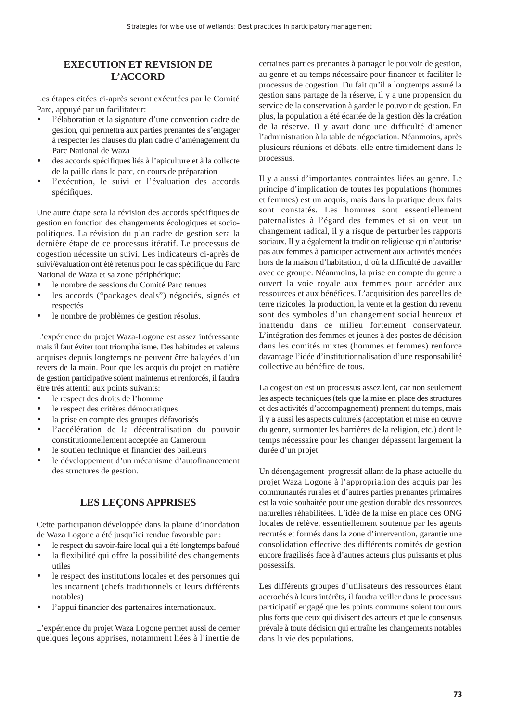## **EXECUTION ET REVISION DE L'ACCORD**

Les étapes citées ci-après seront exécutées par le Comité Parc, appuyé par un facilitateur:

- l'élaboration et la signature d'une convention cadre de gestion, qui permettra aux parties prenantes de s'engager à respecter les clauses du plan cadre d'aménagement du Parc National de Waza
- des accords spécifiques liés à l'apiculture et à la collecte de la paille dans le parc, en cours de préparation
- l'exécution, le suivi et l'évaluation des accords spécifiques.

Une autre étape sera la révision des accords spécifiques de gestion en fonction des changements écologiques et sociopolitiques. La révision du plan cadre de gestion sera la dernière étape de ce processus itératif. Le processus de cogestion nécessite un suivi. Les indicateurs ci-après de suivi/évaluation ont été retenus pour le cas spécifique du Parc National de Waza et sa zone périphérique:

- le nombre de sessions du Comité Parc tenues
- les accords ("packages deals") négociés, signés et respectés
- le nombre de problèmes de gestion résolus.

L'expérience du projet Waza-Logone est assez intéressante mais il faut éviter tout triomphalisme. Des habitudes et valeurs acquises depuis longtemps ne peuvent être balayées d'un revers de la main. Pour que les acquis du projet en matière de gestion participative soient maintenus et renforcés, il faudra être très attentif aux points suivants:

- le respect des droits de l'homme
- le respect des critères démocratiques
- la prise en compte des groupes défavorisés
- l'accélération de la décentralisation du pouvoir constitutionnellement acceptée au Cameroun
- le soutien technique et financier des bailleurs
- le développement d'un mécanisme d'autofinancement des structures de gestion.

## **LES LEÇONS APPRISES**

Cette participation développée dans la plaine d'inondation de Waza Logone a été jusqu'ici rendue favorable par :

- le respect du savoir-faire local qui a été longtemps bafoué
- la flexibilité qui offre la possibilité des changements utiles
- le respect des institutions locales et des personnes qui les incarnent (chefs traditionnels et leurs différents notables)
- l'appui financier des partenaires internationaux.

L'expérience du projet Waza Logone permet aussi de cerner quelques leçons apprises, notamment liées à l'inertie de certaines parties prenantes à partager le pouvoir de gestion, au genre et au temps nécessaire pour financer et faciliter le processus de cogestion. Du fait qu'il a longtemps assuré la gestion sans partage de la réserve, il y a une propension du service de la conservation à garder le pouvoir de gestion. En plus, la population a été écartée de la gestion dès la création de la réserve. Il y avait donc une difficulté d'amener l'administration à la table de négociation. Néanmoins, après plusieurs réunions et débats, elle entre timidement dans le processus.

Il y a aussi d'importantes contraintes liées au genre. Le principe d'implication de toutes les populations (hommes et femmes) est un acquis, mais dans la pratique deux faits sont constatés. Les hommes sont essentiellement paternalistes à l'égard des femmes et si on veut un changement radical, il y a risque de perturber les rapports sociaux. Il y a également la tradition religieuse qui n'autorise pas aux femmes à participer activement aux activités menées hors de la maison d'habitation, d'où la difficulté de travailler avec ce groupe. Néanmoins, la prise en compte du genre a ouvert la voie royale aux femmes pour accéder aux ressources et aux bénéfices. L'acquisition des parcelles de terre rizicoles, la production, la vente et la gestion du revenu sont des symboles d'un changement social heureux et inattendu dans ce milieu fortement conservateur. L'intégration des femmes et jeunes à des postes de décision dans les comités mixtes (hommes et femmes) renforce davantage l'idée d'institutionnalisation d'une responsabilité collective au bénéfice de tous.

La cogestion est un processus assez lent, car non seulement les aspects techniques (tels que la mise en place des structures et des activités d'accompagnement) prennent du temps, mais il y a aussi les aspects culturels (acceptation et mise en œuvre du genre, surmonter les barrières de la religion, etc.) dont le temps nécessaire pour les changer dépassent largement la durée d'un projet.

Un désengagement progressif allant de la phase actuelle du projet Waza Logone à l'appropriation des acquis par les communautés rurales et d'autres parties prenantes primaires est la voie souhaitée pour une gestion durable des ressources naturelles réhabilitées. L'idée de la mise en place des ONG locales de relève, essentiellement soutenue par les agents recrutés et formés dans la zone d'intervention, garantie une consolidation effective des différents comités de gestion encore fragilisés face à d'autres acteurs plus puissants et plus possessifs.

Les différents groupes d'utilisateurs des ressources étant accrochés à leurs intérêts, il faudra veiller dans le processus participatif engagé que les points communs soient toujours plus forts que ceux qui divisent des acteurs et que le consensus prévale à toute décision qui entraîne les changements notables dans la vie des populations.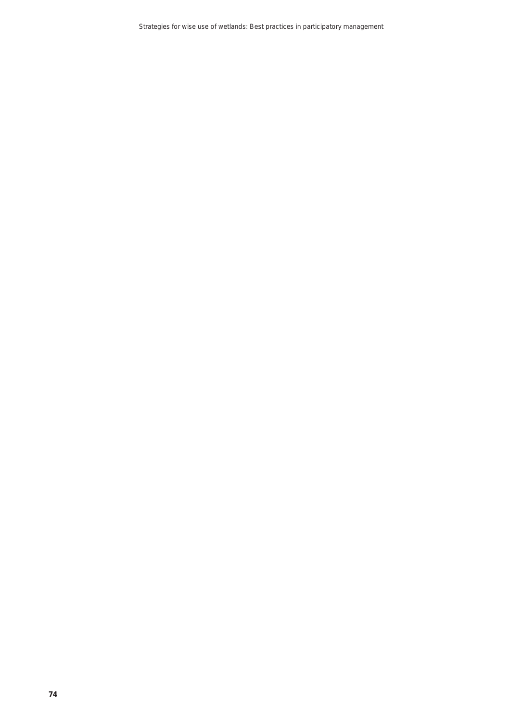Strategies for wise use of wetlands: Best practices in participatory management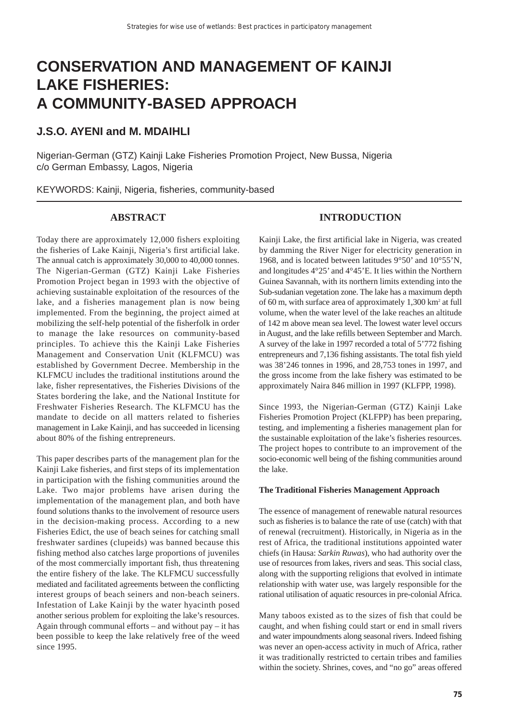# **CONSERVATION AND MANAGEMENT OF KAINJI LAKE FISHERIES: A COMMUNITY-BASED APPROACH**

# **J.S.O. AYENI and M. MDAIHLI**

Nigerian-German (GTZ) Kainji Lake Fisheries Promotion Project, New Bussa, Nigeria c/o German Embassy, Lagos, Nigeria

KEYWORDS: Kainji, Nigeria, fisheries, community-based

### **ABSTRACT**

Today there are approximately 12,000 fishers exploiting the fisheries of Lake Kainji, Nigeria's first artificial lake. The annual catch is approximately 30,000 to 40,000 tonnes. The Nigerian-German (GTZ) Kainji Lake Fisheries Promotion Project began in 1993 with the objective of achieving sustainable exploitation of the resources of the lake, and a fisheries management plan is now being implemented. From the beginning, the project aimed at mobilizing the self-help potential of the fisherfolk in order to manage the lake resources on community-based principles. To achieve this the Kainji Lake Fisheries Management and Conservation Unit (KLFMCU) was established by Government Decree. Membership in the KLFMCU includes the traditional institutions around the lake, fisher representatives, the Fisheries Divisions of the States bordering the lake, and the National Institute for Freshwater Fisheries Research. The KLFMCU has the mandate to decide on all matters related to fisheries management in Lake Kainji, and has succeeded in licensing about 80% of the fishing entrepreneurs.

This paper describes parts of the management plan for the Kainji Lake fisheries, and first steps of its implementation in participation with the fishing communities around the Lake. Two major problems have arisen during the implementation of the management plan, and both have found solutions thanks to the involvement of resource users in the decision-making process. According to a new Fisheries Edict, the use of beach seines for catching small freshwater sardines (clupeids) was banned because this fishing method also catches large proportions of juveniles of the most commercially important fish, thus threatening the entire fishery of the lake. The KLFMCU successfully mediated and facilitated agreements between the conflicting interest groups of beach seiners and non-beach seiners. Infestation of Lake Kainji by the water hyacinth posed another serious problem for exploiting the lake's resources. Again through communal efforts – and without pay – it has been possible to keep the lake relatively free of the weed since 1995.

## **INTRODUCTION**

Kainji Lake, the first artificial lake in Nigeria, was created by damming the River Niger for electricity generation in 1968, and is located between latitudes 9°50' and 10°55'N, and longitudes 4°25' and 4°45'E. It lies within the Northern Guinea Savannah, with its northern limits extending into the Sub-sudanian vegetation zone. The lake has a maximum depth of 60 m, with surface area of approximately 1,300 km2 at full volume, when the water level of the lake reaches an altitude of 142 m above mean sea level. The lowest water level occurs in August, and the lake refills between September and March. A survey of the lake in 1997 recorded a total of 5'772 fishing entrepreneurs and 7,136 fishing assistants. The total fish yield was 38'246 tonnes in 1996, and 28,753 tones in 1997, and the gross income from the lake fishery was estimated to be approximately Naira 846 million in 1997 (KLFPP, 1998).

Since 1993, the Nigerian-German (GTZ) Kainji Lake Fisheries Promotion Project (KLFPP) has been preparing, testing, and implementing a fisheries management plan for the sustainable exploitation of the lake's fisheries resources. The project hopes to contribute to an improvement of the socio-economic well being of the fishing communities around the lake.

#### **The Traditional Fisheries Management Approach**

The essence of management of renewable natural resources such as fisheries is to balance the rate of use (catch) with that of renewal (recruitment). Historically, in Nigeria as in the rest of Africa, the traditional institutions appointed water chiefs (in Hausa: *Sarkin Ruwas*), who had authority over the use of resources from lakes, rivers and seas. This social class, along with the supporting religions that evolved in intimate relationship with water use, was largely responsible for the rational utilisation of aquatic resources in pre-colonial Africa.

Many taboos existed as to the sizes of fish that could be caught, and when fishing could start or end in small rivers and water impoundments along seasonal rivers. Indeed fishing was never an open-access activity in much of Africa, rather it was traditionally restricted to certain tribes and families within the society. Shrines, coves, and "no go" areas offered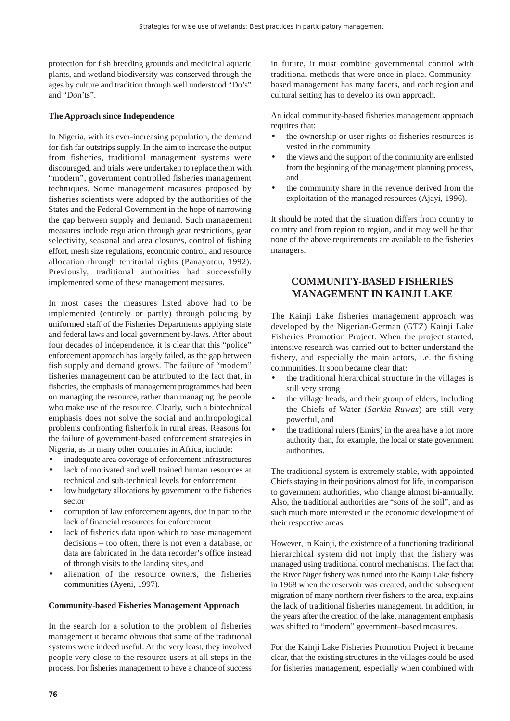protection for fish breeding grounds and medicinal aquatic plants, and wetland biodiversity was conserved through the ages by culture and tradition through well understood "Do's" and "Don'ts".

#### **The Approach since Independence**

In Nigeria, with its ever-increasing population, the demand for fish far outstrips supply. In the aim to increase the output from fisheries, traditional management systems were discouraged, and trials were undertaken to replace them with "modern", government controlled fisheries management techniques. Some management measures proposed by fisheries scientists were adopted by the authorities of the States and the Federal Government in the hope of narrowing the gap between supply and demand. Such management measures include regulation through gear restrictions, gear selectivity, seasonal and area closures, control of fishing effort, mesh size regulations, economic control, and resource allocation through territorial rights (Panayotou, 1992). Previously, traditional authorities had successfully implemented some of these management measures.

In most cases the measures listed above had to be implemented (entirely or partly) through policing by uniformed staff of the Fisheries Departments applying state and federal laws and local government by-laws. After about four decades of independence, it is clear that this "police" enforcement approach has largely failed, as the gap between fish supply and demand grows. The failure of "modern" fisheries management can be attributed to the fact that, in fisheries, the emphasis of management programmes had been on managing the resource, rather than managing the people who make use of the resource. Clearly, such a biotechnical emphasis does not solve the social and anthropological problems confronting fisherfolk in rural areas. Reasons for the failure of government-based enforcement strategies in Nigeria, as in many other countries in Africa, include:

- inadequate area coverage of enforcement infrastructures
- lack of motivated and well trained human resources at technical and sub-technical levels for enforcement
- low budgetary allocations by government to the fisheries sector
- corruption of law enforcement agents, due in part to the lack of financial resources for enforcement
- lack of fisheries data upon which to base management decisions – too often, there is not even a database, or data are fabricated in the data recorder's office instead of through visits to the landing sites, and
- alienation of the resource owners, the fisheries communities (Ayeni, 1997).

#### **Community-based Fisheries Management Approach**

In the search for a solution to the problem of fisheries management it became obvious that some of the traditional systems were indeed useful. At the very least, they involved people very close to the resource users at all steps in the process. For fisheries management to have a chance of success

in future, it must combine governmental control with traditional methods that were once in place. Communitybased management has many facets, and each region and cultural setting has to develop its own approach.

An ideal community-based fisheries management approach requires that:

- the ownership or user rights of fisheries resources is vested in the community
- the views and the support of the community are enlisted from the beginning of the management planning process, and
- the community share in the revenue derived from the exploitation of the managed resources (Ajayi, 1996).

It should be noted that the situation differs from country to country and from region to region, and it may well be that none of the above requirements are available to the fisheries managers.

## **COMMUNITY-BASED FISHERIES MANAGEMENT IN KAINJI LAKE**

The Kainji Lake fisheries management approach was developed by the Nigerian-German (GTZ) Kainji Lake Fisheries Promotion Project. When the project started, intensive research was carried out to better understand the fishery, and especially the main actors, i.e. the fishing communities. It soon became clear that:

- the traditional hierarchical structure in the villages is still very strong
- the village heads, and their group of elders, including the Chiefs of Water (*Sarkin Ruwas*) are still very powerful, and
- the traditional rulers (Emirs) in the area have a lot more authority than, for example, the local or state government authorities.

The traditional system is extremely stable, with appointed Chiefs staying in their positions almost for life, in comparison to government authorities, who change almost bi-annually. Also, the traditional authorities are "sons of the soil", and as such much more interested in the economic development of their respective areas.

However, in Kainji, the existence of a functioning traditional hierarchical system did not imply that the fishery was managed using traditional control mechanisms. The fact that the River Niger fishery was turned into the Kainji Lake fishery in 1968 when the reservoir was created, and the subsequent migration of many northern river fishers to the area, explains the lack of traditional fisheries management. In addition, in the years after the creation of the lake, management emphasis was shifted to "modern" government–based measures.

For the Kainji Lake Fisheries Promotion Project it became clear, that the existing structures in the villages could be used for fisheries management, especially when combined with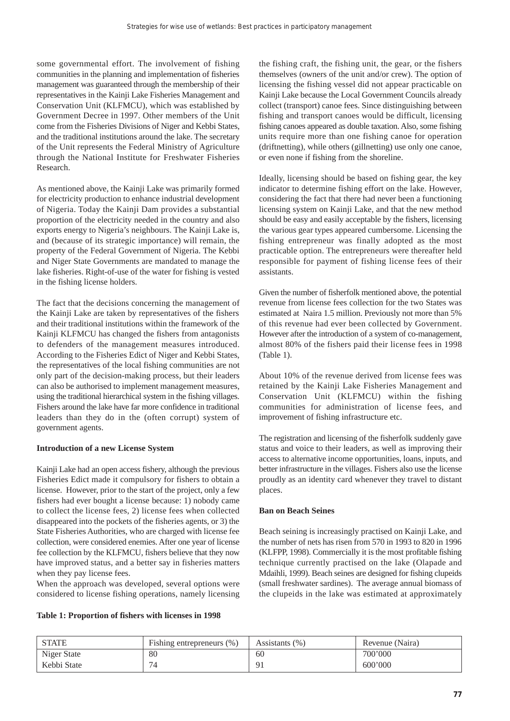some governmental effort. The involvement of fishing communities in the planning and implementation of fisheries management was guaranteed through the membership of their representatives in the Kainji Lake Fisheries Management and Conservation Unit (KLFMCU), which was established by Government Decree in 1997. Other members of the Unit come from the Fisheries Divisions of Niger and Kebbi States, and the traditional institutions around the lake. The secretary of the Unit represents the Federal Ministry of Agriculture through the National Institute for Freshwater Fisheries Research.

As mentioned above, the Kainji Lake was primarily formed for electricity production to enhance industrial development of Nigeria. Today the Kainji Dam provides a substantial proportion of the electricity needed in the country and also exports energy to Nigeria's neighbours. The Kainji Lake is, and (because of its strategic importance) will remain, the property of the Federal Government of Nigeria. The Kebbi and Niger State Governments are mandated to manage the lake fisheries. Right-of-use of the water for fishing is vested in the fishing license holders.

The fact that the decisions concerning the management of the Kainji Lake are taken by representatives of the fishers and their traditional institutions within the framework of the Kainji KLFMCU has changed the fishers from antagonists to defenders of the management measures introduced. According to the Fisheries Edict of Niger and Kebbi States, the representatives of the local fishing communities are not only part of the decision-making process, but their leaders can also be authorised to implement management measures, using the traditional hierarchical system in the fishing villages. Fishers around the lake have far more confidence in traditional leaders than they do in the (often corrupt) system of government agents.

#### **Introduction of a new License System**

Kainji Lake had an open access fishery, although the previous Fisheries Edict made it compulsory for fishers to obtain a license. However, prior to the start of the project, only a few fishers had ever bought a license because: 1) nobody came to collect the license fees, 2) license fees when collected disappeared into the pockets of the fisheries agents, or 3) the State Fisheries Authorities, who are charged with license fee collection, were considered enemies. After one year of license fee collection by the KLFMCU, fishers believe that they now have improved status, and a better say in fisheries matters when they pay license fees.

When the approach was developed, several options were considered to license fishing operations, namely licensing

**Table 1: Proportion of fishers with licenses in 1998**

the fishing craft, the fishing unit, the gear, or the fishers themselves (owners of the unit and/or crew). The option of licensing the fishing vessel did not appear practicable on Kainji Lake because the Local Government Councils already collect (transport) canoe fees. Since distinguishing between fishing and transport canoes would be difficult, licensing fishing canoes appeared as double taxation. Also, some fishing units require more than one fishing canoe for operation (driftnetting), while others (gillnetting) use only one canoe, or even none if fishing from the shoreline.

Ideally, licensing should be based on fishing gear, the key indicator to determine fishing effort on the lake. However, considering the fact that there had never been a functioning licensing system on Kainji Lake, and that the new method should be easy and easily acceptable by the fishers, licensing the various gear types appeared cumbersome. Licensing the fishing entrepreneur was finally adopted as the most practicable option. The entrepreneurs were thereafter held responsible for payment of fishing license fees of their assistants.

Given the number of fisherfolk mentioned above, the potential revenue from license fees collection for the two States was estimated at Naira 1.5 million. Previously not more than 5% of this revenue had ever been collected by Government. However after the introduction of a system of co-management, almost 80% of the fishers paid their license fees in 1998 (Table 1).

About 10% of the revenue derived from license fees was retained by the Kainji Lake Fisheries Management and Conservation Unit (KLFMCU) within the fishing communities for administration of license fees, and improvement of fishing infrastructure etc.

The registration and licensing of the fisherfolk suddenly gave status and voice to their leaders, as well as improving their access to alternative income opportunities, loans, inputs, and better infrastructure in the villages. Fishers also use the license proudly as an identity card whenever they travel to distant places.

#### **Ban on Beach Seines**

Beach seining is increasingly practised on Kainji Lake, and the number of nets has risen from 570 in 1993 to 820 in 1996 (KLFPP, 1998). Commercially it is the most profitable fishing technique currently practised on the lake (Olapade and Mdaihli, 1999). Beach seines are designed for fishing clupeids (small freshwater sardines). The average annual biomass of the clupeids in the lake was estimated at approximately

| <b>STATE</b> | Fishing entrepreneurs (%) | Assistants $(\%)$ | Revenue (Naira) |
|--------------|---------------------------|-------------------|-----------------|
| Niger State  | 80                        | 60                | 700'000         |
| Kebbi State  | 74                        |                   | 600'000         |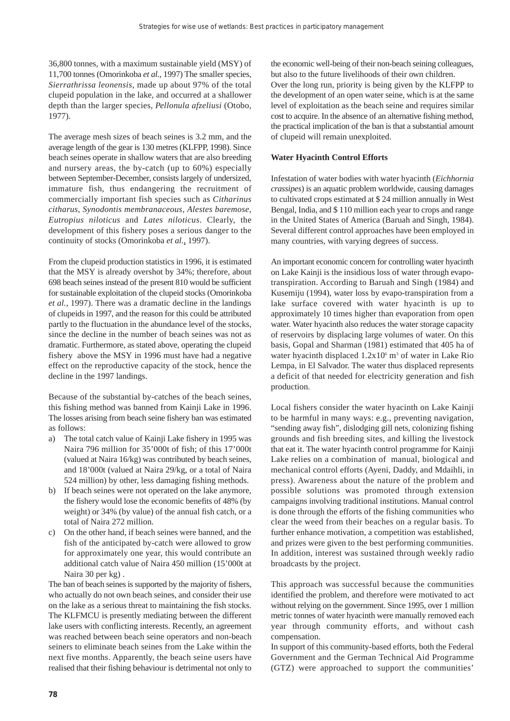36,800 tonnes, with a maximum sustainable yield (MSY) of 11,700 tonnes (Omorinkoba *et al.*, 1997) The smaller species, *Sierrathrissa leonensis*, made up about 97% of the total clupeid population in the lake, and occurred at a shallower depth than the larger species, *Pellonula afzeliusi* (Otobo, 1977).

The average mesh sizes of beach seines is 3.2 mm, and the average length of the gear is 130 metres (KLFPP, 1998). Since beach seines operate in shallow waters that are also breeding and nursery areas, the by-catch (up to 60%) especially between September-December, consists largely of undersized, immature fish, thus endangering the recruitment of commercially important fish species such as *Citharinus citharus*, *Synodontis membranaceous*, *Alestes baremose*, *Eutropius niloticus* and *Lates niloticus*. Clearly, the development of this fishery poses a serious danger to the continuity of stocks (Omorinkoba *et al.*, 1997).

From the clupeid production statistics in 1996, it is estimated that the MSY is already overshot by 34%; therefore, about 698 beach seines instead of the present 810 would be sufficient for sustainable exploitation of the clupeid stocks (Omorinkoba *et al.*, 1997). There was a dramatic decline in the landings of clupeids in 1997, and the reason for this could be attributed partly to the fluctuation in the abundance level of the stocks, since the decline in the number of beach seines was not as dramatic. Furthermore, as stated above, operating the clupeid fishery above the MSY in 1996 must have had a negative effect on the reproductive capacity of the stock, hence the decline in the 1997 landings.

Because of the substantial by-catches of the beach seines, this fishing method was banned from Kainji Lake in 1996. The losses arising from beach seine fishery ban was estimated as follows:

- a) The total catch value of Kainji Lake fishery in 1995 was Naira 796 million for 35'000t of fish; of this 17'000t (valued at Naira 16/kg) was contributed by beach seines, and 18'000t (valued at Naira 29/kg, or a total of Naira 524 million) by other, less damaging fishing methods.
- b) If beach seines were not operated on the lake anymore, the fishery would lose the economic benefits of 48% (by weight) or 34% (by value) of the annual fish catch, or a total of Naira 272 million.
- c) On the other hand, if beach seines were banned, and the fish of the anticipated by-catch were allowed to grow for approximately one year, this would contribute an additional catch value of Naira 450 million (15'000t at Naira 30 per kg) .

The ban of beach seines is supported by the majority of fishers, who actually do not own beach seines, and consider their use on the lake as a serious threat to maintaining the fish stocks. The KLFMCU is presently mediating between the different lake users with conflicting interests. Recently, an agreement was reached between beach seine operators and non-beach seiners to eliminate beach seines from the Lake within the next five months. Apparently, the beach seine users have realised that their fishing behaviour is detrimental not only to

the economic well-being of their non-beach seining colleagues, but also to the future livelihoods of their own children. Over the long run, priority is being given by the KLFPP to the development of an open water seine, which is at the same level of exploitation as the beach seine and requires similar cost to acquire. In the absence of an alternative fishing method, the practical implication of the ban is that a substantial amount of clupeid will remain unexploited.

#### **Water Hyacinth Control Efforts**

Infestation of water bodies with water hyacinth (*Eichhornia crassipes*) is an aquatic problem worldwide, causing damages to cultivated crops estimated at \$ 24 million annually in West Bengal, India, and \$ 110 million each year to crops and range in the United States of America (Baruah and Singh, 1984). Several different control approaches have been employed in many countries, with varying degrees of success.

An important economic concern for controlling water hyacinth on Lake Kainji is the insidious loss of water through evapotranspiration. According to Baruah and Singh (1984) and Kusemiju (1994), water loss by evapo-transpiration from a lake surface covered with water hyacinth is up to approximately 10 times higher than evaporation from open water. Water hyacinth also reduces the water storage capacity of reservoirs by displacing large volumes of water. On this basis, Gopal and Sharman (1981) estimated that 405 ha of water hyacinth displaced  $1.2x10<sup>6</sup>$  m<sup>3</sup> of water in Lake Rio Lempa, in El Salvador. The water thus displaced represents a deficit of that needed for electricity generation and fish production.

Local fishers consider the water hyacinth on Lake Kainji to be harmful in many ways: e.g., preventing navigation, "sending away fish", dislodging gill nets, colonizing fishing grounds and fish breeding sites, and killing the livestock that eat it. The water hyacinth control programme for Kainji Lake relies on a combination of manual, biological and mechanical control efforts (Ayeni, Daddy, and Mdaihli, in press). Awareness about the nature of the problem and possible solutions was promoted through extension campaigns involving traditional institutions. Manual control is done through the efforts of the fishing communities who clear the weed from their beaches on a regular basis. To further enhance motivation, a competition was established, and prizes were given to the best performing communities. In addition, interest was sustained through weekly radio broadcasts by the project.

This approach was successful because the communities identified the problem, and therefore were motivated to act without relying on the government. Since 1995, over 1 million metric tonnes of water hyacinth were manually removed each year through community efforts, and without cash compensation.

In support of this community-based efforts, both the Federal Government and the German Technical Aid Programme (GTZ) were approached to support the communities'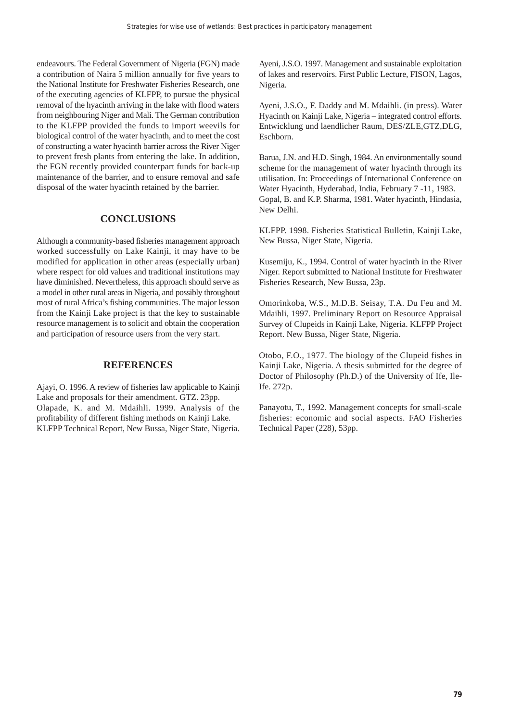endeavours. The Federal Government of Nigeria (FGN) made a contribution of Naira 5 million annually for five years to the National Institute for Freshwater Fisheries Research, one of the executing agencies of KLFPP, to pursue the physical removal of the hyacinth arriving in the lake with flood waters from neighbouring Niger and Mali. The German contribution to the KLFPP provided the funds to import weevils for biological control of the water hyacinth, and to meet the cost of constructing a water hyacinth barrier across the River Niger to prevent fresh plants from entering the lake. In addition, the FGN recently provided counterpart funds for back-up maintenance of the barrier, and to ensure removal and safe disposal of the water hyacinth retained by the barrier.

#### **CONCLUSIONS**

Although a community-based fisheries management approach worked successfully on Lake Kainji, it may have to be modified for application in other areas (especially urban) where respect for old values and traditional institutions may have diminished. Nevertheless, this approach should serve as a model in other rural areas in Nigeria, and possibly throughout most of rural Africa's fishing communities. The major lesson from the Kainji Lake project is that the key to sustainable resource management is to solicit and obtain the cooperation and participation of resource users from the very start.

## **REFERENCES**

Ajayi, O. 1996. A review of fisheries law applicable to Kainji Lake and proposals for their amendment. GTZ. 23pp. Olapade, K. and M. Mdaihli. 1999. Analysis of the profitability of different fishing methods on Kainji Lake. KLFPP Technical Report, New Bussa, Niger State, Nigeria. Ayeni, J.S.O. 1997. Management and sustainable exploitation of lakes and reservoirs. First Public Lecture, FISON, Lagos, Nigeria.

Ayeni, J.S.O., F. Daddy and M. Mdaihli. (in press). Water Hyacinth on Kainji Lake, Nigeria – integrated control efforts. Entwicklung und laendlicher Raum, DES/ZLE,GTZ,DLG, Eschborn.

Barua, J.N. and H.D. Singh, 1984. An environmentally sound scheme for the management of water hyacinth through its utilisation. In: Proceedings of International Conference on Water Hyacinth, Hyderabad, India, February 7 -11, 1983. Gopal, B. and K.P. Sharma, 1981. Water hyacinth, Hindasia, New Delhi.

KLFPP. 1998. Fisheries Statistical Bulletin, Kainji Lake, New Bussa, Niger State, Nigeria.

Kusemiju, K., 1994. Control of water hyacinth in the River Niger. Report submitted to National Institute for Freshwater Fisheries Research, New Bussa, 23p.

Omorinkoba, W.S., M.D.B. Seisay, T.A. Du Feu and M. Mdaihli, 1997. Preliminary Report on Resource Appraisal Survey of Clupeids in Kainji Lake, Nigeria. KLFPP Project Report. New Bussa, Niger State, Nigeria.

Otobo, F.O., 1977. The biology of the Clupeid fishes in Kainji Lake, Nigeria. A thesis submitted for the degree of Doctor of Philosophy (Ph.D.) of the University of Ife, Ile-Ife. 272p.

Panayotu, T., 1992. Management concepts for small-scale fisheries: economic and social aspects. FAO Fisheries Technical Paper (228), 53pp.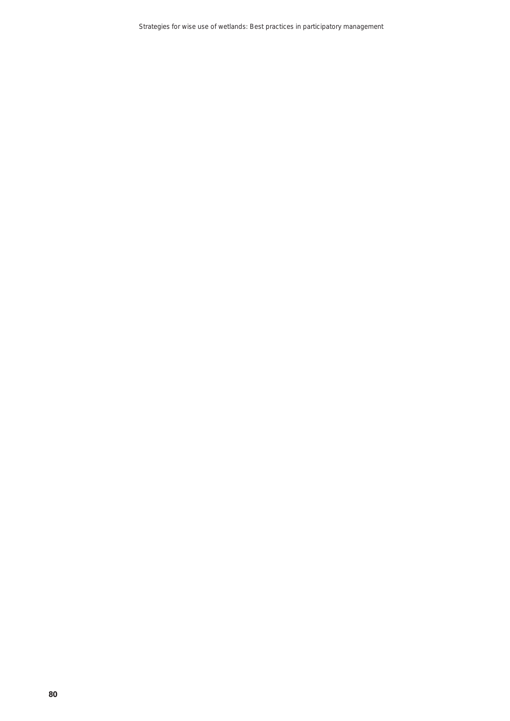Strategies for wise use of wetlands: Best practices in participatory management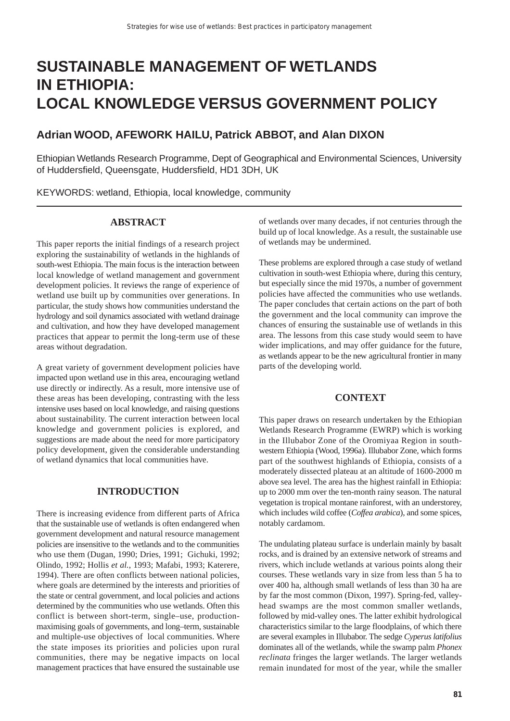# **SUSTAINABLE MANAGEMENT OF WETLANDS IN ETHIOPIA: LOCAL KNOWLEDGE VERSUS GOVERNMENT POLICY**

# **Adrian WOOD, AFEWORK HAILU, Patrick ABBOT, and Alan DIXON**

Ethiopian Wetlands Research Programme, Dept of Geographical and Environmental Sciences, University of Huddersfield, Queensgate, Huddersfield, HD1 3DH, UK

KEYWORDS: wetland, Ethiopia, local knowledge, community

#### **ABSTRACT**

This paper reports the initial findings of a research project exploring the sustainability of wetlands in the highlands of south-west Ethiopia. The main focus is the interaction between local knowledge of wetland management and government development policies. It reviews the range of experience of wetland use built up by communities over generations. In particular, the study shows how communities understand the hydrology and soil dynamics associated with wetland drainage and cultivation, and how they have developed management practices that appear to permit the long-term use of these areas without degradation.

A great variety of government development policies have impacted upon wetland use in this area, encouraging wetland use directly or indirectly. As a result, more intensive use of these areas has been developing, contrasting with the less intensive uses based on local knowledge, and raising questions about sustainability. The current interaction between local knowledge and government policies is explored, and suggestions are made about the need for more participatory policy development, given the considerable understanding of wetland dynamics that local communities have.

#### **INTRODUCTION**

There is increasing evidence from different parts of Africa that the sustainable use of wetlands is often endangered when government development and natural resource management policies are insensitive to the wetlands and to the communities who use them (Dugan, 1990; Dries, 1991; Gichuki, 1992; Olindo, 1992; Hollis *et al.*, 1993; Mafabi, 1993; Katerere, 1994). There are often conflicts between national policies, where goals are determined by the interests and priorities of the state or central government, and local policies and actions determined by the communities who use wetlands. Often this conflict is between short-term, single–use, productionmaximising goals of governments, and long–term, sustainable and multiple-use objectives of local communities. Where the state imposes its priorities and policies upon rural communities, there may be negative impacts on local management practices that have ensured the sustainable use

of wetlands over many decades, if not centuries through the build up of local knowledge. As a result, the sustainable use of wetlands may be undermined.

These problems are explored through a case study of wetland cultivation in south-west Ethiopia where, during this century, but especially since the mid 1970s, a number of government policies have affected the communities who use wetlands. The paper concludes that certain actions on the part of both the government and the local community can improve the chances of ensuring the sustainable use of wetlands in this area. The lessons from this case study would seem to have wider implications, and may offer guidance for the future, as wetlands appear to be the new agricultural frontier in many parts of the developing world.

## **CONTEXT**

This paper draws on research undertaken by the Ethiopian Wetlands Research Programme (EWRP) which is working in the Illubabor Zone of the Oromiyaa Region in southwestern Ethiopia (Wood, 1996a). Illubabor Zone, which forms part of the southwest highlands of Ethiopia, consists of a moderately dissected plateau at an altitude of 1600-2000 m above sea level. The area has the highest rainfall in Ethiopia: up to 2000 mm over the ten-month rainy season. The natural vegetation is tropical montane rainforest, with an understorey, which includes wild coffee (*Coffea arabica*), and some spices, notably cardamom.

The undulating plateau surface is underlain mainly by basalt rocks, and is drained by an extensive network of streams and rivers, which include wetlands at various points along their courses. These wetlands vary in size from less than 5 ha to over 400 ha, although small wetlands of less than 30 ha are by far the most common (Dixon, 1997). Spring-fed, valleyhead swamps are the most common smaller wetlands, followed by mid-valley ones. The latter exhibit hydrological characteristics similar to the large floodplains, of which there are several examples in Illubabor. The sedge *Cyperus latifolius* dominates all of the wetlands, while the swamp palm *Phonex reclinata* fringes the larger wetlands. The larger wetlands remain inundated for most of the year, while the smaller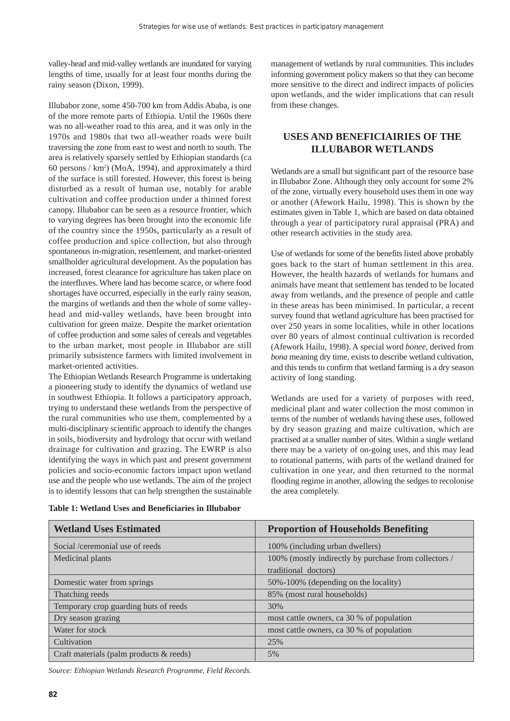valley-head and mid-valley wetlands are inundated for varying lengths of time, usually for at least four months during the rainy season (Dixon, 1999).

Illubabor zone, some 450-700 km from Addis Ababa, is one of the more remote parts of Ethiopia. Until the 1960s there was no all-weather road to this area, and it was only in the 1970s and 1980s that two all-weather roads were built traversing the zone from east to west and north to south. The area is relatively sparsely settled by Ethiopian standards (ca 60 persons / km2 ) (MoA, 1994), and approximately a third of the surface is still forested. However, this forest is being disturbed as a result of human use, notably for arable cultivation and coffee production under a thinned forest canopy. Illubabor can be seen as a resource frontier, which to varying degrees has been brought into the economic life of the country since the 1950s, particularly as a result of coffee production and spice collection, but also through spontaneous in-migration, resettlement, and market-oriented smallholder agricultural development. As the population has increased, forest clearance for agriculture has taken place on the interfluves. Where land has become scarce, or where food shortages have occurred, especially in the early rainy season, the margins of wetlands and then the whole of some valleyhead and mid-valley wetlands, have been brought into cultivation for green maize. Despite the market orientation of coffee production and some sales of cereals and vegetables to the urban market, most people in Illubabor are still primarily subsistence farmers with limited involvement in market-oriented activities.

The Ethiopian Wetlands Research Programme is undertaking a pioneering study to identify the dynamics of wetland use in southwest Ethiopia. It follows a participatory approach, trying to understand these wetlands from the perspective of the rural communities who use them, complemented by a multi-disciplinary scientific approach to identify the changes in soils, biodiversity and hydrology that occur with wetland drainage for cultivation and grazing. The EWRP is also identifying the ways in which past and present government policies and socio-economic factors impact upon wetland use and the people who use wetlands. The aim of the project is to identify lessons that can help strengthen the sustainable

**Table 1: Wetland Uses and Beneficiaries in Illubabor**

management of wetlands by rural communities. This includes informing government policy makers so that they can become more sensitive to the direct and indirect impacts of policies upon wetlands, and the wider implications that can result from these changes.

## **USES AND BENEFICIAIRIES OF THE ILLUBABOR WETLANDS**

Wetlands are a small but significant part of the resource base in Illubabor Zone. Although they only account for some 2% of the zone, virtually every household uses them in one way or another (Afework Hailu, 1998). This is shown by the estimates given in Table 1, which are based on data obtained through a year of participatory rural appraisal (PRA) and other research activities in the study area.

Use of wetlands for some of the benefits listed above probably goes back to the start of human settlement in this area. However, the health hazards of wetlands for humans and animals have meant that settlement has tended to be located away from wetlands, and the presence of people and cattle in these areas has been minimised. In particular, a recent survey found that wetland agriculture has been practised for over 250 years in some localities, while in other locations over 80 years of almost continual cultivation is recorded (Afework Hailu, 1998). A special word *bonee*, derived from *bona* meaning dry time, exists to describe wetland cultivation, and this tends to confirm that wetland farming is a dry season activity of long standing.

Wetlands are used for a variety of purposes with reed, medicinal plant and water collection the most common in terms of the number of wetlands having these uses, followed by dry season grazing and maize cultivation, which are practised at a smaller number of sites. Within a single wetland there may be a variety of on-going uses, and this may lead to rotational patterns, with parts of the wetland drained for cultivation in one year, and then returned to the normal flooding regime in another, allowing the sedges to recolonise the area completely.

| <b>Wetland Uses Estimated</b>           | <b>Proportion of Households Benefiting</b>            |
|-----------------------------------------|-------------------------------------------------------|
| Social /ceremonial use of reeds         | 100% (including urban dwellers)                       |
| Medicinal plants                        | 100% (mostly indirectly by purchase from collectors / |
|                                         | traditional doctors)                                  |
| Domestic water from springs             | 50%-100% (depending on the locality)                  |
| Thatching reeds                         | 85% (most rural households)                           |
| Temporary crop guarding huts of reeds   | 30%                                                   |
| Dry season grazing                      | most cattle owners, ca 30 % of population             |
| Water for stock                         | most cattle owners, ca 30 % of population             |
| Cultivation                             | 25%                                                   |
| Craft materials (palm products & reeds) | 5%                                                    |

*Source: Ethiopian Wetlands Research Programme, Field Records.*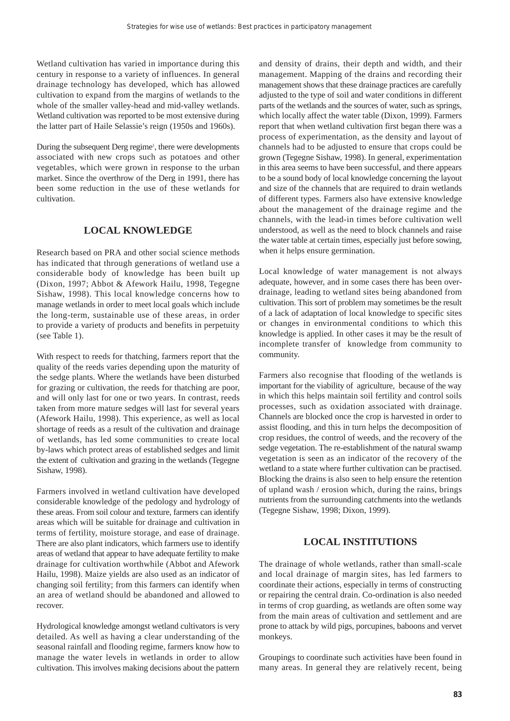Wetland cultivation has varied in importance during this century in response to a variety of influences. In general drainage technology has developed, which has allowed cultivation to expand from the margins of wetlands to the whole of the smaller valley-head and mid-valley wetlands. Wetland cultivation was reported to be most extensive during the latter part of Haile Selassie's reign (1950s and 1960s).

During the subsequent Derg regime<sup>1</sup>, there were developments associated with new crops such as potatoes and other vegetables, which were grown in response to the urban market. Since the overthrow of the Derg in 1991, there has been some reduction in the use of these wetlands for cultivation.

#### **LOCAL KNOWLEDGE**

Research based on PRA and other social science methods has indicated that through generations of wetland use a considerable body of knowledge has been built up (Dixon, 1997; Abbot & Afework Hailu, 1998, Tegegne Sishaw, 1998). This local knowledge concerns how to manage wetlands in order to meet local goals which include the long-term, sustainable use of these areas, in order to provide a variety of products and benefits in perpetuity (see Table 1).

With respect to reeds for thatching, farmers report that the quality of the reeds varies depending upon the maturity of the sedge plants. Where the wetlands have been disturbed for grazing or cultivation, the reeds for thatching are poor, and will only last for one or two years. In contrast, reeds taken from more mature sedges will last for several years (Afework Hailu, 1998). This experience, as well as local shortage of reeds as a result of the cultivation and drainage of wetlands, has led some communities to create local by-laws which protect areas of established sedges and limit the extent of cultivation and grazing in the wetlands (Tegegne Sishaw, 1998).

Farmers involved in wetland cultivation have developed considerable knowledge of the pedology and hydrology of these areas. From soil colour and texture, farmers can identify areas which will be suitable for drainage and cultivation in terms of fertility, moisture storage, and ease of drainage. There are also plant indicators, which farmers use to identify areas of wetland that appear to have adequate fertility to make drainage for cultivation worthwhile (Abbot and Afework Hailu, 1998). Maize yields are also used as an indicator of changing soil fertility; from this farmers can identify when an area of wetland should be abandoned and allowed to recover.

Hydrological knowledge amongst wetland cultivators is very detailed. As well as having a clear understanding of the seasonal rainfall and flooding regime, farmers know how to manage the water levels in wetlands in order to allow cultivation. This involves making decisions about the pattern

and density of drains, their depth and width, and their management. Mapping of the drains and recording their management shows that these drainage practices are carefully adjusted to the type of soil and water conditions in different parts of the wetlands and the sources of water, such as springs, which locally affect the water table (Dixon, 1999). Farmers report that when wetland cultivation first began there was a process of experimentation, as the density and layout of channels had to be adjusted to ensure that crops could be grown (Tegegne Sishaw, 1998). In general, experimentation in this area seems to have been successful, and there appears to be a sound body of local knowledge concerning the layout and size of the channels that are required to drain wetlands of different types. Farmers also have extensive knowledge about the management of the drainage regime and the channels, with the lead-in times before cultivation well understood, as well as the need to block channels and raise the water table at certain times, especially just before sowing, when it helps ensure germination.

Local knowledge of water management is not always adequate, however, and in some cases there has been overdrainage, leading to wetland sites being abandoned from cultivation. This sort of problem may sometimes be the result of a lack of adaptation of local knowledge to specific sites or changes in environmental conditions to which this knowledge is applied. In other cases it may be the result of incomplete transfer of knowledge from community to community.

Farmers also recognise that flooding of the wetlands is important for the viability of agriculture, because of the way in which this helps maintain soil fertility and control soils processes, such as oxidation associated with drainage. Channels are blocked once the crop is harvested in order to assist flooding, and this in turn helps the decomposition of crop residues, the control of weeds, and the recovery of the sedge vegetation. The re-establishment of the natural swamp vegetation is seen as an indicator of the recovery of the wetland to a state where further cultivation can be practised. Blocking the drains is also seen to help ensure the retention of upland wash / erosion which, during the rains, brings nutrients from the surrounding catchments into the wetlands (Tegegne Sishaw, 1998; Dixon, 1999).

#### **LOCAL INSTITUTIONS**

The drainage of whole wetlands, rather than small-scale and local drainage of margin sites, has led farmers to coordinate their actions, especially in terms of constructing or repairing the central drain. Co-ordination is also needed in terms of crop guarding, as wetlands are often some way from the main areas of cultivation and settlement and are prone to attack by wild pigs, porcupines, baboons and vervet monkeys.

Groupings to coordinate such activities have been found in many areas. In general they are relatively recent, being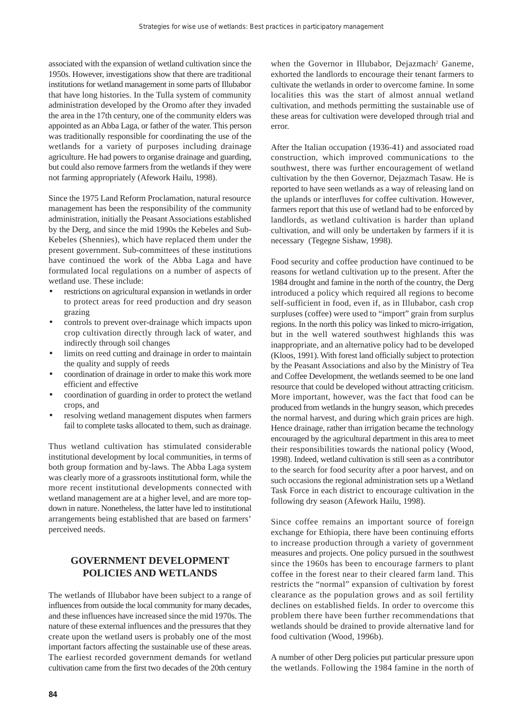associated with the expansion of wetland cultivation since the 1950s. However, investigations show that there are traditional institutions for wetland management in some parts of Illubabor that have long histories. In the Tulla system of community administration developed by the Oromo after they invaded the area in the 17th century, one of the community elders was appointed as an Abba Laga, or father of the water. This person was traditionally responsible for coordinating the use of the wetlands for a variety of purposes including drainage agriculture. He had powers to organise drainage and guarding, but could also remove farmers from the wetlands if they were not farming appropriately (Afework Hailu, 1998).

Since the 1975 Land Reform Proclamation, natural resource management has been the responsibility of the community administration, initially the Peasant Associations established by the Derg, and since the mid 1990s the Kebeles and Sub-Kebeles (Shennies), which have replaced them under the present government. Sub-committees of these institutions have continued the work of the Abba Laga and have formulated local regulations on a number of aspects of wetland use. These include:

- restrictions on agricultural expansion in wetlands in order to protect areas for reed production and dry season grazing
- controls to prevent over-drainage which impacts upon crop cultivation directly through lack of water, and indirectly through soil changes
- limits on reed cutting and drainage in order to maintain the quality and supply of reeds
- coordination of drainage in order to make this work more efficient and effective
- coordination of guarding in order to protect the wetland crops, and
- resolving wetland management disputes when farmers fail to complete tasks allocated to them, such as drainage.

Thus wetland cultivation has stimulated considerable institutional development by local communities, in terms of both group formation and by-laws. The Abba Laga system was clearly more of a grassroots institutional form, while the more recent institutional developments connected with wetland management are at a higher level, and are more topdown in nature. Nonetheless, the latter have led to institutional arrangements being established that are based on farmers' perceived needs.

## **GOVERNMENT DEVELOPMENT POLICIES AND WETLANDS**

The wetlands of Illubabor have been subject to a range of influences from outside the local community for many decades, and these influences have increased since the mid 1970s. The nature of these external influences and the pressures that they create upon the wetland users is probably one of the most important factors affecting the sustainable use of these areas. The earliest recorded government demands for wetland cultivation came from the first two decades of the 20th century

when the Governor in Illubabor, Dejazmach<sup>2</sup> Ganeme, exhorted the landlords to encourage their tenant farmers to cultivate the wetlands in order to overcome famine. In some localities this was the start of almost annual wetland cultivation, and methods permitting the sustainable use of these areas for cultivation were developed through trial and error.

After the Italian occupation (1936-41) and associated road construction, which improved communications to the southwest, there was further encouragement of wetland cultivation by the then Governor, Dejazmach Tasaw. He is reported to have seen wetlands as a way of releasing land on the uplands or interfluves for coffee cultivation. However, farmers report that this use of wetland had to be enforced by landlords, as wetland cultivation is harder than upland cultivation, and will only be undertaken by farmers if it is necessary (Tegegne Sishaw, 1998).

Food security and coffee production have continued to be reasons for wetland cultivation up to the present. After the 1984 drought and famine in the north of the country, the Derg introduced a policy which required all regions to become self-sufficient in food, even if, as in Illubabor, cash crop surpluses (coffee) were used to "import" grain from surplus regions. In the north this policy was linked to micro-irrigation, but in the well watered southwest highlands this was inappropriate, and an alternative policy had to be developed (Kloos, 1991). With forest land officially subject to protection by the Peasant Associations and also by the Ministry of Tea and Coffee Development, the wetlands seemed to be one land resource that could be developed without attracting criticism. More important, however, was the fact that food can be produced from wetlands in the hungry season, which precedes the normal harvest, and during which grain prices are high. Hence drainage, rather than irrigation became the technology encouraged by the agricultural department in this area to meet their responsibilities towards the national policy (Wood, 1998). Indeed, wetland cultivation is still seen as a contributor to the search for food security after a poor harvest, and on such occasions the regional administration sets up a Wetland Task Force in each district to encourage cultivation in the following dry season (Afework Hailu, 1998).

Since coffee remains an important source of foreign exchange for Ethiopia, there have been continuing efforts to increase production through a variety of government measures and projects. One policy pursued in the southwest since the 1960s has been to encourage farmers to plant coffee in the forest near to their cleared farm land. This restricts the "normal" expansion of cultivation by forest clearance as the population grows and as soil fertility declines on established fields. In order to overcome this problem there have been further recommendations that wetlands should be drained to provide alternative land for food cultivation (Wood, 1996b).

A number of other Derg policies put particular pressure upon the wetlands. Following the 1984 famine in the north of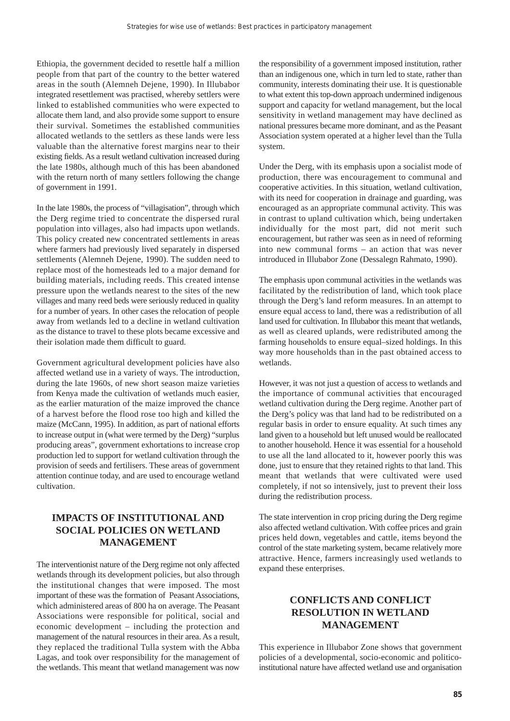Ethiopia, the government decided to resettle half a million people from that part of the country to the better watered areas in the south (Alemneh Dejene, 1990). In Illubabor integrated resettlement was practised, whereby settlers were linked to established communities who were expected to allocate them land, and also provide some support to ensure their survival. Sometimes the established communities allocated wetlands to the settlers as these lands were less valuable than the alternative forest margins near to their existing fields. As a result wetland cultivation increased during the late 1980s, although much of this has been abandoned with the return north of many settlers following the change of government in 1991.

In the late 1980s, the process of "villagisation", through which the Derg regime tried to concentrate the dispersed rural population into villages, also had impacts upon wetlands. This policy created new concentrated settlements in areas where farmers had previously lived separately in dispersed settlements (Alemneh Dejene, 1990). The sudden need to replace most of the homesteads led to a major demand for building materials, including reeds. This created intense pressure upon the wetlands nearest to the sites of the new villages and many reed beds were seriously reduced in quality for a number of years. In other cases the relocation of people away from wetlands led to a decline in wetland cultivation as the distance to travel to these plots became excessive and their isolation made them difficult to guard.

Government agricultural development policies have also affected wetland use in a variety of ways. The introduction, during the late 1960s, of new short season maize varieties from Kenya made the cultivation of wetlands much easier, as the earlier maturation of the maize improved the chance of a harvest before the flood rose too high and killed the maize (McCann, 1995). In addition, as part of national efforts to increase output in (what were termed by the Derg) "surplus producing areas", government exhortations to increase crop production led to support for wetland cultivation through the provision of seeds and fertilisers. These areas of government attention continue today, and are used to encourage wetland cultivation.

## **IMPACTS OF INSTITUTIONAL AND SOCIAL POLICIES ON WETLAND MANAGEMENT**

The interventionist nature of the Derg regime not only affected wetlands through its development policies, but also through the institutional changes that were imposed. The most important of these was the formation of Peasant Associations, which administered areas of 800 ha on average. The Peasant Associations were responsible for political, social and economic development – including the protection and management of the natural resources in their area. As a result, they replaced the traditional Tulla system with the Abba Lagas, and took over responsibility for the management of the wetlands. This meant that wetland management was now

the responsibility of a government imposed institution, rather than an indigenous one, which in turn led to state, rather than community, interests dominating their use. It is questionable to what extent this top-down approach undermined indigenous support and capacity for wetland management, but the local sensitivity in wetland management may have declined as national pressures became more dominant, and as the Peasant Association system operated at a higher level than the Tulla system.

Under the Derg, with its emphasis upon a socialist mode of production, there was encouragement to communal and cooperative activities. In this situation, wetland cultivation, with its need for cooperation in drainage and guarding, was encouraged as an appropriate communal activity. This was in contrast to upland cultivation which, being undertaken individually for the most part, did not merit such encouragement, but rather was seen as in need of reforming into new communal forms – an action that was never introduced in Illubabor Zone (Dessalegn Rahmato, 1990).

The emphasis upon communal activities in the wetlands was facilitated by the redistribution of land, which took place through the Derg's land reform measures. In an attempt to ensure equal access to land, there was a redistribution of all land used for cultivation. In Illubabor this meant that wetlands, as well as cleared uplands, were redistributed among the farming households to ensure equal–sized holdings. In this way more households than in the past obtained access to wetlands.

However, it was not just a question of access to wetlands and the importance of communal activities that encouraged wetland cultivation during the Derg regime. Another part of the Derg's policy was that land had to be redistributed on a regular basis in order to ensure equality. At such times any land given to a household but left unused would be reallocated to another household. Hence it was essential for a household to use all the land allocated to it, however poorly this was done, just to ensure that they retained rights to that land. This meant that wetlands that were cultivated were used completely, if not so intensively, just to prevent their loss during the redistribution process.

The state intervention in crop pricing during the Derg regime also affected wetland cultivation. With coffee prices and grain prices held down, vegetables and cattle, items beyond the control of the state marketing system, became relatively more attractive. Hence, farmers increasingly used wetlands to expand these enterprises.

# **CONFLICTS AND CONFLICT RESOLUTION IN WETLAND MANAGEMENT**

This experience in Illubabor Zone shows that government policies of a developmental, socio-economic and politicoinstitutional nature have affected wetland use and organisation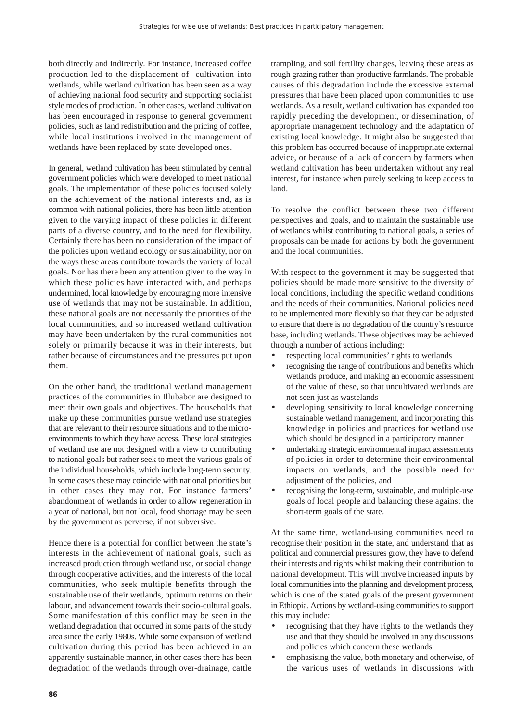both directly and indirectly. For instance, increased coffee production led to the displacement of cultivation into wetlands, while wetland cultivation has been seen as a way of achieving national food security and supporting socialist style modes of production. In other cases, wetland cultivation has been encouraged in response to general government policies, such as land redistribution and the pricing of coffee, while local institutions involved in the management of wetlands have been replaced by state developed ones.

In general, wetland cultivation has been stimulated by central government policies which were developed to meet national goals. The implementation of these policies focused solely on the achievement of the national interests and, as is common with national policies, there has been little attention given to the varying impact of these policies in different parts of a diverse country, and to the need for flexibility. Certainly there has been no consideration of the impact of the policies upon wetland ecology or sustainability, nor on the ways these areas contribute towards the variety of local goals. Nor has there been any attention given to the way in which these policies have interacted with, and perhaps undermined, local knowledge by encouraging more intensive use of wetlands that may not be sustainable. In addition, these national goals are not necessarily the priorities of the local communities, and so increased wetland cultivation may have been undertaken by the rural communities not solely or primarily because it was in their interests, but rather because of circumstances and the pressures put upon them.

On the other hand, the traditional wetland management practices of the communities in Illubabor are designed to meet their own goals and objectives. The households that make up these communities pursue wetland use strategies that are relevant to their resource situations and to the microenvironments to which they have access. These local strategies of wetland use are not designed with a view to contributing to national goals but rather seek to meet the various goals of the individual households, which include long-term security. In some cases these may coincide with national priorities but in other cases they may not. For instance farmers' abandonment of wetlands in order to allow regeneration in a year of national, but not local, food shortage may be seen by the government as perverse, if not subversive.

Hence there is a potential for conflict between the state's interests in the achievement of national goals, such as increased production through wetland use, or social change through cooperative activities, and the interests of the local communities, who seek multiple benefits through the sustainable use of their wetlands, optimum returns on their labour, and advancement towards their socio-cultural goals. Some manifestation of this conflict may be seen in the wetland degradation that occurred in some parts of the study area since the early 1980s. While some expansion of wetland cultivation during this period has been achieved in an apparently sustainable manner, in other cases there has been degradation of the wetlands through over-drainage, cattle trampling, and soil fertility changes, leaving these areas as rough grazing rather than productive farmlands. The probable causes of this degradation include the excessive external pressures that have been placed upon communities to use wetlands. As a result, wetland cultivation has expanded too rapidly preceding the development, or dissemination, of appropriate management technology and the adaptation of existing local knowledge. It might also be suggested that this problem has occurred because of inappropriate external advice, or because of a lack of concern by farmers when wetland cultivation has been undertaken without any real interest, for instance when purely seeking to keep access to land.

To resolve the conflict between these two different perspectives and goals, and to maintain the sustainable use of wetlands whilst contributing to national goals, a series of proposals can be made for actions by both the government and the local communities.

With respect to the government it may be suggested that policies should be made more sensitive to the diversity of local conditions, including the specific wetland conditions and the needs of their communities. National policies need to be implemented more flexibly so that they can be adjusted to ensure that there is no degradation of the country's resource base, including wetlands. These objectives may be achieved through a number of actions including:

- respecting local communities' rights to wetlands
- recognising the range of contributions and benefits which wetlands produce, and making an economic assessment of the value of these, so that uncultivated wetlands are not seen just as wastelands
- developing sensitivity to local knowledge concerning sustainable wetland management, and incorporating this knowledge in policies and practices for wetland use which should be designed in a participatory manner
- undertaking strategic environmental impact assessments of policies in order to determine their environmental impacts on wetlands, and the possible need for adjustment of the policies, and
- recognising the long-term, sustainable, and multiple-use goals of local people and balancing these against the short-term goals of the state.

At the same time, wetland-using communities need to recognise their position in the state, and understand that as political and commercial pressures grow, they have to defend their interests and rights whilst making their contribution to national development. This will involve increased inputs by local communities into the planning and development process, which is one of the stated goals of the present government in Ethiopia. Actions by wetland-using communities to support this may include:

- recognising that they have rights to the wetlands they use and that they should be involved in any discussions and policies which concern these wetlands
- emphasising the value, both monetary and otherwise, of the various uses of wetlands in discussions with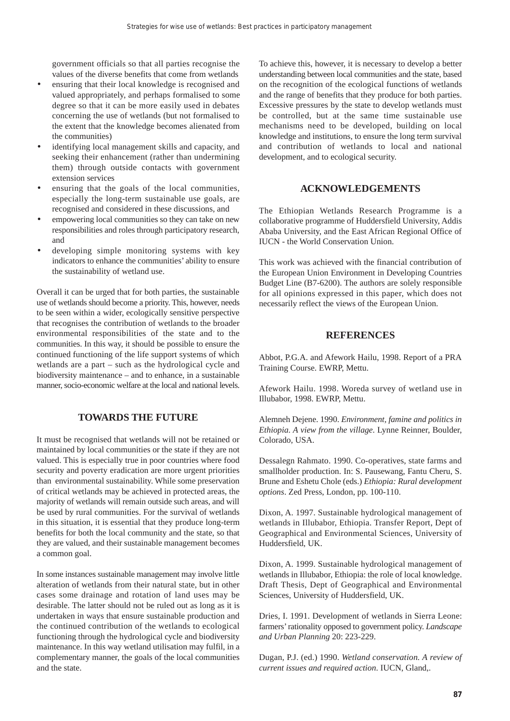government officials so that all parties recognise the values of the diverse benefits that come from wetlands

- ensuring that their local knowledge is recognised and valued appropriately, and perhaps formalised to some degree so that it can be more easily used in debates concerning the use of wetlands (but not formalised to the extent that the knowledge becomes alienated from the communities)
- identifying local management skills and capacity, and seeking their enhancement (rather than undermining them) through outside contacts with government extension services
- ensuring that the goals of the local communities, especially the long-term sustainable use goals, are recognised and considered in these discussions, and
- empowering local communities so they can take on new responsibilities and roles through participatory research, and
- developing simple monitoring systems with key indicators to enhance the communities' ability to ensure the sustainability of wetland use.

Overall it can be urged that for both parties, the sustainable use of wetlands should become a priority. This, however, needs to be seen within a wider, ecologically sensitive perspective that recognises the contribution of wetlands to the broader environmental responsibilities of the state and to the communities. In this way, it should be possible to ensure the continued functioning of the life support systems of which wetlands are a part – such as the hydrological cycle and biodiversity maintenance – and to enhance, in a sustainable manner, socio-economic welfare at the local and national levels.

## **TOWARDS THE FUTURE**

It must be recognised that wetlands will not be retained or maintained by local communities or the state if they are not valued. This is especially true in poor countries where food security and poverty eradication are more urgent priorities than environmental sustainability. While some preservation of critical wetlands may be achieved in protected areas, the majority of wetlands will remain outside such areas, and will be used by rural communities. For the survival of wetlands in this situation, it is essential that they produce long-term benefits for both the local community and the state, so that they are valued, and their sustainable management becomes a common goal.

In some instances sustainable management may involve little alteration of wetlands from their natural state, but in other cases some drainage and rotation of land uses may be desirable. The latter should not be ruled out as long as it is undertaken in ways that ensure sustainable production and the continued contribution of the wetlands to ecological functioning through the hydrological cycle and biodiversity maintenance. In this way wetland utilisation may fulfil, in a complementary manner, the goals of the local communities and the state.

To achieve this, however, it is necessary to develop a better understanding between local communities and the state, based on the recognition of the ecological functions of wetlands and the range of benefits that they produce for both parties. Excessive pressures by the state to develop wetlands must be controlled, but at the same time sustainable use mechanisms need to be developed, building on local knowledge and institutions, to ensure the long term survival and contribution of wetlands to local and national development, and to ecological security.

#### **ACKNOWLEDGEMENTS**

The Ethiopian Wetlands Research Programme is a collaborative programme of Huddersfield University, Addis Ababa University, and the East African Regional Office of IUCN - the World Conservation Union.

This work was achieved with the financial contribution of the European Union Environment in Developing Countries Budget Line (B7-6200). The authors are solely responsible for all opinions expressed in this paper, which does not necessarily reflect the views of the European Union.

### **REFERENCES**

Abbot, P.G.A. and Afework Hailu, 1998. Report of a PRA Training Course. EWRP, Mettu.

Afework Hailu. 1998. Woreda survey of wetland use in Illubabor, 1998. EWRP, Mettu.

Alemneh Dejene. 1990. *Environment, famine and politics in Ethiopia. A view from the village*. Lynne Reinner, Boulder, Colorado, USA.

Dessalegn Rahmato. 1990. Co-operatives, state farms and smallholder production. In: S. Pausewang, Fantu Cheru, S. Brune and Eshetu Chole (eds.) *Ethiopia: Rural development options*. Zed Press, London, pp. 100-110.

Dixon, A. 1997. Sustainable hydrological management of wetlands in Illubabor, Ethiopia. Transfer Report, Dept of Geographical and Environmental Sciences, University of Huddersfield, UK.

Dixon, A. 1999. Sustainable hydrological management of wetlands in Illubabor, Ethiopia: the role of local knowledge. Draft Thesis, Dept of Geographical and Environmental Sciences, University of Huddersfield, UK.

Dries, I. 1991. Development of wetlands in Sierra Leone: farmers' rationality opposed to government policy. *Landscape and Urban Planning* 20: 223-229.

Dugan, P.J. (ed.) 1990. *Wetland conservation. A review of current issues and required action*. IUCN, Gland,.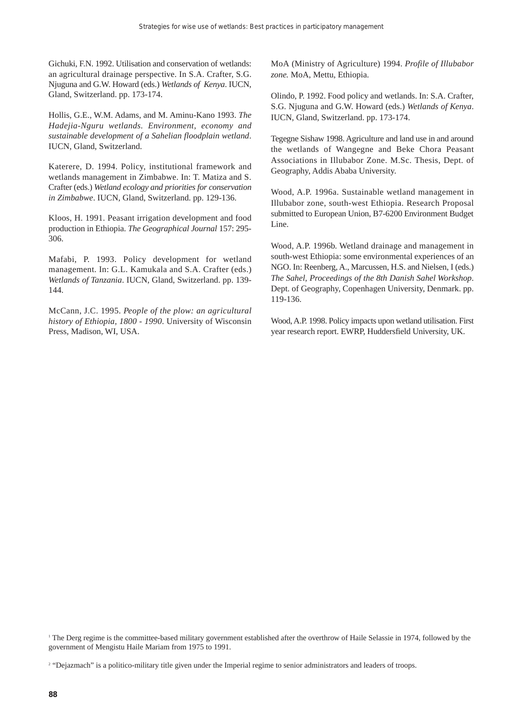Gichuki, F.N. 1992. Utilisation and conservation of wetlands: an agricultural drainage perspective. In S.A. Crafter, S.G. Njuguna and G.W. Howard (eds.) *Wetlands of Kenya*. IUCN, Gland, Switzerland. pp. 173-174.

Hollis, G.E., W.M. Adams, and M. Aminu-Kano 1993. *The Hadejia-Nguru wetlands. Environment, economy and sustainable development of a Sahelian floodplain wetland*. IUCN, Gland, Switzerland.

Katerere, D. 1994. Policy, institutional framework and wetlands management in Zimbabwe. In: T. Matiza and S. Crafter (eds.) *Wetland ecology and priorities for conservation in Zimbabwe*. IUCN, Gland, Switzerland. pp. 129-136.

Kloos, H. 1991. Peasant irrigation development and food production in Ethiopia. *The Geographical Journal* 157: 295- 306.

Mafabi, P. 1993. Policy development for wetland management. In: G.L. Kamukala and S.A. Crafter (eds.) *Wetlands of Tanzania*. IUCN, Gland, Switzerland. pp. 139- 144.

McCann, J.C. 1995. *People of the plow: an agricultural history of Ethiopia, 1800 - 1990*. University of Wisconsin Press, Madison, WI, USA.

MoA (Ministry of Agriculture) 1994. *Profile of Illubabor zone.* MoA, Mettu, Ethiopia.

Olindo, P. 1992. Food policy and wetlands. In: S.A. Crafter, S.G. Njuguna and G.W. Howard (eds.) *Wetlands of Kenya*. IUCN, Gland, Switzerland. pp. 173-174.

Tegegne Sishaw 1998. Agriculture and land use in and around the wetlands of Wangegne and Beke Chora Peasant Associations in Illubabor Zone. M.Sc. Thesis, Dept. of Geography, Addis Ababa University.

Wood, A.P. 1996a. Sustainable wetland management in Illubabor zone, south-west Ethiopia. Research Proposal submitted to European Union, B7-6200 Environment Budget Line.

Wood, A.P. 1996b. Wetland drainage and management in south-west Ethiopia: some environmental experiences of an NGO. In: Reenberg, A., Marcussen, H.S. and Nielsen, I (eds.) *The Sahel, Proceedings of the 8th Danish Sahel Workshop*. Dept. of Geography, Copenhagen University, Denmark. pp. 119-136.

Wood, A.P. 1998. Policy impacts upon wetland utilisation. First year research report. EWRP, Huddersfield University, UK.

<sup>&</sup>lt;sup>1</sup> The Derg regime is the committee-based military government established after the overthrow of Haile Selassie in 1974, followed by the government of Mengistu Haile Mariam from 1975 to 1991.

<sup>&</sup>lt;sup>2</sup> "Dejazmach" is a politico-military title given under the Imperial regime to senior administrators and leaders of troops.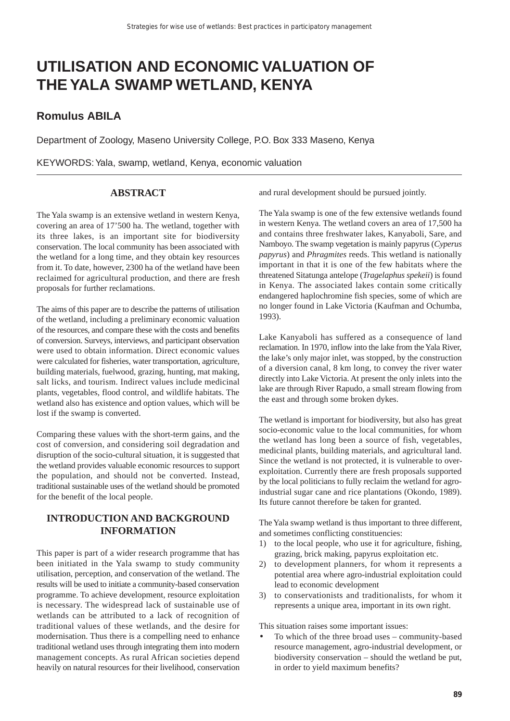# **UTILISATION AND ECONOMIC VALUATION OF THE YALA SWAMP WETLAND, KENYA**

# **Romulus ABILA**

Department of Zoology, Maseno University College, P.O. Box 333 Maseno, Kenya

KEYWORDS:Yala, swamp, wetland, Kenya, economic valuation

### **ABSTRACT**

The Yala swamp is an extensive wetland in western Kenya, covering an area of 17'500 ha. The wetland, together with its three lakes, is an important site for biodiversity conservation. The local community has been associated with the wetland for a long time, and they obtain key resources from it. To date, however, 2300 ha of the wetland have been reclaimed for agricultural production, and there are fresh proposals for further reclamations.

The aims of this paper are to describe the patterns of utilisation of the wetland, including a preliminary economic valuation of the resources, and compare these with the costs and benefits of conversion. Surveys, interviews, and participant observation were used to obtain information. Direct economic values were calculated for fisheries, water transportation, agriculture, building materials, fuelwood, grazing, hunting, mat making, salt licks, and tourism. Indirect values include medicinal plants, vegetables, flood control, and wildlife habitats. The wetland also has existence and option values, which will be lost if the swamp is converted.

Comparing these values with the short-term gains, and the cost of conversion, and considering soil degradation and disruption of the socio-cultural situation, it is suggested that the wetland provides valuable economic resources to support the population, and should not be converted. Instead, traditional sustainable uses of the wetland should be promoted for the benefit of the local people.

## **INTRODUCTION AND BACKGROUND INFORMATION**

This paper is part of a wider research programme that has been initiated in the Yala swamp to study community utilisation, perception, and conservation of the wetland. The results will be used to initiate a community-based conservation programme. To achieve development, resource exploitation is necessary. The widespread lack of sustainable use of wetlands can be attributed to a lack of recognition of traditional values of these wetlands, and the desire for modernisation. Thus there is a compelling need to enhance traditional wetland uses through integrating them into modern management concepts. As rural African societies depend heavily on natural resources for their livelihood, conservation and rural development should be pursued jointly.

The Yala swamp is one of the few extensive wetlands found in western Kenya. The wetland covers an area of 17,500 ha and contains three freshwater lakes, Kanyaboli, Sare, and Namboyo. The swamp vegetation is mainly papyrus (*Cyperus papyrus*) and *Phragmites* reeds. This wetland is nationally important in that it is one of the few habitats where the threatened Sitatunga antelope (*Tragelaphus spekeii*) is found in Kenya. The associated lakes contain some critically endangered haplochromine fish species, some of which are no longer found in Lake Victoria (Kaufman and Ochumba, 1993).

Lake Kanyaboli has suffered as a consequence of land reclamation. In 1970, inflow into the lake from the Yala River, the lake's only major inlet, was stopped, by the construction of a diversion canal, 8 km long, to convey the river water directly into Lake Victoria. At present the only inlets into the lake are through River Rapudo, a small stream flowing from the east and through some broken dykes.

The wetland is important for biodiversity, but also has great socio-economic value to the local communities, for whom the wetland has long been a source of fish, vegetables, medicinal plants, building materials, and agricultural land. Since the wetland is not protected, it is vulnerable to overexploitation. Currently there are fresh proposals supported by the local politicians to fully reclaim the wetland for agroindustrial sugar cane and rice plantations (Okondo, 1989). Its future cannot therefore be taken for granted.

The Yala swamp wetland is thus important to three different, and sometimes conflicting constituencies:

- 1) to the local people, who use it for agriculture, fishing, grazing, brick making, papyrus exploitation etc.
- 2) to development planners, for whom it represents a potential area where agro-industrial exploitation could lead to economic development
- 3) to conservationists and traditionalists, for whom it represents a unique area, important in its own right.

This situation raises some important issues:

To which of the three broad uses – community-based resource management, agro-industrial development, or biodiversity conservation – should the wetland be put, in order to yield maximum benefits?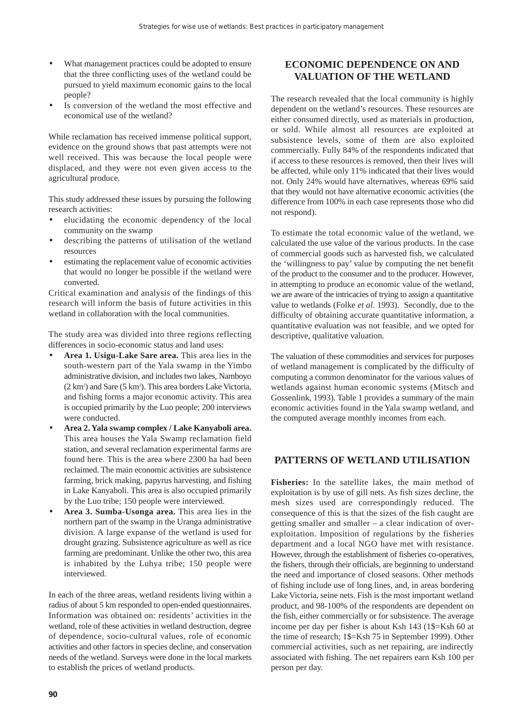- What management practices could be adopted to ensure that the three conflicting uses of the wetland could be pursued to yield maximum economic gains to the local people?
- Is conversion of the wetland the most effective and economical use of the wetland?

While reclamation has received immense political support, evidence on the ground shows that past attempts were not well received. This was because the local people were displaced, and they were not even given access to the agricultural produce.

This study addressed these issues by pursuing the following research activities:

- elucidating the economic dependency of the local community on the swamp
- describing the patterns of utilisation of the wetland resources
- estimating the replacement value of economic activities that would no longer be possible if the wetland were converted.

Critical examination and analysis of the findings of this research will inform the basis of future activities in this wetland in collaboration with the local communities.

The study area was divided into three regions reflecting differences in socio-economic status and land uses:

- **Area 1. Usigu-Lake Sare area.** This area lies in the south-western part of the Yala swamp in the Yimbo administrative division, and includes two lakes, Namboyo (2 km2 ) and Sare (5 km2 ). This area borders Lake Victoria, and fishing forms a major economic activity. This area is occupied primarily by the Luo people; 200 interviews were conducted.
- **Area 2. Yala swamp complex / Lake Kanyaboli area.** This area houses the Yala Swamp reclamation field station, and several reclamation experimental farms are found here. This is the area where 2300 ha had been reclaimed. The main economic activities are subsistence farming, brick making, papyrus harvesting, and fishing in Lake Kanyaboli. This area is also occupied primarily by the Luo tribe; 150 people were interviewed.
- **Area 3. Sumba-Usonga area.** This area lies in the northern part of the swamp in the Uranga administrative division. A large expanse of the wetland is used for drought grazing. Subsistence agriculture as well as rice farming are predominant. Unlike the other two, this area is inhabited by the Luhya tribe; 150 people were interviewed.

In each of the three areas, wetland residents living within a radius of about 5 km responded to open-ended questionnaires. Information was obtained on: residents' activities in the wetland, role of these activities in wetland destruction, degree of dependence, socio-cultural values, role of economic activities and other factors in species decline, and conservation needs of the wetland. Surveys were done in the local markets to establish the prices of wetland products.

## **ECONOMIC DEPENDENCE ON AND VALUATION OF THE WETLAND**

The research revealed that the local community is highly dependent on the wetland's resources. These resources are either consumed directly, used as materials in production, or sold. While almost all resources are exploited at subsistence levels, some of them are also exploited commercially. Fully 84% of the respondents indicated that if access to these resources is removed, then their lives will be affected, while only 11% indicated that their lives would not. Only 24% would have alternatives, whereas 69% said that they would not have alternative economic activities (the difference from 100% in each case represents those who did not respond).

To estimate the total economic value of the wetland, we calculated the use value of the various products. In the case of commercial goods such as harvested fish, we calculated the 'willingness to pay' value by computing the net benefit of the product to the consumer and to the producer. However, in attempting to produce an economic value of the wetland, we are aware of the intricacies of trying to assign a quantitative value to wetlands (Folke *et al.* 1993). Secondly, due to the difficulty of obtaining accurate quantitative information, a quantitative evaluation was not feasible, and we opted for descriptive, qualitative valuation.

The valuation of these commodities and services for purposes of wetland management is complicated by the difficulty of computing a common denominator for the various values of wetlands against human economic systems (Mitsch and Gossenlink, 1993). Table 1 provides a summary of the main economic activities found in the Yala swamp wetland, and the computed average monthly incomes from each.

## **PATTERNS OF WETLAND UTILISATION**

**Fisheries:** In the satellite lakes, the main method of exploitation is by use of gill nets. As fish sizes decline, the mesh sizes used are correspondingly reduced. The consequence of this is that the sizes of the fish caught are getting smaller and smaller – a clear indication of overexploitation. Imposition of regulations by the fisheries department and a local NGO have met with resistance. However, through the establishment of fisheries co-operatives, the fishers, through their officials, are beginning to understand the need and importance of closed seasons. Other methods of fishing include use of long lines, and, in areas bordering Lake Victoria, seine nets. Fish is the most important wetland product, and 98-100% of the respondents are dependent on the fish, either commercially or for subsistence. The average income per day per fisher is about Ksh 143 (1\$=Ksh 60 at the time of research; 1\$=Ksh 75 in September 1999). Other commercial activities, such as net repairing, are indirectly associated with fishing. The net repairers earn Ksh 100 per person per day.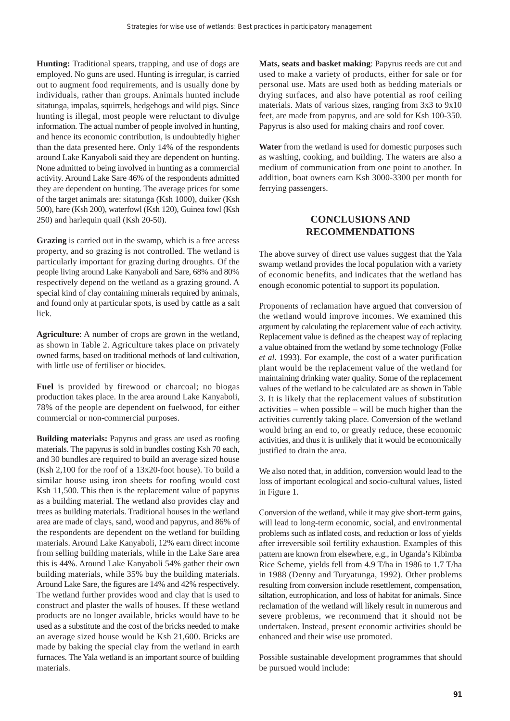**Hunting:** Traditional spears, trapping, and use of dogs are employed. No guns are used. Hunting is irregular, is carried out to augment food requirements, and is usually done by individuals, rather than groups. Animals hunted include sitatunga, impalas, squirrels, hedgehogs and wild pigs. Since hunting is illegal, most people were reluctant to divulge information. The actual number of people involved in hunting, and hence its economic contribution, is undoubtedly higher than the data presented here. Only 14% of the respondents around Lake Kanyaboli said they are dependent on hunting. None admitted to being involved in hunting as a commercial activity. Around Lake Sare 46% of the respondents admitted they are dependent on hunting. The average prices for some of the target animals are: sitatunga (Ksh 1000), duiker (Ksh 500), hare (Ksh 200), waterfowl (Ksh 120), Guinea fowl (Ksh 250) and harlequin quail (Ksh 20-50).

**Grazing** is carried out in the swamp, which is a free access property, and so grazing is not controlled. The wetland is particularly important for grazing during droughts. Of the people living around Lake Kanyaboli and Sare, 68% and 80% respectively depend on the wetland as a grazing ground. A special kind of clay containing minerals required by animals, and found only at particular spots, is used by cattle as a salt lick.

**Agriculture**: A number of crops are grown in the wetland, as shown in Table 2. Agriculture takes place on privately owned farms, based on traditional methods of land cultivation, with little use of fertiliser or biocides.

**Fuel** is provided by firewood or charcoal; no biogas production takes place. In the area around Lake Kanyaboli, 78% of the people are dependent on fuelwood, for either commercial or non-commercial purposes.

**Building materials:** Papyrus and grass are used as roofing materials. The papyrus is sold in bundles costing Ksh 70 each, and 30 bundles are required to build an average sized house (Ksh 2,100 for the roof of a 13x20-foot house). To build a similar house using iron sheets for roofing would cost Ksh 11,500. This then is the replacement value of papyrus as a building material. The wetland also provides clay and trees as building materials. Traditional houses in the wetland area are made of clays, sand, wood and papyrus, and 86% of the respondents are dependent on the wetland for building materials. Around Lake Kanyaboli, 12% earn direct income from selling building materials, while in the Lake Sare area this is 44%. Around Lake Kanyaboli 54% gather their own building materials, while 35% buy the building materials. Around Lake Sare, the figures are 14% and 42% respectively. The wetland further provides wood and clay that is used to construct and plaster the walls of houses. If these wetland products are no longer available, bricks would have to be used as a substitute and the cost of the bricks needed to make an average sized house would be Ksh 21,600. Bricks are made by baking the special clay from the wetland in earth furnaces. The Yala wetland is an important source of building materials.

**Mats, seats and basket making**: Papyrus reeds are cut and used to make a variety of products, either for sale or for personal use. Mats are used both as bedding materials or drying surfaces, and also have potential as roof ceiling materials. Mats of various sizes, ranging from 3x3 to 9x10 feet, are made from papyrus, and are sold for Ksh 100-350. Papyrus is also used for making chairs and roof cover.

**Water** from the wetland is used for domestic purposes such as washing, cooking, and building. The waters are also a medium of communication from one point to another. In addition, boat owners earn Ksh 3000-3300 per month for ferrying passengers.

## **CONCLUSIONS AND RECOMMENDATIONS**

The above survey of direct use values suggest that the Yala swamp wetland provides the local population with a variety of economic benefits, and indicates that the wetland has enough economic potential to support its population.

Proponents of reclamation have argued that conversion of the wetland would improve incomes. We examined this argument by calculating the replacement value of each activity. Replacement value is defined as the cheapest way of replacing a value obtained from the wetland by some technology (Folke *et al.* 1993). For example, the cost of a water purification plant would be the replacement value of the wetland for maintaining drinking water quality. Some of the replacement values of the wetland to be calculated are as shown in Table 3. It is likely that the replacement values of substitution activities – when possible – will be much higher than the activities currently taking place. Conversion of the wetland would bring an end to, or greatly reduce, these economic activities, and thus it is unlikely that it would be economically justified to drain the area.

We also noted that, in addition, conversion would lead to the loss of important ecological and socio-cultural values, listed in Figure 1.

Conversion of the wetland, while it may give short-term gains, will lead to long-term economic, social, and environmental problems such as inflated costs, and reduction or loss of yields after irreversible soil fertility exhaustion. Examples of this pattern are known from elsewhere, e.g., in Uganda's Kibimba Rice Scheme, yields fell from 4.9 T/ha in 1986 to 1.7 T/ha in 1988 (Denny and Turyatunga, 1992). Other problems resulting from conversion include resettlement, compensation, siltation, eutrophication, and loss of habitat for animals. Since reclamation of the wetland will likely result in numerous and severe problems, we recommend that it should not be undertaken. Instead, present economic activities should be enhanced and their wise use promoted.

Possible sustainable development programmes that should be pursued would include: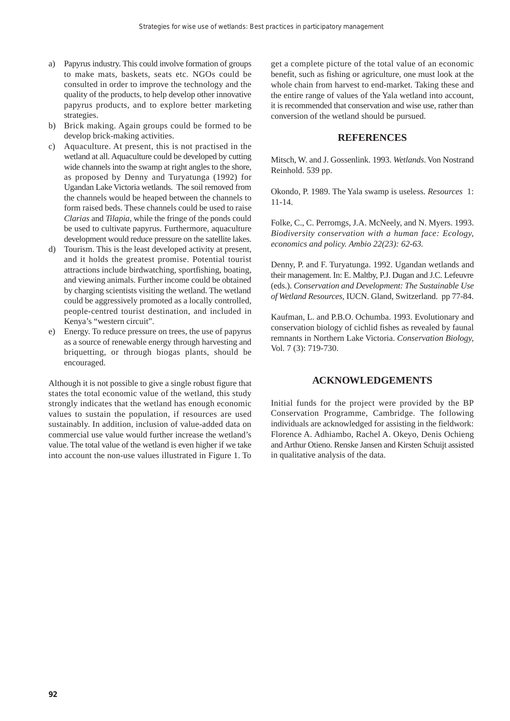- a) Papyrus industry. This could involve formation of groups to make mats, baskets, seats etc. NGOs could be consulted in order to improve the technology and the quality of the products, to help develop other innovative papyrus products, and to explore better marketing strategies.
- b) Brick making. Again groups could be formed to be develop brick-making activities.
- c) Aquaculture. At present, this is not practised in the wetland at all. Aquaculture could be developed by cutting wide channels into the swamp at right angles to the shore, as proposed by Denny and Turyatunga (1992) for Ugandan Lake Victoria wetlands. The soil removed from the channels would be heaped between the channels to form raised beds. These channels could be used to raise *Clarias* and *Tilapia*, while the fringe of the ponds could be used to cultivate papyrus. Furthermore, aquaculture development would reduce pressure on the satellite lakes.
- d) Tourism. This is the least developed activity at present, and it holds the greatest promise. Potential tourist attractions include birdwatching, sportfishing, boating, and viewing animals. Further income could be obtained by charging scientists visiting the wetland. The wetland could be aggressively promoted as a locally controlled, people-centred tourist destination, and included in Kenya's "western circuit".
- e) Energy. To reduce pressure on trees, the use of papyrus as a source of renewable energy through harvesting and briquetting, or through biogas plants, should be encouraged.

Although it is not possible to give a single robust figure that states the total economic value of the wetland, this study strongly indicates that the wetland has enough economic values to sustain the population, if resources are used sustainably. In addition, inclusion of value-added data on commercial use value would further increase the wetland's value. The total value of the wetland is even higher if we take into account the non-use values illustrated in Figure 1. To

get a complete picture of the total value of an economic benefit, such as fishing or agriculture, one must look at the whole chain from harvest to end-market. Taking these and the entire range of values of the Yala wetland into account, it is recommended that conservation and wise use, rather than conversion of the wetland should be pursued.

#### **REFERENCES**

Mitsch, W. and J. Gossenlink. 1993. *Wetlands*. Von Nostrand Reinhold. 539 pp.

Okondo, P. 1989. The Yala swamp is useless. *Resources* 1: 11-14.

Folke, C., C. Perromgs, J.A. McNeely, and N. Myers. 1993. *Biodiversity conservation with a human face: Ecology, economics and policy. Ambio 22(23): 62-63.*

Denny, P. and F. Turyatunga. 1992. Ugandan wetlands and their management. In: E. Maltby, P.J. Dugan and J.C. Lefeuvre (eds.). *Conservation and Development: The Sustainable Use of Wetland Resources,* IUCN. Gland, Switzerland. pp 77-84.

Kaufman, L. and P.B.O. Ochumba. 1993. Evolutionary and conservation biology of cichlid fishes as revealed by faunal remnants in Northern Lake Victoria. *Conservation Biology,* Vol. 7 (3): 719-730.

### **ACKNOWLEDGEMENTS**

Initial funds for the project were provided by the BP Conservation Programme, Cambridge. The following individuals are acknowledged for assisting in the fieldwork: Florence A. Adhiambo, Rachel A. Okeyo, Denis Ochieng and Arthur Otieno. Renske Jansen and Kirsten Schuijt assisted in qualitative analysis of the data.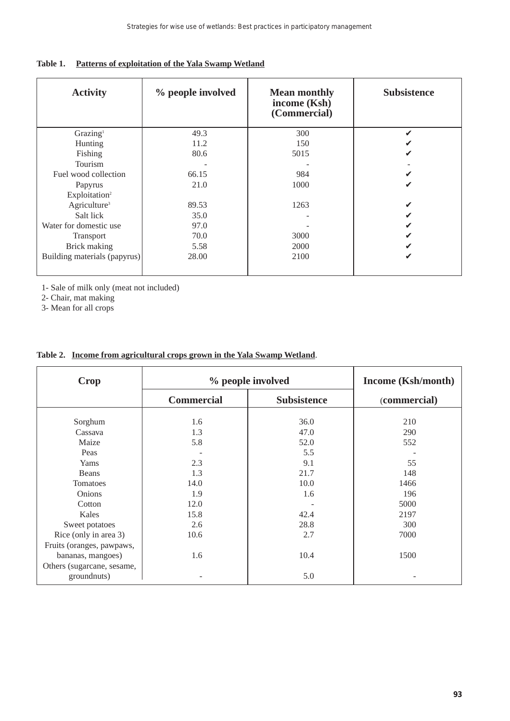| <b>Activity</b>              | % people involved | <b>Mean monthly</b><br>income (Ksh)<br>(Commercial) | <b>Subsistence</b> |
|------------------------------|-------------------|-----------------------------------------------------|--------------------|
| Grazing <sup>1</sup>         | 49.3              | 300                                                 | ✔                  |
| Hunting                      | 11.2              | 150                                                 |                    |
| Fishing                      | 80.6              | 5015                                                |                    |
| Tourism                      |                   |                                                     |                    |
| Fuel wood collection         | 66.15             | 984                                                 |                    |
| Papyrus                      | 21.0              | 1000                                                |                    |
| Exploitation <sup>2</sup>    |                   |                                                     |                    |
| Agriculture <sup>3</sup>     | 89.53             | 1263                                                |                    |
| Salt lick                    | 35.0              |                                                     |                    |
| Water for domestic use.      | 97.0              |                                                     |                    |
| <b>Transport</b>             | 70.0              | 3000                                                |                    |
| Brick making                 | 5.58              | 2000                                                |                    |
| Building materials (papyrus) | 28.00             | 2100                                                |                    |

# **Table 1. Patterns of exploitation of the Yala Swamp Wetland**

1- Sale of milk only (meat not included)

2- Chair, mat making

3- Mean for all crops

## **Table 2. Income from agricultural crops grown in the Yala Swamp Wetland**.

| <b>Crop</b>                | % people involved |                    | Income (Ksh/month) |
|----------------------------|-------------------|--------------------|--------------------|
|                            | <b>Commercial</b> | <b>Subsistence</b> | (commercial)       |
| Sorghum                    | 1.6               | 36.0               | 210                |
| Cassava                    | 1.3               | 47.0               | 290                |
| Maize                      | 5.8               | 52.0               | 552                |
| Peas                       |                   | 5.5                |                    |
| Yams                       | 2.3               | 9.1                | 55                 |
| <b>Beans</b>               | 1.3               | 21.7               | 148                |
| <b>Tomatoes</b>            | 14.0              | 10.0               | 1466               |
| Onions                     | 1.9               | 1.6                | 196                |
| Cotton                     | 12.0              |                    | 5000               |
| Kales                      | 15.8              | 42.4               | 2197               |
| Sweet potatoes             | 2.6               | 28.8               | 300                |
| Rice (only in area 3)      | 10.6              | 2.7                | 7000               |
| Fruits (oranges, pawpaws,  |                   |                    |                    |
| bananas, mangoes)          | 1.6               | 10.4               | 1500               |
| Others (sugarcane, sesame, |                   |                    |                    |
| groundnuts)                |                   | 5.0                |                    |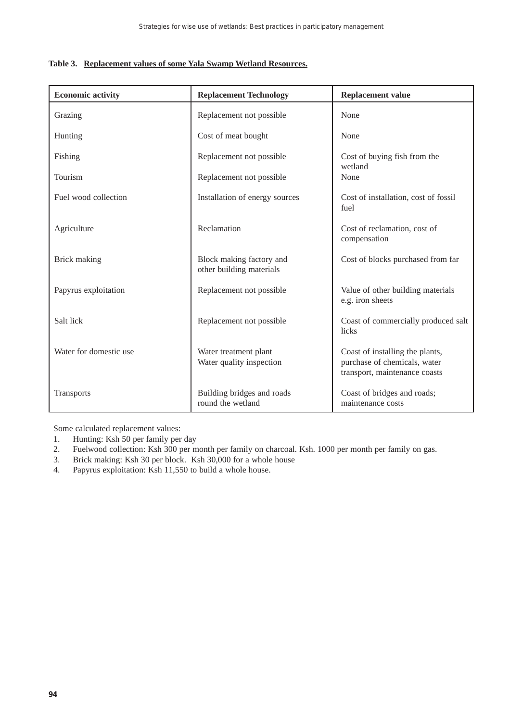| <b>Economic activity</b> | <b>Replacement Technology</b>                        | <b>Replacement value</b>                                                                         |
|--------------------------|------------------------------------------------------|--------------------------------------------------------------------------------------------------|
| Grazing                  | Replacement not possible                             | None                                                                                             |
| Hunting                  | Cost of meat bought                                  | None                                                                                             |
| Fishing                  | Replacement not possible                             | Cost of buying fish from the<br>wetland                                                          |
| Tourism                  | Replacement not possible                             | None                                                                                             |
| Fuel wood collection     | Installation of energy sources                       | Cost of installation, cost of fossil<br>fuel                                                     |
| Agriculture              | Reclamation                                          | Cost of reclamation, cost of<br>compensation                                                     |
| Brick making             | Block making factory and<br>other building materials | Cost of blocks purchased from far                                                                |
| Papyrus exploitation     | Replacement not possible                             | Value of other building materials<br>e.g. iron sheets                                            |
| Salt lick                | Replacement not possible                             | Coast of commercially produced salt<br>licks                                                     |
| Water for domestic use   | Water treatment plant<br>Water quality inspection    | Coast of installing the plants,<br>purchase of chemicals, water<br>transport, maintenance coasts |
| <b>Transports</b>        | Building bridges and roads<br>round the wetland      | Coast of bridges and roads;<br>maintenance costs                                                 |

|  |  | Table 3. Replacement values of some Yala Swamp Wetland Resources. |
|--|--|-------------------------------------------------------------------|
|  |  |                                                                   |

Some calculated replacement values:<br>1. Hunting: Ksh 50 per family per

- 1. Hunting: Ksh 50 per family per day<br>2. Fuelwood collection: Ksh 300 per m
- 2. Fuelwood collection: Ksh 300 per month per family on charcoal. Ksh. 1000 per month per family on gas.<br>3. Brick making: Ksh 30 per block. Ksh 30,000 for a whole house
- 3. Brick making: Ksh 30 per block. Ksh 30,000 for a whole house<br>4. Papyrus exploitation: Ksh 11,550 to build a whole house.
- Papyrus exploitation: Ksh 11,550 to build a whole house.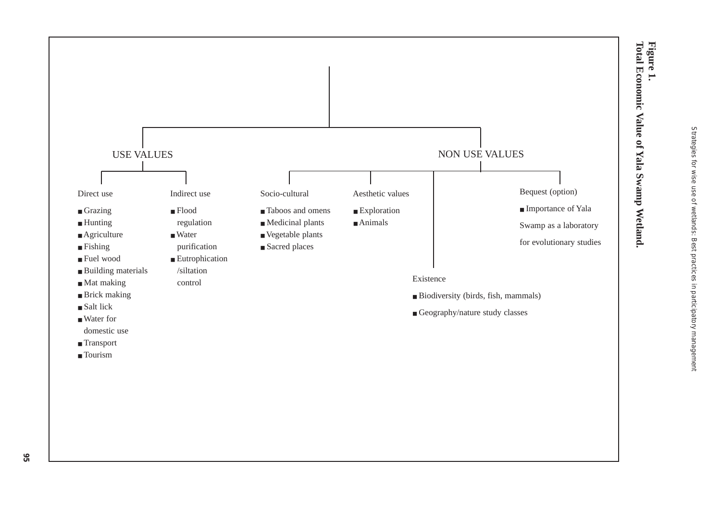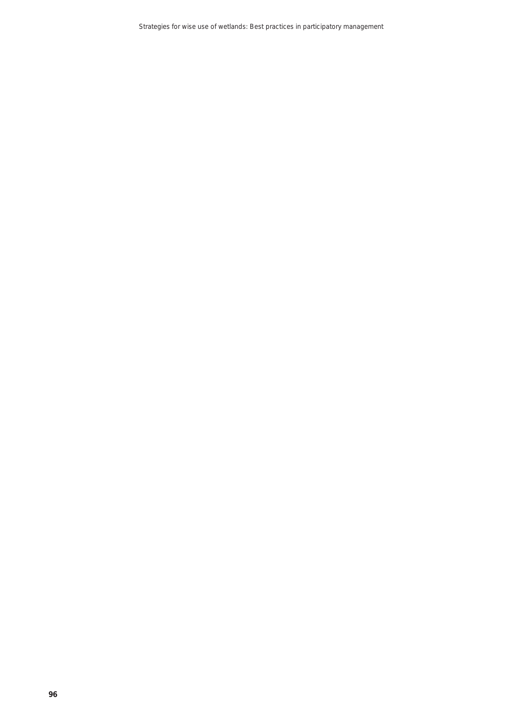Strategies for wise use of wetlands: Best practices in participatory management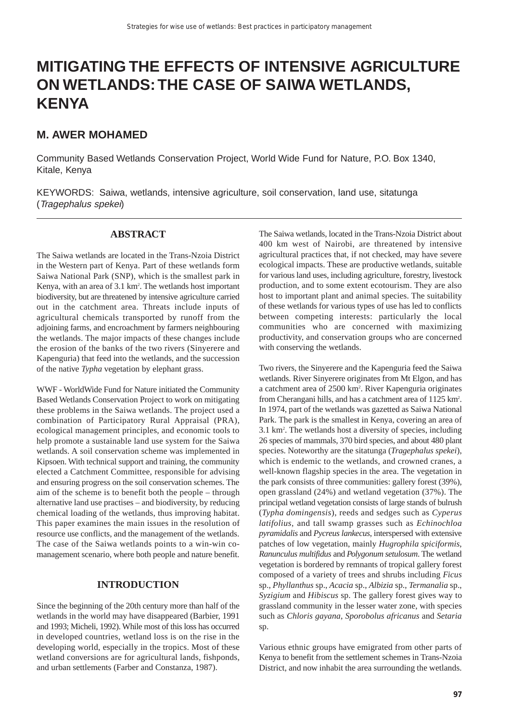# **MITIGATING THE EFFECTS OF INTENSIVE AGRICULTURE ON WETLANDS:THE CASE OF SAIWA WETLANDS, KENYA**

## **M. AWER MOHAMED**

Community Based Wetlands Conservation Project, World Wide Fund for Nature, P.O. Box 1340, Kitale, Kenya

KEYWORDS: Saiwa, wetlands, intensive agriculture, soil conservation, land use, sitatunga (Tragephalus spekei)

## **ABSTRACT**

The Saiwa wetlands are located in the Trans-Nzoia District in the Western part of Kenya. Part of these wetlands form Saiwa National Park (SNP), which is the smallest park in Kenya, with an area of 3.1 km<sup>2</sup>. The wetlands host important biodiversity, but are threatened by intensive agriculture carried out in the catchment area. Threats include inputs of agricultural chemicals transported by runoff from the adjoining farms, and encroachment by farmers neighbouring the wetlands. The major impacts of these changes include the erosion of the banks of the two rivers (Sinyerere and Kapenguria) that feed into the wetlands, and the succession of the native *Typha* vegetation by elephant grass.

WWF - WorldWide Fund for Nature initiated the Community Based Wetlands Conservation Project to work on mitigating these problems in the Saiwa wetlands. The project used a combination of Participatory Rural Appraisal (PRA), ecological management principles, and economic tools to help promote a sustainable land use system for the Saiwa wetlands. A soil conservation scheme was implemented in Kipsoen. With technical support and training, the community elected a Catchment Committee, responsible for advising and ensuring progress on the soil conservation schemes. The aim of the scheme is to benefit both the people – through alternative land use practises – and biodiversity, by reducing chemical loading of the wetlands, thus improving habitat. This paper examines the main issues in the resolution of resource use conflicts, and the management of the wetlands. The case of the Saiwa wetlands points to a win-win comanagement scenario, where both people and nature benefit.

### **INTRODUCTION**

Since the beginning of the 20th century more than half of the wetlands in the world may have disappeared (Barbier, 1991 and 1993; Micheli, 1992). While most of this loss has occurred in developed countries, wetland loss is on the rise in the developing world, especially in the tropics. Most of these wetland conversions are for agricultural lands, fishponds, and urban settlements (Farber and Constanza, 1987).

The Saiwa wetlands, located in the Trans-Nzoia District about 400 km west of Nairobi, are threatened by intensive agricultural practices that, if not checked, may have severe ecological impacts. These are productive wetlands, suitable for various land uses, including agriculture, forestry, livestock production, and to some extent ecotourism. They are also host to important plant and animal species. The suitability of these wetlands for various types of use has led to conflicts between competing interests: particularly the local communities who are concerned with maximizing productivity, and conservation groups who are concerned with conserving the wetlands.

Two rivers, the Sinyerere and the Kapenguria feed the Saiwa wetlands. River Sinyerere originates from Mt Elgon, and has a catchment area of 2500 km<sup>2</sup>. River Kapenguria originates from Cherangani hills, and has a catchment area of 1125 km<sup>2</sup>. In 1974, part of the wetlands was gazetted as Saiwa National Park. The park is the smallest in Kenya, covering an area of 3.1 km2 . The wetlands host a diversity of species, including 26 species of mammals, 370 bird species, and about 480 plant species. Noteworthy are the sitatunga (*Tragephalus spekei*), which is endemic to the wetlands, and crowned cranes, a well-known flagship species in the area. The vegetation in the park consists of three communities: gallery forest (39%), open grassland (24%) and wetland vegetation (37%). The principal wetland vegetation consists of large stands of bulrush (*Typha domingensis*), reeds and sedges such as *Cyperus latifolius*, and tall swamp grasses such as *Echinochloa pyramidalis* and *Pycreus lankecus*, interspersed with extensive patches of low vegetation, mainly *Hugrophila spiciformis*, *Ranunculus multifidus* and *Polygonum setulosum*. The wetland vegetation is bordered by remnants of tropical gallery forest composed of a variety of trees and shrubs including *Ficus* sp., *Phyllanthus* sp., *Acacia* sp., *Albizia* sp., *Termanalia* sp., *Syzigium* and *Hibiscus* sp. The gallery forest gives way to grassland community in the lesser water zone, with species such as *Chloris gayana*, *Sporobolus africanus* and *Setaria* sp.

Various ethnic groups have emigrated from other parts of Kenya to benefit from the settlement schemes in Trans-Nzoia District, and now inhabit the area surrounding the wetlands.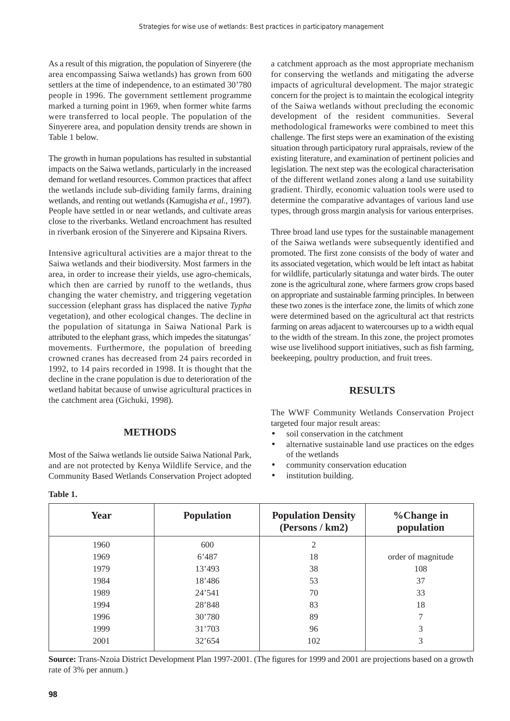As a result of this migration, the population of Sinyerere (the area encompassing Saiwa wetlands) has grown from 600 settlers at the time of independence, to an estimated 30'780 people in 1996. The government settlement programme marked a turning point in 1969, when former white farms were transferred to local people. The population of the Sinyerere area, and population density trends are shown in Table 1 below.

The growth in human populations has resulted in substantial impacts on the Saiwa wetlands, particularly in the increased demand for wetland resources. Common practices that affect the wetlands include sub-dividing family farms, draining wetlands, and renting out wetlands (Kamugisha *et al.*, 1997). People have settled in or near wetlands, and cultivate areas close to the riverbanks. Wetland encroachment has resulted in riverbank erosion of the Sinyerere and Kipsaina Rivers.

Intensive agricultural activities are a major threat to the Saiwa wetlands and their biodiversity. Most farmers in the area, in order to increase their yields, use agro-chemicals, which then are carried by runoff to the wetlands, thus changing the water chemistry, and triggering vegetation succession (elephant grass has displaced the native *Typha* vegetation), and other ecological changes. The decline in the population of sitatunga in Saiwa National Park is attributed to the elephant grass, which impedes the sitatungas' movements. Furthermore, the population of breeding crowned cranes has decreased from 24 pairs recorded in 1992, to 14 pairs recorded in 1998. It is thought that the decline in the crane population is due to deterioration of the wetland habitat because of unwise agricultural practices in the catchment area (Gichuki, 1998).

### **METHODS**

Most of the Saiwa wetlands lie outside Saiwa National Park, and are not protected by Kenya Wildlife Service, and the Community Based Wetlands Conservation Project adopted

**Table 1.**

a catchment approach as the most appropriate mechanism for conserving the wetlands and mitigating the adverse impacts of agricultural development. The major strategic concern for the project is to maintain the ecological integrity of the Saiwa wetlands without precluding the economic development of the resident communities. Several methodological frameworks were combined to meet this challenge. The first steps were an examination of the existing situation through participatory rural appraisals, review of the existing literature, and examination of pertinent policies and legislation. The next step was the ecological characterisation of the different wetland zones along a land use suitability gradient. Thirdly, economic valuation tools were used to determine the comparative advantages of various land use types, through gross margin analysis for various enterprises.

Three broad land use types for the sustainable management of the Saiwa wetlands were subsequently identified and promoted. The first zone consists of the body of water and its associated vegetation, which would be left intact as habitat for wildlife, particularly sitatunga and water birds. The outer zone is the agricultural zone, where farmers grow crops based on appropriate and sustainable farming principles. In between these two zones is the interface zone, the limits of which zone were determined based on the agricultural act that restricts farming on areas adjacent to watercourses up to a width equal to the width of the stream. In this zone, the project promotes wise use livelihood support initiatives, such as fish farming, beekeeping, poultry production, and fruit trees.

## **RESULTS**

The WWF Community Wetlands Conservation Project targeted four major result areas:

- soil conservation in the catchment
- alternative sustainable land use practices on the edges of the wetlands
- community conservation education
- institution building.

| <b>Year</b> | <b>Population</b> | <b>Population Density</b><br>(Persons / km2) | $\%$ Change in<br>population |
|-------------|-------------------|----------------------------------------------|------------------------------|
| 1960        | 600               | 2                                            |                              |
| 1969        | 6'487             | 18                                           | order of magnitude           |
| 1979        | 13'493            | 38                                           | 108                          |
| 1984        | 18'486            | 53                                           | 37                           |
| 1989        | 24'541            | 70                                           | 33                           |
| 1994        | 28'848            | 83                                           | 18                           |
| 1996        | 30'780            | 89                                           |                              |
| 1999        | 31'703            | 96                                           | 3                            |
| 2001        | 32'654            | 102                                          | 3                            |

**Source:** Trans-Nzoia District Development Plan 1997-2001. (The figures for 1999 and 2001 are projections based on a growth rate of 3% per annum.)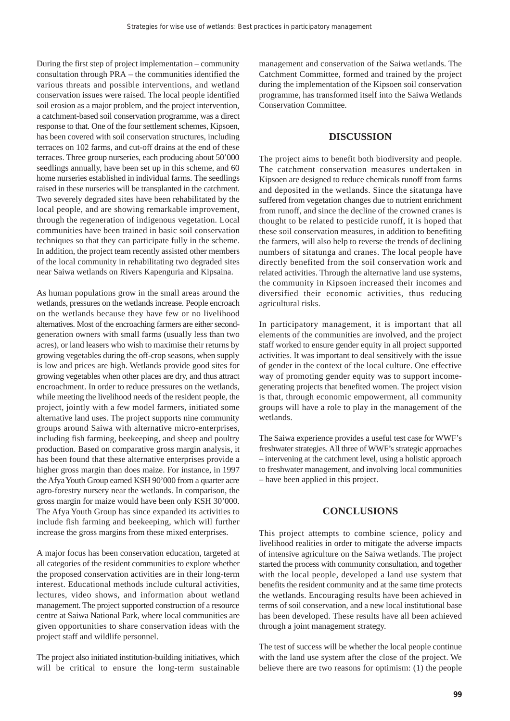During the first step of project implementation – community consultation through PRA – the communities identified the various threats and possible interventions, and wetland conservation issues were raised. The local people identified soil erosion as a major problem, and the project intervention, a catchment-based soil conservation programme, was a direct response to that. One of the four settlement schemes, Kipsoen, has been covered with soil conservation structures, including terraces on 102 farms, and cut-off drains at the end of these terraces. Three group nurseries, each producing about 50'000 seedlings annually, have been set up in this scheme, and 60 home nurseries established in individual farms. The seedlings raised in these nurseries will be transplanted in the catchment. Two severely degraded sites have been rehabilitated by the local people, and are showing remarkable improvement, through the regeneration of indigenous vegetation. Local communities have been trained in basic soil conservation techniques so that they can participate fully in the scheme. In addition, the project team recently assisted other members of the local community in rehabilitating two degraded sites near Saiwa wetlands on Rivers Kapenguria and Kipsaina.

As human populations grow in the small areas around the wetlands, pressures on the wetlands increase. People encroach on the wetlands because they have few or no livelihood alternatives. Most of the encroaching farmers are either secondgeneration owners with small farms (usually less than two acres), or land leasers who wish to maximise their returns by growing vegetables during the off-crop seasons, when supply is low and prices are high. Wetlands provide good sites for growing vegetables when other places are dry, and thus attract encroachment. In order to reduce pressures on the wetlands, while meeting the livelihood needs of the resident people, the project, jointly with a few model farmers, initiated some alternative land uses. The project supports nine community groups around Saiwa with alternative micro-enterprises, including fish farming, beekeeping, and sheep and poultry production. Based on comparative gross margin analysis, it has been found that these alternative enterprises provide a higher gross margin than does maize. For instance, in 1997 the Afya Youth Group earned KSH 90'000 from a quarter acre agro-forestry nursery near the wetlands. In comparison, the gross margin for maize would have been only KSH 30'000. The Afya Youth Group has since expanded its activities to include fish farming and beekeeping, which will further increase the gross margins from these mixed enterprises.

A major focus has been conservation education, targeted at all categories of the resident communities to explore whether the proposed conservation activities are in their long-term interest. Educational methods include cultural activities, lectures, video shows, and information about wetland management. The project supported construction of a resource centre at Saiwa National Park, where local communities are given opportunities to share conservation ideas with the project staff and wildlife personnel.

The project also initiated institution-building initiatives, which will be critical to ensure the long-term sustainable

management and conservation of the Saiwa wetlands. The Catchment Committee, formed and trained by the project during the implementation of the Kipsoen soil conservation programme, has transformed itself into the Saiwa Wetlands Conservation Committee.

#### **DISCUSSION**

The project aims to benefit both biodiversity and people. The catchment conservation measures undertaken in Kipsoen are designed to reduce chemicals runoff from farms and deposited in the wetlands. Since the sitatunga have suffered from vegetation changes due to nutrient enrichment from runoff, and since the decline of the crowned cranes is thought to be related to pesticide runoff, it is hoped that these soil conservation measures, in addition to benefiting the farmers, will also help to reverse the trends of declining numbers of sitatunga and cranes. The local people have directly benefited from the soil conservation work and related activities. Through the alternative land use systems, the community in Kipsoen increased their incomes and diversified their economic activities, thus reducing agricultural risks.

In participatory management, it is important that all elements of the communities are involved, and the project staff worked to ensure gender equity in all project supported activities. It was important to deal sensitively with the issue of gender in the context of the local culture. One effective way of promoting gender equity was to support incomegenerating projects that benefited women. The project vision is that, through economic empowerment, all community groups will have a role to play in the management of the wetlands.

The Saiwa experience provides a useful test case for WWF's freshwater strategies. All three of WWF's strategic approaches – intervening at the catchment level, using a holistic approach to freshwater management, and involving local communities – have been applied in this project.

### **CONCLUSIONS**

This project attempts to combine science, policy and livelihood realities in order to mitigate the adverse impacts of intensive agriculture on the Saiwa wetlands. The project started the process with community consultation, and together with the local people, developed a land use system that benefits the resident community and at the same time protects the wetlands. Encouraging results have been achieved in terms of soil conservation, and a new local institutional base has been developed. These results have all been achieved through a joint management strategy.

The test of success will be whether the local people continue with the land use system after the close of the project. We believe there are two reasons for optimism: (1) the people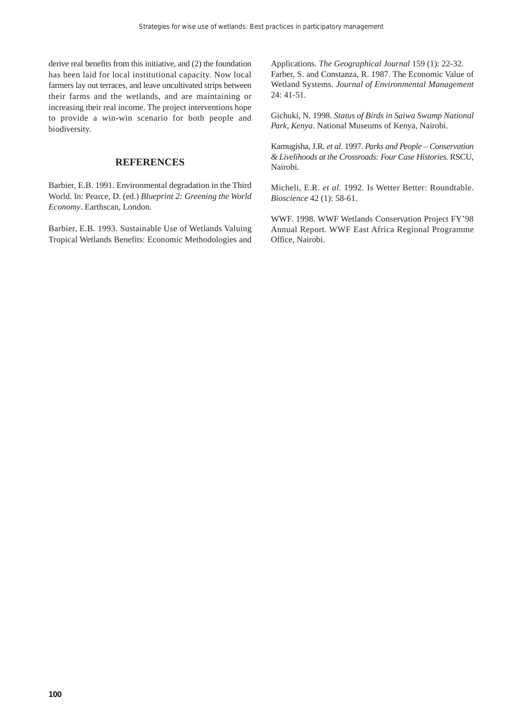derive real benefits from this initiative, and (2) the foundation has been laid for local institutional capacity. Now local farmers lay out terraces, and leave uncultivated strips between their farms and the wetlands, and are maintaining or increasing their real income. The project interventions hope to provide a win-win scenario for both people and biodiversity.

#### **REFERENCES**

Barbier, E.B. 1991. Environmental degradation in the Third World. In: Pearce, D. (ed.) *Blueprint 2: Greening the World Economy*. Earthscan, London.

Barbier, E.B. 1993. Sustainable Use of Wetlands Valuing Tropical Wetlands Benefits: Economic Methodologies and Applications. *The Geographical Journal* 159 (1): 22-32. Farber, S. and Constanza, R. 1987. The Economic Value of Wetland Systems. *Journal of Environmental Management* 24: 41-51.

Gichuki, N. 1998. *Status of Birds in Saiwa Swamp National Park, Kenya*. National Museums of Kenya, Nairobi.

Kamugisha, J.R. *et al*. 1997. *Parks and People – Conservation & Livelihoods at the Crossroads: Four Case Histories*. RSCU, Nairobi.

Micheli, E.R. *et al.* 1992. Is Wetter Better: Roundtable. *Bioscience* 42 (1): 58-61.

WWF. 1998. WWF Wetlands Conservation Project FY'98 Annual Report. WWF East Africa Regional Programme Office, Nairobi.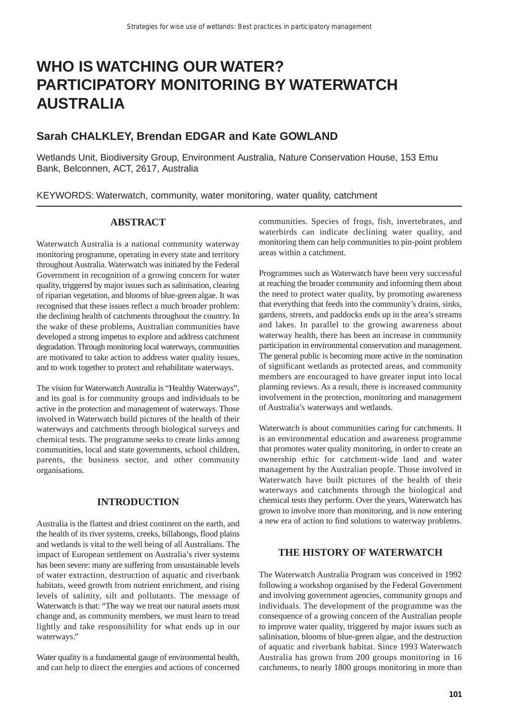# **WHO IS WATCHING OUR WATER? PARTICIPATORY MONITORING BY WATERWATCH AUSTRALIA**

## **Sarah CHALKLEY, Brendan EDGAR and Kate GOWLAND**

Wetlands Unit, Biodiversity Group, Environment Australia, Nature Conservation House, 153 Emu Bank, Belconnen, ACT, 2617, Australia

KEYWORDS: Waterwatch, community, water monitoring, water quality, catchment

## **ABSTRACT**

Waterwatch Australia is a national community waterway monitoring programme, operating in every state and territory throughout Australia. Waterwatch was initiated by the Federal Government in recognition of a growing concern for water quality, triggered by major issues such as salinisation, clearing of riparian vegetation, and blooms of blue-green algae. It was recognised that these issues reflect a much broader problem: the declining health of catchments throughout the country. In the wake of these problems, Australian communities have developed a strong impetus to explore and address catchment degradation. Through monitoring local waterways, communities are motivated to take action to address water quality issues, and to work together to protect and rehabilitate waterways.

The vision for Waterwatch Australia is "Healthy Waterways", and its goal is for community groups and individuals to be active in the protection and management of waterways. Those involved in Waterwatch build pictures of the health of their waterways and catchments through biological surveys and chemical tests. The programme seeks to create links among communities, local and state governments, school children, parents, the business sector, and other community organisations.

## **INTRODUCTION**

Australia is the flattest and driest continent on the earth, and the health of its river systems, creeks, billabongs, flood plains and wetlands is vital to the well being of all Australians. The impact of European settlement on Australia's river systems has been severe: many are suffering from unsustainable levels of water extraction, destruction of aquatic and riverbank habitats, weed growth from nutrient enrichment, and rising levels of salinity, silt and pollutants. The message of Waterwatch is that: "The way we treat our natural assets must change and, as community members, we must learn to tread lightly and take responsibility for what ends up in our waterways."

Water quality is a fundamental gauge of environmental health, and can help to direct the energies and actions of concerned communities. Species of frogs, fish, invertebrates, and waterbirds can indicate declining water quality, and monitoring them can help communities to pin-point problem areas within a catchment.

Programmes such as Waterwatch have been very successful at reaching the broader community and informing them about the need to protect water quality, by promoting awareness that everything that feeds into the community's drains, sinks, gardens, streets, and paddocks ends up in the area's streams and lakes. In parallel to the growing awareness about waterway health, there has been an increase in community participation in environmental conservation and management. The general public is becoming more active in the nomination of significant wetlands as protected areas, and community members are encouraged to have greater input into local planning reviews. As a result, there is increased community involvement in the protection, monitoring and management of Australia's waterways and wetlands.

Waterwatch is about communities caring for catchments. It is an environmental education and awareness programme that promotes water quality monitoring, in order to create an ownership ethic for catchment-wide land and water management by the Australian people. Those involved in Waterwatch have built pictures of the health of their waterways and catchments through the biological and chemical tests they perform. Over the years, Waterwatch has grown to involve more than monitoring, and is now entering a new era of action to find solutions to waterway problems.

## **THE HISTORY OF WATERWATCH**

The Waterwatch Australia Program was conceived in 1992 following a workshop organised by the Federal Government and involving government agencies, community groups and individuals. The development of the programme was the consequence of a growing concern of the Australian people to improve water quality, triggered by major issues such as salinisation, blooms of blue-green algae, and the destruction of aquatic and riverbank habitat. Since 1993 Waterwatch Australia has grown from 200 groups monitoring in 16 catchments, to nearly 1800 groups monitoring in more than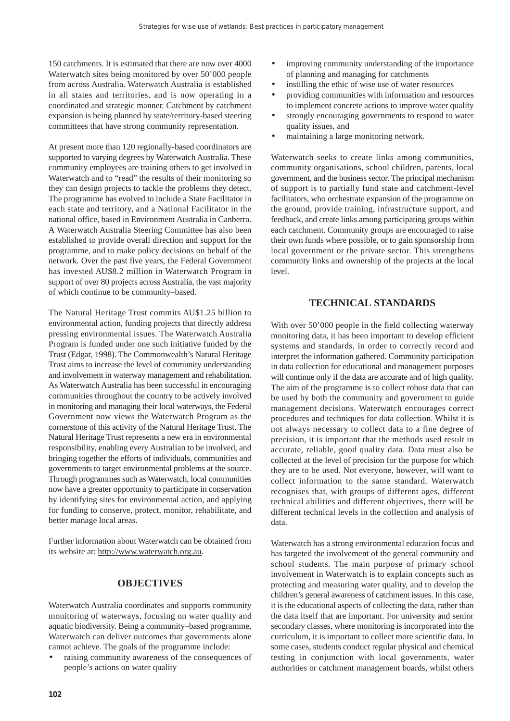150 catchments. It is estimated that there are now over 4000 Waterwatch sites being monitored by over 50'000 people from across Australia. Waterwatch Australia is established in all states and territories, and is now operating in a coordinated and strategic manner. Catchment by catchment expansion is being planned by state/territory-based steering committees that have strong community representation.

At present more than 120 regionally-based coordinators are supported to varying degrees by Waterwatch Australia. These community employees are training others to get involved in Waterwatch and to "read" the results of their monitoring so they can design projects to tackle the problems they detect. The programme has evolved to include a State Facilitator in each state and territory, and a National Facilitator in the national office, based in Environment Australia in Canberra. A Waterwatch Australia Steering Committee has also been established to provide overall direction and support for the programme, and to make policy decisions on behalf of the network. Over the past five years, the Federal Government has invested AU\$8.2 million in Waterwatch Program in support of over 80 projects across Australia, the vast majority of which continue to be community–based.

The Natural Heritage Trust commits AU\$1.25 billion to environmental action, funding projects that directly address pressing environmental issues. The Waterwatch Australia Program is funded under one such initiative funded by the Trust (Edgar, 1998). The Commonwealth's Natural Heritage Trust aims to increase the level of community understanding and involvement in waterway management and rehabilitation. As Waterwatch Australia has been successful in encouraging communities throughout the country to be actively involved in monitoring and managing their local waterways, the Federal Government now views the Waterwatch Program as the cornerstone of this activity of the Natural Heritage Trust. The Natural Heritage Trust represents a new era in environmental responsibility, enabling every Australian to be involved, and bringing together the efforts of individuals, communities and governments to target environmental problems at the source. Through programmes such as Waterwatch, local communities now have a greater opportunity to participate in conservation by identifying sites for environmental action, and applying for funding to conserve, protect, monitor, rehabilitate, and better manage local areas.

Further information about Waterwatch can be obtained from its website at: http://www.waterwatch.org.au.

### **OBJECTIVES**

Waterwatch Australia coordinates and supports community monitoring of waterways, focusing on water quality and aquatic biodiversity. Being a community–based programme, Waterwatch can deliver outcomes that governments alone cannot achieve. The goals of the programme include:

raising community awareness of the consequences of people's actions on water quality

- improving community understanding of the importance of planning and managing for catchments
- instilling the ethic of wise use of water resources
- providing communities with information and resources to implement concrete actions to improve water quality
- strongly encouraging governments to respond to water quality issues, and
- maintaining a large monitoring network.

Waterwatch seeks to create links among communities, community organisations, school children, parents, local government, and the business sector. The principal mechanism of support is to partially fund state and catchment-level facilitators, who orchestrate expansion of the programme on the ground, provide training, infrastructure support, and feedback, and create links among participating groups within each catchment. Community groups are encouraged to raise their own funds where possible, or to gain sponsorship from local government or the private sector. This strengthens community links and ownership of the projects at the local level.

#### **TECHNICAL STANDARDS**

With over 50'000 people in the field collecting waterway monitoring data, it has been important to develop efficient systems and standards, in order to correctly record and interpret the information gathered. Community participation in data collection for educational and management purposes will continue only if the data are accurate and of high quality. The aim of the programme is to collect robust data that can be used by both the community and government to guide management decisions. Waterwatch encourages correct procedures and techniques for data collection. Whilst it is not always necessary to collect data to a fine degree of precision, it is important that the methods used result in accurate, reliable, good quality data. Data must also be collected at the level of precision for the purpose for which they are to be used. Not everyone, however, will want to collect information to the same standard. Waterwatch recognises that, with groups of different ages, different technical abilities and different objectives, there will be different technical levels in the collection and analysis of data.

Waterwatch has a strong environmental education focus and has targeted the involvement of the general community and school students. The main purpose of primary school involvement in Waterwatch is to explain concepts such as protecting and measuring water quality, and to develop the children's general awareness of catchment issues. In this case, it is the educational aspects of collecting the data, rather than the data itself that are important. For university and senior secondary classes, where monitoring is incorporated into the curriculum, it is important to collect more scientific data. In some cases, students conduct regular physical and chemical testing in conjunction with local governments, water authorities or catchment management boards, whilst others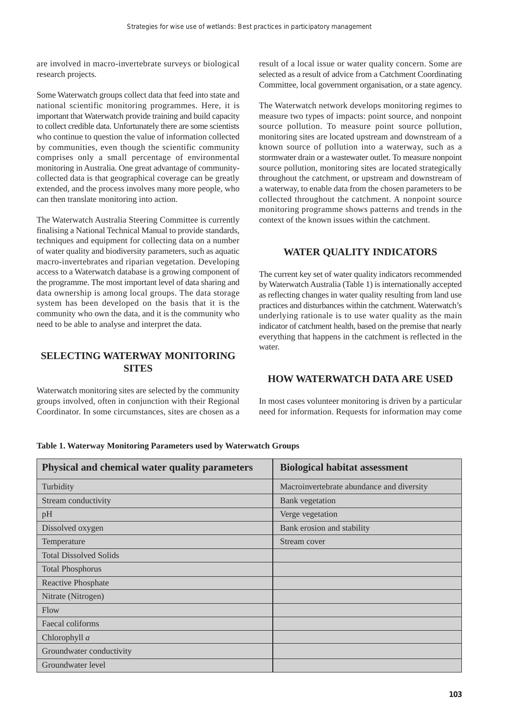are involved in macro-invertebrate surveys or biological research projects.

Some Waterwatch groups collect data that feed into state and national scientific monitoring programmes. Here, it is important that Waterwatch provide training and build capacity to collect credible data. Unfortunately there are some scientists who continue to question the value of information collected by communities, even though the scientific community comprises only a small percentage of environmental monitoring in Australia. One great advantage of communitycollected data is that geographical coverage can be greatly extended, and the process involves many more people, who can then translate monitoring into action.

The Waterwatch Australia Steering Committee is currently finalising a National Technical Manual to provide standards, techniques and equipment for collecting data on a number of water quality and biodiversity parameters, such as aquatic macro-invertebrates and riparian vegetation. Developing access to a Waterwatch database is a growing component of the programme. The most important level of data sharing and data ownership is among local groups. The data storage system has been developed on the basis that it is the community who own the data, and it is the community who need to be able to analyse and interpret the data.

# **SELECTING WATERWAY MONITORING SITES**

Waterwatch monitoring sites are selected by the community groups involved, often in conjunction with their Regional Coordinator. In some circumstances, sites are chosen as a result of a local issue or water quality concern. Some are selected as a result of advice from a Catchment Coordinating Committee, local government organisation, or a state agency.

The Waterwatch network develops monitoring regimes to measure two types of impacts: point source, and nonpoint source pollution. To measure point source pollution, monitoring sites are located upstream and downstream of a known source of pollution into a waterway, such as a stormwater drain or a wastewater outlet. To measure nonpoint source pollution, monitoring sites are located strategically throughout the catchment, or upstream and downstream of a waterway, to enable data from the chosen parameters to be collected throughout the catchment. A nonpoint source monitoring programme shows patterns and trends in the context of the known issues within the catchment.

# **WATER QUALITY INDICATORS**

The current key set of water quality indicators recommended by Waterwatch Australia (Table 1) is internationally accepted as reflecting changes in water quality resulting from land use practices and disturbances within the catchment. Waterwatch's underlying rationale is to use water quality as the main indicator of catchment health, based on the premise that nearly everything that happens in the catchment is reflected in the water.

# **HOW WATERWATCH DATA ARE USED**

In most cases volunteer monitoring is driven by a particular need for information. Requests for information may come

**Table 1. Waterway Monitoring Parameters used by Waterwatch Groups**

| Physical and chemical water quality parameters | <b>Biological habitat assessment</b>      |
|------------------------------------------------|-------------------------------------------|
| Turbidity                                      | Macroinvertebrate abundance and diversity |
| Stream conductivity                            | <b>Bank</b> vegetation                    |
| pH                                             | Verge vegetation                          |
| Dissolved oxygen                               | Bank erosion and stability                |
| Temperature                                    | Stream cover                              |
| <b>Total Dissolved Solids</b>                  |                                           |
| <b>Total Phosphorus</b>                        |                                           |
| <b>Reactive Phosphate</b>                      |                                           |
| Nitrate (Nitrogen)                             |                                           |
| Flow                                           |                                           |
| Faecal coliforms                               |                                           |
| Chlorophyll a                                  |                                           |
| Groundwater conductivity                       |                                           |
| Groundwater level                              |                                           |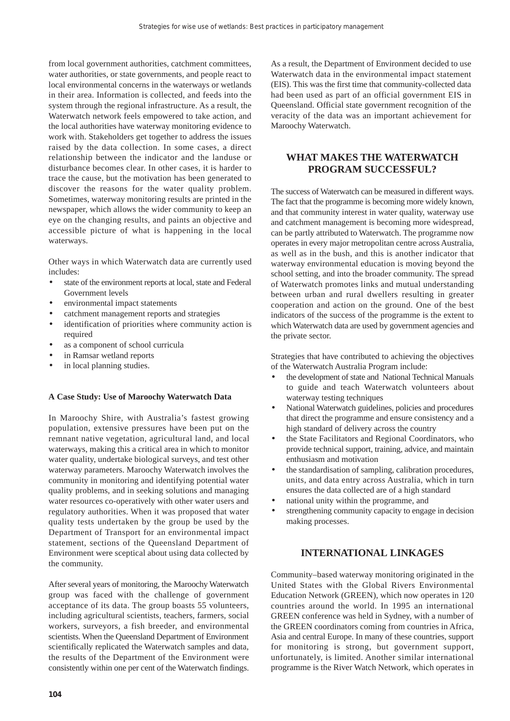from local government authorities, catchment committees, water authorities, or state governments, and people react to local environmental concerns in the waterways or wetlands in their area. Information is collected, and feeds into the system through the regional infrastructure. As a result, the Waterwatch network feels empowered to take action, and the local authorities have waterway monitoring evidence to work with. Stakeholders get together to address the issues raised by the data collection. In some cases, a direct relationship between the indicator and the landuse or disturbance becomes clear. In other cases, it is harder to trace the cause, but the motivation has been generated to discover the reasons for the water quality problem. Sometimes, waterway monitoring results are printed in the newspaper, which allows the wider community to keep an eye on the changing results, and paints an objective and accessible picture of what is happening in the local waterways.

Other ways in which Waterwatch data are currently used includes:

- state of the environment reports at local, state and Federal Government levels
- environmental impact statements
- catchment management reports and strategies
- identification of priorities where community action is required
- as a component of school curricula
- in Ramsar wetland reports
- in local planning studies.

#### **A Case Study: Use of Maroochy Waterwatch Data**

In Maroochy Shire, with Australia's fastest growing population, extensive pressures have been put on the remnant native vegetation, agricultural land, and local waterways, making this a critical area in which to monitor water quality, undertake biological surveys, and test other waterway parameters. Maroochy Waterwatch involves the community in monitoring and identifying potential water quality problems, and in seeking solutions and managing water resources co-operatively with other water users and regulatory authorities. When it was proposed that water quality tests undertaken by the group be used by the Department of Transport for an environmental impact statement, sections of the Queensland Department of Environment were sceptical about using data collected by the community.

After several years of monitoring, the Maroochy Waterwatch group was faced with the challenge of government acceptance of its data. The group boasts 55 volunteers, including agricultural scientists, teachers, farmers, social workers, surveyors, a fish breeder, and environmental scientists. When the Queensland Department of Environment scientifically replicated the Waterwatch samples and data, the results of the Department of the Environment were consistently within one per cent of the Waterwatch findings. As a result, the Department of Environment decided to use Waterwatch data in the environmental impact statement (EIS). This was the first time that community-collected data had been used as part of an official government EIS in Queensland. Official state government recognition of the veracity of the data was an important achievement for Maroochy Waterwatch.

# **WHAT MAKES THE WATERWATCH PROGRAM SUCCESSFUL?**

The success of Waterwatch can be measured in different ways. The fact that the programme is becoming more widely known, and that community interest in water quality, waterway use and catchment management is becoming more widespread, can be partly attributed to Waterwatch. The programme now operates in every major metropolitan centre across Australia, as well as in the bush, and this is another indicator that waterway environmental education is moving beyond the school setting, and into the broader community. The spread of Waterwatch promotes links and mutual understanding between urban and rural dwellers resulting in greater cooperation and action on the ground. One of the best indicators of the success of the programme is the extent to which Waterwatch data are used by government agencies and the private sector.

Strategies that have contributed to achieving the objectives of the Waterwatch Australia Program include:

- the development of state and National Technical Manuals to guide and teach Waterwatch volunteers about waterway testing techniques
- National Waterwatch guidelines, policies and procedures that direct the programme and ensure consistency and a high standard of delivery across the country
- the State Facilitators and Regional Coordinators, who provide technical support, training, advice, and maintain enthusiasm and motivation
- the standardisation of sampling, calibration procedures, units, and data entry across Australia, which in turn ensures the data collected are of a high standard
- national unity within the programme, and
- strengthening community capacity to engage in decision making processes.

## **INTERNATIONAL LINKAGES**

Community–based waterway monitoring originated in the United States with the Global Rivers Environmental Education Network (GREEN), which now operates in 120 countries around the world. In 1995 an international GREEN conference was held in Sydney, with a number of the GREEN coordinators coming from countries in Africa, Asia and central Europe. In many of these countries, support for monitoring is strong, but government support, unfortunately, is limited. Another similar international programme is the River Watch Network, which operates in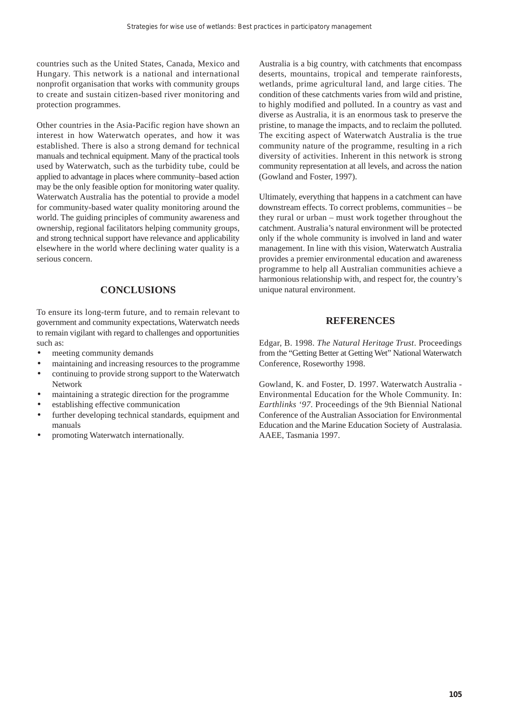countries such as the United States, Canada, Mexico and Hungary. This network is a national and international nonprofit organisation that works with community groups to create and sustain citizen-based river monitoring and protection programmes.

Other countries in the Asia-Pacific region have shown an interest in how Waterwatch operates, and how it was established. There is also a strong demand for technical manuals and technical equipment. Many of the practical tools used by Waterwatch, such as the turbidity tube, could be applied to advantage in places where community–based action may be the only feasible option for monitoring water quality. Waterwatch Australia has the potential to provide a model for community-based water quality monitoring around the world. The guiding principles of community awareness and ownership, regional facilitators helping community groups, and strong technical support have relevance and applicability elsewhere in the world where declining water quality is a serious concern.

# **CONCLUSIONS**

To ensure its long-term future, and to remain relevant to government and community expectations, Waterwatch needs to remain vigilant with regard to challenges and opportunities such as:

- meeting community demands
- maintaining and increasing resources to the programme
- continuing to provide strong support to the Waterwatch Network
- maintaining a strategic direction for the programme
- establishing effective communication
- further developing technical standards, equipment and manuals
- promoting Waterwatch internationally.

Australia is a big country, with catchments that encompass deserts, mountains, tropical and temperate rainforests, wetlands, prime agricultural land, and large cities. The condition of these catchments varies from wild and pristine, to highly modified and polluted. In a country as vast and diverse as Australia, it is an enormous task to preserve the pristine, to manage the impacts, and to reclaim the polluted. The exciting aspect of Waterwatch Australia is the true community nature of the programme, resulting in a rich diversity of activities. Inherent in this network is strong community representation at all levels, and across the nation (Gowland and Foster, 1997).

Ultimately, everything that happens in a catchment can have downstream effects. To correct problems, communities – be they rural or urban – must work together throughout the catchment. Australia's natural environment will be protected only if the whole community is involved in land and water management. In line with this vision, Waterwatch Australia provides a premier environmental education and awareness programme to help all Australian communities achieve a harmonious relationship with, and respect for, the country's unique natural environment.

## **REFERENCES**

Edgar, B. 1998. *The Natural Heritage Trust*. Proceedings from the "Getting Better at Getting Wet" National Waterwatch Conference, Roseworthy 1998.

Gowland, K. and Foster, D. 1997. Waterwatch Australia - Environmental Education for the Whole Community. In: *Earthlinks '97*. Proceedings of the 9th Biennial National Conference of the Australian Association for Environmental Education and the Marine Education Society of Australasia. AAEE, Tasmania 1997.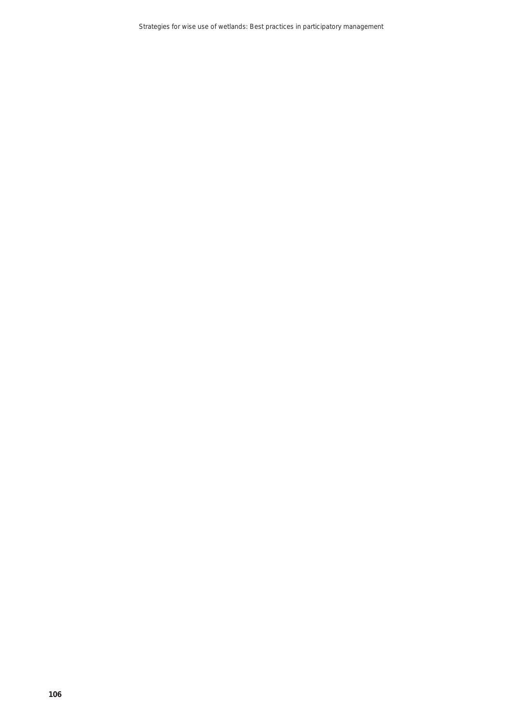Strategies for wise use of wetlands: Best practices in participatory management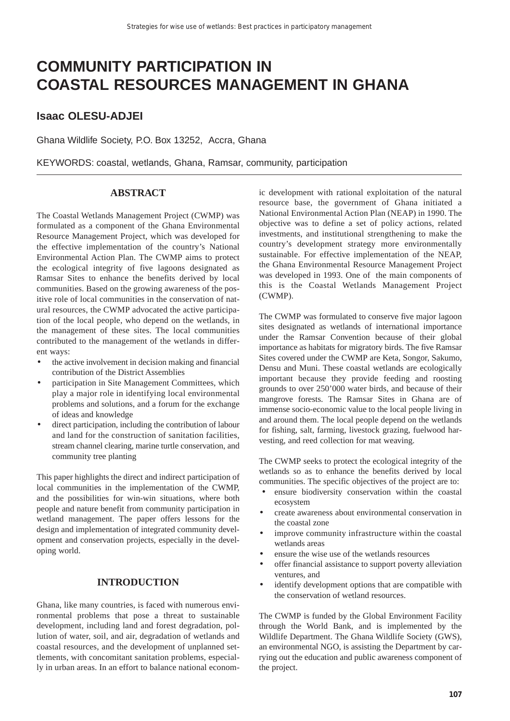# **COMMUNITY PARTICIPATION IN COASTAL RESOURCES MANAGEMENT IN GHANA**

# **Isaac OLESU-ADJEI**

Ghana Wildlife Society, P.O. Box 13252, Accra, Ghana

KEYWORDS: coastal, wetlands, Ghana, Ramsar, community, participation

## **ABSTRACT**

The Coastal Wetlands Management Project (CWMP) was formulated as a component of the Ghana Environmental Resource Management Project, which was developed for the effective implementation of the country's National Environmental Action Plan. The CWMP aims to protect the ecological integrity of five lagoons designated as Ramsar Sites to enhance the benefits derived by local communities. Based on the growing awareness of the positive role of local communities in the conservation of natural resources, the CWMP advocated the active participation of the local people, who depend on the wetlands, in the management of these sites. The local communities contributed to the management of the wetlands in different ways:

- the active involvement in decision making and financial contribution of the District Assemblies
- participation in Site Management Committees, which play a major role in identifying local environmental problems and solutions, and a forum for the exchange of ideas and knowledge
- direct participation, including the contribution of labour and land for the construction of sanitation facilities, stream channel clearing, marine turtle conservation, and community tree planting

This paper highlights the direct and indirect participation of local communities in the implementation of the CWMP, and the possibilities for win-win situations, where both people and nature benefit from community participation in wetland management. The paper offers lessons for the design and implementation of integrated community development and conservation projects, especially in the developing world.

## **INTRODUCTION**

Ghana, like many countries, is faced with numerous environmental problems that pose a threat to sustainable development, including land and forest degradation, pollution of water, soil, and air, degradation of wetlands and coastal resources, and the development of unplanned settlements, with concomitant sanitation problems, especially in urban areas. In an effort to balance national economic development with rational exploitation of the natural resource base, the government of Ghana initiated a National Environmental Action Plan (NEAP) in 1990. The objective was to define a set of policy actions, related investments, and institutional strengthening to make the country's development strategy more environmentally sustainable. For effective implementation of the NEAP, the Ghana Environmental Resource Management Project was developed in 1993. One of the main components of this is the Coastal Wetlands Management Project (CWMP).

The CWMP was formulated to conserve five major lagoon sites designated as wetlands of international importance under the Ramsar Convention because of their global importance as habitats for migratory birds. The five Ramsar Sites covered under the CWMP are Keta, Songor, Sakumo, Densu and Muni. These coastal wetlands are ecologically important because they provide feeding and roosting grounds to over 250'000 water birds, and because of their mangrove forests. The Ramsar Sites in Ghana are of immense socio-economic value to the local people living in and around them. The local people depend on the wetlands for fishing, salt, farming, livestock grazing, fuelwood harvesting, and reed collection for mat weaving.

The CWMP seeks to protect the ecological integrity of the wetlands so as to enhance the benefits derived by local communities. The specific objectives of the project are to:

- ensure biodiversity conservation within the coastal ecosystem
- create awareness about environmental conservation in the coastal zone
- improve community infrastructure within the coastal wetlands areas
- ensure the wise use of the wetlands resources
- offer financial assistance to support poverty alleviation ventures, and
- identify development options that are compatible with the conservation of wetland resources.

The CWMP is funded by the Global Environment Facility through the World Bank, and is implemented by the Wildlife Department. The Ghana Wildlife Society (GWS), an environmental NGO, is assisting the Department by carrying out the education and public awareness component of the project.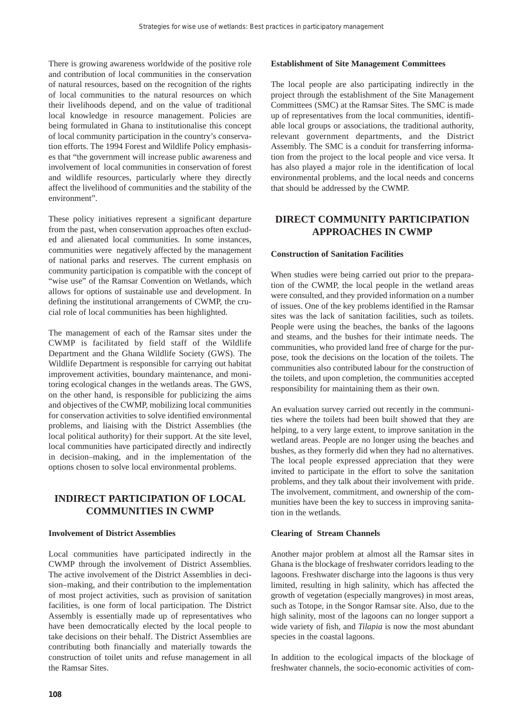There is growing awareness worldwide of the positive role and contribution of local communities in the conservation of natural resources, based on the recognition of the rights of local communities to the natural resources on which their livelihoods depend, and on the value of traditional local knowledge in resource management. Policies are being formulated in Ghana to institutionalise this concept of local community participation in the country's conservation efforts. The 1994 Forest and Wildlife Policy emphasises that "the government will increase public awareness and involvement of local communities in conservation of forest and wildlife resources, particularly where they directly affect the livelihood of communities and the stability of the environment".

These policy initiatives represent a significant departure from the past, when conservation approaches often excluded and alienated local communities. In some instances, communities were negatively affected by the management of national parks and reserves. The current emphasis on community participation is compatible with the concept of "wise use" of the Ramsar Convention on Wetlands, which allows for options of sustainable use and development. In defining the institutional arrangements of CWMP, the crucial role of local communities has been highlighted.

The management of each of the Ramsar sites under the CWMP is facilitated by field staff of the Wildlife Department and the Ghana Wildlife Society (GWS). The Wildlife Department is responsible for carrying out habitat improvement activities, boundary maintenance, and monitoring ecological changes in the wetlands areas. The GWS, on the other hand, is responsible for publicizing the aims and objectives of the CWMP, mobilizing local communities for conservation activities to solve identified environmental problems, and liaising with the District Assemblies (the local political authority) for their support. At the site level, local communities have participated directly and indirectly in decision–making, and in the implementation of the options chosen to solve local environmental problems.

# **INDIRECT PARTICIPATION OF LOCAL COMMUNITIES IN CWMP**

#### **Involvement of District Assemblies**

Local communities have participated indirectly in the CWMP through the involvement of District Assemblies. The active involvement of the District Assemblies in decision–making, and their contribution to the implementation of most project activities, such as provision of sanitation facilities, is one form of local participation. The District Assembly is essentially made up of representatives who have been democratically elected by the local people to take decisions on their behalf. The District Assemblies are contributing both financially and materially towards the construction of toilet units and refuse management in all the Ramsar Sites.

#### **Establishment of Site Management Committees**

The local people are also participating indirectly in the project through the establishment of the Site Management Committees (SMC) at the Ramsar Sites. The SMC is made up of representatives from the local communities, identifiable local groups or associations, the traditional authority, relevant government departments, and the District Assembly. The SMC is a conduit for transferring information from the project to the local people and vice versa. It has also played a major role in the identification of local environmental problems, and the local needs and concerns that should be addressed by the CWMP.

# **DIRECT COMMUNITY PARTICIPATION APPROACHES IN CWMP**

#### **Construction of Sanitation Facilities**

When studies were being carried out prior to the preparation of the CWMP, the local people in the wetland areas were consulted, and they provided information on a number of issues. One of the key problems identified in the Ramsar sites was the lack of sanitation facilities, such as toilets. People were using the beaches, the banks of the lagoons and steams, and the bushes for their intimate needs. The communities, who provided land free of charge for the purpose, took the decisions on the location of the toilets. The communities also contributed labour for the construction of the toilets, and upon completion, the communities accepted responsibility for maintaining them as their own.

An evaluation survey carried out recently in the communities where the toilets had been built showed that they are helping, to a very large extent, to improve sanitation in the wetland areas. People are no longer using the beaches and bushes, as they formerly did when they had no alternatives. The local people expressed appreciation that they were invited to participate in the effort to solve the sanitation problems, and they talk about their involvement with pride. The involvement, commitment, and ownership of the communities have been the key to success in improving sanitation in the wetlands.

#### **Clearing of Stream Channels**

Another major problem at almost all the Ramsar sites in Ghana is the blockage of freshwater corridors leading to the lagoons. Freshwater discharge into the lagoons is thus very limited, resulting in high salinity, which has affected the growth of vegetation (especially mangroves) in most areas, such as Totope, in the Songor Ramsar site. Also, due to the high salinity, most of the lagoons can no longer support a wide variety of fish, and *Tilapia* is now the most abundant species in the coastal lagoons.

In addition to the ecological impacts of the blockage of freshwater channels, the socio-economic activities of com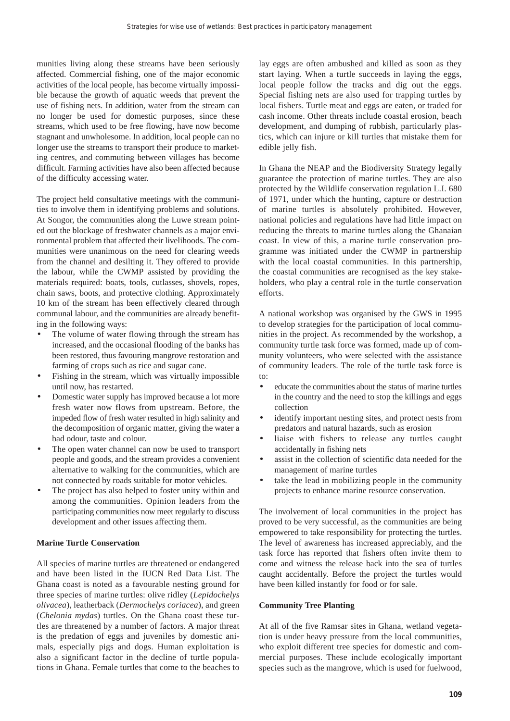munities living along these streams have been seriously affected. Commercial fishing, one of the major economic activities of the local people, has become virtually impossible because the growth of aquatic weeds that prevent the use of fishing nets. In addition, water from the stream can no longer be used for domestic purposes, since these streams, which used to be free flowing, have now become stagnant and unwholesome. In addition, local people can no longer use the streams to transport their produce to marketing centres, and commuting between villages has become difficult. Farming activities have also been affected because of the difficulty accessing water.

The project held consultative meetings with the communities to involve them in identifying problems and solutions. At Songor, the communities along the Luwe stream pointed out the blockage of freshwater channels as a major environmental problem that affected their livelihoods. The communities were unanimous on the need for clearing weeds from the channel and desilting it. They offered to provide the labour, while the CWMP assisted by providing the materials required: boats, tools, cutlasses, shovels, ropes, chain saws, boots, and protective clothing. Approximately 10 km of the stream has been effectively cleared through communal labour, and the communities are already benefiting in the following ways:

- The volume of water flowing through the stream has increased, and the occasional flooding of the banks has been restored, thus favouring mangrove restoration and farming of crops such as rice and sugar cane.
- Fishing in the stream, which was virtually impossible until now, has restarted.
- Domestic water supply has improved because a lot more fresh water now flows from upstream. Before, the impeded flow of fresh water resulted in high salinity and the decomposition of organic matter, giving the water a bad odour, taste and colour.
- The open water channel can now be used to transport people and goods, and the stream provides a convenient alternative to walking for the communities, which are not connected by roads suitable for motor vehicles.
- The project has also helped to foster unity within and among the communities. Opinion leaders from the participating communities now meet regularly to discuss development and other issues affecting them.

#### **Marine Turtle Conservation**

All species of marine turtles are threatened or endangered and have been listed in the IUCN Red Data List. The Ghana coast is noted as a favourable nesting ground for three species of marine turtles: olive ridley (*Lepidochelys olivacea*), leatherback (*Dermochelys coriacea*), and green (*Chelonia mydas*) turtles*.* On the Ghana coast these turtles are threatened by a number of factors. A major threat is the predation of eggs and juveniles by domestic animals, especially pigs and dogs. Human exploitation is also a significant factor in the decline of turtle populations in Ghana. Female turtles that come to the beaches to lay eggs are often ambushed and killed as soon as they start laying. When a turtle succeeds in laying the eggs, local people follow the tracks and dig out the eggs. Special fishing nets are also used for trapping turtles by local fishers. Turtle meat and eggs are eaten, or traded for cash income. Other threats include coastal erosion, beach development, and dumping of rubbish, particularly plastics, which can injure or kill turtles that mistake them for edible jelly fish.

In Ghana the NEAP and the Biodiversity Strategy legally guarantee the protection of marine turtles. They are also protected by the Wildlife conservation regulation L.I. 680 of 1971, under which the hunting, capture or destruction of marine turtles is absolutely prohibited. However, national policies and regulations have had little impact on reducing the threats to marine turtles along the Ghanaian coast. In view of this, a marine turtle conservation programme was initiated under the CWMP in partnership with the local coastal communities. In this partnership, the coastal communities are recognised as the key stakeholders, who play a central role in the turtle conservation efforts.

A national workshop was organised by the GWS in 1995 to develop strategies for the participation of local communities in the project. As recommended by the workshop, a community turtle task force was formed, made up of community volunteers, who were selected with the assistance of community leaders. The role of the turtle task force is to:

- educate the communities about the status of marine turtles in the country and the need to stop the killings and eggs collection
- identify important nesting sites, and protect nests from predators and natural hazards, such as erosion
- liaise with fishers to release any turtles caught accidentally in fishing nets
- assist in the collection of scientific data needed for the management of marine turtles
- take the lead in mobilizing people in the community projects to enhance marine resource conservation.

The involvement of local communities in the project has proved to be very successful, as the communities are being empowered to take responsibility for protecting the turtles. The level of awareness has increased appreciably, and the task force has reported that fishers often invite them to come and witness the release back into the sea of turtles caught accidentally. Before the project the turtles would have been killed instantly for food or for sale.

#### **Community Tree Planting**

At all of the five Ramsar sites in Ghana, wetland vegetation is under heavy pressure from the local communities, who exploit different tree species for domestic and commercial purposes. These include ecologically important species such as the mangrove, which is used for fuelwood,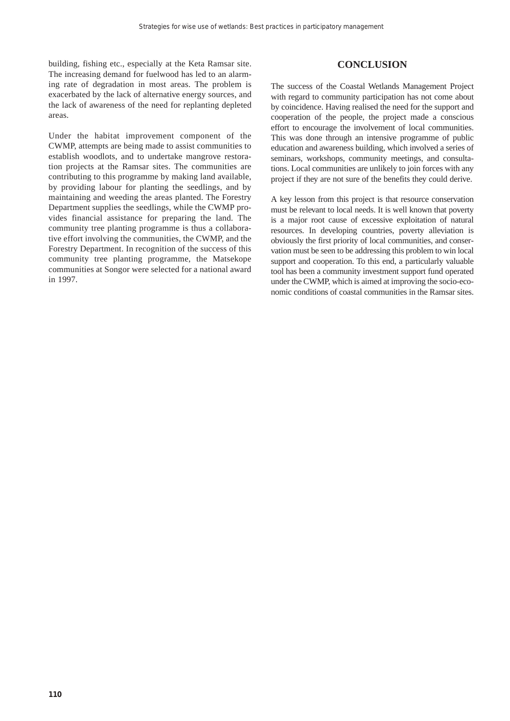building, fishing etc., especially at the Keta Ramsar site. The increasing demand for fuelwood has led to an alarming rate of degradation in most areas. The problem is exacerbated by the lack of alternative energy sources, and the lack of awareness of the need for replanting depleted areas.

Under the habitat improvement component of the CWMP, attempts are being made to assist communities to establish woodlots, and to undertake mangrove restoration projects at the Ramsar sites. The communities are contributing to this programme by making land available, by providing labour for planting the seedlings, and by maintaining and weeding the areas planted. The Forestry Department supplies the seedlings, while the CWMP provides financial assistance for preparing the land. The community tree planting programme is thus a collaborative effort involving the communities, the CWMP, and the Forestry Department. In recognition of the success of this community tree planting programme, the Matsekope communities at Songor were selected for a national award in 1997.

## **CONCLUSION**

The success of the Coastal Wetlands Management Project with regard to community participation has not come about by coincidence. Having realised the need for the support and cooperation of the people, the project made a conscious effort to encourage the involvement of local communities. This was done through an intensive programme of public education and awareness building, which involved a series of seminars, workshops, community meetings, and consultations. Local communities are unlikely to join forces with any project if they are not sure of the benefits they could derive.

A key lesson from this project is that resource conservation must be relevant to local needs. It is well known that poverty is a major root cause of excessive exploitation of natural resources. In developing countries, poverty alleviation is obviously the first priority of local communities, and conservation must be seen to be addressing this problem to win local support and cooperation. To this end, a particularly valuable tool has been a community investment support fund operated under the CWMP, which is aimed at improving the socio-economic conditions of coastal communities in the Ramsar sites.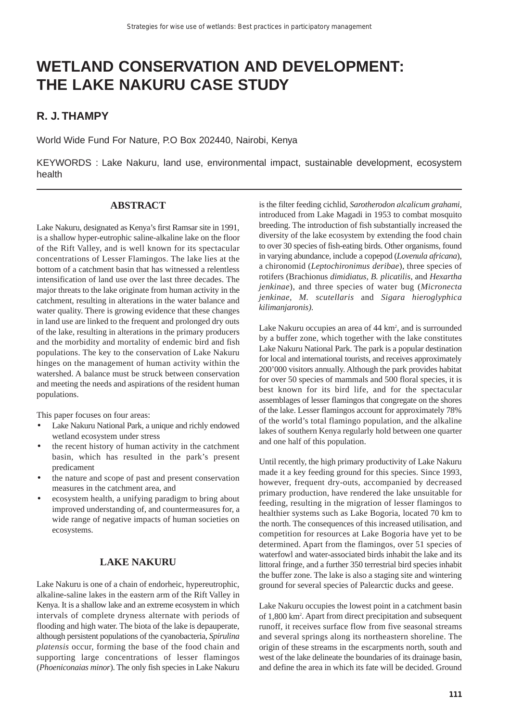# **WETLAND CONSERVATION AND DEVELOPMENT: THE LAKE NAKURU CASE STUDY**

# **R. J. THAMPY**

World Wide Fund For Nature, P.O Box 202440, Nairobi, Kenya

KEYWORDS : Lake Nakuru, land use, environmental impact, sustainable development, ecosystem health

# **ABSTRACT**

Lake Nakuru, designated as Kenya's first Ramsar site in 1991, is a shallow hyper-eutrophic saline-alkaline lake on the floor of the Rift Valley, and is well known for its spectacular concentrations of Lesser Flamingos. The lake lies at the bottom of a catchment basin that has witnessed a relentless intensification of land use over the last three decades. The major threats to the lake originate from human activity in the catchment, resulting in alterations in the water balance and water quality. There is growing evidence that these changes in land use are linked to the frequent and prolonged dry outs of the lake, resulting in alterations in the primary producers and the morbidity and mortality of endemic bird and fish populations. The key to the conservation of Lake Nakuru hinges on the management of human activity within the watershed. A balance must be struck between conservation and meeting the needs and aspirations of the resident human populations.

This paper focuses on four areas:

- Lake Nakuru National Park, a unique and richly endowed wetland ecosystem under stress
- the recent history of human activity in the catchment basin, which has resulted in the park's present predicament
- the nature and scope of past and present conservation measures in the catchment area, and
- ecosystem health, a unifying paradigm to bring about improved understanding of, and countermeasures for, a wide range of negative impacts of human societies on ecosystems.

## **LAKE NAKURU**

Lake Nakuru is one of a chain of endorheic, hypereutrophic, alkaline-saline lakes in the eastern arm of the Rift Valley in Kenya. It is a shallow lake and an extreme ecosystem in which intervals of complete dryness alternate with periods of flooding and high water. The biota of the lake is depauperate, although persistent populations of the cyanobacteria, *Spirulina platensis* occur, forming the base of the food chain and supporting large concentrations of lesser flamingos (*Phoeniconaias minor*). The only fish species in Lake Nakuru

is the filter feeding cichlid, *Sarotherodon alcalicum grahami,* introduced from Lake Magadi in 1953 to combat mosquito breeding. The introduction of fish substantially increased the diversity of the lake ecosystem by extending the food chain to over 30 species of fish-eating birds. Other organisms, found in varying abundance, include a copepod (*Lovenula africana*), a chironomid (*Leptochironimus deribae*), three species of rotifers (Brachionus *dimidiatus, B. plicatilis*, and *Hexartha jenkinae*), and three species of water bug (*Micronecta jenkinae, M. scutellaris* and *Sigara hieroglyphica kilimanjaronis).*

Lake Nakuru occupies an area of 44 km<sup>2</sup>, and is surrounded by a buffer zone, which together with the lake constitutes Lake Nakuru National Park. The park is a popular destination for local and international tourists, and receives approximately 200'000 visitors annually. Although the park provides habitat for over 50 species of mammals and 500 floral species, it is best known for its bird life, and for the spectacular assemblages of lesser flamingos that congregate on the shores of the lake. Lesser flamingos account for approximately 78% of the world's total flamingo population, and the alkaline lakes of southern Kenya regularly hold between one quarter and one half of this population.

Until recently, the high primary productivity of Lake Nakuru made it a key feeding ground for this species. Since 1993, however, frequent dry-outs, accompanied by decreased primary production, have rendered the lake unsuitable for feeding, resulting in the migration of lesser flamingos to healthier systems such as Lake Bogoria, located 70 km to the north. The consequences of this increased utilisation, and competition for resources at Lake Bogoria have yet to be determined. Apart from the flamingos, over 51 species of waterfowl and water-associated birds inhabit the lake and its littoral fringe, and a further 350 terrestrial bird species inhabit the buffer zone. The lake is also a staging site and wintering ground for several species of Palearctic ducks and geese.

Lake Nakuru occupies the lowest point in a catchment basin of 1,800 km2 . Apart from direct precipitation and subsequent runoff, it receives surface flow from five seasonal streams and several springs along its northeastern shoreline. The origin of these streams in the escarpments north, south and west of the lake delineate the boundaries of its drainage basin, and define the area in which its fate will be decided. Ground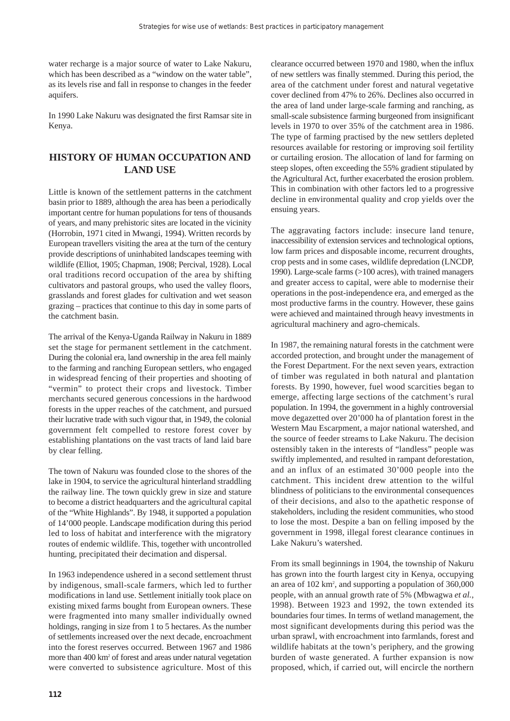water recharge is a major source of water to Lake Nakuru, which has been described as a "window on the water table", as its levels rise and fall in response to changes in the feeder aquifers.

In 1990 Lake Nakuru was designated the first Ramsar site in Kenya.

# **HISTORY OF HUMAN OCCUPATION AND LAND USE**

Little is known of the settlement patterns in the catchment basin prior to 1889, although the area has been a periodically important centre for human populations for tens of thousands of years, and many prehistoric sites are located in the vicinity (Horrobin, 1971 cited in Mwangi, 1994). Written records by European travellers visiting the area at the turn of the century provide descriptions of uninhabited landscapes teeming with wildlife (Elliot, 1905; Chapman, 1908; Percival, 1928). Local oral traditions record occupation of the area by shifting cultivators and pastoral groups, who used the valley floors, grasslands and forest glades for cultivation and wet season grazing – practices that continue to this day in some parts of the catchment basin.

The arrival of the Kenya-Uganda Railway in Nakuru in 1889 set the stage for permanent settlement in the catchment. During the colonial era, land ownership in the area fell mainly to the farming and ranching European settlers, who engaged in widespread fencing of their properties and shooting of "vermin" to protect their crops and livestock. Timber merchants secured generous concessions in the hardwood forests in the upper reaches of the catchment, and pursued their lucrative trade with such vigour that, in 1949, the colonial government felt compelled to restore forest cover by establishing plantations on the vast tracts of land laid bare by clear felling.

The town of Nakuru was founded close to the shores of the lake in 1904, to service the agricultural hinterland straddling the railway line. The town quickly grew in size and stature to become a district headquarters and the agricultural capital of the "White Highlands". By 1948, it supported a population of 14'000 people. Landscape modification during this period led to loss of habitat and interference with the migratory routes of endemic wildlife. This, together with uncontrolled hunting, precipitated their decimation and dispersal.

In 1963 independence ushered in a second settlement thrust by indigenous, small-scale farmers, which led to further modifications in land use. Settlement initially took place on existing mixed farms bought from European owners. These were fragmented into many smaller individually owned holdings, ranging in size from 1 to 5 hectares. As the number of settlements increased over the next decade, encroachment into the forest reserves occurred. Between 1967 and 1986 more than 400 km<sup>2</sup> of forest and areas under natural vegetation were converted to subsistence agriculture. Most of this clearance occurred between 1970 and 1980, when the influx of new settlers was finally stemmed. During this period, the area of the catchment under forest and natural vegetative cover declined from 47% to 26%. Declines also occurred in the area of land under large-scale farming and ranching, as small-scale subsistence farming burgeoned from insignificant levels in 1970 to over 35% of the catchment area in 1986. The type of farming practised by the new settlers depleted resources available for restoring or improving soil fertility or curtailing erosion. The allocation of land for farming on steep slopes, often exceeding the 55% gradient stipulated by the Agricultural Act, further exacerbated the erosion problem. This in combination with other factors led to a progressive decline in environmental quality and crop yields over the ensuing years.

The aggravating factors include: insecure land tenure, inaccessibility of extension services and technological options, low farm prices and disposable income, recurrent droughts, crop pests and in some cases, wildlife depredation (LNCDP, 1990). Large-scale farms (>100 acres), with trained managers and greater access to capital, were able to modernise their operations in the post-independence era, and emerged as the most productive farms in the country. However, these gains were achieved and maintained through heavy investments in agricultural machinery and agro-chemicals.

In 1987, the remaining natural forests in the catchment were accorded protection, and brought under the management of the Forest Department. For the next seven years, extraction of timber was regulated in both natural and plantation forests. By 1990, however, fuel wood scarcities began to emerge, affecting large sections of the catchment's rural population. In 1994, the government in a highly controversial move degazetted over 20'000 ha of plantation forest in the Western Mau Escarpment, a major national watershed, and the source of feeder streams to Lake Nakuru. The decision ostensibly taken in the interests of "landless" people was swiftly implemented, and resulted in rampant deforestation, and an influx of an estimated 30'000 people into the catchment. This incident drew attention to the wilful blindness of politicians to the environmental consequences of their decisions, and also to the apathetic response of stakeholders, including the resident communities, who stood to lose the most. Despite a ban on felling imposed by the government in 1998, illegal forest clearance continues in Lake Nakuru's watershed.

From its small beginnings in 1904, the township of Nakuru has grown into the fourth largest city in Kenya, occupying an area of 102 km<sup>2</sup>, and supporting a population of 360,000 people, with an annual growth rate of 5% (Mbwagwa *et al.*, 1998). Between 1923 and 1992, the town extended its boundaries four times. In terms of wetland management, the most significant developments during this period was the urban sprawl, with encroachment into farmlands, forest and wildlife habitats at the town's periphery, and the growing burden of waste generated. A further expansion is now proposed, which, if carried out, will encircle the northern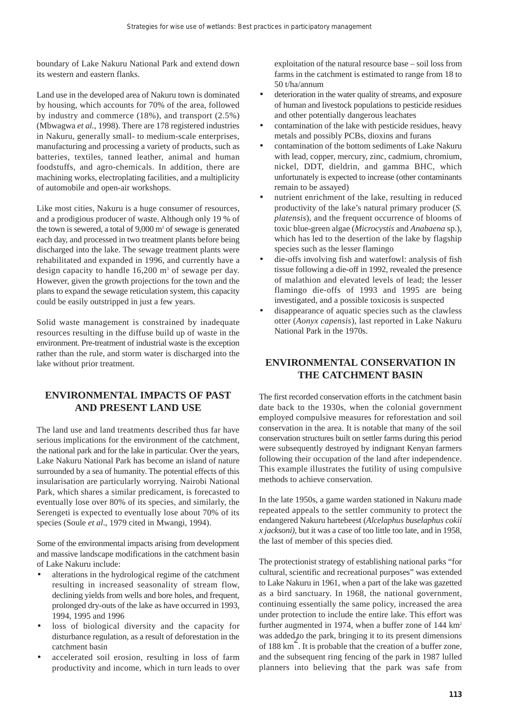boundary of Lake Nakuru National Park and extend down its western and eastern flanks.

Land use in the developed area of Nakuru town is dominated by housing, which accounts for 70% of the area, followed by industry and commerce (18%), and transport (2.5%) (Mbwagwa *et al.*, 1998). There are 178 registered industries in Nakuru, generally small- to medium-scale enterprises, manufacturing and processing a variety of products, such as batteries, textiles, tanned leather, animal and human foodstuffs, and agro-chemicals. In addition, there are machining works, electroplating facilities, and a multiplicity of automobile and open-air workshops.

Like most cities, Nakuru is a huge consumer of resources, and a prodigious producer of waste. Although only 19 % of the town is sewered, a total of  $9,000$  m<sup>3</sup> of sewage is generated each day, and processed in two treatment plants before being discharged into the lake. The sewage treatment plants were rehabilitated and expanded in 1996, and currently have a design capacity to handle  $16,200$  m<sup>3</sup> of sewage per day. However, given the growth projections for the town and the plans to expand the sewage reticulation system, this capacity could be easily outstripped in just a few years.

Solid waste management is constrained by inadequate resources resulting in the diffuse build up of waste in the environment. Pre-treatment of industrial waste is the exception rather than the rule, and storm water is discharged into the lake without prior treatment.

# **ENVIRONMENTAL IMPACTS OF PAST AND PRESENT LAND USE**

The land use and land treatments described thus far have serious implications for the environment of the catchment, the national park and for the lake in particular. Over the years, Lake Nakuru National Park has become an island of nature surrounded by a sea of humanity. The potential effects of this insularisation are particularly worrying. Nairobi National Park, which shares a similar predicament, is forecasted to eventually lose over 80% of its species, and similarly, the Serengeti is expected to eventually lose about 70% of its species (Soule *et al*., 1979 cited in Mwangi, 1994).

Some of the environmental impacts arising from development and massive landscape modifications in the catchment basin of Lake Nakuru include:

- alterations in the hydrological regime of the catchment resulting in increased seasonality of stream flow, declining yields from wells and bore holes, and frequent, prolonged dry-outs of the lake as have occurred in 1993, 1994, 1995 and 1996
- loss of biological diversity and the capacity for disturbance regulation, as a result of deforestation in the catchment basin
- accelerated soil erosion, resulting in loss of farm productivity and income, which in turn leads to over

exploitation of the natural resource base – soil loss from farms in the catchment is estimated to range from 18 to 50 t/ha/annum

- deterioration in the water quality of streams, and exposure of human and livestock populations to pesticide residues and other potentially dangerous leachates
- contamination of the lake with pesticide residues, heavy metals and possibly PCBs, dioxins and furans
- contamination of the bottom sediments of Lake Nakuru with lead, copper, mercury, zinc, cadmium, chromium, nickel, DDT, dieldrin, and gamma BHC, which unfortunately is expected to increase (other contaminants remain to be assayed)
- nutrient enrichment of the lake, resulting in reduced productivity of the lake's natural primary producer (*S. platensis*), and the frequent occurrence of blooms of toxic blue-green algae (*Microcystis* and *Anabaena* sp.), which has led to the desertion of the lake by flagship species such as the lesser flamingo
- die-offs involving fish and waterfowl: analysis of fish tissue following a die-off in 1992, revealed the presence of malathion and elevated levels of lead; the lesser flamingo die-offs of 1993 and 1995 are being investigated, and a possible toxicosis is suspected
- disappearance of aquatic species such as the clawless otter (*Aonyx capensis*), last reported in Lake Nakuru National Park in the 1970s.

# **ENVIRONMENTAL CONSERVATION IN THE CATCHMENT BASIN**

The first recorded conservation efforts in the catchment basin date back to the 1930s, when the colonial government employed compulsive measures for reforestation and soil conservation in the area. It is notable that many of the soil conservation structures built on settler farms during this period were subsequently destroyed by indignant Kenyan farmers following their occupation of the land after independence. This example illustrates the futility of using compulsive methods to achieve conservation.

In the late 1950s, a game warden stationed in Nakuru made repeated appeals to the settler community to protect the endangered Nakuru hartebeest (*Alcelaphus buselaphus cokii x jacksoni),* but it was a case of too little too late, and in 1958, the last of member of this species died.

The protectionist strategy of establishing national parks "for cultural, scientific and recreational purposes" was extended to Lake Nakuru in 1961, when a part of the lake was gazetted as a bird sanctuary. In 1968, the national government, continuing essentially the same policy, increased the area under protection to include the entire lake. This effort was further augmented in 1974, when a buffer zone of 144 km<sup>2</sup> was added to the park, bringing it to its present dimensions of 188 km . It is probable that the creation of a buffer zone, and the subsequent ring fencing of the park in 1987 lulled planners into believing that the park was safe from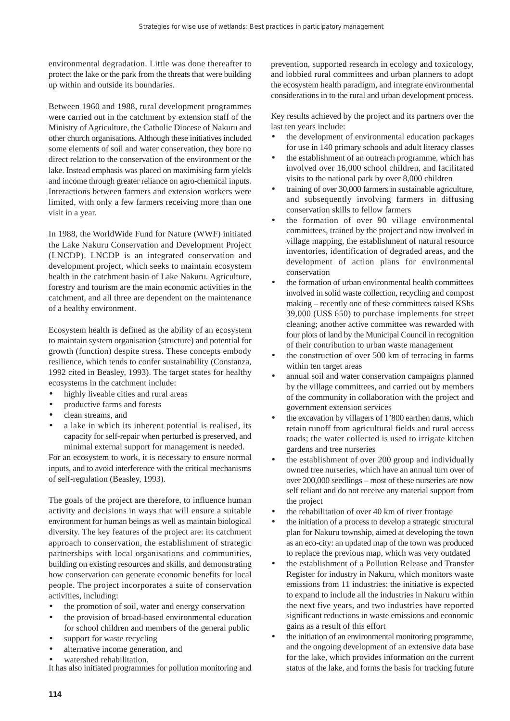environmental degradation. Little was done thereafter to protect the lake or the park from the threats that were building up within and outside its boundaries.

Between 1960 and 1988, rural development programmes were carried out in the catchment by extension staff of the Ministry of Agriculture, the Catholic Diocese of Nakuru and other church organisations. Although these initiatives included some elements of soil and water conservation, they bore no direct relation to the conservation of the environment or the lake. Instead emphasis was placed on maximising farm yields and income through greater reliance on agro-chemical inputs. Interactions between farmers and extension workers were limited, with only a few farmers receiving more than one visit in a year.

In 1988, the WorldWide Fund for Nature (WWF) initiated the Lake Nakuru Conservation and Development Project (LNCDP). LNCDP is an integrated conservation and development project, which seeks to maintain ecosystem health in the catchment basin of Lake Nakuru. Agriculture, forestry and tourism are the main economic activities in the catchment, and all three are dependent on the maintenance of a healthy environment.

Ecosystem health is defined as the ability of an ecosystem to maintain system organisation (structure) and potential for growth (function) despite stress. These concepts embody resilience, which tends to confer sustainability (Constanza, 1992 cited in Beasley, 1993). The target states for healthy ecosystems in the catchment include:

- highly liveable cities and rural areas
- productive farms and forests
- clean streams, and
- a lake in which its inherent potential is realised, its capacity for self-repair when perturbed is preserved, and minimal external support for management is needed.

For an ecosystem to work, it is necessary to ensure normal inputs, and to avoid interference with the critical mechanisms of self-regulation (Beasley, 1993).

The goals of the project are therefore, to influence human activity and decisions in ways that will ensure a suitable environment for human beings as well as maintain biological diversity. The key features of the project are: its catchment approach to conservation, the establishment of strategic partnerships with local organisations and communities, building on existing resources and skills, and demonstrating how conservation can generate economic benefits for local people. The project incorporates a suite of conservation activities, including:

- the promotion of soil, water and energy conservation
- the provision of broad-based environmental education for school children and members of the general public
- support for waste recycling
- alternative income generation, and
- watershed rehabilitation.

It has also initiated programmes for pollution monitoring and

prevention, supported research in ecology and toxicology, and lobbied rural committees and urban planners to adopt the ecosystem health paradigm, and integrate environmental considerations in to the rural and urban development process.

Key results achieved by the project and its partners over the last ten years include:

- the development of environmental education packages for use in 140 primary schools and adult literacy classes
- the establishment of an outreach programme, which has involved over 16,000 school children, and facilitated visits to the national park by over 8,000 children
- training of over 30,000 farmers in sustainable agriculture, and subsequently involving farmers in diffusing conservation skills to fellow farmers
- the formation of over 90 village environmental committees, trained by the project and now involved in village mapping, the establishment of natural resource inventories, identification of degraded areas, and the development of action plans for environmental conservation
- the formation of urban environmental health committees involved in solid waste collection, recycling and compost making – recently one of these committees raised KShs 39,000 (US\$ 650) to purchase implements for street cleaning; another active committee was rewarded with four plots of land by the Municipal Council in recognition of their contribution to urban waste management
- the construction of over 500 km of terracing in farms within ten target areas
- annual soil and water conservation campaigns planned by the village committees, and carried out by members of the community in collaboration with the project and government extension services
- the excavation by villagers of 1'800 earthen dams, which retain runoff from agricultural fields and rural access roads; the water collected is used to irrigate kitchen gardens and tree nurseries
- the establishment of over 200 group and individually owned tree nurseries, which have an annual turn over of over 200,000 seedlings – most of these nurseries are now self reliant and do not receive any material support from the project
- the rehabilitation of over 40 km of river frontage
- the initiation of a process to develop a strategic structural plan for Nakuru township, aimed at developing the town as an eco-city: an updated map of the town was produced to replace the previous map, which was very outdated
- the establishment of a Pollution Release and Transfer Register for industry in Nakuru, which monitors waste emissions from 11 industries: the initiative is expected to expand to include all the industries in Nakuru within the next five years, and two industries have reported significant reductions in waste emissions and economic gains as a result of this effort
- the initiation of an environmental monitoring programme, and the ongoing development of an extensive data base for the lake, which provides information on the current status of the lake, and forms the basis for tracking future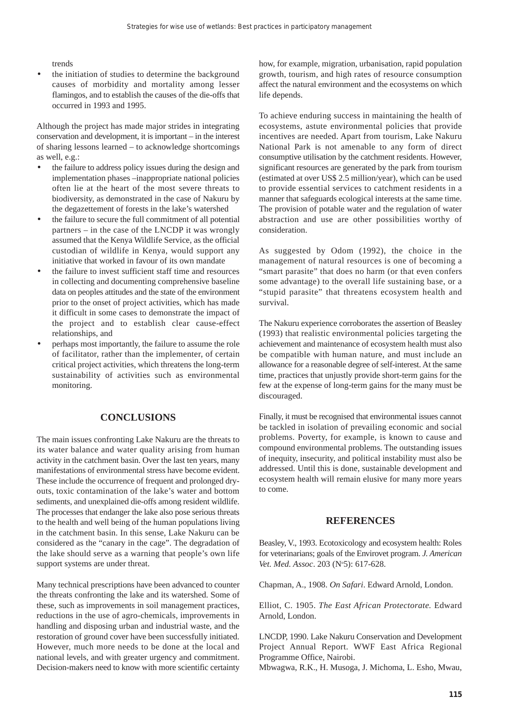trends

the initiation of studies to determine the background causes of morbidity and mortality among lesser flamingos, and to establish the causes of the die-offs that occurred in 1993 and 1995.

Although the project has made major strides in integrating conservation and development, it is important – in the interest of sharing lessons learned – to acknowledge shortcomings as well, e.g.:

- the failure to address policy issues during the design and implementation phases –inappropriate national policies often lie at the heart of the most severe threats to biodiversity, as demonstrated in the case of Nakuru by the degazettement of forests in the lake's watershed
- the failure to secure the full commitment of all potential partners – in the case of the LNCDP it was wrongly assumed that the Kenya Wildlife Service, as the official custodian of wildlife in Kenya, would support any initiative that worked in favour of its own mandate
- the failure to invest sufficient staff time and resources in collecting and documenting comprehensive baseline data on peoples attitudes and the state of the environment prior to the onset of project activities, which has made it difficult in some cases to demonstrate the impact of the project and to establish clear cause-effect relationships, and
- perhaps most importantly, the failure to assume the role of facilitator, rather than the implementer, of certain critical project activities, which threatens the long-term sustainability of activities such as environmental monitoring.

## **CONCLUSIONS**

The main issues confronting Lake Nakuru are the threats to its water balance and water quality arising from human activity in the catchment basin. Over the last ten years, many manifestations of environmental stress have become evident. These include the occurrence of frequent and prolonged dryouts, toxic contamination of the lake's water and bottom sediments, and unexplained die-offs among resident wildlife. The processes that endanger the lake also pose serious threats to the health and well being of the human populations living in the catchment basin. In this sense, Lake Nakuru can be considered as the "canary in the cage". The degradation of the lake should serve as a warning that people's own life support systems are under threat.

Many technical prescriptions have been advanced to counter the threats confronting the lake and its watershed. Some of these, such as improvements in soil management practices, reductions in the use of agro-chemicals, improvements in handling and disposing urban and industrial waste, and the restoration of ground cover have been successfully initiated. However, much more needs to be done at the local and national levels, and with greater urgency and commitment. Decision-makers need to know with more scientific certainty

how, for example, migration, urbanisation, rapid population growth, tourism, and high rates of resource consumption affect the natural environment and the ecosystems on which life depends.

To achieve enduring success in maintaining the health of ecosystems, astute environmental policies that provide incentives are needed. Apart from tourism, Lake Nakuru National Park is not amenable to any form of direct consumptive utilisation by the catchment residents. However, significant resources are generated by the park from tourism (estimated at over US\$ 2.5 million/year), which can be used to provide essential services to catchment residents in a manner that safeguards ecological interests at the same time. The provision of potable water and the regulation of water abstraction and use are other possibilities worthy of consideration.

As suggested by Odom (1992), the choice in the management of natural resources is one of becoming a "smart parasite" that does no harm (or that even confers some advantage) to the overall life sustaining base, or a "stupid parasite" that threatens ecosystem health and survival.

The Nakuru experience corroborates the assertion of Beasley (1993) that realistic environmental policies targeting the achievement and maintenance of ecosystem health must also be compatible with human nature, and must include an allowance for a reasonable degree of self-interest. At the same time, practices that unjustly provide short-term gains for the few at the expense of long-term gains for the many must be discouraged.

Finally, it must be recognised that environmental issues cannot be tackled in isolation of prevailing economic and social problems. Poverty, for example, is known to cause and compound environmental problems. The outstanding issues of inequity, insecurity, and political instability must also be addressed. Until this is done, sustainable development and ecosystem health will remain elusive for many more years to come.

### **REFERENCES**

Beasley, V., 1993. Ecotoxicology and ecosystem health: Roles for veterinarians; goals of the Envirovet program. *J. American* Vet. Med. Assoc. 203 (Nº5): 617-628.

Chapman, A., 1908. *On Safari*. Edward Arnold, London.

Elliot, C. 1905. *The East African Protectorate.* Edward Arnold, London.

LNCDP, 1990. Lake Nakuru Conservation and Development Project Annual Report. WWF East Africa Regional Programme Office, Nairobi.

Mbwagwa, R.K., H. Musoga, J. Michoma, L. Esho, Mwau,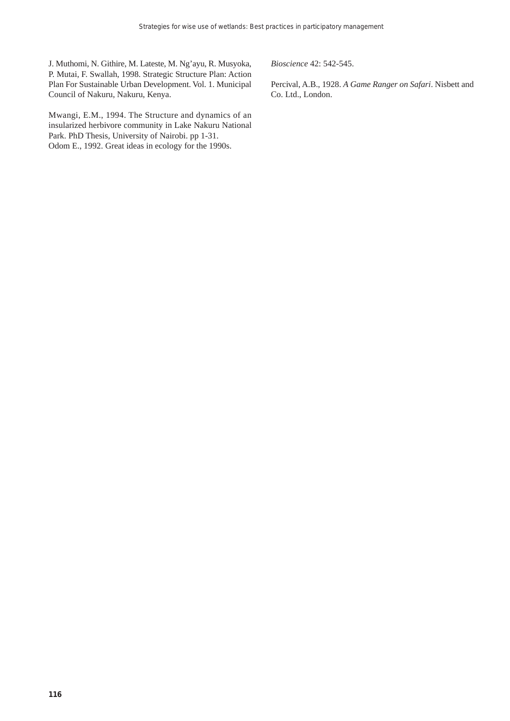J. Muthomi, N. Githire, M. Lateste, M. Ng'ayu, R. Musyoka, P. Mutai, F. Swallah, 1998. Strategic Structure Plan: Action Plan For Sustainable Urban Development. Vol. 1. Municipal Council of Nakuru, Nakuru, Kenya.

Mwangi, E.M., 1994. The Structure and dynamics of an insularized herbivore community in Lake Nakuru National Park. PhD Thesis, University of Nairobi. pp 1-31. Odom E., 1992. Great ideas in ecology for the 1990s.

*Bioscience* 42: 542-545.

Percival, A.B., 1928. *A Game Ranger on Safari*. Nisbett and Co. Ltd., London.